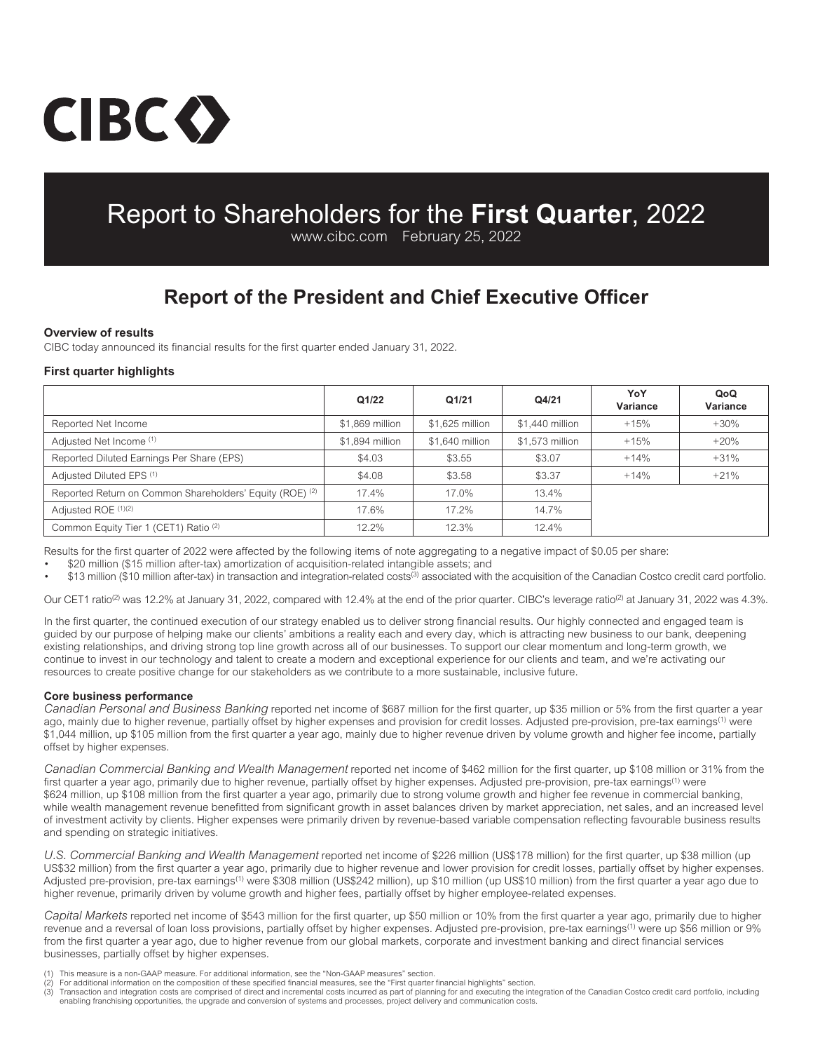# CIBC()

# Report to Shareholders for the **First Quarter**, 2022

www.cibc.com February 25, 2022

# **Report of the President and Chief Executive Officer**

### **Overview of results**

CIBC today announced its financial results for the first quarter ended January 31, 2022.

# **First quarter highlights**

|                                                          | Q1/22           | Q1/21           | Q4/21           | YoY<br>Variance | QoQ<br>Variance |
|----------------------------------------------------------|-----------------|-----------------|-----------------|-----------------|-----------------|
| Reported Net Income                                      | \$1,869 million | \$1,625 million | \$1,440 million | $+15%$          | $+30%$          |
| Adjusted Net Income (1)                                  | \$1,894 million | \$1,640 million | \$1,573 million | $+15%$          | $+20%$          |
| Reported Diluted Earnings Per Share (EPS)                | \$4.03          | \$3.55          | \$3.07          | $+14%$          | $+31%$          |
| Adjusted Diluted EPS (1)                                 | \$4.08          | \$3.58          | \$3.37          | $+14%$          | $+21%$          |
| Reported Return on Common Shareholders' Equity (ROE) (2) | 17.4%           | 17.0%           | 13.4%           |                 |                 |
| Adjusted ROE (1)(2)                                      | 17.6%           | 17.2%           | 14.7%           |                 |                 |
| Common Equity Tier 1 (CET1) Ratio <sup>(2)</sup>         | 12.2%           | 12.3%           | 12.4%           |                 |                 |

Results for the first quarter of 2022 were affected by the following items of note aggregating to a negative impact of \$0.05 per share:

• \$20 million (\$15 million after-tax) amortization of acquisition-related intangible assets; and

• \$13 million (\$10 million after-tax) in transaction and integration-related costs(3) associated with the acquisition of the Canadian Costco credit card portfolio.

Our CET1 ratio<sup>(2)</sup> was 12.2% at January 31, 2022, compared with 12.4% at the end of the prior quarter. CIBC's leverage ratio<sup>(2)</sup> at January 31, 2022 was 4.3%.

In the first quarter, the continued execution of our strategy enabled us to deliver strong financial results. Our highly connected and engaged team is guided by our purpose of helping make our clients' ambitions a reality each and every day, which is attracting new business to our bank, deepening existing relationships, and driving strong top line growth across all of our businesses. To support our clear momentum and long-term growth, we continue to invest in our technology and talent to create a modern and exceptional experience for our clients and team, and we're activating our resources to create positive change for our stakeholders as we contribute to a more sustainable, inclusive future.

### **Core business performance**

*Canadian Personal and Business Banking* reported net income of \$687 million for the first quarter, up \$35 million or 5% from the first quarter a year ago, mainly due to higher revenue, partially offset by higher expenses and provision for credit losses. Adjusted pre-provision, pre-tax earnings<sup>(1)</sup> were \$1,044 million, up \$105 million from the first quarter a year ago, mainly due to higher revenue driven by volume growth and higher fee income, partially offset by higher expenses.

*Canadian Commercial Banking and Wealth Management* reported net income of \$462 million for the first quarter, up \$108 million or 31% from the first quarter a year ago, primarily due to higher revenue, partially offset by higher expenses. Adjusted pre-provision, pre-tax earnings<sup>(1)</sup> were \$624 million, up \$108 million from the first quarter a year ago, primarily due to strong volume growth and higher fee revenue in commercial banking, while wealth management revenue benefitted from significant growth in asset balances driven by market appreciation, net sales, and an increased level of investment activity by clients. Higher expenses were primarily driven by revenue-based variable compensation reflecting favourable business results and spending on strategic initiatives.

*U.S. Commercial Banking and Wealth Management* reported net income of \$226 million (US\$178 million) for the first quarter, up \$38 million (up US\$32 million) from the first quarter a year ago, primarily due to higher revenue and lower provision for credit losses, partially offset by higher expenses. Adjusted pre-provision, pre-tax earnings<sup>(1)</sup> were \$308 million (US\$242 million), up \$10 million (up US\$10 million) from the first quarter a year ago due to higher revenue, primarily driven by volume growth and higher fees, partially offset by higher employee-related expenses.

*Capital Markets* reported net income of \$543 million for the first quarter, up \$50 million or 10% from the first quarter a year ago, primarily due to higher revenue and a reversal of loan loss provisions, partially offset by higher expenses. Adjusted pre-provision, pre-tax earnings<sup>(1)</sup> were up \$56 million or 9% from the first quarter a year ago, due to higher revenue from our global markets, corporate and investment banking and direct financial services businesses, partially offset by higher expenses.

This measure is a non-GAAP measure. For additional information, see the "Non-GAAP measures" section.

- 
- (2) For additional information on the composition of these specified financial measures, see the "First quarter financial highlights" section.<br>(3) Transaction and integration costs are comprised of direct and incremental c enabling franchising opportunities, the upgrade and conversion of systems and processes, project delivery and communication costs.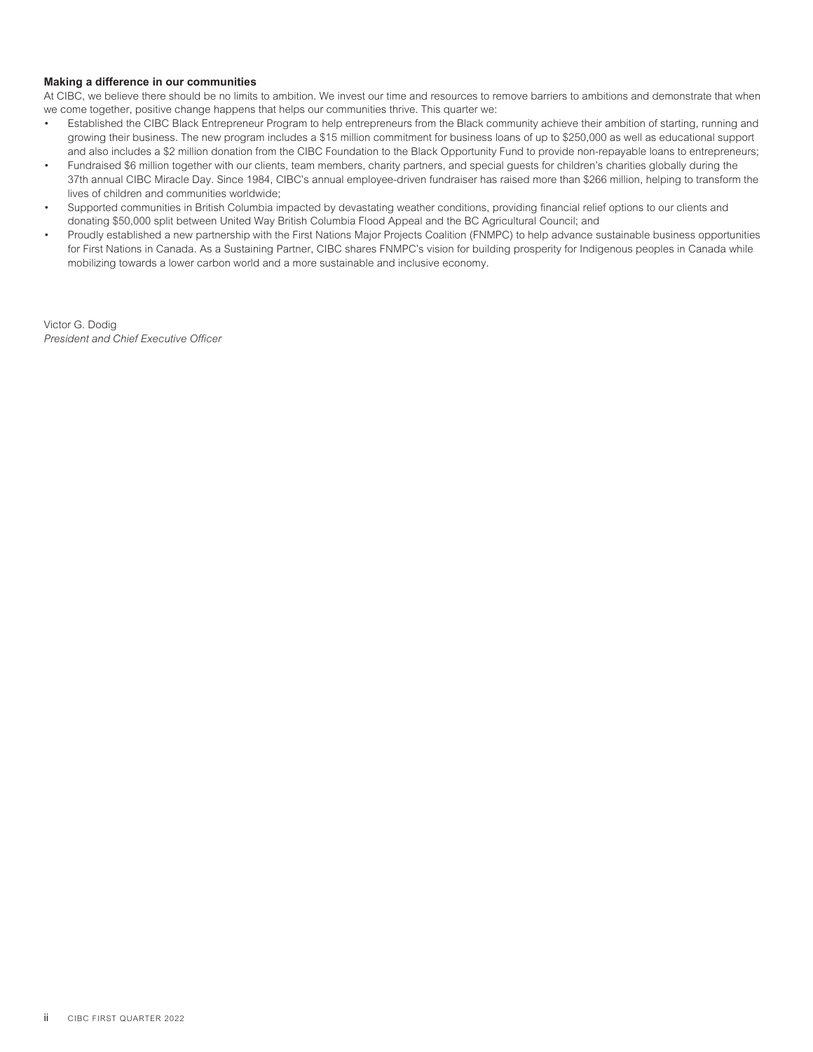### **Making a difference in our communities**

At CIBC, we believe there should be no limits to ambition. We invest our time and resources to remove barriers to ambitions and demonstrate that when we come together, positive change happens that helps our communities thrive. This quarter we:

- Established the CIBC Black Entrepreneur Program to help entrepreneurs from the Black community achieve their ambition of starting, running and growing their business. The new program includes a \$15 million commitment for business loans of up to \$250,000 as well as educational support and also includes a \$2 million donation from the CIBC Foundation to the Black Opportunity Fund to provide non-repayable loans to entrepreneurs;
- Fundraised \$6 million together with our clients, team members, charity partners, and special guests for children's charities globally during the 37th annual CIBC Miracle Day. Since 1984, CIBC's annual employee-driven fundraiser has raised more than \$266 million, helping to transform the lives of children and communities worldwide;
- Supported communities in British Columbia impacted by devastating weather conditions, providing financial relief options to our clients and donating \$50,000 split between United Way British Columbia Flood Appeal and the BC Agricultural Council; and
- Proudly established a new partnership with the First Nations Major Projects Coalition (FNMPC) to help advance sustainable business opportunities for First Nations in Canada. As a Sustaining Partner, CIBC shares FNMPC's vision for building prosperity for Indigenous peoples in Canada while mobilizing towards a lower carbon world and a more sustainable and inclusive economy.

Victor G. Dodig *President and Chief Executive Officer*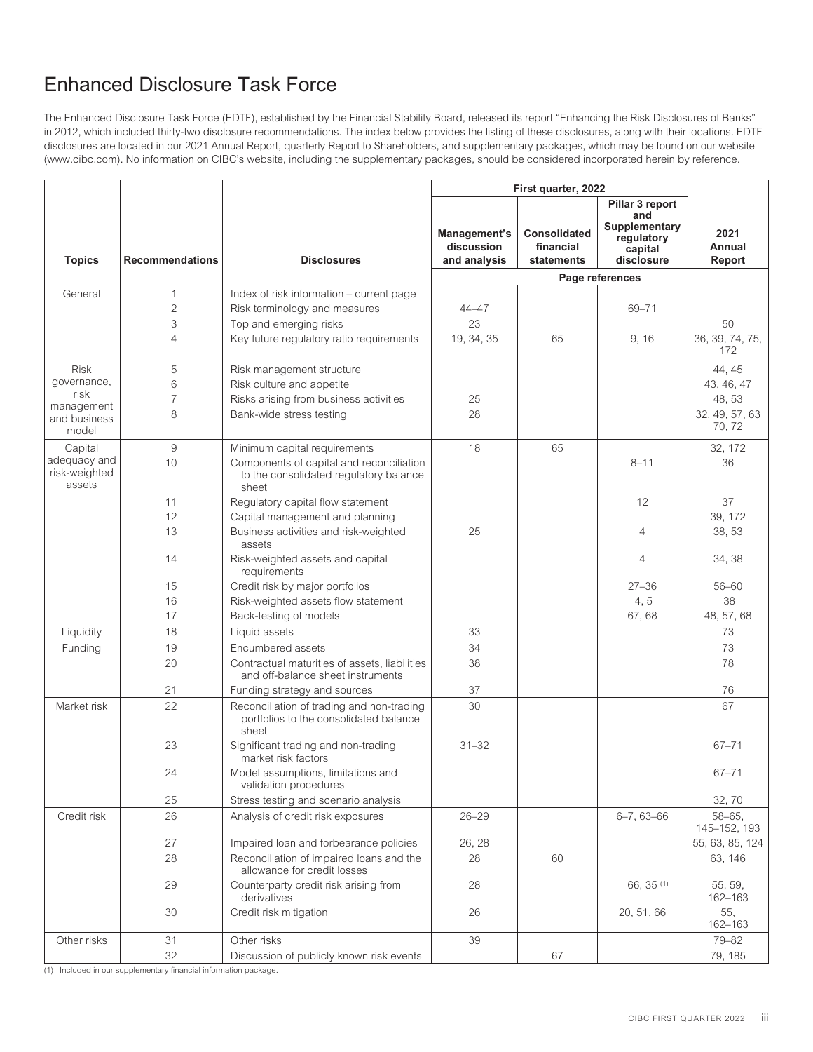# Enhanced Disclosure Task Force

The Enhanced Disclosure Task Force (EDTF), established by the Financial Stability Board, released its report "Enhancing the Risk Disclosures of Banks" in 2012, which included thirty-two disclosure recommendations. The index below provides the listing of these disclosures, along with their locations. EDTF disclosures are located in our 2021 Annual Report, quarterly Report to Shareholders, and supplementary packages, which may be found on our website (www.cibc.com). No information on CIBC's website, including the supplementary packages, should be considered incorporated herein by reference.

|                                         |                        |                                                                                              |                                            | First quarter, 2022                            |                                                             |                             |
|-----------------------------------------|------------------------|----------------------------------------------------------------------------------------------|--------------------------------------------|------------------------------------------------|-------------------------------------------------------------|-----------------------------|
|                                         |                        |                                                                                              |                                            |                                                | Pillar 3 report                                             |                             |
| <b>Topics</b>                           | <b>Recommendations</b> | <b>Disclosures</b>                                                                           | Management's<br>discussion<br>and analysis | <b>Consolidated</b><br>financial<br>statements | and<br>Supplementary<br>regulatory<br>capital<br>disclosure | 2021<br>Annual<br>Report    |
|                                         |                        |                                                                                              |                                            |                                                | Page references                                             |                             |
| General                                 | $\mathbf{1}$           | Index of risk information - current page                                                     |                                            |                                                |                                                             |                             |
|                                         | $\overline{c}$         | Risk terminology and measures                                                                | $44 - 47$                                  |                                                | 69-71                                                       |                             |
|                                         | 3                      | Top and emerging risks                                                                       | 23                                         |                                                |                                                             | 50                          |
|                                         | $\overline{4}$         | Key future regulatory ratio requirements                                                     | 19, 34, 35                                 | 65                                             | 9, 16                                                       | 36, 39, 74, 75,<br>172      |
| <b>Risk</b>                             | 5                      | Risk management structure                                                                    |                                            |                                                |                                                             | 44, 45                      |
| governance,                             | 6                      | Risk culture and appetite                                                                    |                                            |                                                |                                                             | 43, 46, 47                  |
| risk<br>management                      | $\overline{7}$         | Risks arising from business activities                                                       | 25                                         |                                                |                                                             | 48, 53                      |
| and business<br>model                   | 8                      | Bank-wide stress testing                                                                     | 28                                         |                                                |                                                             | 32, 49, 57, 63<br>70, 72    |
| Capital                                 | 9                      | Minimum capital requirements                                                                 | 18                                         | 65                                             |                                                             | 32, 172                     |
| adequacy and<br>risk-weighted<br>assets | 10                     | Components of capital and reconciliation<br>to the consolidated regulatory balance<br>sheet  |                                            |                                                | $8 - 11$                                                    | 36                          |
|                                         | 11                     | Regulatory capital flow statement                                                            |                                            |                                                | 12                                                          | 37                          |
|                                         | 12                     | Capital management and planning                                                              |                                            |                                                |                                                             | 39, 172                     |
|                                         | 13                     | Business activities and risk-weighted<br>assets                                              | 25                                         |                                                | $\overline{4}$                                              | 38, 53                      |
|                                         | 14                     | Risk-weighted assets and capital<br>requirements                                             |                                            |                                                | 4                                                           | 34, 38                      |
|                                         | 15                     | Credit risk by major portfolios                                                              |                                            |                                                | $27 - 36$                                                   | 56-60                       |
|                                         | 16                     | Risk-weighted assets flow statement                                                          |                                            |                                                | 4, 5                                                        | 38                          |
|                                         | 17                     | Back-testing of models                                                                       |                                            |                                                | 67,68                                                       | 48, 57, 68                  |
| Liquidity                               | 18                     | Liquid assets                                                                                | 33                                         |                                                |                                                             | 73                          |
| Funding                                 | 19                     | Encumbered assets                                                                            | 34                                         |                                                |                                                             | 73                          |
|                                         | 20                     | Contractual maturities of assets, liabilities<br>and off-balance sheet instruments           | 38                                         |                                                |                                                             | 78                          |
|                                         | 21                     | Funding strategy and sources                                                                 | 37                                         |                                                |                                                             | 76                          |
| Market risk                             | 22                     | Reconciliation of trading and non-trading<br>portfolios to the consolidated balance<br>sheet | 30                                         |                                                |                                                             | 67                          |
|                                         | 23                     | Significant trading and non-trading<br>market risk factors                                   | $31 - 32$                                  |                                                |                                                             | $67 - 71$                   |
|                                         | 24                     | Model assumptions, limitations and<br>validation procedures                                  |                                            |                                                |                                                             | $67 - 71$                   |
|                                         | 25                     | Stress testing and scenario analysis                                                         |                                            |                                                |                                                             | 32,70                       |
| Credit risk                             | 26                     | Analysis of credit risk exposures                                                            | $26 - 29$                                  |                                                | $6 - 7, 63 - 66$                                            | $58 - 65$ .<br>145-152, 193 |
|                                         | 27                     | Impaired loan and forbearance policies                                                       | 26, 28                                     |                                                |                                                             | 55, 63, 85, 124             |
|                                         | 28                     | Reconciliation of impaired loans and the<br>allowance for credit losses                      | 28                                         | 60                                             |                                                             | 63, 146                     |
|                                         | 29                     | Counterparty credit risk arising from<br>derivatives                                         | 28                                         |                                                | 66, 35 (1)                                                  | 55, 59,<br>162-163          |
|                                         | 30                     | Credit risk mitigation                                                                       | 26                                         |                                                | 20, 51, 66                                                  | 55,<br>162-163              |
| Other risks                             | 31                     | Other risks                                                                                  | 39                                         |                                                |                                                             | 79-82                       |
|                                         | 32                     | Discussion of publicly known risk events                                                     |                                            | 67                                             |                                                             | 79, 185                     |

(1) Included in our supplementary financial information package.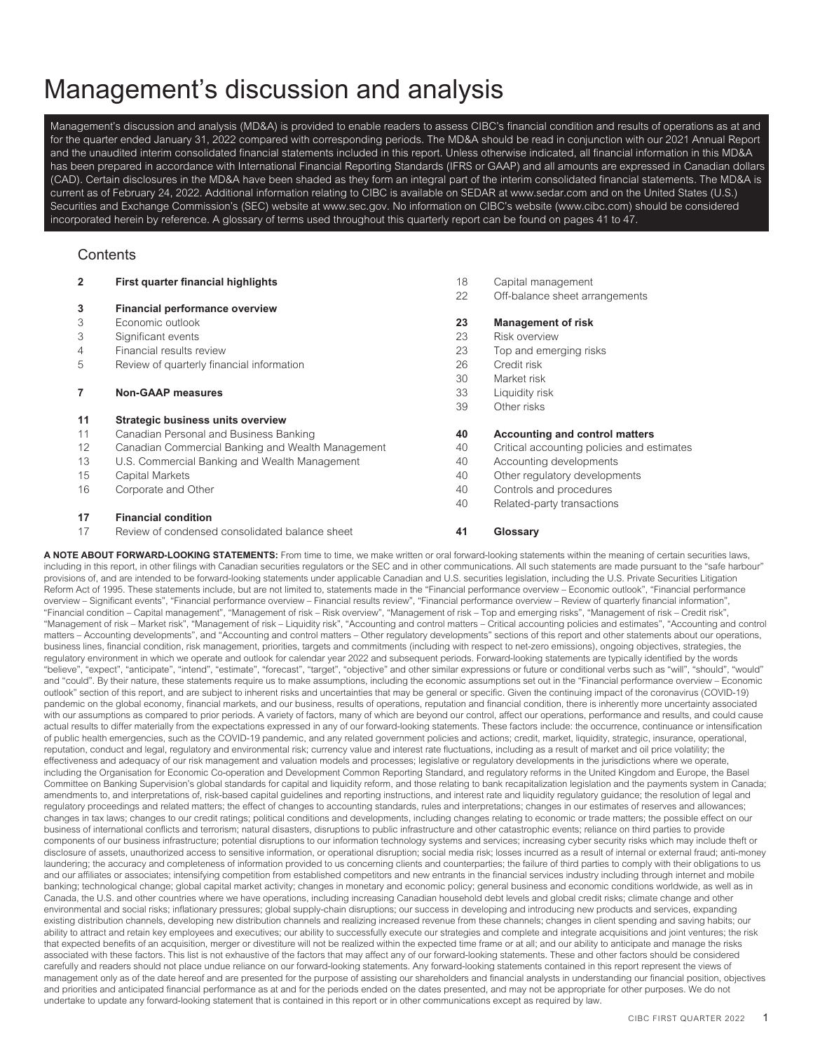# Management's discussion and analysis

Management's discussion and analysis (MD&A) is provided to enable readers to assess CIBC's financial condition and results of operations as at and for the quarter ended January 31, 2022 compared with corresponding periods. The MD&A should be read in conjunction with our 2021 Annual Report and the unaudited interim consolidated financial statements included in this report. Unless otherwise indicated, all financial information in this MD&A has been prepared in accordance with International Financial Reporting Standards (IFRS or GAAP) and all amounts are expressed in Canadian dollars (CAD). Certain disclosures in the MD&A have been shaded as they form an integral part of the interim consolidated financial statements. The MD&A is current as of February 24, 2022. Additional information relating to CIBC is available on SEDAR at www.sedar.com and on the United States (U.S.) Securities and Exchange Commission's (SEC) website at www.sec.gov. No information on CIBC's website (www.cibc.com) should be considered incorporated herein by reference. A glossary of terms used throughout this quarterly report can be found on pages 41 to 47.

# **Contents**

| $\overline{2}$ | First quarter financial highlights                | 18 | Capital management                         |
|----------------|---------------------------------------------------|----|--------------------------------------------|
|                |                                                   | 22 | Off-balance sheet arrangements             |
| 3              | <b>Financial performance overview</b>             |    |                                            |
| 3              | Economic outlook                                  | 23 | <b>Management of risk</b>                  |
| 3              | Significant events                                | 23 | Risk overview                              |
| 4              | Financial results review                          | 23 | Top and emerging risks                     |
| 5              | Review of quarterly financial information         | 26 | Credit risk                                |
|                |                                                   | 30 | Market risk                                |
| 7              | <b>Non-GAAP measures</b>                          | 33 | Liquidity risk                             |
|                |                                                   | 39 | Other risks                                |
| 11             | <b>Strategic business units overview</b>          |    |                                            |
| 11             | Canadian Personal and Business Banking            | 40 | <b>Accounting and control matters</b>      |
| 12             | Canadian Commercial Banking and Wealth Management | 40 | Critical accounting policies and estimates |
| 13             | U.S. Commercial Banking and Wealth Management     | 40 | Accounting developments                    |
| 15             | Capital Markets                                   | 40 | Other regulatory developments              |
| 16             | Corporate and Other                               | 40 | Controls and procedures                    |
|                |                                                   | 40 | Related-party transactions                 |
| 17             | <b>Financial condition</b>                        |    |                                            |
| 17             | Review of condensed consolidated balance sheet    | 41 | Glossary                                   |

A NOTE ABOUT FORWARD-LOOKING STATEMENTS: From time to time, we make written or oral forward-looking statements within the meaning of certain securities laws, including in this report, in other filings with Canadian securities regulators or the SEC and in other communications. All such statements are made pursuant to the "safe harbour" provisions of, and are intended to be forward-looking statements under applicable Canadian and U.S. securities legislation, including the U.S. Private Securities Litigation Reform Act of 1995. These statements include, but are not limited to, statements made in the "Financial performance overview – Economic outlook", "Financial performance overview – Significant events", "Financial performance overview – Financial results review", "Financial performance overview – Review of quarterly financial information", "Financial condition – Capital management", "Management of risk – Risk overview", "Management of risk – Top and emerging risks", "Management of risk – Credit risk", "Management of risk – Market risk", "Management of risk – Liquidity risk", "Accounting and control matters – Critical accounting policies and estimates", "Accounting and control matters – Accounting developments", and "Accounting and control matters – Other regulatory developments" sections of this report and other statements about our operations, business lines, financial condition, risk management, priorities, targets and commitments (including with respect to net-zero emissions), ongoing objectives, strategies, the regulatory environment in which we operate and outlook for calendar year 2022 and subsequent periods. Forward-looking statements are typically identified by the words "believe", "expect", "anticipate", "intend", "estimate", "forecast", "target", "objective" and other similar expressions or future or conditional verbs such as "will", "should", "would" and "could". By their nature, these statements require us to make assumptions, including the economic assumptions set out in the "Financial performance overview – Economic outlook" section of this report, and are subject to inherent risks and uncertainties that may be general or specific. Given the continuing impact of the coronavirus (COVID-19) pandemic on the global economy, financial markets, and our business, results of operations, reputation and financial condition, there is inherently more uncertainty associated .<br>with our assumptions as compared to prior periods. A variety of factors, many of which are beyond our control, affect our operations, performance and results, and could cause actual results to differ materially from the expectations expressed in any of our forward-looking statements. These factors include: the occurrence, continuance or intensification of public health emergencies, such as the COVID-19 pandemic, and any related government policies and actions; credit, market, liquidity, strategic, insurance, operational, reputation, conduct and legal, regulatory and environmental risk; currency value and interest rate fluctuations, including as a result of market and oil price volatility; the effectiveness and adequacy of our risk management and valuation models and processes; legislative or regulatory developments in the jurisdictions where we operate, including the Organisation for Economic Co-operation and Development Common Reporting Standard, and regulatory reforms in the United Kingdom and Europe, the Basel Committee on Banking Supervision's global standards for capital and liquidity reform, and those relating to bank recapitalization legislation and the payments system in Canada; amendments to, and interpretations of, risk-based capital guidelines and reporting instructions, and interest rate and liquidity regulatory guidance; the resolution of legal and regulatory proceedings and related matters; the effect of changes to accounting standards, rules and interpretations; changes in our estimates of reserves and allowances; changes in tax laws; changes to our credit ratings; political conditions and developments, including changes relating to economic or trade matters; the possible effect on our business of international conflicts and terrorism; natural disasters, disruptions to public infrastructure and other catastrophic events; reliance on third parties to provide components of our business infrastructure; potential disruptions to our information technology systems and services; increasing cyber security risks which may include theft or disclosure of assets, unauthorized access to sensitive information, or operational disruption; social media risk; losses incurred as a result of internal or external fraud; anti-money laundering; the accuracy and completeness of information provided to us concerning clients and counterparties; the failure of third parties to comply with their obligations to us and our affiliates or associates; intensifying competition from established competitors and new entrants in the financial services industry including through internet and mobile banking; technological change; global capital market activity; changes in monetary and economic policy; general business and economic conditions worldwide, as well as in Canada, the U.S. and other countries where we have operations, including increasing Canadian household debt levels and global credit risks; climate change and other environmental and social risks; inflationary pressures; global supply-chain disruptions; our success in developing and introducing new products and services, expanding existing distribution channels, developing new distribution channels and realizing increased revenue from these channels; changes in client spending and saving habits; our ability to attract and retain key employees and executives; our ability to successfully execute our strategies and complete and integrate acquisitions and joint ventures; the risk that expected benefits of an acquisition, merger or divestiture will not be realized within the expected time frame or at all; and our ability to anticipate and manage the risks associated with these factors. This list is not exhaustive of the factors that may affect any of our forward-looking statements. These and other factors should be considered carefully and readers should not place undue reliance on our forward-looking statements. Any forward-looking statements contained in this report represent the views of management only as of the date hereof and are presented for the purpose of assisting our shareholders and financial analysts in understanding our financial position, objectives and priorities and anticipated financial performance as at and for the periods ended on the dates presented, and may not be appropriate for other purposes. We do not undertake to update any forward-looking statement that is contained in this report or in other communications except as required by law.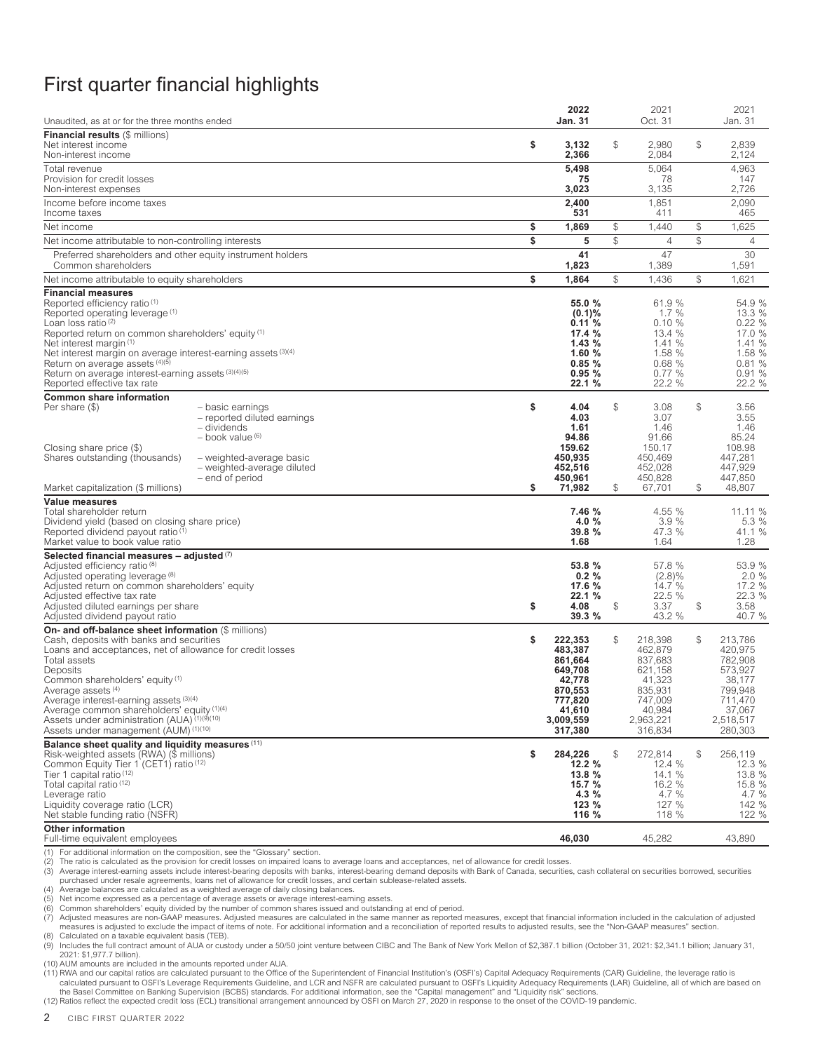# <span id="page-4-0"></span>First quarter financial highlights

| Unaudited, as at or for the three months ended                                                                                                                                                                                                                                                                                                                                                                                                                                  | 2022<br>Jan. 31                                                                                                  |    | 2021<br>Oct. 31                                                                                            |              | 2021<br>Jan. 31                                                                                            |
|---------------------------------------------------------------------------------------------------------------------------------------------------------------------------------------------------------------------------------------------------------------------------------------------------------------------------------------------------------------------------------------------------------------------------------------------------------------------------------|------------------------------------------------------------------------------------------------------------------|----|------------------------------------------------------------------------------------------------------------|--------------|------------------------------------------------------------------------------------------------------------|
| <b>Financial results (\$ millions)</b>                                                                                                                                                                                                                                                                                                                                                                                                                                          |                                                                                                                  |    |                                                                                                            |              |                                                                                                            |
| Net interest income<br>Non-interest income                                                                                                                                                                                                                                                                                                                                                                                                                                      | \$<br>3,132<br>2,366                                                                                             | \$ | 2,980<br>2,084                                                                                             | $\mathbb{S}$ | 2,839<br>2,124                                                                                             |
| Total revenue                                                                                                                                                                                                                                                                                                                                                                                                                                                                   | 5,498                                                                                                            |    | 5,064                                                                                                      |              | 4,963                                                                                                      |
| Provision for credit losses<br>Non-interest expenses                                                                                                                                                                                                                                                                                                                                                                                                                            | 75<br>3,023                                                                                                      |    | 78<br>3,135                                                                                                |              | 147<br>2,726                                                                                               |
| Income before income taxes                                                                                                                                                                                                                                                                                                                                                                                                                                                      | 2,400<br>531                                                                                                     |    | 1,851<br>411                                                                                               |              | 2,090<br>465                                                                                               |
| Income taxes<br>Net income                                                                                                                                                                                                                                                                                                                                                                                                                                                      | \$<br>1,869                                                                                                      | \$ | 1,440                                                                                                      | $\mathbb{S}$ | 1,625                                                                                                      |
| Net income attributable to non-controlling interests                                                                                                                                                                                                                                                                                                                                                                                                                            | \$<br>5                                                                                                          | \$ | $\overline{4}$                                                                                             | \$           | $\overline{4}$                                                                                             |
| Preferred shareholders and other equity instrument holders<br>Common shareholders                                                                                                                                                                                                                                                                                                                                                                                               | 41<br>1,823                                                                                                      |    | 47<br>1,389                                                                                                |              | 30<br>1,591                                                                                                |
| Net income attributable to equity shareholders                                                                                                                                                                                                                                                                                                                                                                                                                                  | \$<br>1,864                                                                                                      | \$ | 1,436                                                                                                      | \$           | 1,621                                                                                                      |
| <b>Financial measures</b><br>Reported efficiency ratio (1)<br>Reported operating leverage (1)<br>Loan loss ratio <sup>(2)</sup><br>Reported return on common shareholders' equity (1)<br>Net interest margin <sup>(1)</sup><br>Net interest margin on average interest-earning assets (3)(4)<br>Return on average assets (4)(5)<br>Return on average interest-earning assets (3)(4)(5)<br>Reported effective tax rate                                                           | 55.0 %<br>$(0.1)$ %<br>0.11%<br>17.4 %<br>1.43%<br>1.60%<br>0.85%<br>0.95%<br>22.1%                              |    | 61.9 %<br>1.7%<br>0.10%<br>13.4 %<br>1.41%<br>1.58 %<br>0.68%<br>0.77%<br>22.2 %                           |              | 54.9 %<br>13.3 %<br>0.22%<br>17.0 %<br>1.41 %<br>1.58 %<br>0.81%<br>0.91%<br>22.2 %                        |
| <b>Common share information</b><br>Per share (\$)<br>- basic earnings<br>- reported diluted earnings<br>- dividends<br>- book value (6)<br>Closing share price (\$)<br>Shares outstanding (thousands)<br>- weighted-average basic<br>- weighted-average diluted<br>- end of period                                                                                                                                                                                              | \$<br>4.04<br>4.03<br>1.61<br>94.86<br>159.62<br>450,935<br>452,516<br>450,961                                   | \$ | 3.08<br>3.07<br>1.46<br>91.66<br>150.17<br>450,469<br>452,028<br>450,828                                   | $\mathbb{S}$ | 3.56<br>3.55<br>1.46<br>85.24<br>108.98<br>447,281<br>447,929<br>447,850                                   |
| Market capitalization (\$ millions)                                                                                                                                                                                                                                                                                                                                                                                                                                             | \$<br>71,982                                                                                                     | \$ | 67,701                                                                                                     | $\mathbb{S}$ | 48,807                                                                                                     |
| Value measures<br>Total shareholder return<br>Dividend yield (based on closing share price)<br>Reported dividend payout ratio <sup>(1)</sup><br>Market value to book value ratio                                                                                                                                                                                                                                                                                                | 7.46 %<br>4.0 %<br>39.8 %<br>1.68                                                                                |    | 4.55 %<br>3.9%<br>47.3 %<br>1.64                                                                           |              | 11.11 %<br>5.3%<br>41.1 %<br>1.28                                                                          |
| Selected financial measures $-$ adjusted $(7)$                                                                                                                                                                                                                                                                                                                                                                                                                                  |                                                                                                                  |    |                                                                                                            |              |                                                                                                            |
| Adjusted efficiency ratio (8)<br>Adjusted operating leverage (8)<br>Adjusted return on common shareholders' equity<br>Adjusted effective tax rate<br>Adjusted diluted earnings per share<br>Adjusted dividend payout ratio                                                                                                                                                                                                                                                      | \$<br>53.8 %<br>0.2%<br>17.6 %<br>22.1 %<br>4.08<br>39.3 %                                                       | \$ | 57.8 %<br>$(2.8)\%$<br>14.7 %<br>22.5 %<br>3.37<br>43.2 %                                                  | $\mathbb{S}$ | 53.9 %<br>2.0%<br>17.2 %<br>22.3 %<br>3.58<br>40.7 %                                                       |
| On- and off-balance sheet information (\$ millions)<br>Cash, deposits with banks and securities<br>Loans and acceptances, net of allowance for credit losses<br>Total assets<br>Deposits<br>Common shareholders' equity (1)<br>Average assets <sup>(4)</sup><br>Average interest-earning assets (3)(4)<br>Average common shareholders' equity (1)(4)<br>Assets under administration (AUA) <sup>(1)(9)</sup> <sup>(10)</sup><br>Assets under management (AUM) <sup>(1)(10)</sup> | \$<br>222,353<br>483,387<br>861,664<br>649,708<br>42,778<br>870,553<br>777,820<br>41,610<br>3,009,559<br>317,380 | \$ | 218,398<br>462,879<br>837,683<br>621,158<br>41,323<br>835,931<br>747,009<br>40,984<br>2,963,221<br>316,834 | \$           | 213,786<br>420,975<br>782,908<br>573.927<br>38,177<br>799,948<br>711,470<br>37,067<br>2,518,517<br>280,303 |
| Balance sheet quality and liquidity measures (11)<br>Risk-weighted assets (RWA) (\$ millions)<br>Common Equity Tier 1 (CET1) ratio (12)<br>Tier 1 capital ratio $(12)$<br>Total capital ratio (12)<br>Leverage ratio<br>Liquidity coverage ratio (LCR)<br>Net stable funding ratio (NSFR)                                                                                                                                                                                       | \$<br>284,226<br>12.2%<br>13.8 %<br>15.7 %<br>4.3 %<br>123 %<br>116 %                                            | S  | 272,814<br>12.4 %<br>14.1 %<br>16.2 %<br>4.7 $%$<br>127 %<br>118 %                                         | \$           | 256,119<br>12.3 %<br>13.8 %<br>15.8 %<br>4.7 %<br>142 %<br>122 %                                           |
| <b>Other information</b><br>Full-time equivalent employees                                                                                                                                                                                                                                                                                                                                                                                                                      | 46,030                                                                                                           |    | 45,282                                                                                                     |              | 43,890                                                                                                     |

(1) For additional information on the composition, see the "Glossary" section.<br>(2) The ratio is calculated as the provision for credit losses on impaired loans

(2) The ratio is calculated as the provision for credit losses on impaired loans to average loans and acceptances, net of allowance for credit losses.<br>(3) Average interest-earning assets include interest-bearing deposits w (3) Average interest-earning assets include interest-bearing deposits with banks, interest-bearing demand deposits with Bank of Canada, securities, cash collateral on securities borrowed, securities<br>purchased under resale

(4) Average balances are calculated as a weighted average of daily closing balances.<br>(5) Net income expressed as a percentage of average assets or average interest-earning assets.<br>(6) Common shareholders' equity divid

7) Adjusted measures are non-GAAP measures. Adjusted measures are calculated in the same manner as reported measures, except that financial information included in the calculation of adjusted<br>measures is adjusted to exclud (8) Calculated on a taxable equivalent basis (TEB).

(9) Includes the full contract amount of AUA or custody under a 50/50 joint venture between CIBC and The Bank of New York Mellon of \$2,387.1 billion (October 31, 2021: \$2,341.1 billion; January 31, 2021: \$1,977.7 billion).

(10) AUM amounts are included in the amounts reported under AUA.

11) RWA and our capital ratios are calculated pursuant to the Office of the Superintendent of Financial Institution's (OSFI's) Capital Adequacy Requirements (CAR) Guideline, the leverage ratio is<br>calculated pursuant to OSF the Basel Committee on Banking Supervision (BCBS) standards. For additional information, see the "Capital management" and "Liquidity risk" sections.

(12) Ratios reflect the expected credit loss (ECL) transitional arrangement announced by OSFI on March 27, 2020 in response to the onset of the COVID-19 pandemic.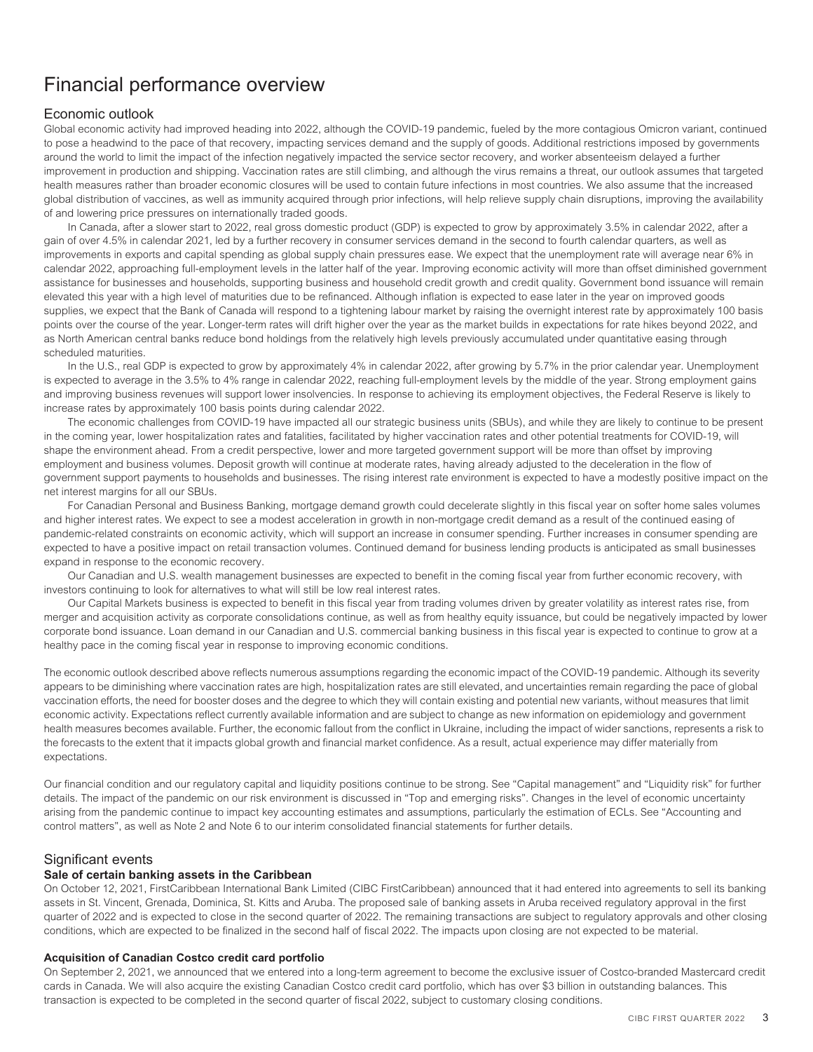# <span id="page-5-1"></span><span id="page-5-0"></span>Financial performance overview

# Economic outlook

Global economic activity had improved heading into 2022, although the COVID-19 pandemic, fueled by the more contagious Omicron variant, continued to pose a headwind to the pace of that recovery, impacting services demand and the supply of goods. Additional restrictions imposed by governments around the world to limit the impact of the infection negatively impacted the service sector recovery, and worker absenteeism delayed a further improvement in production and shipping. Vaccination rates are still climbing, and although the virus remains a threat, our outlook assumes that targeted health measures rather than broader economic closures will be used to contain future infections in most countries. We also assume that the increased global distribution of vaccines, as well as immunity acquired through prior infections, will help relieve supply chain disruptions, improving the availability of and lowering price pressures on internationally traded goods.

In Canada, after a slower start to 2022, real gross domestic product (GDP) is expected to grow by approximately 3.5% in calendar 2022, after a gain of over 4.5% in calendar 2021, led by a further recovery in consumer services demand in the second to fourth calendar quarters, as well as improvements in exports and capital spending as global supply chain pressures ease. We expect that the unemployment rate will average near 6% in calendar 2022, approaching full-employment levels in the latter half of the year. Improving economic activity will more than offset diminished government assistance for businesses and households, supporting business and household credit growth and credit quality. Government bond issuance will remain elevated this year with a high level of maturities due to be refinanced. Although inflation is expected to ease later in the year on improved goods supplies, we expect that the Bank of Canada will respond to a tightening labour market by raising the overnight interest rate by approximately 100 basis points over the course of the year. Longer-term rates will drift higher over the year as the market builds in expectations for rate hikes beyond 2022, and as North American central banks reduce bond holdings from the relatively high levels previously accumulated under quantitative easing through scheduled maturities.

In the U.S., real GDP is expected to grow by approximately 4% in calendar 2022, after growing by 5.7% in the prior calendar year. Unemployment is expected to average in the 3.5% to 4% range in calendar 2022, reaching full-employment levels by the middle of the year. Strong employment gains and improving business revenues will support lower insolvencies. In response to achieving its employment objectives, the Federal Reserve is likely to increase rates by approximately 100 basis points during calendar 2022.

The economic challenges from COVID-19 have impacted all our strategic business units (SBUs), and while they are likely to continue to be present in the coming year, lower hospitalization rates and fatalities, facilitated by higher vaccination rates and other potential treatments for COVID-19, will shape the environment ahead. From a credit perspective, lower and more targeted government support will be more than offset by improving employment and business volumes. Deposit growth will continue at moderate rates, having already adjusted to the deceleration in the flow of government support payments to households and businesses. The rising interest rate environment is expected to have a modestly positive impact on the net interest margins for all our SBUs.

For Canadian Personal and Business Banking, mortgage demand growth could decelerate slightly in this fiscal year on softer home sales volumes and higher interest rates. We expect to see a modest acceleration in growth in non-mortgage credit demand as a result of the continued easing of pandemic-related constraints on economic activity, which will support an increase in consumer spending. Further increases in consumer spending are expected to have a positive impact on retail transaction volumes. Continued demand for business lending products is anticipated as small businesses expand in response to the economic recovery.

Our Canadian and U.S. wealth management businesses are expected to benefit in the coming fiscal year from further economic recovery, with investors continuing to look for alternatives to what will still be low real interest rates.

Our Capital Markets business is expected to benefit in this fiscal year from trading volumes driven by greater volatility as interest rates rise, from merger and acquisition activity as corporate consolidations continue, as well as from healthy equity issuance, but could be negatively impacted by lower corporate bond issuance. Loan demand in our Canadian and U.S. commercial banking business in this fiscal year is expected to continue to grow at a healthy pace in the coming fiscal year in response to improving economic conditions.

The economic outlook described above reflects numerous assumptions regarding the economic impact of the COVID-19 pandemic. Although its severity appears to be diminishing where vaccination rates are high, hospitalization rates are still elevated, and uncertainties remain regarding the pace of global vaccination efforts, the need for booster doses and the degree to which they will contain existing and potential new variants, without measures that limit economic activity. Expectations reflect currently available information and are subject to change as new information on epidemiology and government health measures becomes available. Further, the economic fallout from the conflict in Ukraine, including the impact of wider sanctions, represents a risk to the forecasts to the extent that it impacts global growth and financial market confidence. As a result, actual experience may differ materially from expectations.

Our financial condition and our regulatory capital and liquidity positions continue to be strong. See "Capital management" and "Liquidity risk" for further details. The impact of the pandemic on our risk environment is discussed in "Top and emerging risks". Changes in the level of economic uncertainty arising from the pandemic continue to impact key accounting estimates and assumptions, particularly the estimation of ECLs. See "Accounting and control matters", as well as Note 2 and Note 6 to our interim consolidated financial statements for further details.

# <span id="page-5-2"></span>Significant events

### **Sale of certain banking assets in the Caribbean**

On October 12, 2021, FirstCaribbean International Bank Limited (CIBC FirstCaribbean) announced that it had entered into agreements to sell its banking assets in St. Vincent, Grenada, Dominica, St. Kitts and Aruba. The proposed sale of banking assets in Aruba received regulatory approval in the first quarter of 2022 and is expected to close in the second quarter of 2022. The remaining transactions are subject to regulatory approvals and other closing conditions, which are expected to be finalized in the second half of fiscal 2022. The impacts upon closing are not expected to be material.

### **Acquisition of Canadian Costco credit card portfolio**

On September 2, 2021, we announced that we entered into a long-term agreement to become the exclusive issuer of Costco-branded Mastercard credit cards in Canada. We will also acquire the existing Canadian Costco credit card portfolio, which has over \$3 billion in outstanding balances. This transaction is expected to be completed in the second quarter of fiscal 2022, subject to customary closing conditions.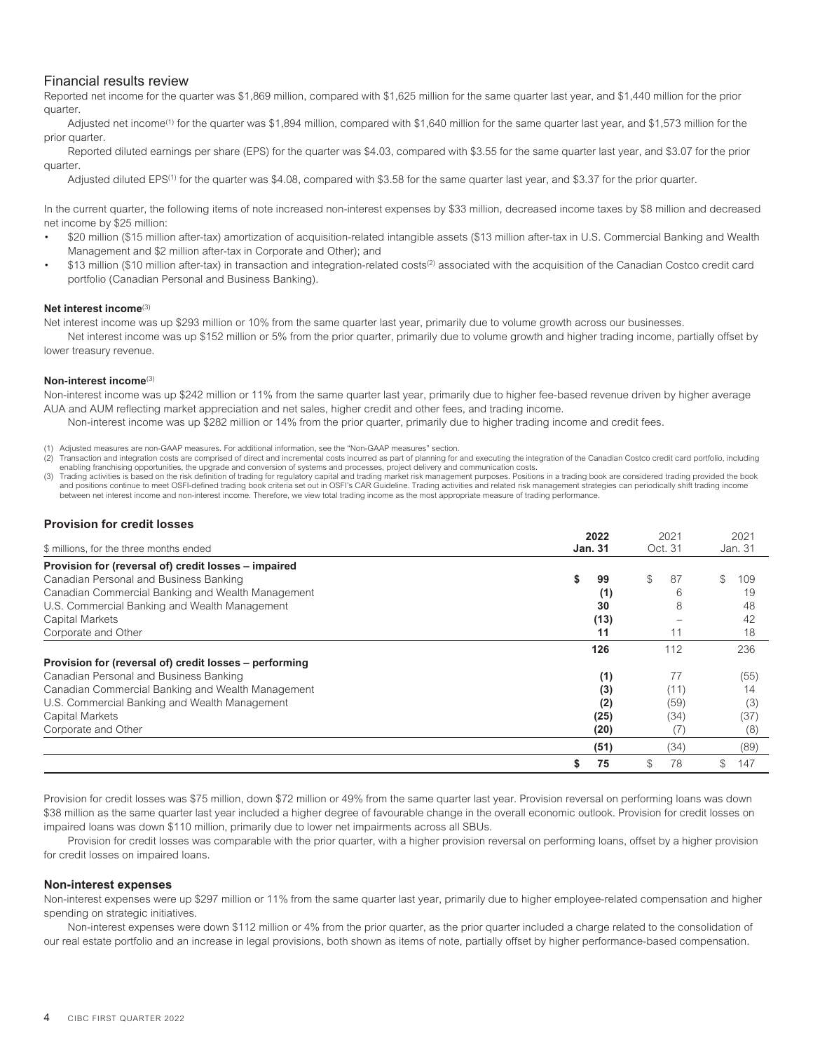# <span id="page-6-0"></span>Financial results review

Reported net income for the quarter was \$1,869 million, compared with \$1,625 million for the same quarter last year, and \$1,440 million for the prior quarter.

Adjusted net income<sup>(1)</sup> for the quarter was \$1,894 million, compared with \$1,640 million for the same quarter last year, and \$1,573 million for the prior quarter.

Reported diluted earnings per share (EPS) for the quarter was \$4.03, compared with \$3.55 for the same quarter last year, and \$3.07 for the prior quarter.

Adjusted diluted EPS<sup>(1)</sup> for the quarter was \$4.08, compared with \$3.58 for the same quarter last year, and \$3.37 for the prior quarter.

In the current quarter, the following items of note increased non-interest expenses by \$33 million, decreased income taxes by \$8 million and decreased net income by \$25 million:

- \$20 million (\$15 million after-tax) amortization of acquisition-related intangible assets (\$13 million after-tax in U.S. Commercial Banking and Wealth Management and \$2 million after-tax in Corporate and Other); and
- \$13 million (\$10 million after-tax) in transaction and integration-related costs<sup>(2)</sup> associated with the acquisition of the Canadian Costco credit card portfolio (Canadian Personal and Business Banking).

### **Net interest income**(3)

Net interest income was up \$293 million or 10% from the same quarter last year, primarily due to volume growth across our businesses.

Net interest income was up \$152 million or 5% from the prior quarter, primarily due to volume growth and higher trading income, partially offset by lower treasury revenue.

### **Non-interest income**(3)

Non-interest income was up \$242 million or 11% from the same quarter last year, primarily due to higher fee-based revenue driven by higher average AUA and AUM reflecting market appreciation and net sales, higher credit and other fees, and trading income.

- Non-interest income was up \$282 million or 14% from the prior quarter, primarily due to higher trading income and credit fees.
- (1) Adjusted measures are non-GAAP measures. For additional information, see the "Non-GAAP measures" section.

(2) Transaction and integration costs are comprised of direct and incremental costs incurred as part of planning for and executing the integration of the Canadian Costco credit card portfolio, including enabling franchising opportunities, the upgrade and conversion of systems and processes, project delivery and communication costs.

(3) Trading activities is based on the risk definition of trading for regulatory capital and trading market risk management purposes. Positions in a trading book are considered trading provided the book and positions continue to meet OSFI-defined trading book criteria set out in OSFI's CAR Guideline. Trading activities and related risk management strategies can periodically shift trading income<br>between net interest income

### **Provision for credit losses**

| \$ millions, for the three months ended                | 2022<br><b>Jan. 31</b> | 2021<br>Oct. 31 | 2021<br>Jan. 31 |
|--------------------------------------------------------|------------------------|-----------------|-----------------|
| Provision for (reversal of) credit losses - impaired   |                        |                 |                 |
| Canadian Personal and Business Banking                 | 99<br>S                | \$<br>87        | \$<br>109       |
| Canadian Commercial Banking and Wealth Management      | (1)                    |                 | 19              |
| U.S. Commercial Banking and Wealth Management          | 30                     | 8               | 48              |
| Capital Markets                                        | (13)                   |                 | 42              |
| Corporate and Other                                    | 11                     | 11              | 18              |
|                                                        | 126                    | 112             | 236             |
| Provision for (reversal of) credit losses - performing |                        |                 |                 |
| Canadian Personal and Business Banking                 | (1)                    | 77              | (55)            |
| Canadian Commercial Banking and Wealth Management      | (3)                    | (11)            | 14              |
| U.S. Commercial Banking and Wealth Management          | (2)                    | (59)            | (3)             |
| Capital Markets                                        | (25)                   | (34)            | (37             |
| Corporate and Other                                    | (20)                   | $(\sqrt{2})$    | (8)             |
|                                                        | (51)                   | (34)            | (89)            |
|                                                        | 75<br>S                | \$<br>78        | \$.<br>147      |

Provision for credit losses was \$75 million, down \$72 million or 49% from the same quarter last year. Provision reversal on performing loans was down \$38 million as the same quarter last year included a higher degree of favourable change in the overall economic outlook. Provision for credit losses on impaired loans was down \$110 million, primarily due to lower net impairments across all SBUs.

Provision for credit losses was comparable with the prior quarter, with a higher provision reversal on performing loans, offset by a higher provision for credit losses on impaired loans.

### **Non-interest expenses**

Non-interest expenses were up \$297 million or 11% from the same quarter last year, primarily due to higher employee-related compensation and higher spending on strategic initiatives.

Non-interest expenses were down \$112 million or 4% from the prior quarter, as the prior quarter included a charge related to the consolidation of our real estate portfolio and an increase in legal provisions, both shown as items of note, partially offset by higher performance-based compensation.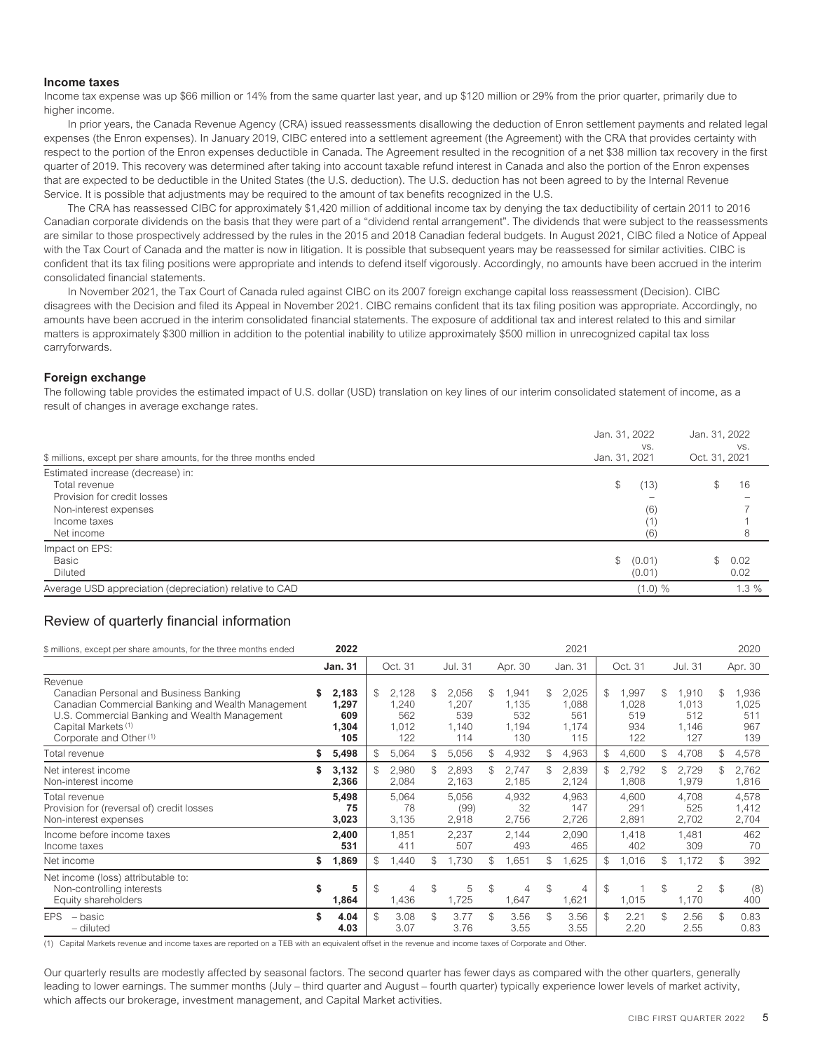### **Income taxes**

Income tax expense was up \$66 million or 14% from the same quarter last year, and up \$120 million or 29% from the prior quarter, primarily due to higher income.

In prior years, the Canada Revenue Agency (CRA) issued reassessments disallowing the deduction of Enron settlement payments and related legal expenses (the Enron expenses). In January 2019, CIBC entered into a settlement agreement (the Agreement) with the CRA that provides certainty with respect to the portion of the Enron expenses deductible in Canada. The Agreement resulted in the recognition of a net \$38 million tax recovery in the first quarter of 2019. This recovery was determined after taking into account taxable refund interest in Canada and also the portion of the Enron expenses that are expected to be deductible in the United States (the U.S. deduction). The U.S. deduction has not been agreed to by the Internal Revenue Service. It is possible that adjustments may be required to the amount of tax benefits recognized in the U.S.

The CRA has reassessed CIBC for approximately \$1,420 million of additional income tax by denying the tax deductibility of certain 2011 to 2016 Canadian corporate dividends on the basis that they were part of a "dividend rental arrangement". The dividends that were subject to the reassessments are similar to those prospectively addressed by the rules in the 2015 and 2018 Canadian federal budgets. In August 2021, CIBC filed a Notice of Appeal with the Tax Court of Canada and the matter is now in litigation. It is possible that subsequent years may be reassessed for similar activities. CIBC is confident that its tax filing positions were appropriate and intends to defend itself vigorously. Accordingly, no amounts have been accrued in the interim consolidated financial statements.

In November 2021, the Tax Court of Canada ruled against CIBC on its 2007 foreign exchange capital loss reassessment (Decision). CIBC disagrees with the Decision and filed its Appeal in November 2021. CIBC remains confident that its tax filing position was appropriate. Accordingly, no amounts have been accrued in the interim consolidated financial statements. The exposure of additional tax and interest related to this and similar matters is approximately \$300 million in addition to the potential inability to utilize approximately \$500 million in unrecognized capital tax loss carryforwards.

### **Foreign exchange**

The following table provides the estimated impact of U.S. dollar (USD) translation on key lines of our interim consolidated statement of income, as a result of changes in average exchange rates.

| \$ millions, except per share amounts, for the three months ended                                                                        | Jan. 31, 2022<br>VS.<br>Jan. 31, 2021 | Jan. 31, 2022<br>VS.<br>Oct. 31, 2021 |
|------------------------------------------------------------------------------------------------------------------------------------------|---------------------------------------|---------------------------------------|
| Estimated increase (decrease) in:<br>Total revenue<br>Provision for credit losses<br>Non-interest expenses<br>Income taxes<br>Net income | (13)<br>(6)<br>(1)<br>(6)             | 16<br>\$                              |
| Impact on EPS:<br>Basic<br><b>Diluted</b>                                                                                                | (0.01)<br>\$<br>(0.01)                | \$<br>0.02<br>0.02                    |
| Average USD appreciation (depreciation) relative to CAD                                                                                  | $(1.0) \%$                            | $1.3\%$                               |

# <span id="page-7-0"></span>Review of quarterly financial information

| \$ millions, except per share amounts, for the three months ended                                                                                                                                                               |                | 2022                                  |               |                                       |               |                                       |               |                                      |     | 2021                                  |              |                                     |               |                                       |               | 2020                               |
|---------------------------------------------------------------------------------------------------------------------------------------------------------------------------------------------------------------------------------|----------------|---------------------------------------|---------------|---------------------------------------|---------------|---------------------------------------|---------------|--------------------------------------|-----|---------------------------------------|--------------|-------------------------------------|---------------|---------------------------------------|---------------|------------------------------------|
|                                                                                                                                                                                                                                 | <b>Jan. 31</b> |                                       |               | Oct. 31                               |               | Jul. 31                               |               | Apr. 30                              |     | Jan. 31                               |              | Oct. 31                             |               | Jul. 31                               |               | Apr. 30                            |
| Revenue<br>Canadian Personal and Business Banking<br>Canadian Commercial Banking and Wealth Management<br>U.S. Commercial Banking and Wealth Management<br>Capital Markets <sup>(1)</sup><br>Corporate and Other <sup>(1)</sup> | \$             | 2,183<br>1,297<br>609<br>1,304<br>105 | \$            | 2,128<br>1,240<br>562<br>1,012<br>122 | \$            | 2,056<br>1,207<br>539<br>1,140<br>114 | \$            | .941<br>1,135<br>532<br>1,194<br>130 | \$  | 2,025<br>1,088<br>561<br>1.174<br>115 | S.           | 1,997<br>1,028<br>519<br>934<br>122 | \$            | 1,910<br>1,013<br>512<br>1,146<br>127 | \$            | ,936<br>1,025<br>511<br>967<br>139 |
| Total revenue                                                                                                                                                                                                                   | S              | 5,498                                 | \$            | 5,064                                 | \$            | 5,056                                 | \$.           | 4,932                                | \$. | 4,963                                 | \$           | 4,600                               | \$.           | 4,708                                 | \$            | 4,578                              |
| Net interest income<br>Non-interest income                                                                                                                                                                                      | \$             | 3,132<br>2,366                        |               | 2,980<br>2,084                        | \$            | 2,893<br>2,163                        |               | 2,747<br>2,185                       | \$  | 2,839<br>2,124                        | $\mathbb{S}$ | 2,792<br>1,808                      |               | 2,729<br>1,979                        |               | 2,762<br>1,816                     |
| Total revenue<br>Provision for (reversal of) credit losses<br>Non-interest expenses                                                                                                                                             |                | 5,498<br>75<br>3,023                  |               | 5,064<br>78<br>3,135                  |               | 5,056<br>(99)<br>2,918                |               | 4,932<br>32<br>2,756                 |     | 4,963<br>147<br>2,726                 |              | 4,600<br>291<br>2,891               |               | 4.708<br>525<br>2,702                 |               | 4.578<br>1,412<br>2,704            |
| Income before income taxes<br>Income taxes                                                                                                                                                                                      |                | 2,400<br>531                          |               | 1,851<br>411                          |               | 2,237<br>507                          |               | 2,144<br>493                         |     | 2,090<br>465                          |              | 1,418<br>402                        |               | 1.481<br>309                          |               | 462<br>70                          |
| Net income                                                                                                                                                                                                                      | S              | 1,869                                 | \$            | 1,440                                 | \$            | .730                                  | \$.           | .651                                 | \$  | 1.625                                 | \$.          | 1,016                               | \$            | 1,172                                 |               | 392                                |
| Net income (loss) attributable to:<br>Non-controlling interests<br>Equity shareholders                                                                                                                                          | \$             | 5<br>1,864                            | $\mathcal{F}$ | 4<br>1,436                            | $\mathbb{S}$  | 5<br>1,725                            | $\mathcal{S}$ | 4<br>1,647                           | \$  | 4<br>1,621                            | \$           | 1,015                               | $\mathcal{S}$ | $\overline{2}$<br>1,170               | $\mathcal{S}$ | (8)<br>400                         |
| <b>EPS</b><br>– basic<br>- diluted                                                                                                                                                                                              | \$             | 4.04<br>4.03                          | $\mathcal{S}$ | 3.08<br>3.07                          | $\mathcal{S}$ | 3.77<br>3.76                          | \$            | 3.56<br>3.55                         | \$  | 3.56<br>3.55                          | \$           | 2.21<br>2.20                        | \$            | 2.56<br>2.55                          | $\mathcal{S}$ | 0.83<br>0.83                       |

(1) Capital Markets revenue and income taxes are reported on a TEB with an equivalent offset in the revenue and income taxes of Corporate and Other.

Our quarterly results are modestly affected by seasonal factors. The second quarter has fewer days as compared with the other quarters, generally leading to lower earnings. The summer months (July – third quarter and August – fourth quarter) typically experience lower levels of market activity, which affects our brokerage, investment management, and Capital Market activities.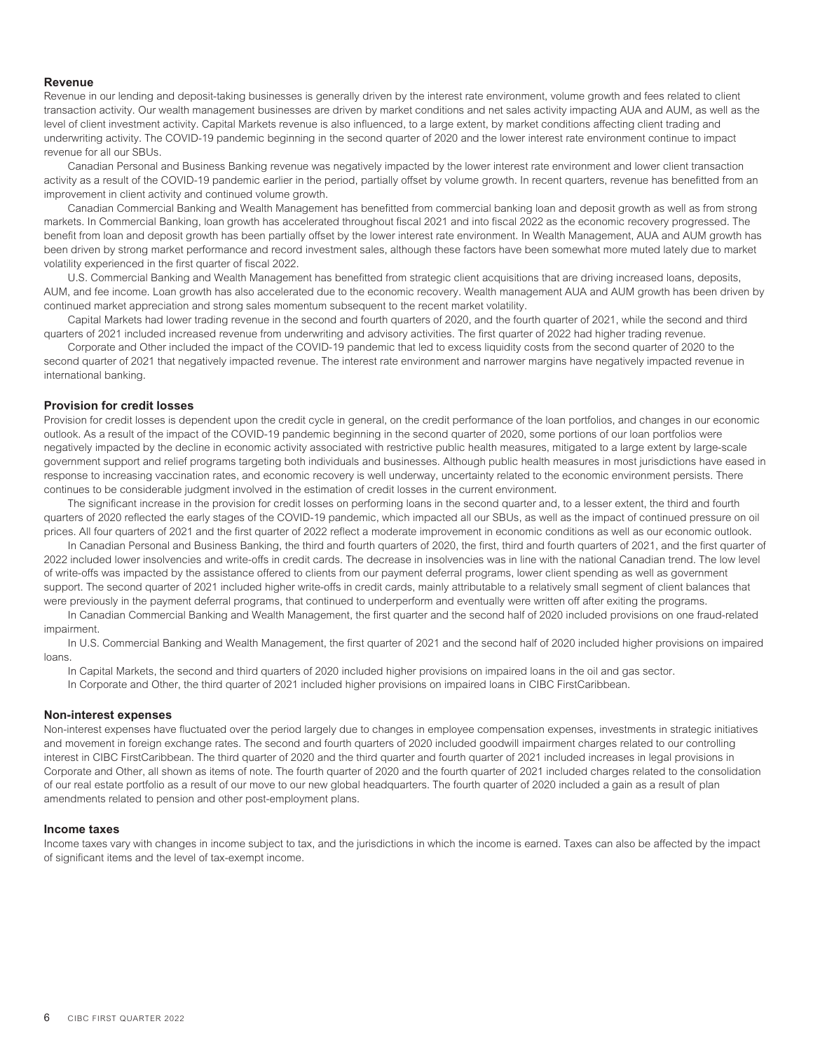### **Revenue**

Revenue in our lending and deposit-taking businesses is generally driven by the interest rate environment, volume growth and fees related to client transaction activity. Our wealth management businesses are driven by market conditions and net sales activity impacting AUA and AUM, as well as the level of client investment activity. Capital Markets revenue is also influenced, to a large extent, by market conditions affecting client trading and underwriting activity. The COVID-19 pandemic beginning in the second quarter of 2020 and the lower interest rate environment continue to impact revenue for all our SBUs.

Canadian Personal and Business Banking revenue was negatively impacted by the lower interest rate environment and lower client transaction activity as a result of the COVID-19 pandemic earlier in the period, partially offset by volume growth. In recent quarters, revenue has benefitted from an improvement in client activity and continued volume growth.

Canadian Commercial Banking and Wealth Management has benefitted from commercial banking loan and deposit growth as well as from strong markets. In Commercial Banking, loan growth has accelerated throughout fiscal 2021 and into fiscal 2022 as the economic recovery progressed. The benefit from loan and deposit growth has been partially offset by the lower interest rate environment. In Wealth Management, AUA and AUM growth has been driven by strong market performance and record investment sales, although these factors have been somewhat more muted lately due to market volatility experienced in the first quarter of fiscal 2022.

U.S. Commercial Banking and Wealth Management has benefitted from strategic client acquisitions that are driving increased loans, deposits, AUM, and fee income. Loan growth has also accelerated due to the economic recovery. Wealth management AUA and AUM growth has been driven by continued market appreciation and strong sales momentum subsequent to the recent market volatility.

Capital Markets had lower trading revenue in the second and fourth quarters of 2020, and the fourth quarter of 2021, while the second and third quarters of 2021 included increased revenue from underwriting and advisory activities. The first quarter of 2022 had higher trading revenue.

Corporate and Other included the impact of the COVID-19 pandemic that led to excess liquidity costs from the second quarter of 2020 to the second quarter of 2021 that negatively impacted revenue. The interest rate environment and narrower margins have negatively impacted revenue in international banking.

### **Provision for credit losses**

Provision for credit losses is dependent upon the credit cycle in general, on the credit performance of the loan portfolios, and changes in our economic outlook. As a result of the impact of the COVID-19 pandemic beginning in the second quarter of 2020, some portions of our loan portfolios were negatively impacted by the decline in economic activity associated with restrictive public health measures, mitigated to a large extent by large-scale government support and relief programs targeting both individuals and businesses. Although public health measures in most jurisdictions have eased in response to increasing vaccination rates, and economic recovery is well underway, uncertainty related to the economic environment persists. There continues to be considerable judgment involved in the estimation of credit losses in the current environment.

The significant increase in the provision for credit losses on performing loans in the second quarter and, to a lesser extent, the third and fourth quarters of 2020 reflected the early stages of the COVID-19 pandemic, which impacted all our SBUs, as well as the impact of continued pressure on oil prices. All four quarters of 2021 and the first quarter of 2022 reflect a moderate improvement in economic conditions as well as our economic outlook.

In Canadian Personal and Business Banking, the third and fourth quarters of 2020, the first, third and fourth quarters of 2021, and the first quarter of 2022 included lower insolvencies and write-offs in credit cards. The decrease in insolvencies was in line with the national Canadian trend. The low level of write-offs was impacted by the assistance offered to clients from our payment deferral programs, lower client spending as well as government support. The second quarter of 2021 included higher write-offs in credit cards, mainly attributable to a relatively small segment of client balances that were previously in the payment deferral programs, that continued to underperform and eventually were written off after exiting the programs.

In Canadian Commercial Banking and Wealth Management, the first quarter and the second half of 2020 included provisions on one fraud-related impairment.

In U.S. Commercial Banking and Wealth Management, the first quarter of 2021 and the second half of 2020 included higher provisions on impaired loans.

In Capital Markets, the second and third quarters of 2020 included higher provisions on impaired loans in the oil and gas sector.

In Corporate and Other, the third quarter of 2021 included higher provisions on impaired loans in CIBC FirstCaribbean.

### **Non-interest expenses**

Non-interest expenses have fluctuated over the period largely due to changes in employee compensation expenses, investments in strategic initiatives and movement in foreign exchange rates. The second and fourth quarters of 2020 included goodwill impairment charges related to our controlling interest in CIBC FirstCaribbean. The third quarter of 2020 and the third quarter and fourth quarter of 2021 included increases in legal provisions in Corporate and Other, all shown as items of note. The fourth quarter of 2020 and the fourth quarter of 2021 included charges related to the consolidation of our real estate portfolio as a result of our move to our new global headquarters. The fourth quarter of 2020 included a gain as a result of plan amendments related to pension and other post-employment plans.

### **Income taxes**

Income taxes vary with changes in income subject to tax, and the jurisdictions in which the income is earned. Taxes can also be affected by the impact of significant items and the level of tax-exempt income.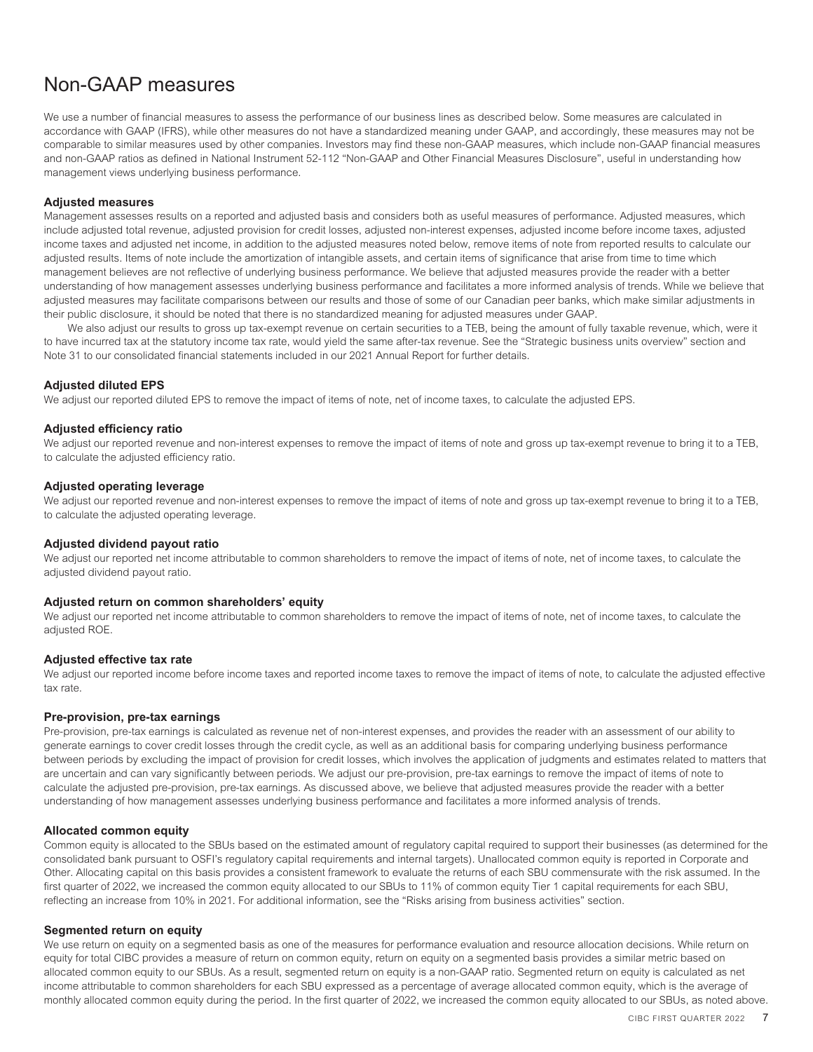# <span id="page-9-0"></span>Non-GAAP measures

We use a number of financial measures to assess the performance of our business lines as described below. Some measures are calculated in accordance with GAAP (IFRS), while other measures do not have a standardized meaning under GAAP, and accordingly, these measures may not be comparable to similar measures used by other companies. Investors may find these non-GAAP measures, which include non-GAAP financial measures and non-GAAP ratios as defined in National Instrument 52-112 "Non-GAAP and Other Financial Measures Disclosure", useful in understanding how management views underlying business performance.

### **Adjusted measures**

Management assesses results on a reported and adjusted basis and considers both as useful measures of performance. Adjusted measures, which include adjusted total revenue, adjusted provision for credit losses, adjusted non-interest expenses, adjusted income before income taxes, adjusted income taxes and adjusted net income, in addition to the adjusted measures noted below, remove items of note from reported results to calculate our adjusted results. Items of note include the amortization of intangible assets, and certain items of significance that arise from time to time which management believes are not reflective of underlying business performance. We believe that adjusted measures provide the reader with a better understanding of how management assesses underlying business performance and facilitates a more informed analysis of trends. While we believe that adjusted measures may facilitate comparisons between our results and those of some of our Canadian peer banks, which make similar adjustments in their public disclosure, it should be noted that there is no standardized meaning for adjusted measures under GAAP.

We also adjust our results to gross up tax-exempt revenue on certain securities to a TEB, being the amount of fully taxable revenue, which, were it to have incurred tax at the statutory income tax rate, would yield the same after-tax revenue. See the "Strategic business units overview" section and Note 31 to our consolidated financial statements included in our 2021 Annual Report for further details.

# **Adjusted diluted EPS**

We adjust our reported diluted EPS to remove the impact of items of note, net of income taxes, to calculate the adjusted EPS.

# **Adjusted efficiency ratio**

We adjust our reported revenue and non-interest expenses to remove the impact of items of note and gross up tax-exempt revenue to bring it to a TEB, to calculate the adjusted efficiency ratio.

# **Adjusted operating leverage**

We adjust our reported revenue and non-interest expenses to remove the impact of items of note and gross up tax-exempt revenue to bring it to a TEB, to calculate the adjusted operating leverage.

# **Adjusted dividend payout ratio**

We adjust our reported net income attributable to common shareholders to remove the impact of items of note, net of income taxes, to calculate the adjusted dividend payout ratio.

### **Adjusted return on common shareholders' equity**

We adjust our reported net income attributable to common shareholders to remove the impact of items of note, net of income taxes, to calculate the adjusted ROE.

### **Adjusted effective tax rate**

We adjust our reported income before income taxes and reported income taxes to remove the impact of items of note, to calculate the adjusted effective tax rate.

### **Pre-provision, pre-tax earnings**

Pre-provision, pre-tax earnings is calculated as revenue net of non-interest expenses, and provides the reader with an assessment of our ability to generate earnings to cover credit losses through the credit cycle, as well as an additional basis for comparing underlying business performance between periods by excluding the impact of provision for credit losses, which involves the application of judgments and estimates related to matters that are uncertain and can vary significantly between periods. We adjust our pre-provision, pre-tax earnings to remove the impact of items of note to calculate the adjusted pre-provision, pre-tax earnings. As discussed above, we believe that adjusted measures provide the reader with a better understanding of how management assesses underlying business performance and facilitates a more informed analysis of trends.

### **Allocated common equity**

Common equity is allocated to the SBUs based on the estimated amount of regulatory capital required to support their businesses (as determined for the consolidated bank pursuant to OSFI's regulatory capital requirements and internal targets). Unallocated common equity is reported in Corporate and Other. Allocating capital on this basis provides a consistent framework to evaluate the returns of each SBU commensurate with the risk assumed. In the first quarter of 2022, we increased the common equity allocated to our SBUs to 11% of common equity Tier 1 capital requirements for each SBU, reflecting an increase from 10% in 2021. For additional information, see the "Risks arising from business activities" section.

# **Segmented return on equity**

We use return on equity on a segmented basis as one of the measures for performance evaluation and resource allocation decisions. While return on equity for total CIBC provides a measure of return on common equity, return on equity on a segmented basis provides a similar metric based on allocated common equity to our SBUs. As a result, segmented return on equity is a non-GAAP ratio. Segmented return on equity is calculated as net income attributable to common shareholders for each SBU expressed as a percentage of average allocated common equity, which is the average of monthly allocated common equity during the period. In the first quarter of 2022, we increased the common equity allocated to our SBUs, as noted above.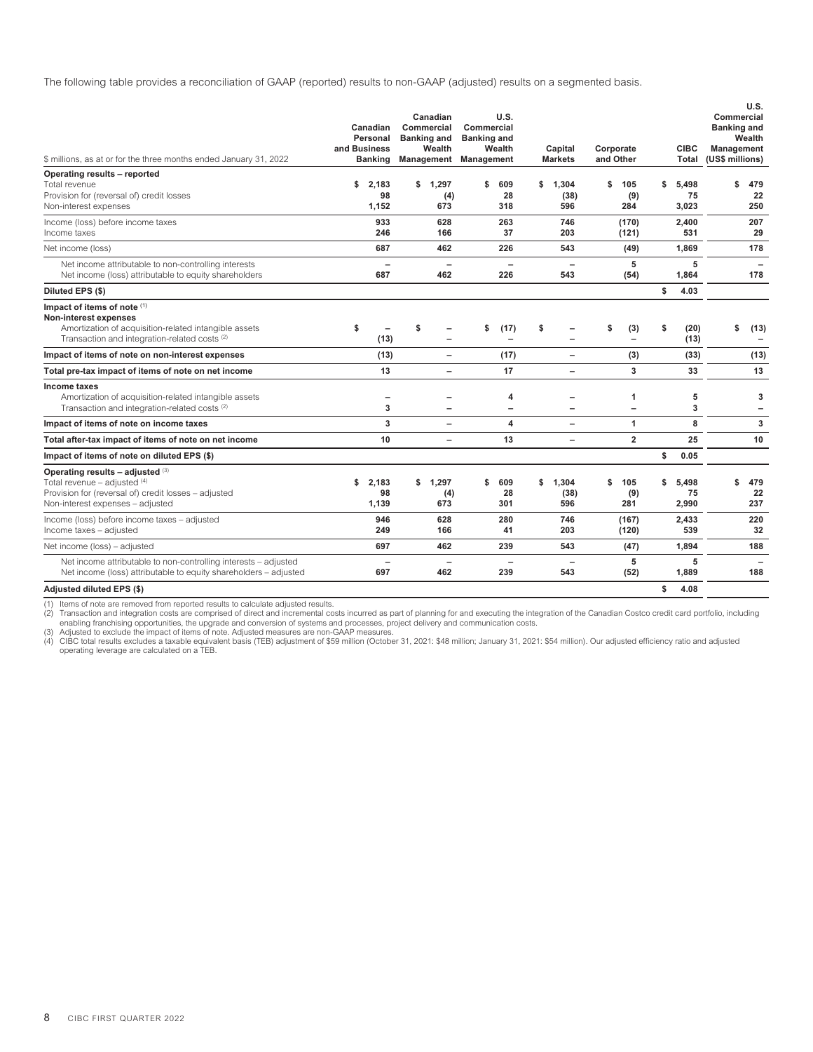The following table provides a reconciliation of GAAP (reported) results to non-GAAP (adjusted) results on a segmented basis.

| \$ millions, as at or for the three months ended January 31, 2022                                                                                                                | and Business | Canadian<br>Personal<br><b>Banking</b> | Canadian<br>Commercial<br><b>Banking and</b><br>Wealth | Commercial<br><b>Banking and</b><br>Management Management | U.S.<br>Wealth                |    | Capital<br><b>Markets</b>       | Corporate<br>and Other        | <b>CIBC</b><br><b>Total</b> | Commercial<br><b>Banking and</b><br><b>Management</b><br>(US\$ millions) | U.S.<br>Wealth                   |
|----------------------------------------------------------------------------------------------------------------------------------------------------------------------------------|--------------|----------------------------------------|--------------------------------------------------------|-----------------------------------------------------------|-------------------------------|----|---------------------------------|-------------------------------|-----------------------------|--------------------------------------------------------------------------|----------------------------------|
| Operating results - reported<br>Total revenue                                                                                                                                    | \$           | 2,183                                  | \$<br>1,297                                            | \$                                                        | 609                           | \$ | 1.304                           | \$<br>105                     | \$<br>5.498                 | \$                                                                       | 479                              |
| Provision for (reversal of) credit losses<br>Non-interest expenses                                                                                                               |              | 98<br>1,152                            | (4)<br>673                                             |                                                           | 28<br>318                     |    | (38)<br>596                     | (9)<br>284                    | 75<br>3,023                 |                                                                          | 22<br>250                        |
| Income (loss) before income taxes<br>Income taxes                                                                                                                                |              | 933<br>246                             | 628<br>166                                             |                                                           | 263<br>37                     |    | 746<br>203                      | (170)<br>(121)                | 2,400<br>531                |                                                                          | 207<br>29                        |
| Net income (loss)                                                                                                                                                                |              | 687                                    | 462                                                    |                                                           | 226                           |    | 543                             | (49)                          | 1,869                       |                                                                          | 178                              |
| Net income attributable to non-controlling interests<br>Net income (loss) attributable to equity shareholders                                                                    |              | $\overline{\phantom{0}}$<br>687        | 462                                                    |                                                           | 226                           |    | $\overline{\phantom{0}}$<br>543 | 5<br>(54)                     | 5<br>1,864                  |                                                                          | 178                              |
| Diluted EPS (\$)                                                                                                                                                                 |              |                                        |                                                        |                                                           |                               |    |                                 |                               | \$<br>4.03                  |                                                                          |                                  |
| Impact of items of note (1)<br><b>Non-interest expenses</b><br>Amortization of acquisition-related intangible assets<br>Transaction and integration-related costs <sup>(2)</sup> | \$           | (13)                                   | \$                                                     | \$                                                        | (17)                          | s  | $\overline{\phantom{0}}$        | \$<br>(3)                     | \$<br>(20)<br>(13)          | \$                                                                       | (13)<br>$\overline{\phantom{0}}$ |
| Impact of items of note on non-interest expenses                                                                                                                                 |              | (13)                                   | $\overline{\phantom{0}}$                               |                                                           | (17)                          |    | $\qquad \qquad -$               | (3)                           | (33)                        |                                                                          | (13)                             |
| Total pre-tax impact of items of note on net income                                                                                                                              |              | 13                                     | $\overline{\phantom{0}}$                               |                                                           | 17                            |    | $\overline{\phantom{0}}$        | 3                             | 33                          |                                                                          | 13                               |
| Income taxes<br>Amortization of acquisition-related intangible assets<br>Transaction and integration-related costs (2)                                                           |              | -<br>3                                 |                                                        |                                                           | 4<br>$\overline{\phantom{0}}$ |    | $\overline{\phantom{0}}$        | 1<br>$\overline{\phantom{0}}$ | 5<br>3                      |                                                                          | 3<br>-                           |
| Impact of items of note on income taxes                                                                                                                                          |              | 3                                      |                                                        |                                                           | 4                             |    | $\overline{\phantom{0}}$        | $\mathbf{1}$                  | 8                           |                                                                          | 3                                |
| Total after-tax impact of items of note on net income                                                                                                                            |              | 10                                     | -                                                      |                                                           | 13                            |    | $\overline{\phantom{0}}$        | $\overline{2}$                | 25                          |                                                                          | 10                               |
| Impact of items of note on diluted EPS (\$)                                                                                                                                      |              |                                        |                                                        |                                                           |                               |    |                                 |                               | \$<br>0.05                  |                                                                          |                                  |
| Operating results - adjusted (3)<br>Total revenue - adjusted $(4)$<br>Provision for (reversal of) credit losses - adjusted<br>Non-interest expenses - adjusted                   | \$           | 2,183<br>98<br>1,139                   | \$<br>1,297<br>(4)<br>673                              | \$                                                        | 609<br>28<br>301              | \$ | 1.304<br>(38)<br>596            | \$<br>105<br>(9)<br>281       | \$<br>5.498<br>75<br>2,990  | \$                                                                       | 479<br>22<br>237                 |
| Income (loss) before income taxes - adjusted<br>Income taxes - adjusted                                                                                                          |              | 946<br>249                             | 628<br>166                                             |                                                           | 280<br>41                     |    | 746<br>203                      | (167)<br>(120)                | 2,433<br>539                |                                                                          | 220<br>32                        |
| Net income (loss) - adjusted                                                                                                                                                     |              | 697                                    | 462                                                    |                                                           | 239                           |    | 543                             | (47)                          | 1,894                       |                                                                          | 188                              |
| Net income attributable to non-controlling interests - adjusted<br>Net income (loss) attributable to equity shareholders - adjusted                                              |              | 697                                    | 462                                                    |                                                           | 239                           |    | 543                             | 5<br>(52)                     | 5<br>1.889                  |                                                                          | 188                              |
| Adjusted diluted EPS (\$)                                                                                                                                                        |              |                                        |                                                        |                                                           |                               |    |                                 |                               | \$<br>4.08                  |                                                                          |                                  |

(1) Items of note are removed from reported results to calculate adjusted results.

(2) Transaction and integration costs are comprised of direct and incremental costs incurred as part of planning for and executing the integration of the Canadian Costco credit card portfolio, including<br>- enabling franchis

(4) CIBC total results excludes a taxable equivalent basis (TEB) adjustment of \$59 million (October 31, 2021: \$48 million; January 31, 2021: \$54 million). Our adjusted efficiency ratio and adjusted<br>operating leverage are c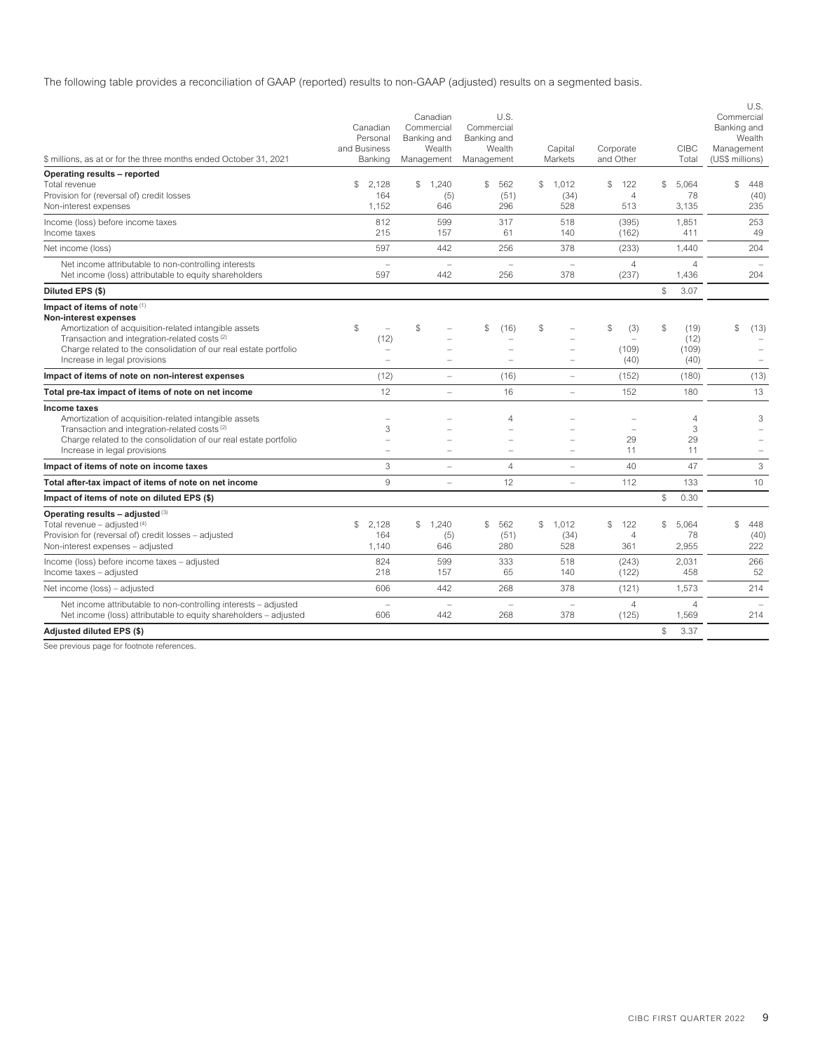The following table provides a reconciliation of GAAP (reported) results to non-GAAP (adjusted) results on a segmented basis.

| \$ millions, as at or for the three months ended October 31, 2021                                                                                                                                                                                                             | Canadian<br>Personal<br>and Business<br>Banking | Canadian<br>Commercial<br>Banking and<br>Wealth<br>Management | U.S.<br>Commercial<br>Banking and<br>Wealth<br>Management | Capital<br>Markets              | Corporate<br>and Other                        | <b>CIBC</b><br>Total                | U.S.<br>Commercial<br>Banking and<br>Wealth<br>Management<br>(US\$ millions) |
|-------------------------------------------------------------------------------------------------------------------------------------------------------------------------------------------------------------------------------------------------------------------------------|-------------------------------------------------|---------------------------------------------------------------|-----------------------------------------------------------|---------------------------------|-----------------------------------------------|-------------------------------------|------------------------------------------------------------------------------|
| Operating results - reported<br>Total revenue<br>Provision for (reversal of) credit losses<br>Non-interest expenses                                                                                                                                                           | \$<br>2.128<br>164<br>1,152                     | 1.240<br>\$<br>(5)<br>646                                     | \$<br>562<br>(51)<br>296                                  | 1.012<br>S<br>(34)<br>528       | S<br>122<br>4<br>513                          | \$<br>5.064<br>78<br>3,135          | \$<br>448<br>(40)<br>235                                                     |
| Income (loss) before income taxes<br>Income taxes                                                                                                                                                                                                                             | 812<br>215                                      | 599<br>157                                                    | 317<br>61                                                 | 518<br>140                      | (395)<br>(162)                                | 1.851<br>411                        | 253<br>49                                                                    |
| Net income (loss)                                                                                                                                                                                                                                                             | 597                                             | 442                                                           | 256                                                       | 378                             | (233)                                         | 1,440                               | 204                                                                          |
| Net income attributable to non-controlling interests<br>Net income (loss) attributable to equity shareholders                                                                                                                                                                 | $\overline{\phantom{0}}$<br>597                 | $\equiv$<br>442                                               | $\equiv$<br>256                                           | $\overline{\phantom{0}}$<br>378 | $\overline{4}$<br>(237)                       | $\overline{4}$<br>1.436             | $\overline{\phantom{a}}$<br>204                                              |
| Diluted EPS (\$)                                                                                                                                                                                                                                                              |                                                 |                                                               |                                                           |                                 |                                               | \$<br>3.07                          |                                                                              |
| Impact of items of note (1)<br>Non-interest expenses<br>Amortization of acquisition-related intangible assets<br>Transaction and integration-related costs <sup>(2)</sup><br>Charge related to the consolidation of our real estate portfolio<br>Increase in legal provisions | \$<br>(12)<br>÷                                 | $\mathbb{S}$                                                  | (16)<br>$\mathbb{S}$                                      | $\mathbb{S}$                    | $\$$<br>(3)<br>(109)<br>(40)                  | \$<br>(19)<br>(12)<br>(109)<br>(40) | \$<br>(13)                                                                   |
| Impact of items of note on non-interest expenses                                                                                                                                                                                                                              | (12)                                            | $\qquad \qquad -$                                             | (16)                                                      | $\qquad \qquad -$               | (152)                                         | (180)                               | (13)                                                                         |
| Total pre-tax impact of items of note on net income                                                                                                                                                                                                                           | 12                                              | $\equiv$                                                      | 16                                                        | L.                              | 152                                           | 180                                 | 13                                                                           |
| Income taxes<br>Amortization of acquisition-related intangible assets<br>Transaction and integration-related costs <sup>(2)</sup><br>Charge related to the consolidation of our real estate portfolio<br>Increase in legal provisions                                         | $\overline{\phantom{0}}$<br>3                   |                                                               | $\overline{4}$<br>$\overline{\phantom{a}}$                | $\overline{\phantom{0}}$        | 29<br>11                                      | $\overline{4}$<br>3<br>29<br>11     | 3<br>÷,                                                                      |
| Impact of items of note on income taxes                                                                                                                                                                                                                                       | 3                                               |                                                               | $\overline{4}$                                            | $\equiv$                        | 40                                            | 47                                  | 3                                                                            |
| Total after-tax impact of items of note on net income                                                                                                                                                                                                                         | 9                                               |                                                               | 12                                                        | L.                              | 112                                           | 133                                 | 10                                                                           |
| Impact of items of note on diluted EPS (\$)                                                                                                                                                                                                                                   |                                                 |                                                               |                                                           |                                 |                                               | \$<br>0.30                          |                                                                              |
| Operating results - adjusted (3)<br>Total revenue - adjusted (4)<br>Provision for (reversal of) credit losses - adjusted<br>Non-interest expenses - adjusted                                                                                                                  | $\mathcal{L}$<br>2.128<br>164<br>1,140          | \$.<br>1.240<br>(5)<br>646                                    | \$<br>562<br>(51)<br>280                                  | \$<br>1.012<br>(34)<br>528      | $\mathcal{S}$<br>122<br>$\overline{4}$<br>361 | \$<br>5.064<br>78<br>2,955          | $\mathcal{L}$<br>448<br>(40)<br>222                                          |
| Income (loss) before income taxes - adjusted<br>Income taxes - adjusted                                                                                                                                                                                                       | 824<br>218                                      | 599<br>157                                                    | 333<br>65                                                 | 518<br>140                      | (243)<br>(122)                                | 2,031<br>458                        | 266<br>52                                                                    |
| Net income (loss) - adjusted                                                                                                                                                                                                                                                  | 606                                             | 442                                                           | 268                                                       | 378                             | (121)                                         | 1,573                               | 214                                                                          |
| Net income attributable to non-controlling interests - adjusted<br>Net income (loss) attributable to equity shareholders - adjusted                                                                                                                                           | $\overline{\phantom{0}}$<br>606                 | L.<br>442                                                     | L.<br>268                                                 | $\equiv$<br>378                 | $\overline{4}$<br>(125)                       | $\overline{4}$<br>1,569             | 214                                                                          |
| Adjusted diluted EPS (\$)                                                                                                                                                                                                                                                     |                                                 |                                                               |                                                           |                                 |                                               | \$<br>3.37                          |                                                                              |

See previous page for footnote references.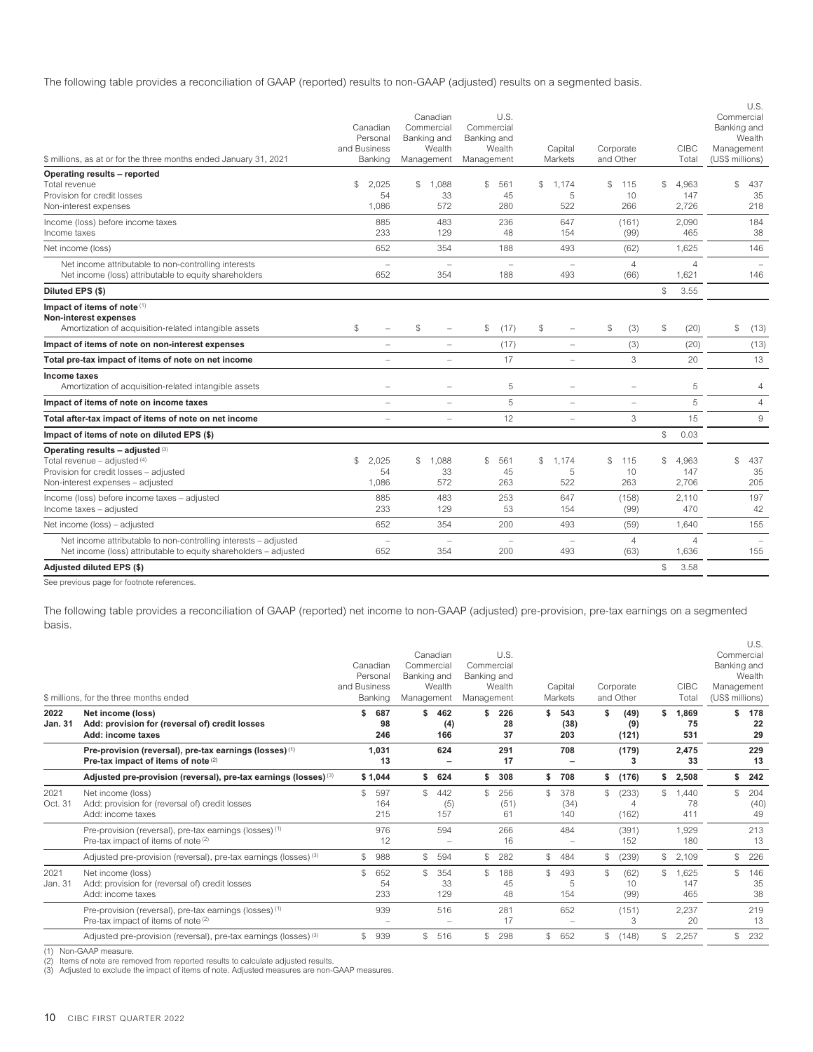The following table provides a reconciliation of GAAP (reported) results to non-GAAP (adjusted) results on a segmented basis.

|                                                                                                                                                  | Canadian<br>Personal            | Canadian<br>Commercial<br>Banking and | U.S.<br>Commercial<br>Banking and |                                          |                        |                             | U.S.<br>Commercial<br>Banking and<br>Wealth |
|--------------------------------------------------------------------------------------------------------------------------------------------------|---------------------------------|---------------------------------------|-----------------------------------|------------------------------------------|------------------------|-----------------------------|---------------------------------------------|
| \$ millions, as at or for the three months ended January 31, 2021                                                                                | and Business<br>Banking         | Wealth<br>Management                  | Wealth<br>Management              | Capital<br>Markets                       | Corporate<br>and Other | <b>CIBC</b><br>Total        | Management<br>(US\$ millions)               |
| Operating results - reported                                                                                                                     |                                 |                                       |                                   |                                          |                        |                             |                                             |
| Total revenue                                                                                                                                    | \$<br>2.025                     | 1.088<br>\$                           | \$<br>561                         | \$<br>1,174                              | \$<br>115              | \$<br>4.963                 | \$<br>437                                   |
| Provision for credit losses<br>Non-interest expenses                                                                                             | 54<br>1,086                     | 33<br>572                             | 45<br>280                         | 5<br>522                                 | 10<br>266              | 147<br>2,726                | 35<br>218                                   |
| Income (loss) before income taxes                                                                                                                | 885                             | 483                                   | 236                               | 647                                      | (161)                  | 2,090                       | 184                                         |
| Income taxes                                                                                                                                     | 233                             | 129                                   | 48                                | 154                                      | (99)                   | 465                         | 38                                          |
| Net income (loss)                                                                                                                                | 652                             | 354                                   | 188                               | 493                                      | (62)                   | 1,625                       | 146                                         |
| Net income attributable to non-controlling interests<br>Net income (loss) attributable to equity shareholders                                    | $\overline{\phantom{a}}$<br>652 | 354                                   | 188                               | 493                                      | $\overline{4}$<br>(66) | $\overline{4}$<br>1,621     | 146                                         |
| Diluted EPS (\$)                                                                                                                                 |                                 |                                       |                                   |                                          |                        | \$<br>3.55                  |                                             |
| Impact of items of note (1)<br><b>Non-interest expenses</b><br>Amortization of acquisition-related intangible assets                             | \$                              | $\$$<br>$\overline{\phantom{m}}$      | $\$$<br>(17)                      | $\mathbb{S}$<br>$\overline{\phantom{a}}$ | $$\mathbb{S}$$<br>(3)  | $\mathbb{S}$<br>(20)        | \$<br>(13)                                  |
| Impact of items of note on non-interest expenses                                                                                                 | $\overline{\phantom{0}}$        | $\overline{\phantom{a}}$              | (17)                              | $\equiv$                                 | (3)                    | (20)                        | (13)                                        |
| Total pre-tax impact of items of note on net income                                                                                              | ÷                               | $\overline{\phantom{m}}$              | 17                                | $\overline{\phantom{m}}$                 | 3                      | 20                          | 13                                          |
| Income taxes<br>Amortization of acquisition-related intangible assets                                                                            | $\overline{\phantom{0}}$        | $\equiv$                              | 5                                 | $\overline{\phantom{a}}$                 | $\equiv$               | 5                           | 4                                           |
| Impact of items of note on income taxes                                                                                                          | $\overline{\phantom{0}}$        | $\overline{\phantom{0}}$              | 5                                 | $\overline{\phantom{a}}$                 | $=$                    | 5                           | $\overline{4}$                              |
| Total after-tax impact of items of note on net income                                                                                            | $\overline{\phantom{0}}$        | $\overline{\phantom{m}}$              | 12                                | $\overline{\phantom{a}}$                 | 3                      | 15                          | $\hbox{9}$                                  |
| Impact of items of note on diluted EPS (\$)                                                                                                      |                                 |                                       |                                   |                                          |                        | \$<br>0.03                  |                                             |
| Operating results - adjusted (3)<br>Total revenue - adjusted $(4)$<br>Provision for credit losses - adjusted<br>Non-interest expenses - adjusted | \$<br>2,025<br>54<br>1.086      | S<br>1.088<br>33<br>572               | \$<br>561<br>45<br>263            | 1,174<br>\$<br>5<br>522                  | \$<br>115<br>10<br>263 | 4.963<br>\$<br>147<br>2.706 | $\mathcal{S}$<br>437<br>35<br>205           |
| Income (loss) before income taxes - adjusted<br>Income taxes - adjusted                                                                          | 885<br>233                      | 483<br>129                            | 253<br>53                         | 647<br>154                               | (158)<br>(99)          | 2,110<br>470                | 197<br>42                                   |
| Net income (loss) - adjusted                                                                                                                     | 652                             | 354                                   | 200                               | 493                                      | (59)                   | 1,640                       | 155                                         |
| Net income attributable to non-controlling interests - adjusted<br>Net income (loss) attributable to equity shareholders - adjusted              | $\overline{\phantom{0}}$<br>652 | 354                                   | 200                               | 493                                      | $\overline{4}$<br>(63) | $\overline{4}$<br>1,636     | 155                                         |
| Adjusted diluted EPS (\$)                                                                                                                        |                                 |                                       |                                   |                                          |                        | \$<br>3.58                  |                                             |

See previous page for footnote references.

The following table provides a reconciliation of GAAP (reported) net income to non-GAAP (adjusted) pre-provision, pre-tax earnings on a segmented basis.

|                        | \$ millions, for the three months ended                                                                              | Canadian<br>Personal<br>and Business<br>Banking | Commercial<br>Banking and<br>Management | Canadian<br>Wealth | Commercial<br>Banking and<br>Management | U.S.<br>Wealth    |               | Capital<br>Markets | Corporate<br>and Other     |    | <b>CIBC</b><br>Total | Commercial<br>Banking and<br>Management<br>(US\$ millions) | U.S.<br>Wealth    |
|------------------------|----------------------------------------------------------------------------------------------------------------------|-------------------------------------------------|-----------------------------------------|--------------------|-----------------------------------------|-------------------|---------------|--------------------|----------------------------|----|----------------------|------------------------------------------------------------|-------------------|
| 2022<br><b>Jan. 31</b> | Net income (loss)<br>Add: provision for (reversal of) credit losses<br>Add: income taxes                             | 687<br>\$<br>98<br>246                          | \$                                      | 462<br>(4)<br>166  |                                         | 226<br>28<br>37   | \$.           | 543<br>(38)<br>203 | \$<br>(49)<br>(9)<br>(121) | \$ | 1.869<br>75<br>531   | \$                                                         | 178<br>22<br>29   |
|                        | Pre-provision (reversal), pre-tax earnings (losses) <sup>(1)</sup><br>Pre-tax impact of items of note <sup>(2)</sup> | 1.031<br>13                                     |                                         | 624                |                                         | 291<br>17         |               | 708                | (179)<br>3                 |    | 2.475<br>33          |                                                            | 229<br>13         |
|                        | Adjusted pre-provision (reversal), pre-tax earnings (losses) (3)                                                     | \$1,044                                         | \$                                      | 624                | \$                                      | 308               | \$            | 708                | \$<br>(176)                | s. | 2,508                | \$                                                         | 242               |
| 2021<br>Oct. 31        | Net income (loss)<br>Add: provision for (reversal of) credit losses<br>Add: income taxes                             | \$<br>597<br>164<br>215                         | \$                                      | 442<br>(5)<br>157  |                                         | 256<br>(51)<br>61 | \$            | 378<br>(34)<br>140 | \$<br>(233)<br>4<br>(162)  | S. | 1.440<br>78<br>411   | $\mathcal{S}$                                              | 204<br>(40)<br>49 |
|                        | Pre-provision (reversal), pre-tax earnings (losses) <sup>(1)</sup><br>Pre-tax impact of items of note (2)            | 976<br>12                                       |                                         | 594                |                                         | 266<br>16         |               | 484                | (391)<br>152               |    | 1.929<br>180         |                                                            | 213<br>13         |
|                        | Adjusted pre-provision (reversal), pre-tax earnings (losses) <sup>(3)</sup>                                          | 988<br>\$                                       | \$                                      | 594                | $\mathbb{S}$                            | 282               | $\mathcal{L}$ | 484                | \$<br>(239)                | \$ | 2.109                | \$                                                         | 226               |
| 2021<br>Jan. 31        | Net income (loss)<br>Add: provision for (reversal of) credit losses<br>Add: income taxes                             | \$<br>652<br>54<br>233                          | \$                                      | 354<br>33<br>129   |                                         | 188<br>45<br>48   | \$            | 493<br>5<br>154    | \$<br>(62)<br>10<br>(99)   | \$ | 1.625<br>147<br>465  | $\mathcal{S}$                                              | 146<br>35<br>38   |
|                        | Pre-provision (reversal), pre-tax earnings (losses) <sup>(1)</sup><br>Pre-tax impact of items of note (2)            | 939                                             |                                         | 516                |                                         | 281<br>17         |               | 652                | (151)<br>3                 |    | 2,237<br>20          |                                                            | 219<br>13         |
|                        | Adjusted pre-provision (reversal), pre-tax earnings (losses) <sup>(3)</sup>                                          | \$<br>939                                       | \$                                      | 516                |                                         | 298               | \$.           | 652                | \$<br>(148)                | \$ | 2,257                | $\mathcal{S}$                                              | 232               |

(1) Non-GAAP measure. (2) Items of note are removed from reported results to calculate adjusted results.

(3) Adjusted to exclude the impact of items of note. Adjusted measures are non-GAAP measures.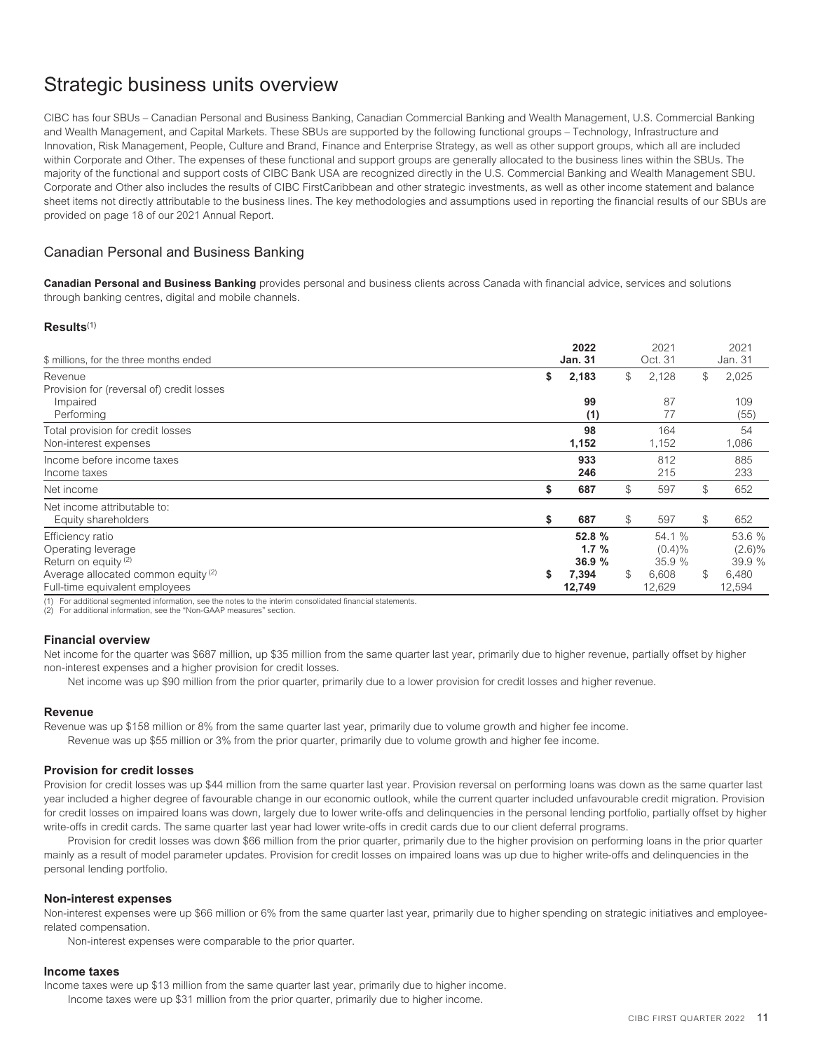# <span id="page-13-0"></span>Strategic business units overview

CIBC has four SBUs – Canadian Personal and Business Banking, Canadian Commercial Banking and Wealth Management, U.S. Commercial Banking and Wealth Management, and Capital Markets. These SBUs are supported by the following functional groups – Technology, Infrastructure and Innovation, Risk Management, People, Culture and Brand, Finance and Enterprise Strategy, as well as other support groups, which all are included within Corporate and Other. The expenses of these functional and support groups are generally allocated to the business lines within the SBUs. The majority of the functional and support costs of CIBC Bank USA are recognized directly in the U.S. Commercial Banking and Wealth Management SBU. Corporate and Other also includes the results of CIBC FirstCaribbean and other strategic investments, as well as other income statement and balance sheet items not directly attributable to the business lines. The key methodologies and assumptions used in reporting the financial results of our SBUs are provided on page 18 of our 2021 Annual Report.

# <span id="page-13-1"></span>Canadian Personal and Business Banking

**Canadian Personal and Business Banking** provides personal and business clients across Canada with financial advice, services and solutions through banking centres, digital and mobile channels.

### **Results**(1)

| \$ millions, for the three months ended        |    | 2022<br><b>Jan. 31</b> |            | 2021<br>Oct. 31 |                | 2021<br>Jan. 31 |
|------------------------------------------------|----|------------------------|------------|-----------------|----------------|-----------------|
| Revenue                                        | \$ | 2,183                  | \$         | 2,128           | \$             | 2,025           |
| Provision for (reversal of) credit losses      |    |                        |            |                 |                |                 |
| Impaired                                       |    | 99                     |            | 87              |                | 109             |
| Performing                                     |    | (1)                    |            | 77              |                | (55)            |
| Total provision for credit losses              |    | 98                     |            | 164             |                | 54              |
| Non-interest expenses                          |    | 1,152                  |            | 1,152           |                | 1,086           |
| Income before income taxes                     |    | 933                    |            | 812             |                | 885             |
| Income taxes                                   |    | 246                    |            | 215             |                | 233             |
| Net income                                     | \$ | 687                    | \$         | 597             | $$\mathbb{S}$$ | 652             |
| Net income attributable to:                    |    |                        |            |                 |                |                 |
| Equity shareholders                            | \$ | 687                    | \$         | 597             | $\mathbb{S}$   | 652             |
| Efficiency ratio                               |    | 52.8 %                 |            | 54.1 %          |                | 53.6 %          |
| Operating leverage                             |    | $1.7 \%$               |            | $(0.4)\%$       |                | $(2.6)\%$       |
| Return on equity <sup>(2)</sup>                |    | 36.9%                  |            | 35.9%           |                | 39.9 %          |
| Average allocated common equity <sup>(2)</sup> | S  | 7,394                  | $^{\circ}$ | 6,608           | \$             | 6,480           |
| Full-time equivalent employees                 |    | 12,749                 |            | 12,629          |                | 12,594          |

(1) For additional segmented information, see the notes to the interim consolidated financial statements.

(2) For additional information, see the "Non-GAAP measures" section.

### **Financial overview**

Net income for the quarter was \$687 million, up \$35 million from the same quarter last year, primarily due to higher revenue, partially offset by higher non-interest expenses and a higher provision for credit losses.

Net income was up \$90 million from the prior quarter, primarily due to a lower provision for credit losses and higher revenue.

### **Revenue**

Revenue was up \$158 million or 8% from the same quarter last year, primarily due to volume growth and higher fee income. Revenue was up \$55 million or 3% from the prior quarter, primarily due to volume growth and higher fee income.

### **Provision for credit losses**

Provision for credit losses was up \$44 million from the same quarter last year. Provision reversal on performing loans was down as the same quarter last year included a higher degree of favourable change in our economic outlook, while the current quarter included unfavourable credit migration. Provision for credit losses on impaired loans was down, largely due to lower write-offs and delinquencies in the personal lending portfolio, partially offset by higher write-offs in credit cards. The same quarter last year had lower write-offs in credit cards due to our client deferral programs.

Provision for credit losses was down \$66 million from the prior quarter, primarily due to the higher provision on performing loans in the prior quarter mainly as a result of model parameter updates. Provision for credit losses on impaired loans was up due to higher write-offs and delinquencies in the personal lending portfolio.

### **Non-interest expenses**

Non-interest expenses were up \$66 million or 6% from the same quarter last year, primarily due to higher spending on strategic initiatives and employeerelated compensation.

Non-interest expenses were comparable to the prior quarter.

### **Income taxes**

Income taxes were up \$13 million from the same quarter last year, primarily due to higher income. Income taxes were up \$31 million from the prior quarter, primarily due to higher income.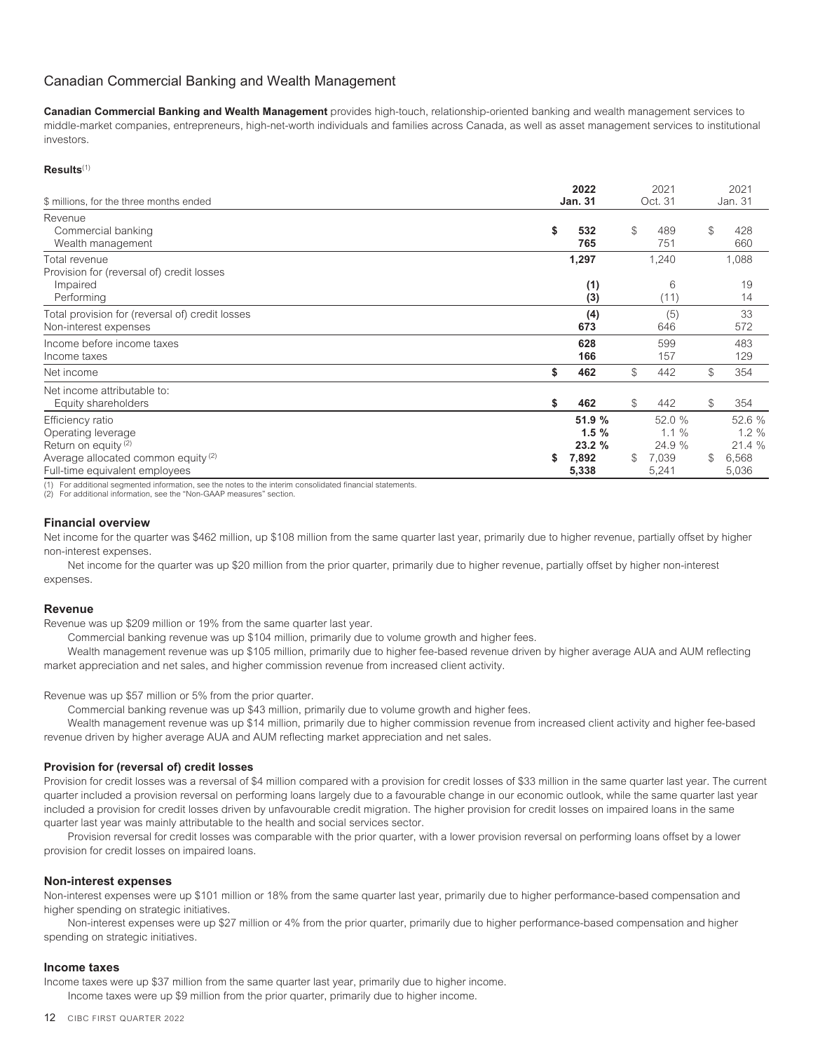# <span id="page-14-0"></span>Canadian Commercial Banking and Wealth Management

**Canadian Commercial Banking and Wealth Management** provides high-touch, relationship-oriented banking and wealth management services to middle-market companies, entrepreneurs, high-net-worth individuals and families across Canada, as well as asset management services to institutional investors.

### **Results**(1)

| \$ millions, for the three months ended                                                                                                                       | 2022<br><b>Jan. 31</b>                          |              | 2021<br>Oct. 31                                |              | 2021<br>Jan. 31                                |
|---------------------------------------------------------------------------------------------------------------------------------------------------------------|-------------------------------------------------|--------------|------------------------------------------------|--------------|------------------------------------------------|
| Revenue<br>Commercial banking<br>Wealth management                                                                                                            | \$<br>532<br>765                                | $\mathbb S$  | 489<br>751                                     | $\mathbb S$  | 428<br>660                                     |
| Total revenue<br>Provision for (reversal of) credit losses<br>Impaired<br>Performing                                                                          | 1,297<br>(1)<br>(3)                             |              | 1,240<br>6<br>(11)                             |              | 1,088<br>19<br>14                              |
| Total provision for (reversal of) credit losses<br>Non-interest expenses                                                                                      | (4)<br>673                                      |              | (5)<br>646                                     |              | 33<br>572                                      |
| Income before income taxes<br>Income taxes                                                                                                                    | 628<br>166                                      |              | 599<br>157                                     |              | 483<br>129                                     |
| Net income                                                                                                                                                    | 462<br>\$                                       | $\mathbb S$  | 442                                            | $\mathbb{S}$ | 354                                            |
| Net income attributable to:<br>Equity shareholders                                                                                                            | \$<br>462                                       | \$           | 442                                            | $\mathbb S$  | 354                                            |
| Efficiency ratio<br>Operating leverage<br>Return on equity <sup>(2)</sup><br>Average allocated common equity <sup>(2)</sup><br>Full-time equivalent employees | 51.9 %<br>1.5%<br>23.2%<br>\$<br>7,892<br>5,338 | $\mathbb{S}$ | 52.0 %<br>$1.1 \%$<br>24.9 %<br>7,039<br>5,241 | \$           | 52.6 %<br>$1.2 \%$<br>21.4 %<br>6,568<br>5,036 |

(1) For additional segmented information, see the notes to the interim consolidated financial statements.

(2) For additional information, see the "Non-GAAP measures" section.

### **Financial overview**

Net income for the quarter was \$462 million, up \$108 million from the same quarter last year, primarily due to higher revenue, partially offset by higher non-interest expenses.

Net income for the quarter was up \$20 million from the prior quarter, primarily due to higher revenue, partially offset by higher non-interest expenses.

### **Revenue**

Revenue was up \$209 million or 19% from the same quarter last year.

Commercial banking revenue was up \$104 million, primarily due to volume growth and higher fees.

Wealth management revenue was up \$105 million, primarily due to higher fee-based revenue driven by higher average AUA and AUM reflecting market appreciation and net sales, and higher commission revenue from increased client activity.

Revenue was up \$57 million or 5% from the prior quarter.

Commercial banking revenue was up \$43 million, primarily due to volume growth and higher fees.

Wealth management revenue was up \$14 million, primarily due to higher commission revenue from increased client activity and higher fee-based revenue driven by higher average AUA and AUM reflecting market appreciation and net sales.

### **Provision for (reversal of) credit losses**

Provision for credit losses was a reversal of \$4 million compared with a provision for credit losses of \$33 million in the same quarter last year. The current quarter included a provision reversal on performing loans largely due to a favourable change in our economic outlook, while the same quarter last year included a provision for credit losses driven by unfavourable credit migration. The higher provision for credit losses on impaired loans in the same quarter last year was mainly attributable to the health and social services sector.

Provision reversal for credit losses was comparable with the prior quarter, with a lower provision reversal on performing loans offset by a lower provision for credit losses on impaired loans.

### **Non-interest expenses**

Non-interest expenses were up \$101 million or 18% from the same quarter last year, primarily due to higher performance-based compensation and higher spending on strategic initiatives.

Non-interest expenses were up \$27 million or 4% from the prior quarter, primarily due to higher performance-based compensation and higher spending on strategic initiatives.

### **Income taxes**

Income taxes were up \$37 million from the same quarter last year, primarily due to higher income. Income taxes were up \$9 million from the prior quarter, primarily due to higher income.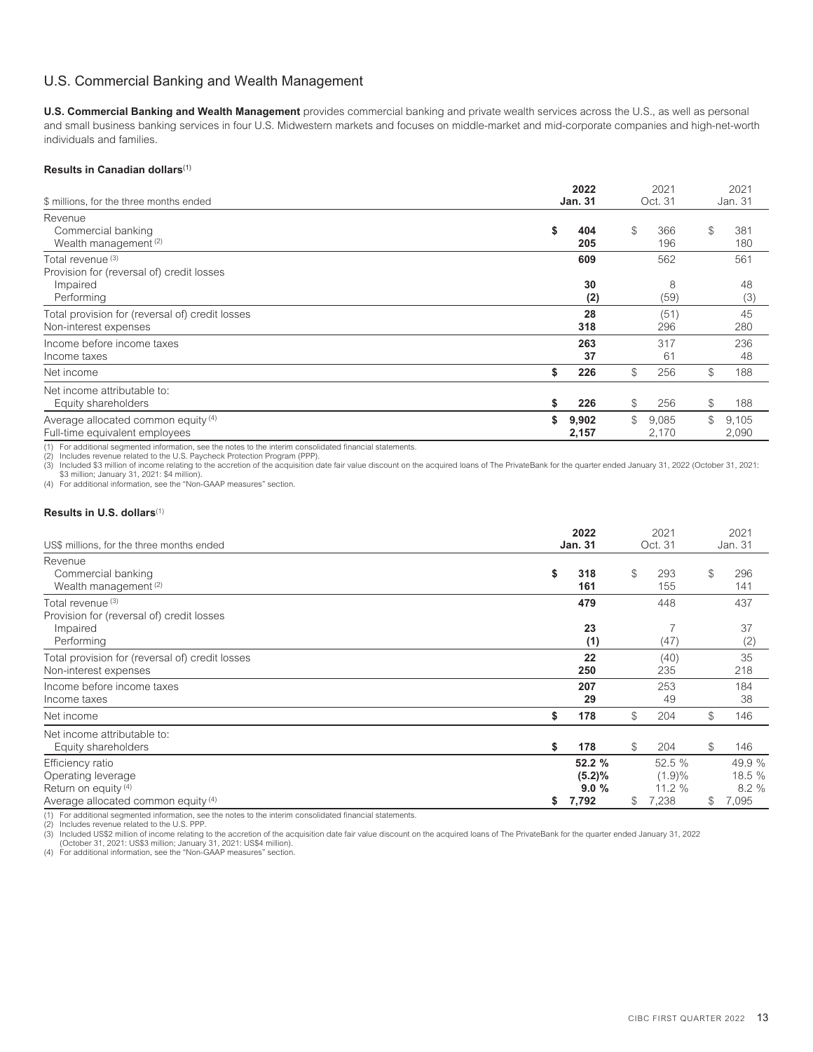# <span id="page-15-0"></span>U.S. Commercial Banking and Wealth Management

**U.S. Commercial Banking and Wealth Management** provides commercial banking and private wealth services across the U.S., as well as personal and small business banking services in four U.S. Midwestern markets and focuses on middle-market and mid-corporate companies and high-net-worth individuals and families.

### **Results in Canadian dollars**(1)

| \$ millions, for the three months ended                                                  | 2022<br><b>Jan. 31</b> |             | 2021<br>Oct. 31  | 2021<br>Jan. 31      |
|------------------------------------------------------------------------------------------|------------------------|-------------|------------------|----------------------|
| Revenue<br>Commercial banking<br>Wealth management <sup>(2)</sup>                        | \$<br>404<br>205       | $\mathbb S$ | 366<br>196       | \$<br>381<br>180     |
| Total revenue (3)<br>Provision for (reversal of) credit losses<br>Impaired<br>Performing | 609<br>30<br>(2)       |             | 562<br>8<br>(59) | 561<br>48<br>(3)     |
| Total provision for (reversal of) credit losses<br>Non-interest expenses                 | 28<br>318              |             | (51)<br>296      | 45<br>280            |
| Income before income taxes<br>Income taxes                                               | 263<br>37              |             | 317<br>61        | 236<br>48            |
| Net income                                                                               | \$<br>226              | $\mathbb S$ | 256              | \$<br>188            |
| Net income attributable to:<br>Equity shareholders                                       | \$<br>226              | $\mathbb S$ | 256              | \$<br>188            |
| Average allocated common equity (4)<br>Full-time equivalent employees                    | \$<br>9,902<br>2,157   | \$          | 9,085<br>2,170   | \$<br>9,105<br>2,090 |

(1) For additional segmented information, see the notes to the interim consolidated financial statements.

(2) Includes revenue related to the U.S. Paycheck Protection Program (PPP). (3) Included \$3 million of income relating to the accretion of the acquisition date fair value discount on the acquired loans of The PrivateBank for the quarter ended January 31, 2022 (October 31, 2021:<br>\$3 million; January

(4) For additional information, see the "Non-GAAP measures" section.

# **Results in U.S. dollars**(1)

| US\$ millions, for the three months ended                                                                        | 2022<br><b>Jan. 31</b>                  |             | 2021<br>Oct. 31                     |               | 2021<br>Jan. 31                   |
|------------------------------------------------------------------------------------------------------------------|-----------------------------------------|-------------|-------------------------------------|---------------|-----------------------------------|
| Revenue<br>Commercial banking<br>Wealth management <sup>(2)</sup>                                                | \$<br>318<br>161                        | $\mathbb S$ | 293<br>155                          | $\mathcal{L}$ | 296<br>141                        |
| Total revenue <sup>(3)</sup><br>Provision for (reversal of) credit losses<br>Impaired                            | 479<br>23                               |             | 448                                 |               | 437<br>37                         |
| Performing<br>Total provision for (reversal of) credit losses<br>Non-interest expenses                           | (1)<br>22<br>250                        |             | (47)<br>(40)<br>235                 |               | (2)<br>35<br>218                  |
| Income before income taxes<br>Income taxes                                                                       | 207<br>29                               |             | 253<br>49                           |               | 184<br>38                         |
| Net income                                                                                                       | \$<br>178                               | $^{\circ}$  | 204                                 | $\mathbb S$   | 146                               |
| Net income attributable to:<br>Equity shareholders                                                               | \$<br>178                               | $^{\circ}$  | 204                                 | $\mathbb S$   | 146                               |
| Efficiency ratio<br>Operating leverage<br>Return on equity <sup>(4)</sup><br>Average allocated common equity (4) | \$<br>52.2 %<br>(5.2)%<br>9.0%<br>7,792 | \$          | 52.5 %<br>(1.9)%<br>11.2 %<br>7,238 | $\mathbb{S}$  | 49.9 %<br>18.5 %<br>8.2%<br>7,095 |

CIBC FIRST QUARTER 2022 13

(1) For additional segmented information, see the notes to the interim consolidated financial statements.

Includes revenue related to the U.S. PPP.

(3) Included US\$2 million of income relating to the accretion of the acquisition date fair value discount on the acquired loans of The PrivateBank for the quarter ended January 31, 2022<br>- (October 31, 2021: US\$3 million; J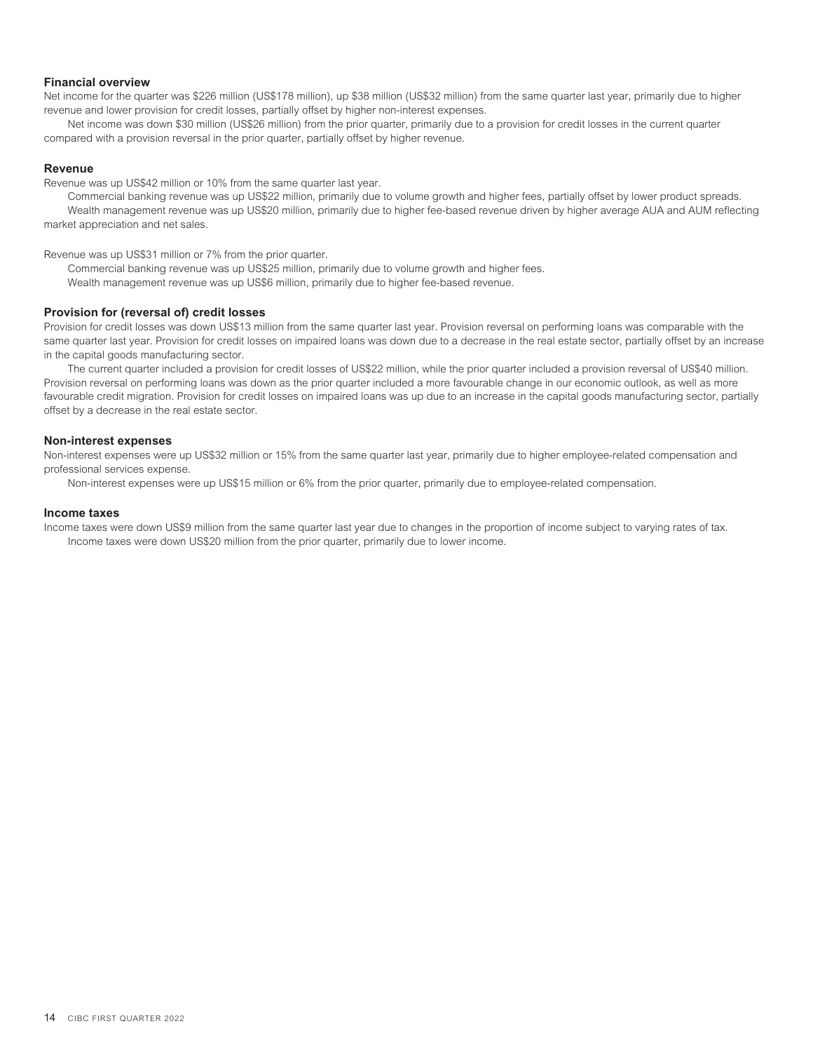### **Financial overview**

Net income for the quarter was \$226 million (US\$178 million), up \$38 million (US\$32 million) from the same quarter last year, primarily due to higher revenue and lower provision for credit losses, partially offset by higher non-interest expenses.

Net income was down \$30 million (US\$26 million) from the prior quarter, primarily due to a provision for credit losses in the current quarter compared with a provision reversal in the prior quarter, partially offset by higher revenue.

### **Revenue**

Revenue was up US\$42 million or 10% from the same quarter last year.

Commercial banking revenue was up US\$22 million, primarily due to volume growth and higher fees, partially offset by lower product spreads. Wealth management revenue was up US\$20 million, primarily due to higher fee-based revenue driven by higher average AUA and AUM reflecting market appreciation and net sales.

Revenue was up US\$31 million or 7% from the prior quarter.

Commercial banking revenue was up US\$25 million, primarily due to volume growth and higher fees.

Wealth management revenue was up US\$6 million, primarily due to higher fee-based revenue.

### **Provision for (reversal of) credit losses**

Provision for credit losses was down US\$13 million from the same quarter last year. Provision reversal on performing loans was comparable with the same quarter last year. Provision for credit losses on impaired loans was down due to a decrease in the real estate sector, partially offset by an increase in the capital goods manufacturing sector.

The current quarter included a provision for credit losses of US\$22 million, while the prior quarter included a provision reversal of US\$40 million. Provision reversal on performing loans was down as the prior quarter included a more favourable change in our economic outlook, as well as more favourable credit migration. Provision for credit losses on impaired loans was up due to an increase in the capital goods manufacturing sector, partially offset by a decrease in the real estate sector.

### **Non-interest expenses**

Non-interest expenses were up US\$32 million or 15% from the same quarter last year, primarily due to higher employee-related compensation and professional services expense.

Non-interest expenses were up US\$15 million or 6% from the prior quarter, primarily due to employee-related compensation.

### **Income taxes**

Income taxes were down US\$9 million from the same quarter last year due to changes in the proportion of income subject to varying rates of tax. Income taxes were down US\$20 million from the prior quarter, primarily due to lower income.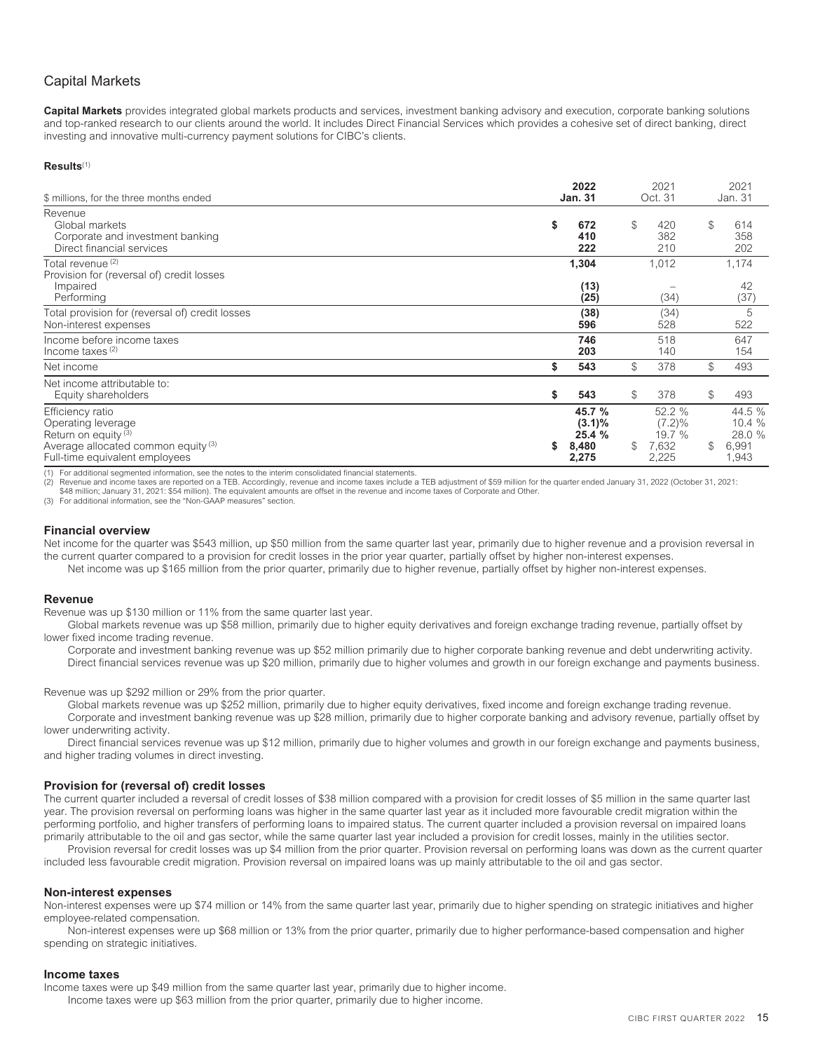# <span id="page-17-0"></span>Capital Markets

**Capital Markets** provides integrated global markets products and services, investment banking advisory and execution, corporate banking solutions and top-ranked research to our clients around the world. It includes Direct Financial Services which provides a cohesive set of direct banking, direct investing and innovative multi-currency payment solutions for CIBC's clients.

### **Results**(1)

| \$ millions, for the three months ended                                                                                                            | 2022<br><b>Jan. 31</b>                                | 2021<br>Oct. 31                                       |              | 2021<br>Jan. 31                              |
|----------------------------------------------------------------------------------------------------------------------------------------------------|-------------------------------------------------------|-------------------------------------------------------|--------------|----------------------------------------------|
| Revenue<br>Global markets<br>Corporate and investment banking<br>Direct financial services                                                         | \$<br>672<br>410<br>222                               | \$<br>420<br>382<br>210                               | $\mathbb S$  | 614<br>358<br>202                            |
| Total revenue <sup>(2)</sup><br>Provision for (reversal of) credit losses<br>Impaired<br>Performing                                                | 1,304<br>(13)<br>(25)                                 | 1,012<br>(34)                                         |              | 1,174<br>42<br>(37)                          |
| Total provision for (reversal of) credit losses<br>Non-interest expenses                                                                           | (38)<br>596                                           | (34)<br>528                                           |              | 5<br>522                                     |
| Income before income taxes<br>Income taxes $(2)$                                                                                                   | 746<br>203                                            | 518<br>140                                            |              | 647<br>154                                   |
| Net income                                                                                                                                         | \$<br>543                                             | \$<br>378                                             | \$           | 493                                          |
| Net income attributable to:<br>Equity shareholders                                                                                                 | \$<br>543                                             | \$<br>378                                             | \$           | 493                                          |
| Efficiency ratio<br>Operating leverage<br>Return on equity <sup>(3)</sup><br>Average allocated common equity (3)<br>Full-time equivalent employees | \$<br>45.7 %<br>$(3.1)\%$<br>25.4 %<br>8,480<br>2,275 | \$<br>52.2 %<br>$(7.2)\%$<br>19.7 %<br>7,632<br>2,225 | $\mathbb{S}$ | 44.5 %<br>10.4 %<br>28.0 %<br>6,991<br>1,943 |

For additional segmented information, see the notes to the interim consolidated financial statements.

(2) Revenue and income taxes are reported on a TEB. Accordingly, revenue and income taxes include a TEB adjustment of \$59 million for the quarter ended January 31, 2022 (October 31, 2021:<br>\$48 million; January 31, 2021: \$54

(3) For additional information, see the "Non-GAAP measures" section.

### **Financial overview**

Net income for the quarter was \$543 million, up \$50 million from the same quarter last year, primarily due to higher revenue and a provision reversal in the current quarter compared to a provision for credit losses in the prior year quarter, partially offset by higher non-interest expenses.

# Net income was up \$165 million from the prior quarter, primarily due to higher revenue, partially offset by higher non-interest expenses.

### **Revenue**

Revenue was up \$130 million or 11% from the same quarter last year.

Global markets revenue was up \$58 million, primarily due to higher equity derivatives and foreign exchange trading revenue, partially offset by lower fixed income trading revenue.

Corporate and investment banking revenue was up \$52 million primarily due to higher corporate banking revenue and debt underwriting activity. Direct financial services revenue was up \$20 million, primarily due to higher volumes and growth in our foreign exchange and payments business.

Revenue was up \$292 million or 29% from the prior quarter.

Global markets revenue was up \$252 million, primarily due to higher equity derivatives, fixed income and foreign exchange trading revenue.

Corporate and investment banking revenue was up \$28 million, primarily due to higher corporate banking and advisory revenue, partially offset by lower underwriting activity.

Direct financial services revenue was up \$12 million, primarily due to higher volumes and growth in our foreign exchange and payments business, and higher trading volumes in direct investing.

### **Provision for (reversal of) credit losses**

The current quarter included a reversal of credit losses of \$38 million compared with a provision for credit losses of \$5 million in the same quarter last year. The provision reversal on performing loans was higher in the same quarter last year as it included more favourable credit migration within the performing portfolio, and higher transfers of performing loans to impaired status. The current quarter included a provision reversal on impaired loans primarily attributable to the oil and gas sector, while the same quarter last year included a provision for credit losses, mainly in the utilities sector.

Provision reversal for credit losses was up \$4 million from the prior quarter. Provision reversal on performing loans was down as the current quarter included less favourable credit migration. Provision reversal on impaired loans was up mainly attributable to the oil and gas sector.

### **Non-interest expenses**

Non-interest expenses were up \$74 million or 14% from the same quarter last year, primarily due to higher spending on strategic initiatives and higher employee-related compensation.

Non-interest expenses were up \$68 million or 13% from the prior quarter, primarily due to higher performance-based compensation and higher spending on strategic initiatives.

### **Income taxes**

Income taxes were up \$49 million from the same quarter last year, primarily due to higher income. Income taxes were up \$63 million from the prior quarter, primarily due to higher income.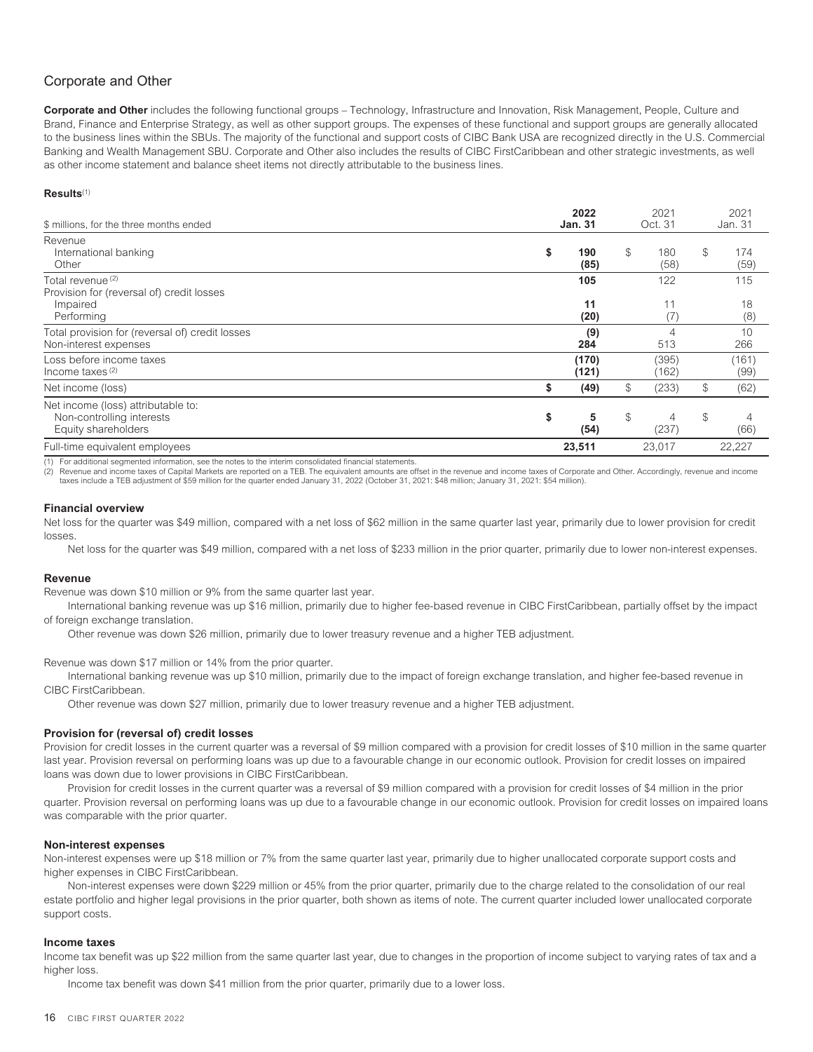# <span id="page-18-0"></span>Corporate and Other

**Corporate and Other** includes the following functional groups – Technology, Infrastructure and Innovation, Risk Management, People, Culture and Brand, Finance and Enterprise Strategy, as well as other support groups. The expenses of these functional and support groups are generally allocated to the business lines within the SBUs. The majority of the functional and support costs of CIBC Bank USA are recognized directly in the U.S. Commercial Banking and Wealth Management SBU. Corporate and Other also includes the results of CIBC FirstCaribbean and other strategic investments, as well as other income statement and balance sheet items not directly attributable to the business lines.

### **Results**(1)

| \$ millions, for the three months ended                                                             | 2022<br><b>Jan. 31</b> |                | 2021<br>Oct. 31 | 2021<br>Jan. 31   |
|-----------------------------------------------------------------------------------------------------|------------------------|----------------|-----------------|-------------------|
| Revenue<br>International banking<br>Other                                                           | \$<br>190<br>(85)      | $\mathbb S$    | 180<br>(58)     | \$<br>174<br>(59) |
| Total revenue <sup>(2)</sup><br>Provision for (reversal of) credit losses<br>Impaired<br>Performing | 105<br>11<br>(20)      |                | 122<br>11<br>17 | 115<br>18<br>(8)  |
| Total provision for (reversal of) credit losses<br>Non-interest expenses                            | (9)<br>284             |                | 4<br>513        | 10<br>266         |
| Loss before income taxes<br>Income taxes $(2)$                                                      | (170)<br>(121)         |                | (395)<br>(162)  | (161)<br>(99)     |
| Net income (loss)                                                                                   | \$<br>(49)             | $$\mathbb{S}$$ | (233)           | \$<br>(62)        |
| Net income (loss) attributable to:<br>Non-controlling interests<br>Equity shareholders              | \$<br>5<br>(54)        | $\mathcal{S}$  | 4<br>(237)      | \$<br>4<br>(66)   |
| Full-time equivalent employees                                                                      | 23,511                 |                | 23,017          | 22,227            |

For additional segmented information, see the notes to the interim consolidated financial statements.

Revenue and income taxes of Capital Markets are reported on a TEB. The equivalent amounts are offset in the revenue and income taxes of Corporate and Other. Accordingly, revenue and income taxes include a TEB adjustment of \$59 million for the quarter ended January 31, 2022 (October 31, 2021: \$48 million; January 31, 2021: \$54 million).

### **Financial overview**

Net loss for the quarter was \$49 million, compared with a net loss of \$62 million in the same quarter last year, primarily due to lower provision for credit losses.

Net loss for the quarter was \$49 million, compared with a net loss of \$233 million in the prior quarter, primarily due to lower non-interest expenses.

### **Revenue**

Revenue was down \$10 million or 9% from the same quarter last year.

International banking revenue was up \$16 million, primarily due to higher fee-based revenue in CIBC FirstCaribbean, partially offset by the impact of foreign exchange translation.

Other revenue was down \$26 million, primarily due to lower treasury revenue and a higher TEB adjustment.

Revenue was down \$17 million or 14% from the prior quarter.

International banking revenue was up \$10 million, primarily due to the impact of foreign exchange translation, and higher fee-based revenue in CIBC FirstCaribbean.

Other revenue was down \$27 million, primarily due to lower treasury revenue and a higher TEB adjustment.

### **Provision for (reversal of) credit losses**

Provision for credit losses in the current quarter was a reversal of \$9 million compared with a provision for credit losses of \$10 million in the same quarter last year. Provision reversal on performing loans was up due to a favourable change in our economic outlook. Provision for credit losses on impaired loans was down due to lower provisions in CIBC FirstCaribbean.

Provision for credit losses in the current quarter was a reversal of \$9 million compared with a provision for credit losses of \$4 million in the prior quarter. Provision reversal on performing loans was up due to a favourable change in our economic outlook. Provision for credit losses on impaired loans was comparable with the prior quarter.

### **Non-interest expenses**

Non-interest expenses were up \$18 million or 7% from the same quarter last year, primarily due to higher unallocated corporate support costs and higher expenses in CIBC FirstCaribbean.

Non-interest expenses were down \$229 million or 45% from the prior quarter, primarily due to the charge related to the consolidation of our real estate portfolio and higher legal provisions in the prior quarter, both shown as items of note. The current quarter included lower unallocated corporate support costs.

### **Income taxes**

Income tax benefit was up \$22 million from the same quarter last year, due to changes in the proportion of income subject to varying rates of tax and a higher loss.

Income tax benefit was down \$41 million from the prior quarter, primarily due to a lower loss.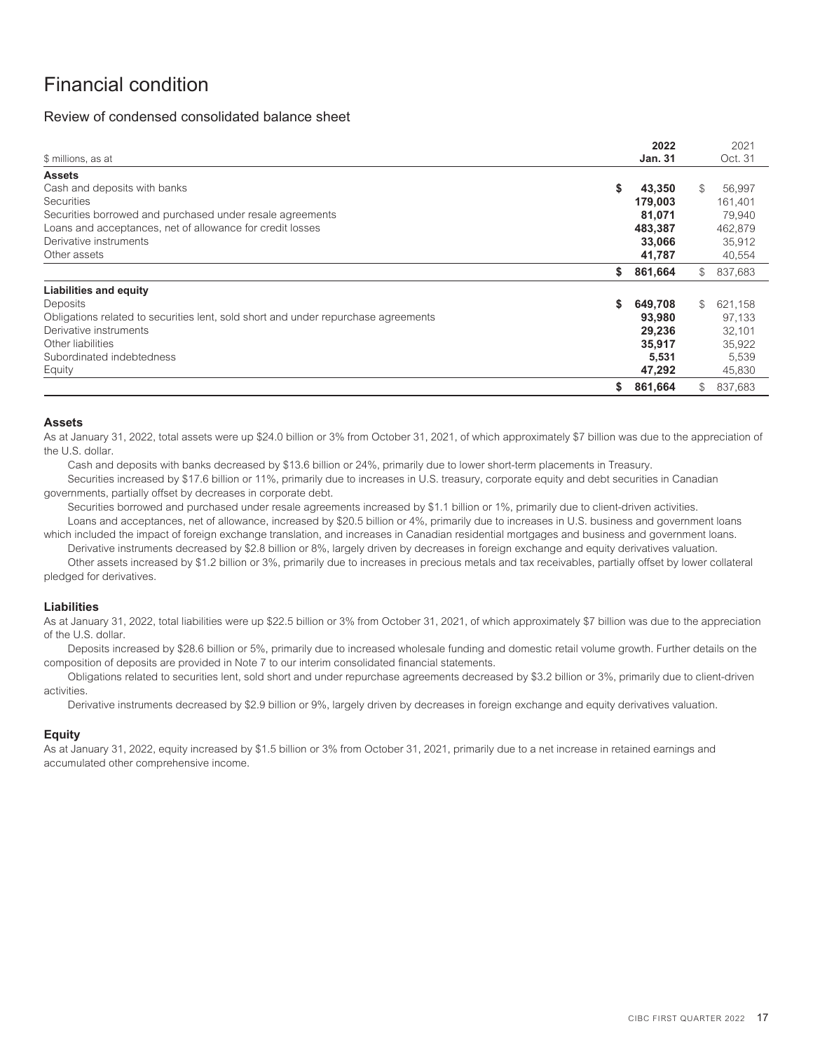# <span id="page-19-1"></span><span id="page-19-0"></span>Financial condition

# Review of condensed consolidated balance sheet

|                                                                                    |    | 2022           |              | 2021    |
|------------------------------------------------------------------------------------|----|----------------|--------------|---------|
| \$ millions, as at                                                                 |    | <b>Jan. 31</b> |              | Oct. 31 |
| <b>Assets</b>                                                                      |    |                |              |         |
| Cash and deposits with banks                                                       |    | 43,350         |              | 56.997  |
| Securities                                                                         |    | 179,003        |              | 161,401 |
| Securities borrowed and purchased under resale agreements                          |    | 81,071         |              | 79,940  |
| Loans and acceptances, net of allowance for credit losses                          |    | 483,387        |              | 462,879 |
| Derivative instruments                                                             |    | 33,066         |              | 35,912  |
| Other assets                                                                       |    | 41,787         |              | 40,554  |
|                                                                                    | \$ | 861,664        | $\mathbb{S}$ | 837,683 |
| <b>Liabilities and equity</b>                                                      |    |                |              |         |
| Deposits                                                                           | S. | 649,708        | $\mathbb{S}$ | 621,158 |
| Obligations related to securities lent, sold short and under repurchase agreements |    | 93,980         |              | 97,133  |
| Derivative instruments                                                             |    | 29,236         |              | 32.101  |
| Other liabilities                                                                  |    | 35,917         |              | 35.922  |
| Subordinated indebtedness                                                          |    | 5,531          |              | 5,539   |
| Equity                                                                             |    | 47,292         |              | 45,830  |
|                                                                                    | S. | 861,664        | $\mathbb{S}$ | 837.683 |

### **Assets**

As at January 31, 2022, total assets were up \$24.0 billion or 3% from October 31, 2021, of which approximately \$7 billion was due to the appreciation of the U.S. dollar.

Cash and deposits with banks decreased by \$13.6 billion or 24%, primarily due to lower short-term placements in Treasury.

Securities increased by \$17.6 billion or 11%, primarily due to increases in U.S. treasury, corporate equity and debt securities in Canadian governments, partially offset by decreases in corporate debt.

Securities borrowed and purchased under resale agreements increased by \$1.1 billion or 1%, primarily due to client-driven activities.

Loans and acceptances, net of allowance, increased by \$20.5 billion or 4%, primarily due to increases in U.S. business and government loans which included the impact of foreign exchange translation, and increases in Canadian residential mortgages and business and government loans.

Derivative instruments decreased by \$2.8 billion or 8%, largely driven by decreases in foreign exchange and equity derivatives valuation.

Other assets increased by \$1.2 billion or 3%, primarily due to increases in precious metals and tax receivables, partially offset by lower collateral pledged for derivatives.

# **Liabilities**

As at January 31, 2022, total liabilities were up \$22.5 billion or 3% from October 31, 2021, of which approximately \$7 billion was due to the appreciation of the U.S. dollar.

Deposits increased by \$28.6 billion or 5%, primarily due to increased wholesale funding and domestic retail volume growth. Further details on the composition of deposits are provided in Note 7 to our interim consolidated financial statements.

Obligations related to securities lent, sold short and under repurchase agreements decreased by \$3.2 billion or 3%, primarily due to client-driven activities.

Derivative instruments decreased by \$2.9 billion or 9%, largely driven by decreases in foreign exchange and equity derivatives valuation.

# **Equity**

As at January 31, 2022, equity increased by \$1.5 billion or 3% from October 31, 2021, primarily due to a net increase in retained earnings and accumulated other comprehensive income.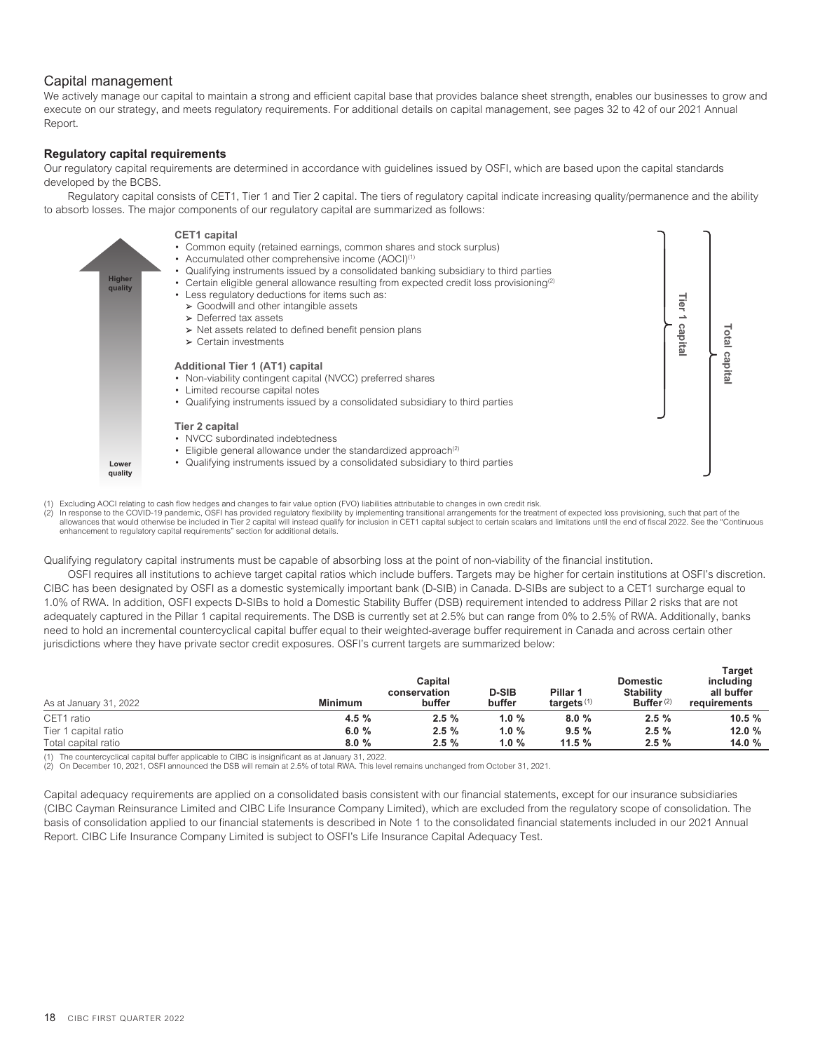# <span id="page-20-0"></span>Capital management

We actively manage our capital to maintain a strong and efficient capital base that provides balance sheet strength, enables our businesses to grow and execute on our strategy, and meets regulatory requirements. For additional details on capital management, see pages 32 to 42 of our 2021 Annual Report.

# **Regulatory capital requirements**

Our regulatory capital requirements are determined in accordance with guidelines issued by OSFI, which are based upon the capital standards developed by the BCBS.

Regulatory capital consists of CET1, Tier 1 and Tier 2 capital. The tiers of regulatory capital indicate increasing quality/permanence and the ability to absorb losses. The major components of our regulatory capital are summarized as follows:



(1) Excluding AOCI relating to cash flow hedges and changes to fair value option (FVO) liabilities attributable to changes in own credit risk.

2) In response to the COVID-19 pandemic, OSFI has provided regulatory flexibility by implementing transitional arrangements for the treatment of expected loss provisioning, such that part of the<br>allowances that would other enhancement to regulatory capital requirements" section for additional details.

Qualifying regulatory capital instruments must be capable of absorbing loss at the point of non-viability of the financial institution.

OSFI requires all institutions to achieve target capital ratios which include buffers. Targets may be higher for certain institutions at OSFI's discretion. CIBC has been designated by OSFI as a domestic systemically important bank (D-SIB) in Canada. D-SIBs are subject to a CET1 surcharge equal to 1.0% of RWA. In addition, OSFI expects D-SIBs to hold a Domestic Stability Buffer (DSB) requirement intended to address Pillar 2 risks that are not adequately captured in the Pillar 1 capital requirements. The DSB is currently set at 2.5% but can range from 0% to 2.5% of RWA. Additionally, banks need to hold an incremental countercyclical capital buffer equal to their weighted-average buffer requirement in Canada and across certain other jurisdictions where they have private sector credit exposures. OSFI's current targets are summarized below:

| As at January 31, 2022 | <b>Minimum</b> | Capital<br>conservation<br>buffer | <b>D-SIB</b><br>buffer | Pillar 1<br>targets $(1)$ | <b>Domestic</b><br><b>Stability</b><br>Buffer $(2)$ | <b>Target</b><br>including<br>all buffer<br>requirements |
|------------------------|----------------|-----------------------------------|------------------------|---------------------------|-----------------------------------------------------|----------------------------------------------------------|
| CET1 ratio             | 4.5%           | 2.5%                              | 1.0%                   | 8.0%                      | 2.5%                                                | $10.5 \%$                                                |
| Tier 1 capital ratio   | 6.0%           | 2.5%                              | 1.0%                   | 9.5%                      | 2.5%                                                | 12.0%                                                    |
| Total capital ratio    | 8.0%           | 2.5%                              | 1.0%                   | 11.5%                     | 2.5%                                                | 14.0 %                                                   |

(1) The countercyclical capital buffer applicable to CIBC is insignificant as at January 31, 2022.

(2) On December 10, 2021, OSFI announced the DSB will remain at 2.5% of total RWA. This level remains unchanged from October 31, 2021.

Capital adequacy requirements are applied on a consolidated basis consistent with our financial statements, except for our insurance subsidiaries (CIBC Cayman Reinsurance Limited and CIBC Life Insurance Company Limited), which are excluded from the regulatory scope of consolidation. The basis of consolidation applied to our financial statements is described in Note 1 to the consolidated financial statements included in our 2021 Annual Report. CIBC Life Insurance Company Limited is subject to OSFI's Life Insurance Capital Adequacy Test.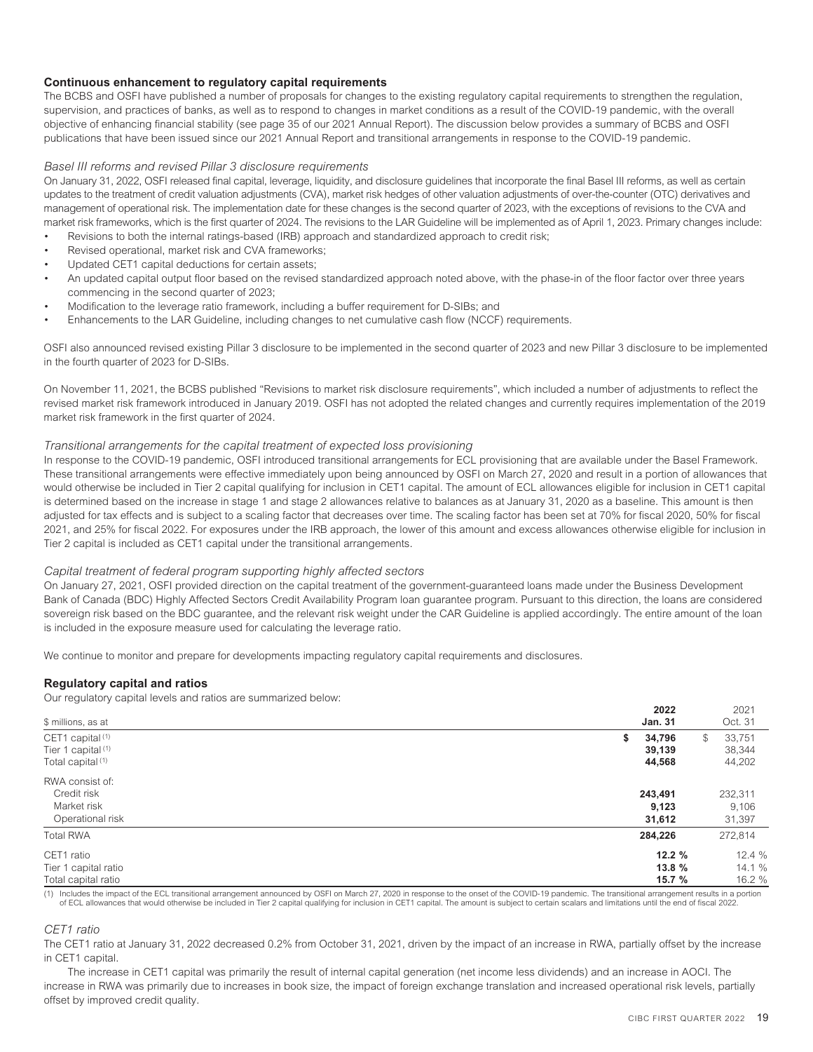### **Continuous enhancement to regulatory capital requirements**

The BCBS and OSFI have published a number of proposals for changes to the existing regulatory capital requirements to strengthen the regulation, supervision, and practices of banks, as well as to respond to changes in market conditions as a result of the COVID-19 pandemic, with the overall objective of enhancing financial stability (see page 35 of our 2021 Annual Report). The discussion below provides a summary of BCBS and OSFI publications that have been issued since our 2021 Annual Report and transitional arrangements in response to the COVID-19 pandemic.

### *Basel III reforms and revised Pillar 3 disclosure requirements*

On January 31, 2022, OSFI released final capital, leverage, liquidity, and disclosure guidelines that incorporate the final Basel III reforms, as well as certain updates to the treatment of credit valuation adjustments (CVA), market risk hedges of other valuation adjustments of over-the-counter (OTC) derivatives and management of operational risk. The implementation date for these changes is the second quarter of 2023, with the exceptions of revisions to the CVA and market risk frameworks, which is the first quarter of 2024. The revisions to the LAR Guideline will be implemented as of April 1, 2023. Primary changes include:

- Revisions to both the internal ratings-based (IRB) approach and standardized approach to credit risk;
- Revised operational, market risk and CVA frameworks;
- Updated CET1 capital deductions for certain assets;
- An updated capital output floor based on the revised standardized approach noted above, with the phase-in of the floor factor over three years commencing in the second quarter of 2023;
- Modification to the leverage ratio framework, including a buffer requirement for D-SIBs; and
- Enhancements to the LAR Guideline, including changes to net cumulative cash flow (NCCF) requirements.

OSFI also announced revised existing Pillar 3 disclosure to be implemented in the second quarter of 2023 and new Pillar 3 disclosure to be implemented in the fourth quarter of 2023 for D-SIBs.

On November 11, 2021, the BCBS published "Revisions to market risk disclosure requirements", which included a number of adjustments to reflect the revised market risk framework introduced in January 2019. OSFI has not adopted the related changes and currently requires implementation of the 2019 market risk framework in the first quarter of 2024.

### *Transitional arrangements for the capital treatment of expected loss provisioning*

In response to the COVID-19 pandemic, OSFI introduced transitional arrangements for ECL provisioning that are available under the Basel Framework. These transitional arrangements were effective immediately upon being announced by OSFI on March 27, 2020 and result in a portion of allowances that would otherwise be included in Tier 2 capital qualifying for inclusion in CET1 capital. The amount of ECL allowances eligible for inclusion in CET1 capital is determined based on the increase in stage 1 and stage 2 allowances relative to balances as at January 31, 2020 as a baseline. This amount is then adjusted for tax effects and is subject to a scaling factor that decreases over time. The scaling factor has been set at 70% for fiscal 2020, 50% for fiscal 2021, and 25% for fiscal 2022. For exposures under the IRB approach, the lower of this amount and excess allowances otherwise eligible for inclusion in Tier 2 capital is included as CET1 capital under the transitional arrangements.

### *Capital treatment of federal program supporting highly affected sectors*

On January 27, 2021, OSFI provided direction on the capital treatment of the government-guaranteed loans made under the Business Development Bank of Canada (BDC) Highly Affected Sectors Credit Availability Program loan guarantee program. Pursuant to this direction, the loans are considered sovereign risk based on the BDC guarantee, and the relevant risk weight under the CAR Guideline is applied accordingly. The entire amount of the loan is included in the exposure measure used for calculating the leverage ratio.

We continue to monitor and prepare for developments impacting regulatory capital requirements and disclosures.

### **Regulatory capital and ratios**

Our regulatory capital levels and ratios are summarized below:

|                               | 2022           | 2021          |
|-------------------------------|----------------|---------------|
| \$ millions, as at            | <b>Jan. 31</b> | Oct. 31       |
| CET1 capital <sup>(1)</sup>   | 34,796<br>S    | 33,751<br>\$. |
| Tier 1 capital <sup>(1)</sup> | 39,139         | 38,344        |
| Total capital <sup>(1)</sup>  | 44,568         | 44,202        |
| RWA consist of:               |                |               |
| Credit risk                   | 243,491        | 232,311       |
| Market risk                   | 9,123          | 9,106         |
| Operational risk              | 31,612         | 31,397        |
| <b>Total RWA</b>              | 284,226        | 272,814       |
| CET1 ratio                    | 12.2%          | 12.4 %        |
| Tier 1 capital ratio          | 13.8%          | 14.1 %        |
| Total capital ratio           | 15.7 %         | 16.2 %        |

(1) Includes the impact of the ECL transitional arrangement announced by OSFI on March 27, 2020 in response to the onset of the COVID-19 pandemic. The transitional arrangement results in a portion of ECL allowances that would otherwise be included in Tier 2 capital qualifying for inclusion in CET1 capital. The amount is subject to certain scalars and limitations until the end of fiscal 2022.

### *CET1 ratio*

The CET1 ratio at January 31, 2022 decreased 0.2% from October 31, 2021, driven by the impact of an increase in RWA, partially offset by the increase in CET1 capital.

The increase in CET1 capital was primarily the result of internal capital generation (net income less dividends) and an increase in AOCI. The increase in RWA was primarily due to increases in book size, the impact of foreign exchange translation and increased operational risk levels, partially offset by improved credit quality.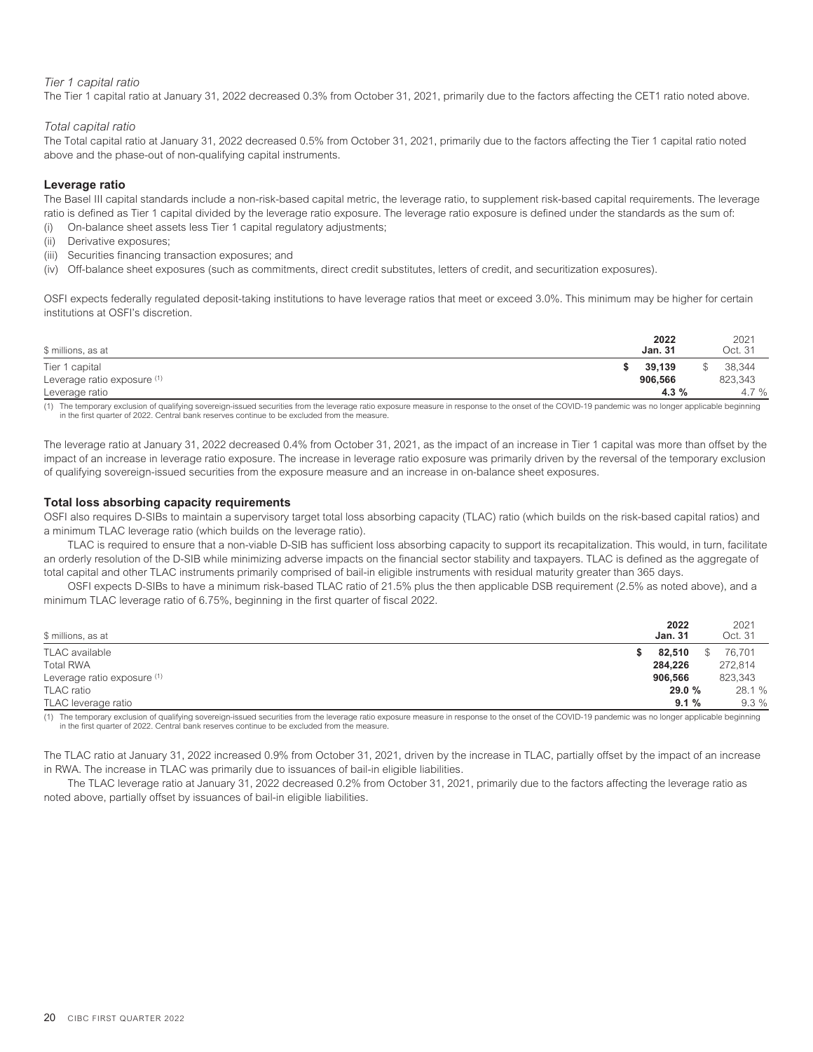### *Tier 1 capital ratio*

The Tier 1 capital ratio at January 31, 2022 decreased 0.3% from October 31, 2021, primarily due to the factors affecting the CET1 ratio noted above.

### *Total capital ratio*

The Total capital ratio at January 31, 2022 decreased 0.5% from October 31, 2021, primarily due to the factors affecting the Tier 1 capital ratio noted above and the phase-out of non-qualifying capital instruments.

### **Leverage ratio**

The Basel III capital standards include a non-risk-based capital metric, the leverage ratio, to supplement risk-based capital requirements. The leverage ratio is defined as Tier 1 capital divided by the leverage ratio exposure. The leverage ratio exposure is defined under the standards as the sum of:

- (i) On-balance sheet assets less Tier 1 capital regulatory adjustments;
- (ii) Derivative exposures;
- (iii) Securities financing transaction exposures; and
- (iv) Off-balance sheet exposures (such as commitments, direct credit substitutes, letters of credit, and securitization exposures).

OSFI expects federally regulated deposit-taking institutions to have leverage ratios that meet or exceed 3.0%. This minimum may be higher for certain institutions at OSFI's discretion.

| \$ millions, as at          | 2022<br><b>Jan. 31</b> | 2021<br>Oct. 31 |
|-----------------------------|------------------------|-----------------|
| Tier 1 capital              | 39,139                 | 38.344          |
| Leverage ratio exposure (1) | 906.566                | 823,343         |
| Leverage ratio              | 4.3%                   | 4.7%            |

(1) The temporary exclusion of qualifying sovereign-issued securities from the leverage ratio exposure measure in response to the onset of the COVID-19 pandemic was no longer applicable beginning in the first quarter of 2022. Central bank reserves continue to be excluded from the measure.

The leverage ratio at January 31, 2022 decreased 0.4% from October 31, 2021, as the impact of an increase in Tier 1 capital was more than offset by the impact of an increase in leverage ratio exposure. The increase in leverage ratio exposure was primarily driven by the reversal of the temporary exclusion of qualifying sovereign-issued securities from the exposure measure and an increase in on-balance sheet exposures.

### **Total loss absorbing capacity requirements**

OSFI also requires D-SIBs to maintain a supervisory target total loss absorbing capacity (TLAC) ratio (which builds on the risk-based capital ratios) and a minimum TLAC leverage ratio (which builds on the leverage ratio).

TLAC is required to ensure that a non-viable D-SIB has sufficient loss absorbing capacity to support its recapitalization. This would, in turn, facilitate an orderly resolution of the D-SIB while minimizing adverse impacts on the financial sector stability and taxpayers. TLAC is defined as the aggregate of total capital and other TLAC instruments primarily comprised of bail-in eligible instruments with residual maturity greater than 365 days.

OSFI expects D-SIBs to have a minimum risk-based TLAC ratio of 21.5% plus the then applicable DSB requirement (2.5% as noted above), and a minimum TLAC leverage ratio of 6.75%, beginning in the first quarter of fiscal 2022.

| \$ millions, as at          | 2022<br><b>Jan. 31</b> |     | 2021<br>Oct. 31 |
|-----------------------------|------------------------|-----|-----------------|
| TLAC available              | 82.510                 | \$. | 76.701          |
| <b>Total RWA</b>            | 284,226                |     | 272,814         |
| Leverage ratio exposure (1) | 906,566                |     | 823,343         |
| TLAC ratio                  | 29.0 %                 |     | 28.1 %          |
| TLAC leverage ratio         | 9.1%                   |     | $9.3\%$         |

1) The temporary exclusion of qualifying sovereign-issued securities from the leverage ratio exposure measure in response to the onset of the COVID-19 pandemic was no longer applicable beginning<br>in the first quarter of 202

The TLAC ratio at January 31, 2022 increased 0.9% from October 31, 2021, driven by the increase in TLAC, partially offset by the impact of an increase in RWA. The increase in TLAC was primarily due to issuances of bail-in eligible liabilities.

The TLAC leverage ratio at January 31, 2022 decreased 0.2% from October 31, 2021, primarily due to the factors affecting the leverage ratio as noted above, partially offset by issuances of bail-in eligible liabilities.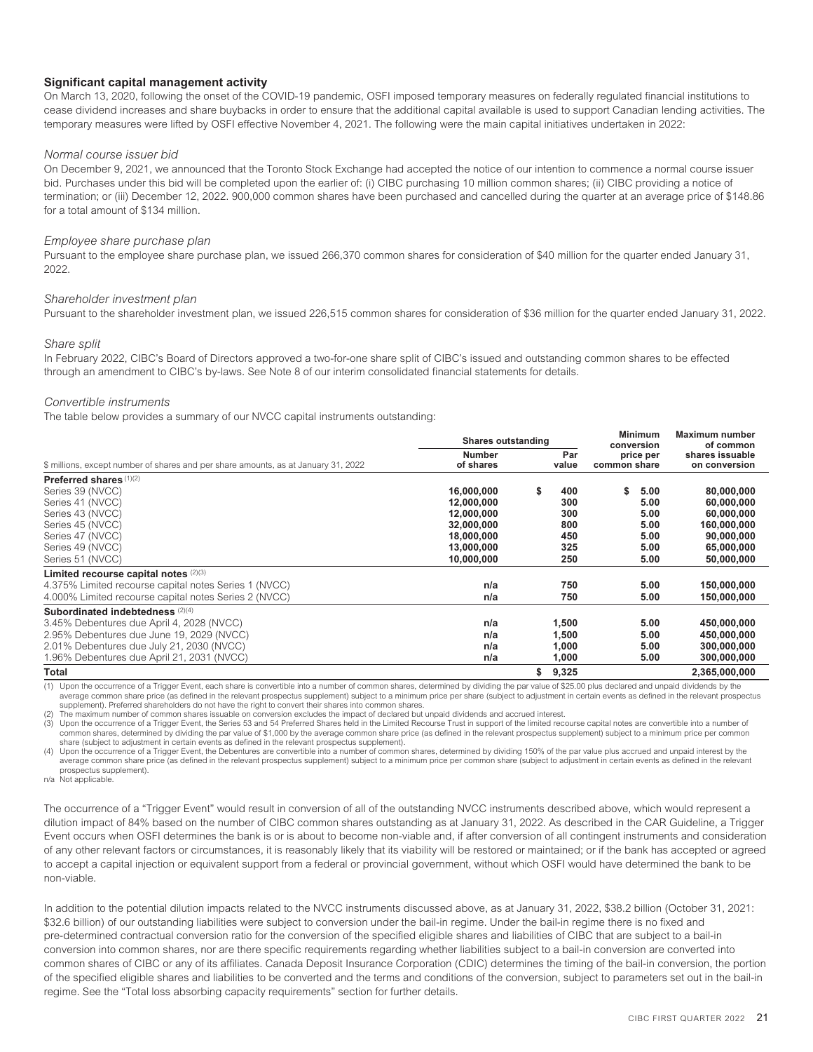### **Significant capital management activity**

On March 13, 2020, following the onset of the COVID-19 pandemic, OSFI imposed temporary measures on federally regulated financial institutions to cease dividend increases and share buybacks in order to ensure that the additional capital available is used to support Canadian lending activities. The temporary measures were lifted by OSFI effective November 4, 2021. The following were the main capital initiatives undertaken in 2022:

### *Normal course issuer bid*

On December 9, 2021, we announced that the Toronto Stock Exchange had accepted the notice of our intention to commence a normal course issuer bid. Purchases under this bid will be completed upon the earlier of: (i) CIBC purchasing 10 million common shares; (ii) CIBC providing a notice of termination; or (iii) December 12, 2022. 900,000 common shares have been purchased and cancelled during the quarter at an average price of \$148.86 for a total amount of \$134 million.

### *Employee share purchase plan*

Pursuant to the employee share purchase plan, we issued 266,370 common shares for consideration of \$40 million for the quarter ended January 31, 2022.

### *Shareholder investment plan*

Pursuant to the shareholder investment plan, we issued 226,515 common shares for consideration of \$36 million for the quarter ended January 31, 2022.

### *Share split*

In February 2022, CIBC's Board of Directors approved a two-for-one share split of CIBC's issued and outstanding common shares to be effected through an amendment to CIBC's by-laws. See Note 8 of our interim consolidated financial statements for details.

### *Convertible instruments*

The table below provides a summary of our NVCC capital instruments outstanding:

|                                                                                    | <b>Shares outstanding</b>  |              |       |                           | <b>Minimum</b><br>conversion | Maximum number<br>of common      |
|------------------------------------------------------------------------------------|----------------------------|--------------|-------|---------------------------|------------------------------|----------------------------------|
| \$ millions, except number of shares and per share amounts, as at January 31, 2022 | <b>Number</b><br>of shares | Par<br>value |       | price per<br>common share |                              | shares issuable<br>on conversion |
|                                                                                    |                            |              |       |                           |                              |                                  |
| Preferred shares (1)(2)                                                            |                            |              |       |                           |                              |                                  |
| Series 39 (NVCC)                                                                   | 16,000,000                 | \$           | 400   | s.                        | 5.00                         | 80,000,000                       |
| Series 41 (NVCC)                                                                   | 12,000,000                 |              | 300   |                           | 5.00                         | 60,000,000                       |
| Series 43 (NVCC)                                                                   | 12,000,000                 |              | 300   |                           | 5.00                         | 60,000,000                       |
| Series 45 (NVCC)                                                                   | 32,000,000                 |              | 800   |                           | 5.00                         | 160,000,000                      |
| Series 47 (NVCC)                                                                   | 18,000,000                 |              | 450   |                           | 5.00                         | 90,000,000                       |
| Series 49 (NVCC)                                                                   | 13,000,000                 |              | 325   |                           | 5.00                         | 65,000,000                       |
| Series 51 (NVCC)                                                                   | 10,000,000                 |              | 250   |                           | 5.00                         | 50,000,000                       |
| Limited recourse capital notes (2)(3)                                              |                            |              |       |                           |                              |                                  |
| 4.375% Limited recourse capital notes Series 1 (NVCC)                              | n/a                        |              | 750   |                           | 5.00                         | 150,000,000                      |
| 4.000% Limited recourse capital notes Series 2 (NVCC)                              | n/a                        |              | 750   |                           | 5.00                         | 150,000,000                      |
| Subordinated indebtedness (2)(4)                                                   |                            |              |       |                           |                              |                                  |
| 3.45% Debentures due April 4, 2028 (NVCC)                                          | n/a                        |              | 1,500 |                           | 5.00                         | 450,000,000                      |
| 2.95% Debentures due June 19, 2029 (NVCC)                                          | n/a                        |              | 1,500 |                           | 5.00                         | 450,000,000                      |
| 2.01% Debentures due July 21, 2030 (NVCC)                                          | n/a                        |              | 1,000 |                           | 5.00                         | 300,000,000                      |
| 1.96% Debentures due April 21, 2031 (NVCC)                                         | n/a                        |              | 1,000 |                           | 5.00                         | 300,000,000                      |
| <b>Total</b>                                                                       |                            | \$           | 9,325 |                           |                              | 2,365,000,000                    |

(1) Upon the occurrence of a Trigger Event, each share is convertible into a number of common shares, determined by dividing the par value of \$25.00 plus declared and unpaid dividends by the average common share price (as defined in the relevant prospectus supplement) subject to a minimum price per share (subject to adjustment in certain events as defined in the relevant prospectus supplement). Preferred shareholders do not have the right to convert their shares into common shares.

The maximum number of common shares issuable on conversion excludes the impact of declared but unpaid dividends and accrued interest.

(3) Upon the occurrence of a Trigger Event, the Series 53 and 54 Preferred Shares held in the Limited Recourse Trust in support of the limited recourse capital notes are convertible into a number of (3) common shares, determined by dividing the par value of \$1,000 by the average common share price (as defined in the relevant prospectus supplement) subject to a minimum price per common share (subject to adjustment in certain events as defined in the relevant prospectus supplement).

(4) Upon the occurrence of a Trigger Event, the Debentures are convertible into a number of common shares, determined by dividing 150% of the par value plus accrued and unpaid interest by the average common share price (as defined in the relevant prospectus supplement) subject to a minimum price per common share (subject to adjustment in certain events as defined in the relevant prospectus supplement).

n/a Not applicable.

The occurrence of a "Trigger Event" would result in conversion of all of the outstanding NVCC instruments described above, which would represent a dilution impact of 84% based on the number of CIBC common shares outstanding as at January 31, 2022. As described in the CAR Guideline, a Trigger Event occurs when OSFI determines the bank is or is about to become non-viable and, if after conversion of all contingent instruments and consideration of any other relevant factors or circumstances, it is reasonably likely that its viability will be restored or maintained; or if the bank has accepted or agreed to accept a capital injection or equivalent support from a federal or provincial government, without which OSFI would have determined the bank to be non-viable.

In addition to the potential dilution impacts related to the NVCC instruments discussed above, as at January 31, 2022, \$38.2 billion (October 31, 2021: \$32.6 billion) of our outstanding liabilities were subject to conversion under the bail-in regime. Under the bail-in regime there is no fixed and pre-determined contractual conversion ratio for the conversion of the specified eligible shares and liabilities of CIBC that are subject to a bail-in conversion into common shares, nor are there specific requirements regarding whether liabilities subject to a bail-in conversion are converted into common shares of CIBC or any of its affiliates. Canada Deposit Insurance Corporation (CDIC) determines the timing of the bail-in conversion, the portion of the specified eligible shares and liabilities to be converted and the terms and conditions of the conversion, subject to parameters set out in the bail-in regime. See the "Total loss absorbing capacity requirements" section for further details.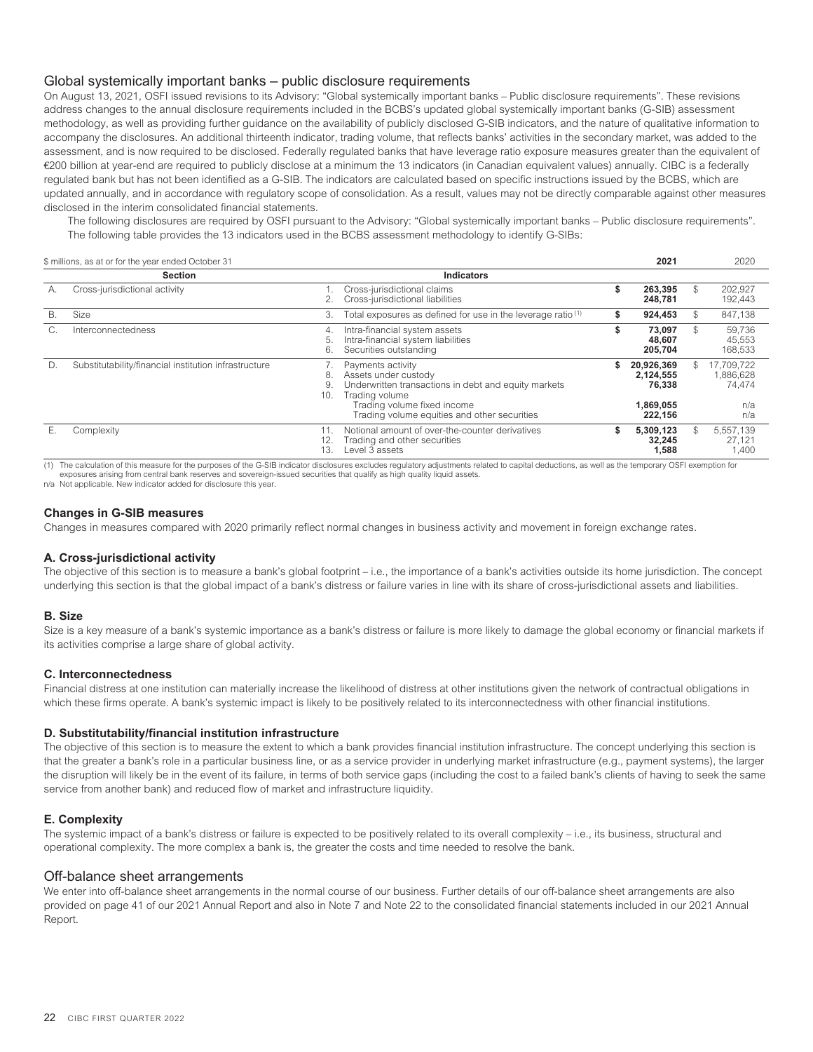# Global systemically important banks – public disclosure requirements

On August 13, 2021, OSFI issued revisions to its Advisory: "Global systemically important banks – Public disclosure requirements". These revisions address changes to the annual disclosure requirements included in the BCBS's updated global systemically important banks (G-SIB) assessment methodology, as well as providing further guidance on the availability of publicly disclosed G-SIB indicators, and the nature of qualitative information to accompany the disclosures. An additional thirteenth indicator, trading volume, that reflects banks' activities in the secondary market, was added to the assessment, and is now required to be disclosed. Federally regulated banks that have leverage ratio exposure measures greater than the equivalent of €200 billion at year-end are required to publicly disclose at a minimum the 13 indicators (in Canadian equivalent values) annually. CIBC is a federally regulated bank but has not been identified as a G-SIB. The indicators are calculated based on specific instructions issued by the BCBS, which are updated annually, and in accordance with regulatory scope of consolidation. As a result, values may not be directly comparable against other measures disclosed in the interim consolidated financial statements.

The following disclosures are required by OSFI pursuant to the Advisory: "Global systemically important banks – Public disclosure requirements". The following table provides the 13 indicators used in the BCBS assessment methodology to identify G-SIBs:

\$ millions, as at or for the year ended October 31 **2021** 2020

|    |                                                       |                                                                                                                                                                                                                       |                                                           |               | ----                                            |
|----|-------------------------------------------------------|-----------------------------------------------------------------------------------------------------------------------------------------------------------------------------------------------------------------------|-----------------------------------------------------------|---------------|-------------------------------------------------|
|    | <b>Section</b>                                        | <b>Indicators</b>                                                                                                                                                                                                     |                                                           |               |                                                 |
| А. | Cross-jurisdictional activity                         | Cross-jurisdictional claims<br>Cross-jurisdictional liabilities                                                                                                                                                       | 263.395<br>248.781                                        | \$            | 202,927<br>192,443                              |
| В. | Size                                                  | Total exposures as defined for use in the leverage ratio <sup>(1)</sup><br>3.                                                                                                                                         | 924.453                                                   | $\mathcal{S}$ | 847,138                                         |
| G. | Interconnectedness                                    | Intra-financial system assets<br>4.<br>Intra-financial system liabilities<br>5.<br>6.<br>Securities outstanding                                                                                                       | 73.097<br>48.607<br>205.704                               | \$.           | 59.736<br>45,553<br>168,533                     |
| D. | Substitutability/financial institution infrastructure | Payments activity<br>Assets under custody<br>8.<br>Underwritten transactions in debt and equity markets<br>9.<br>10.<br>Trading volume<br>Trading volume fixed income<br>Trading volume equities and other securities | 20,926,369<br>2,124,555<br>76.338<br>1,869,055<br>222.156 | \$.           | 17,709,722<br>1,886,628<br>74,474<br>n/a<br>n/a |
| Е. | Complexity                                            | Notional amount of over-the-counter derivatives<br>Trading and other securities<br>12.<br>Level 3 assets<br>13.                                                                                                       | 5.309.123<br>32.245<br>1.588                              | \$.           | 5.557.139<br>27.121<br>1,400                    |

(1) The calculation of this measure for the purposes of the G-SIB indicator disclosures excludes regulatory adjustments related to capital deductions, as well as the temporary OSFI exemption for exposures arising from central bank reserves and sovereign-issued securities that qualify as high quality liquid assets.

n/a Not applicable. New indicator added for disclosure this year.

### **Changes in G-SIB measures**

Changes in measures compared with 2020 primarily reflect normal changes in business activity and movement in foreign exchange rates.

# **A. Cross-jurisdictional activity**

The objective of this section is to measure a bank's global footprint – i.e., the importance of a bank's activities outside its home jurisdiction. The concept underlying this section is that the global impact of a bank's distress or failure varies in line with its share of cross-jurisdictional assets and liabilities.

### **B. Size**

Size is a key measure of a bank's systemic importance as a bank's distress or failure is more likely to damage the global economy or financial markets if its activities comprise a large share of global activity.

### **C. Interconnectedness**

Financial distress at one institution can materially increase the likelihood of distress at other institutions given the network of contractual obligations in which these firms operate. A bank's systemic impact is likely to be positively related to its interconnectedness with other financial institutions.

### **D. Substitutability/financial institution infrastructure**

The objective of this section is to measure the extent to which a bank provides financial institution infrastructure. The concept underlying this section is that the greater a bank's role in a particular business line, or as a service provider in underlying market infrastructure (e.g., payment systems), the larger the disruption will likely be in the event of its failure, in terms of both service gaps (including the cost to a failed bank's clients of having to seek the same service from another bank) and reduced flow of market and infrastructure liquidity.

### **E. Complexity**

<span id="page-24-0"></span>The systemic impact of a bank's distress or failure is expected to be positively related to its overall complexity – i.e., its business, structural and operational complexity. The more complex a bank is, the greater the costs and time needed to resolve the bank.

### Off-balance sheet arrangements

We enter into off-balance sheet arrangements in the normal course of our business. Further details of our off-balance sheet arrangements are also provided on page 41 of our 2021 Annual Report and also in Note 7 and Note 22 to the consolidated financial statements included in our 2021 Annual Report.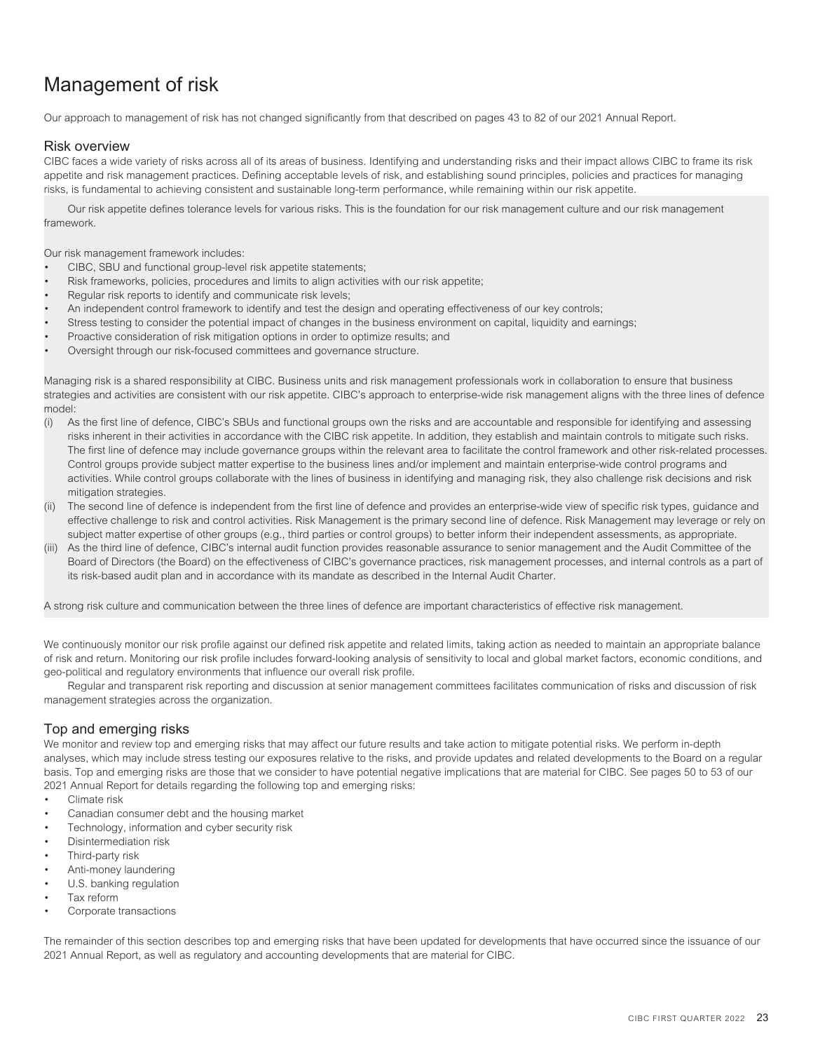# <span id="page-25-0"></span>Management of risk

<span id="page-25-1"></span>Our approach to management of risk has not changed significantly from that described on pages 43 to 82 of our 2021 Annual Report.

# Risk overview

CIBC faces a wide variety of risks across all of its areas of business. Identifying and understanding risks and their impact allows CIBC to frame its risk appetite and risk management practices. Defining acceptable levels of risk, and establishing sound principles, policies and practices for managing risks, is fundamental to achieving consistent and sustainable long-term performance, while remaining within our risk appetite.

Our risk appetite defines tolerance levels for various risks. This is the foundation for our risk management culture and our risk management framework.

Our risk management framework includes:

- CIBC, SBU and functional group-level risk appetite statements;
- Risk frameworks, policies, procedures and limits to align activities with our risk appetite;
- Regular risk reports to identify and communicate risk levels:
- An independent control framework to identify and test the design and operating effectiveness of our key controls;
- Stress testing to consider the potential impact of changes in the business environment on capital, liquidity and earnings;
- Proactive consideration of risk mitigation options in order to optimize results; and
- Oversight through our risk-focused committees and governance structure.

Managing risk is a shared responsibility at CIBC. Business units and risk management professionals work in collaboration to ensure that business strategies and activities are consistent with our risk appetite. CIBC's approach to enterprise-wide risk management aligns with the three lines of defence model:

- (i) As the first line of defence, CIBC's SBUs and functional groups own the risks and are accountable and responsible for identifying and assessing risks inherent in their activities in accordance with the CIBC risk appetite. In addition, they establish and maintain controls to mitigate such risks. The first line of defence may include governance groups within the relevant area to facilitate the control framework and other risk-related processes. Control groups provide subject matter expertise to the business lines and/or implement and maintain enterprise-wide control programs and activities. While control groups collaborate with the lines of business in identifying and managing risk, they also challenge risk decisions and risk mitigation strategies.
- (ii) The second line of defence is independent from the first line of defence and provides an enterprise-wide view of specific risk types, guidance and effective challenge to risk and control activities. Risk Management is the primary second line of defence. Risk Management may leverage or rely on subject matter expertise of other groups (e.g., third parties or control groups) to better inform their independent assessments, as appropriate.
- (iii) As the third line of defence, CIBC's internal audit function provides reasonable assurance to senior management and the Audit Committee of the Board of Directors (the Board) on the effectiveness of CIBC's governance practices, risk management processes, and internal controls as a part of its risk-based audit plan and in accordance with its mandate as described in the Internal Audit Charter.

A strong risk culture and communication between the three lines of defence are important characteristics of effective risk management.

We continuously monitor our risk profile against our defined risk appetite and related limits, taking action as needed to maintain an appropriate balance of risk and return. Monitoring our risk profile includes forward-looking analysis of sensitivity to local and global market factors, economic conditions, and geo-political and regulatory environments that influence our overall risk profile.

<span id="page-25-2"></span>Regular and transparent risk reporting and discussion at senior management committees facilitates communication of risks and discussion of risk management strategies across the organization.

# Top and emerging risks

We monitor and review top and emerging risks that may affect our future results and take action to mitigate potential risks. We perform in-depth analyses, which may include stress testing our exposures relative to the risks, and provide updates and related developments to the Board on a regular basis. Top and emerging risks are those that we consider to have potential negative implications that are material for CIBC. See pages 50 to 53 of our 2021 Annual Report for details regarding the following top and emerging risks:

- Climate risk
- Canadian consumer debt and the housing market
- Technology, information and cyber security risk
- Disintermediation risk
- Third-party risk
- Anti-money laundering
- U.S. banking regulation
- Tax reform
- Corporate transactions

The remainder of this section describes top and emerging risks that have been updated for developments that have occurred since the issuance of our 2021 Annual Report, as well as regulatory and accounting developments that are material for CIBC.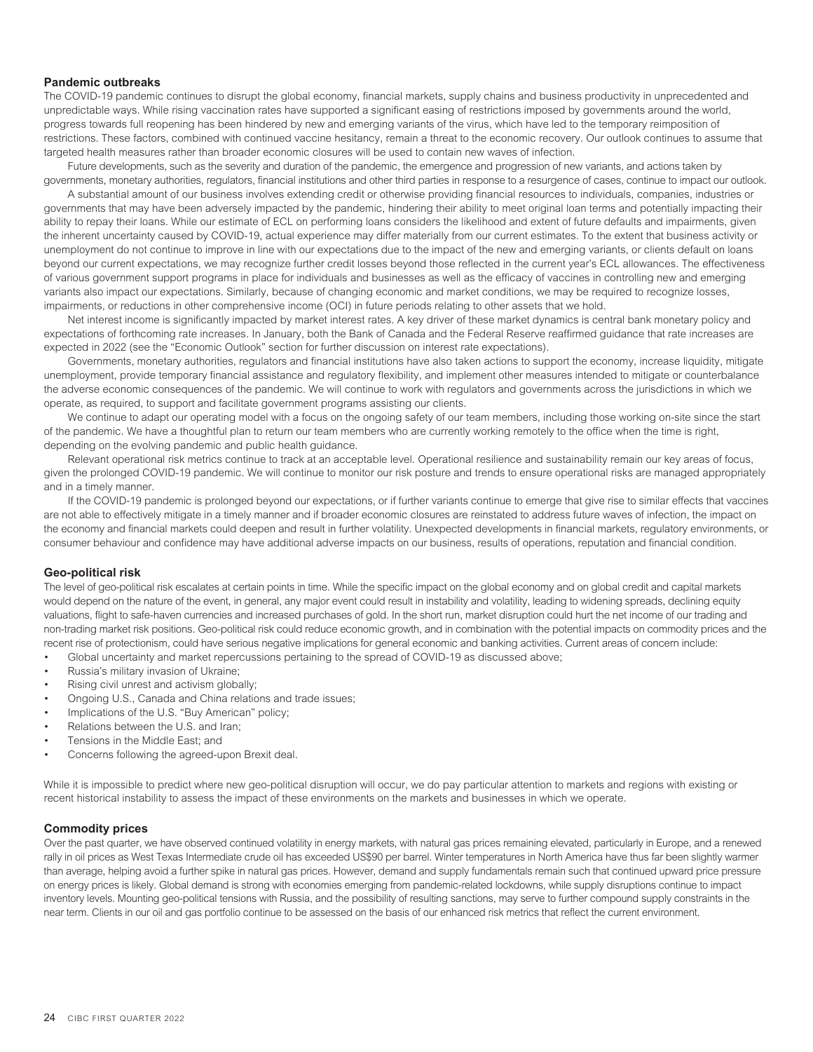### **Pandemic outbreaks**

The COVID-19 pandemic continues to disrupt the global economy, financial markets, supply chains and business productivity in unprecedented and unpredictable ways. While rising vaccination rates have supported a significant easing of restrictions imposed by governments around the world, progress towards full reopening has been hindered by new and emerging variants of the virus, which have led to the temporary reimposition of restrictions. These factors, combined with continued vaccine hesitancy, remain a threat to the economic recovery. Our outlook continues to assume that targeted health measures rather than broader economic closures will be used to contain new waves of infection.

Future developments, such as the severity and duration of the pandemic, the emergence and progression of new variants, and actions taken by governments, monetary authorities, regulators, financial institutions and other third parties in response to a resurgence of cases, continue to impact our outlook.

A substantial amount of our business involves extending credit or otherwise providing financial resources to individuals, companies, industries or governments that may have been adversely impacted by the pandemic, hindering their ability to meet original loan terms and potentially impacting their ability to repay their loans. While our estimate of ECL on performing loans considers the likelihood and extent of future defaults and impairments, given the inherent uncertainty caused by COVID-19, actual experience may differ materially from our current estimates. To the extent that business activity or unemployment do not continue to improve in line with our expectations due to the impact of the new and emerging variants, or clients default on loans beyond our current expectations, we may recognize further credit losses beyond those reflected in the current year's ECL allowances. The effectiveness of various government support programs in place for individuals and businesses as well as the efficacy of vaccines in controlling new and emerging variants also impact our expectations. Similarly, because of changing economic and market conditions, we may be required to recognize losses, impairments, or reductions in other comprehensive income (OCI) in future periods relating to other assets that we hold.

Net interest income is significantly impacted by market interest rates. A key driver of these market dynamics is central bank monetary policy and expectations of forthcoming rate increases. In January, both the Bank of Canada and the Federal Reserve reaffirmed guidance that rate increases are expected in 2022 (see the "Economic Outlook" section for further discussion on interest rate expectations).

Governments, monetary authorities, regulators and financial institutions have also taken actions to support the economy, increase liquidity, mitigate unemployment, provide temporary financial assistance and regulatory flexibility, and implement other measures intended to mitigate or counterbalance the adverse economic consequences of the pandemic. We will continue to work with regulators and governments across the jurisdictions in which we operate, as required, to support and facilitate government programs assisting our clients.

We continue to adapt our operating model with a focus on the ongoing safety of our team members, including those working on-site since the start of the pandemic. We have a thoughtful plan to return our team members who are currently working remotely to the office when the time is right, depending on the evolving pandemic and public health guidance.

Relevant operational risk metrics continue to track at an acceptable level. Operational resilience and sustainability remain our key areas of focus, given the prolonged COVID-19 pandemic. We will continue to monitor our risk posture and trends to ensure operational risks are managed appropriately and in a timely manner.

If the COVID-19 pandemic is prolonged beyond our expectations, or if further variants continue to emerge that give rise to similar effects that vaccines are not able to effectively mitigate in a timely manner and if broader economic closures are reinstated to address future waves of infection, the impact on the economy and financial markets could deepen and result in further volatility. Unexpected developments in financial markets, regulatory environments, or consumer behaviour and confidence may have additional adverse impacts on our business, results of operations, reputation and financial condition.

### **Geo-political risk**

The level of geo-political risk escalates at certain points in time. While the specific impact on the global economy and on global credit and capital markets would depend on the nature of the event, in general, any major event could result in instability and volatility, leading to widening spreads, declining equity valuations, flight to safe-haven currencies and increased purchases of gold. In the short run, market disruption could hurt the net income of our trading and non-trading market risk positions. Geo-political risk could reduce economic growth, and in combination with the potential impacts on commodity prices and the recent rise of protectionism, could have serious negative implications for general economic and banking activities. Current areas of concern include:

- Global uncertainty and market repercussions pertaining to the spread of COVID-19 as discussed above;
- Russia's military invasion of Ukraine;
- Rising civil unrest and activism globally;
- Ongoing U.S., Canada and China relations and trade issues;
- Implications of the U.S. "Buy American" policy;
- Relations between the U.S. and Iran;
- Tensions in the Middle East; and
- Concerns following the agreed-upon Brexit deal.

While it is impossible to predict where new geo-political disruption will occur, we do pay particular attention to markets and regions with existing or recent historical instability to assess the impact of these environments on the markets and businesses in which we operate.

## **Commodity prices**

Over the past quarter, we have observed continued volatility in energy markets, with natural gas prices remaining elevated, particularly in Europe, and a renewed rally in oil prices as West Texas Intermediate crude oil has exceeded US\$90 per barrel. Winter temperatures in North America have thus far been slightly warmer than average, helping avoid a further spike in natural gas prices. However, demand and supply fundamentals remain such that continued upward price pressure on energy prices is likely. Global demand is strong with economies emerging from pandemic-related lockdowns, while supply disruptions continue to impact inventory levels. Mounting geo-political tensions with Russia, and the possibility of resulting sanctions, may serve to further compound supply constraints in the near term. Clients in our oil and gas portfolio continue to be assessed on the basis of our enhanced risk metrics that reflect the current environment.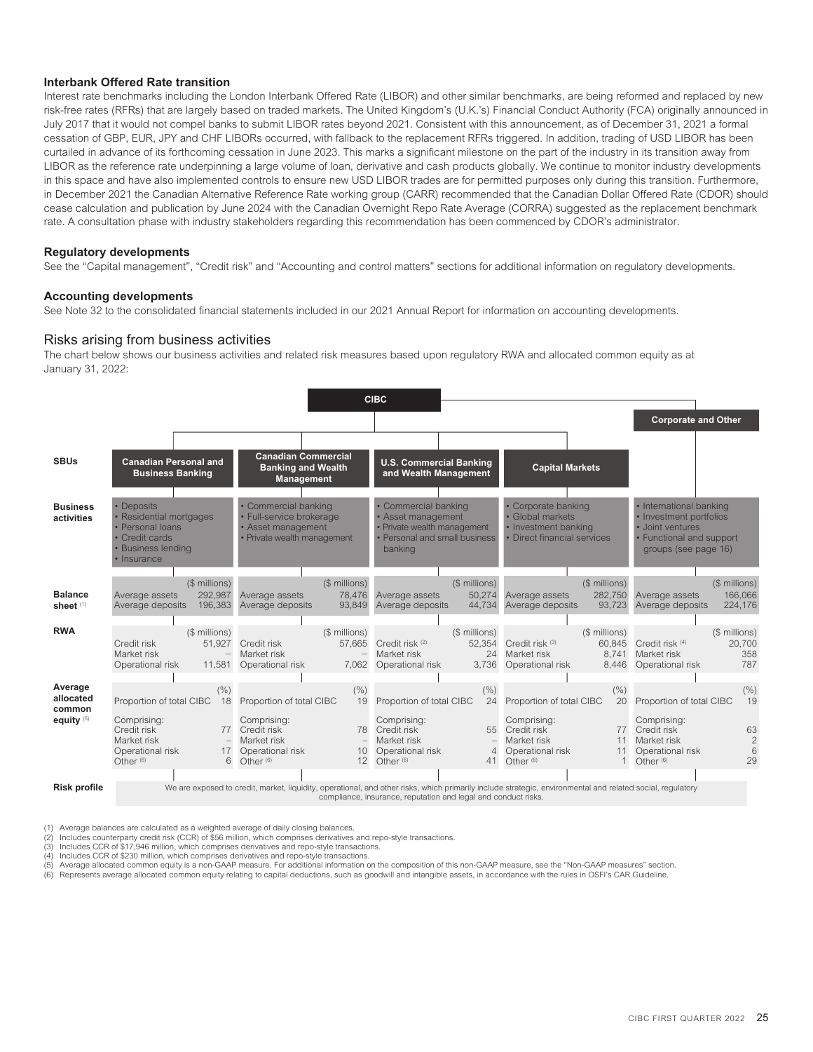### **Interbank Offered Rate transition**

Interest rate benchmarks including the London Interbank Offered Rate (LIBOR) and other similar benchmarks, are being reformed and replaced by new risk-free rates (RFRs) that are largely based on traded markets. The United Kingdom's (U.K.'s) Financial Conduct Authority (FCA) originally announced in July 2017 that it would not compel banks to submit LIBOR rates beyond 2021. Consistent with this announcement, as of December 31, 2021 a formal cessation of GBP, EUR, JPY and CHF LIBORs occurred, with fallback to the replacement RFRs triggered. In addition, trading of USD LIBOR has been curtailed in advance of its forthcoming cessation in June 2023. This marks a significant milestone on the part of the industry in its transition away from LIBOR as the reference rate underpinning a large volume of loan, derivative and cash products globally. We continue to monitor industry developments in this space and have also implemented controls to ensure new USD LIBOR trades are for permitted purposes only during this transition. Furthermore, in December 2021 the Canadian Alternative Reference Rate working group (CARR) recommended that the Canadian Dollar Offered Rate (CDOR) should cease calculation and publication by June 2024 with the Canadian Overnight Repo Rate Average (CORRA) suggested as the replacement benchmark rate. A consultation phase with industry stakeholders regarding this recommendation has been commenced by CDOR's administrator.

### **Regulatory developments**

See the "Capital management", "Credit risk" and "Accounting and control matters" sections for additional information on regulatory developments.

### **Accounting developments**

See Note 32 to the consolidated financial statements included in our 2021 Annual Report for information on accounting developments.

# Risks arising from business activities

The chart below shows our business activities and related risk measures based upon regulatory RWA and allocated common equity as at January 31, 2022:



(1) Average balances are calculated as a weighted average of daily closing balances. (2) Includes counterparty credit risk (CCR) of \$56 million, which comprises derivatives and repo-style transactions.

(3) Includes CCR of \$17,946 million, which comprises derivatives and repo-style transactions.<br>(4) Includes CCR of \$230 million, which comprises derivatives and repo-style transactions.

Includes CCR of \$230 million, which comprises derivatives and repo-style transactions.

(5) Average allocated common equity is a non-GAAP measure. For additional information on the composition of this non-GAAP measure, see the "Non-GAAP measures" section.

Represents average allocated common equity relating to capital deductions, such as goodwill and intangible assets, in accordance with the rules in OSFI's CAR Guideline.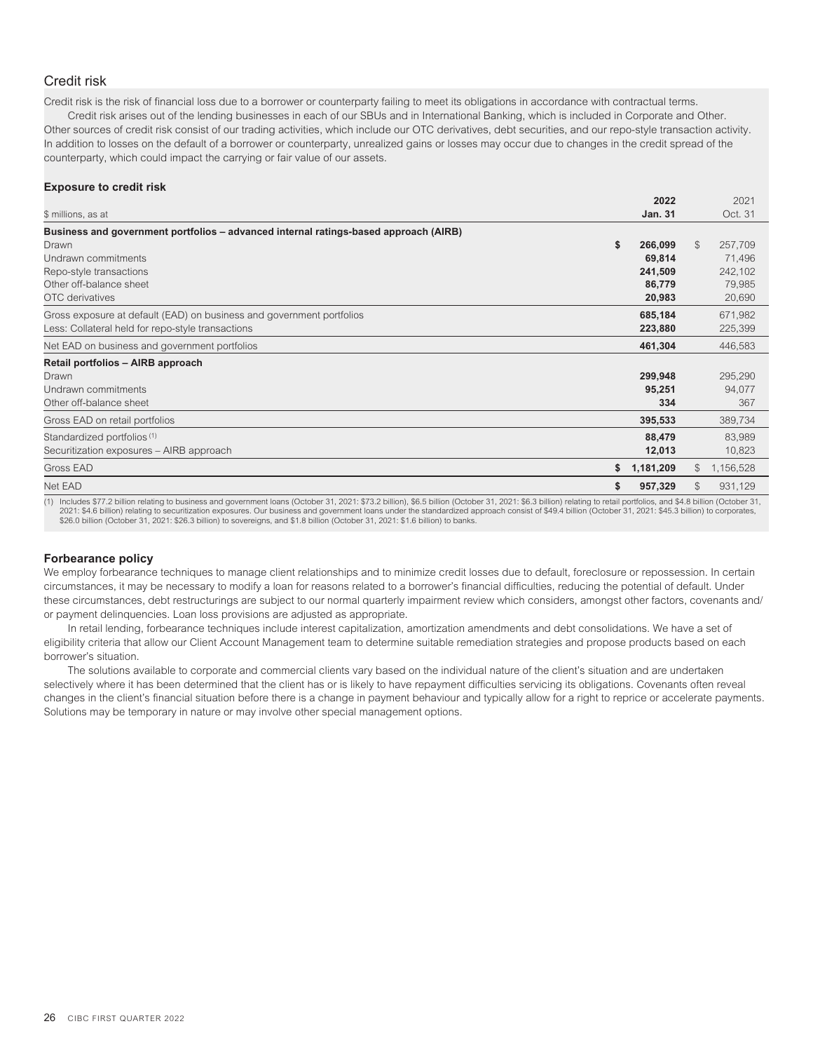# <span id="page-28-0"></span>Credit risk

Credit risk is the risk of financial loss due to a borrower or counterparty failing to meet its obligations in accordance with contractual terms.

Credit risk arises out of the lending businesses in each of our SBUs and in International Banking, which is included in Corporate and Other. Other sources of credit risk consist of our trading activities, which include our OTC derivatives, debt securities, and our repo-style transaction activity. In addition to losses on the default of a borrower or counterparty, unrealized gains or losses may occur due to changes in the credit spread of the counterparty, which could impact the carrying or fair value of our assets.

### **Exposure to credit risk**

|                                                                                                                                                                                                                                | 2022            |               | 2021      |
|--------------------------------------------------------------------------------------------------------------------------------------------------------------------------------------------------------------------------------|-----------------|---------------|-----------|
| \$ millions, as at                                                                                                                                                                                                             | <b>Jan. 31</b>  |               | Oct. 31   |
| Business and government portfolios – advanced internal ratings-based approach (AIRB)                                                                                                                                           |                 |               |           |
| Drawn                                                                                                                                                                                                                          | \$<br>266,099   | $\mathcal{S}$ | 257,709   |
| Undrawn commitments                                                                                                                                                                                                            | 69,814          |               | 71,496    |
| Repo-style transactions                                                                                                                                                                                                        | 241,509         |               | 242,102   |
| Other off-balance sheet                                                                                                                                                                                                        | 86,779          |               | 79,985    |
| OTC derivatives                                                                                                                                                                                                                | 20,983          |               | 20,690    |
| Gross exposure at default (EAD) on business and government portfolios                                                                                                                                                          | 685,184         |               | 671,982   |
| Less: Collateral held for repo-style transactions                                                                                                                                                                              | 223,880         |               | 225,399   |
| Net EAD on business and government portfolios                                                                                                                                                                                  | 461,304         |               | 446,583   |
| Retail portfolios - AIRB approach                                                                                                                                                                                              |                 |               |           |
| Drawn                                                                                                                                                                                                                          | 299,948         |               | 295,290   |
| Undrawn commitments                                                                                                                                                                                                            | 95,251          |               | 94,077    |
| Other off-balance sheet                                                                                                                                                                                                        | 334             |               | 367       |
| Gross EAD on retail portfolios                                                                                                                                                                                                 | 395,533         |               | 389,734   |
| Standardized portfolios (1)                                                                                                                                                                                                    | 88,479          |               | 83,989    |
| Securitization exposures - AIRB approach                                                                                                                                                                                       | 12,013          |               | 10,823    |
| <b>Gross EAD</b>                                                                                                                                                                                                               | \$<br>1,181,209 | \$            | 1,156,528 |
| Net EAD                                                                                                                                                                                                                        | 957,329         | \$.           | 931,129   |
| (4) The board 677 O billion of the contract of the contract of the contract O of the COLORA OCHA CONTRACT ON A COOL OF CONTRACT ON THE CONTRACT OF THE COOL OF A CHIEF OF A COOL OF A COOL OF CONTRACT OF A COOL OF CONTRACT O |                 |               |           |

billion relating to business and government loans (October 31, 2021: \$73.2 billion), \$6.5 billion (October 31, 2021: \$6.3 billion) relating to retail portfolios 2021: \$4.6 billion) relating to securitization exposures. Our business and government loans under the standardized approach consist of \$49.4 billion (October 31, 2021: \$45.3 billion) to corporates,<br>\$26.0 billion (October 3

### **Forbearance policy**

We employ forbearance techniques to manage client relationships and to minimize credit losses due to default, foreclosure or repossession. In certain circumstances, it may be necessary to modify a loan for reasons related to a borrower's financial difficulties, reducing the potential of default. Under these circumstances, debt restructurings are subject to our normal quarterly impairment review which considers, amongst other factors, covenants and/ or payment delinquencies. Loan loss provisions are adjusted as appropriate.

In retail lending, forbearance techniques include interest capitalization, amortization amendments and debt consolidations. We have a set of eligibility criteria that allow our Client Account Management team to determine suitable remediation strategies and propose products based on each borrower's situation.

The solutions available to corporate and commercial clients vary based on the individual nature of the client's situation and are undertaken selectively where it has been determined that the client has or is likely to have repayment difficulties servicing its obligations. Covenants often reveal changes in the client's financial situation before there is a change in payment behaviour and typically allow for a right to reprice or accelerate payments. Solutions may be temporary in nature or may involve other special management options.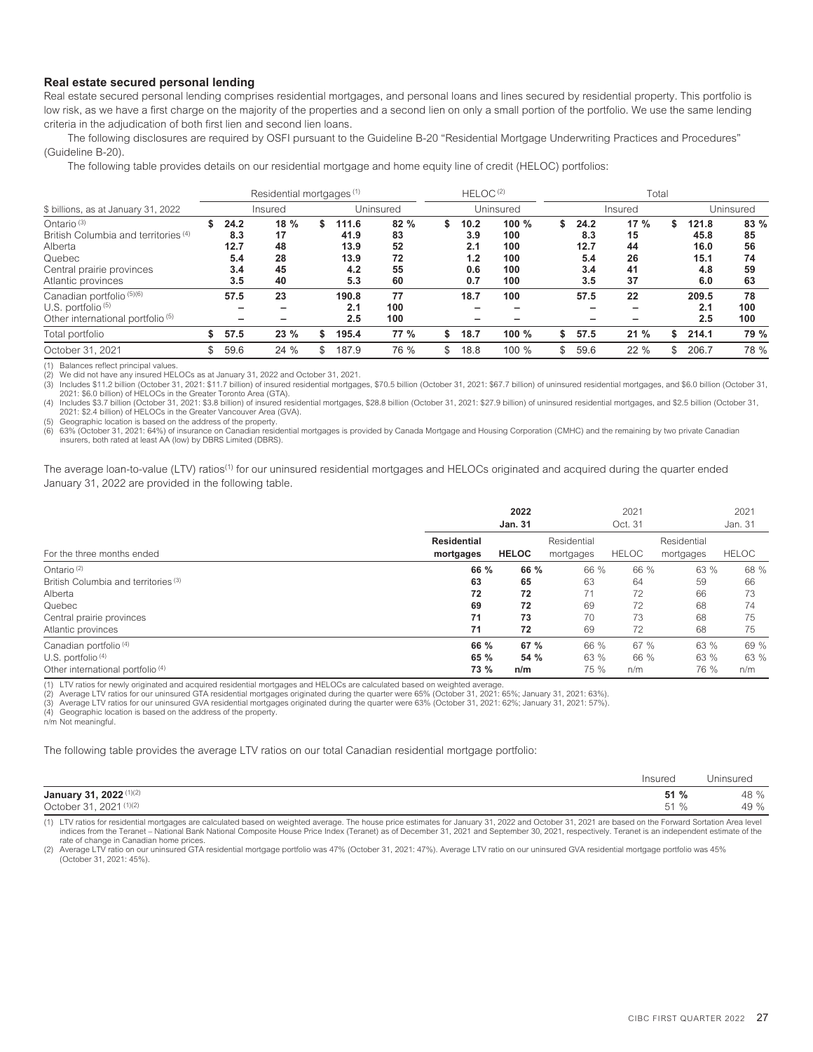### **Real estate secured personal lending**

Real estate secured personal lending comprises residential mortgages, and personal loans and lines secured by residential property. This portfolio is low risk, as we have a first charge on the majority of the properties and a second lien on only a small portion of the portfolio. We use the same lending criteria in the adjudication of both first lien and second lien loans.

The following disclosures are required by OSFI pursuant to the Guideline B-20 "Residential Mortgage Underwriting Practices and Procedures" (Guideline B-20).

The following table provides details on our residential mortgage and home equity line of credit (HELOC) portfolios:

|                                                                                                                                          |    |                                          | Residential mortgages <sup>(1)</sup> |                                                   |                                   |    | HELOC <sup>(2)</sup>                    |                                          | Total |                                          |                                   |  |                                             |                                   |  |  |
|------------------------------------------------------------------------------------------------------------------------------------------|----|------------------------------------------|--------------------------------------|---------------------------------------------------|-----------------------------------|----|-----------------------------------------|------------------------------------------|-------|------------------------------------------|-----------------------------------|--|---------------------------------------------|-----------------------------------|--|--|
| \$ billions, as at January 31, 2022                                                                                                      |    |                                          | Insured                              |                                                   | Uninsured                         |    |                                         | Uninsured                                |       |                                          | Insured                           |  | Uninsured                                   |                                   |  |  |
| Ontario $(3)$<br>British Columbia and territories <sup>(4)</sup><br>Alberta<br>Quebec<br>Central prairie provinces<br>Atlantic provinces |    | 24.2<br>8.3<br>12.7<br>5.4<br>3.4<br>3.5 | 18 %<br>17<br>48<br>28<br>45<br>40   | \$<br>111.6<br>41.9<br>13.9<br>13.9<br>4.2<br>5.3 | 82%<br>83<br>52<br>72<br>55<br>60 |    | 10.2<br>3.9<br>2.1<br>1.2<br>0.6<br>0.7 | 100 %<br>100<br>100<br>100<br>100<br>100 | \$    | 24.2<br>8.3<br>12.7<br>5.4<br>3.4<br>3.5 | 17%<br>15<br>44<br>26<br>41<br>37 |  | 121.8<br>45.8<br>16.0<br>15.1<br>4.8<br>6.0 | 83%<br>85<br>56<br>74<br>59<br>63 |  |  |
| Canadian portfolio (5)(6)<br>U.S. portfolio $(5)$<br>Other international portfolio <sup>(5)</sup><br>Total portfolio                     |    | 57.5<br>57.5                             | 23<br>23%                            | 190.8<br>2.1<br>2.5<br>195.4                      | 77<br>100<br>100<br><b>77 %</b>   | \$ | 18.7<br>18.7                            | 100<br>100%                              | \$    | 57.5<br>57.5                             | 22<br>21%                         |  | 209.5<br>2.1<br>2.5<br>214.1                | 78<br>100<br>100<br>79 %          |  |  |
| October 31, 2021                                                                                                                         | \$ | 59.6                                     | 24 %                                 | 187.9                                             | 76 %                              | £. | 18.8                                    | 100 %                                    | \$    | 59.6                                     | 22 %                              |  | 206.7                                       | 78 %                              |  |  |

(1) Balances reflect principal values.

(2) We did not have any insured HELOCs as at January 31, 2022 and October 31, 2021.

Includes \$11.2 billion (October 31, 2021: \$11.7 billion) of insured residential mortgages, \$70.5 billion (October 31, 2021: \$67.7 billion) of uninsured residential mortgages, and \$6.0 billion (October 31, 2021: \$6.0 billion) of HELOCs in the Greater Toronto Area (GTA).

(4) Includes \$3.7 billion (October 31, 2021: \$3.8 billion) of insured residential mortgages, \$28.8 billion (October 31, 2021: \$27.9 billion) of uninsured residential mortgages, and \$2.5 billion (October 31, 2021: \$2.4 billion) of HELOCs in the Greater Vancouver Area (GVA).

(5) Geographic location is based on the address of the property.<br>(6) 63% (October 31, 2021: 64%) of insurance on Canadian resident

(6) 63% (October 31, 2021: 64%) of insurance on Canadian residential mortgages is provided by Canada Mortgage and Housing Corporation (CMHC) and the remaining by two private Canadian insurers, both rated at least AA (low) by DBRS Limited (DBRS).

The average loan-to-value (LTV) ratios<sup>(1)</sup> for our uninsured residential mortgages and HELOCs originated and acquired during the quarter ended January 31, 2022 are provided in the following table.

|                                              |                                 | 2022<br><b>Jan. 31</b> |                          | 2021<br>Oct. 31 |                          | 2021<br>Jan. 31 |
|----------------------------------------------|---------------------------------|------------------------|--------------------------|-----------------|--------------------------|-----------------|
| For the three months ended                   | <b>Residential</b><br>mortgages | <b>HELOC</b>           | Residential<br>mortgages | <b>HELOC</b>    | Residential<br>mortgages | <b>HELOC</b>    |
| Ontario $(2)$                                | 66 %                            | 66 %                   | 66 %                     | 66 %            | 63 %                     | 68 %            |
| British Columbia and territories (3)         | 63                              | 65                     | 63                       | 64              | 59                       | 66              |
| Alberta                                      | 72                              | 72                     | 71                       | 72              | 66                       | 73              |
| Quebec                                       | 69                              | 72                     | 69                       | 72              | 68                       | 74              |
| Central prairie provinces                    | 71                              | 73                     | 70                       | 73              | 68                       | 75              |
| Atlantic provinces                           | 71                              | 72                     | 69                       | 72              | 68                       | 75              |
| Canadian portfolio <sup>(4)</sup>            | 66 %                            | 67 %                   | 66 %                     | 67%             | 63 %                     | 69 %            |
| U.S. portfolio $(4)$                         | 65 %                            | 54 %                   | 63 %                     | 66 %            | 63 %                     | 63 %            |
| Other international portfolio <sup>(4)</sup> | 73 %                            | n/m                    | 75 %                     | n/m             | 76 %                     | n/m             |

(1) LTV ratios for newly originated and acquired residential mortgages and HELOCs are calculated based on weighted average.<br>(2) Average LTV ratios for our uninsured GTA residential mortgages originated during the quarter w

(2) Average LTV ratios for our uninsured GTA residential mortgages originated during the quarter were 65% (October 31, 2021: 65%; January 31, 2021: 63%).

(3) Average LTV ratios for our uninsured GVA residential mortgages originated during the quarter were 63% (October 31, 2021: 62%; January 31, 2021: 57%).

Geographic location is based on the address of the property. n/m Not meaningful.

The following table provides the average LTV ratios on our total Canadian residential mortgage portfolio:

|                                                         | Insured                      | Jninsurec    |
|---------------------------------------------------------|------------------------------|--------------|
| January 31, 2022 (1)(2)<br>(1)(2)<br>October 31<br>2021 | 51<br>℅<br>51<br>$\%$<br>ا ب | 48 %<br>49 % |

1) LTV ratios for residential mortgages are calculated based on weighted average. The house price estimates for January 31, 2022 and October 31, 2021 are based on the Forward Sortation Area level<br>indices from the Teranet – rate of change in Canadian home prices.

(2) Average LTV ratio on our uninsured GTA residential mortgage portfolio was 47% (October 31, 2021: 47%). Average LTV ratio on our uninsured GVA residential mortgage portfolio was 45% (October 31, 2021: 45%).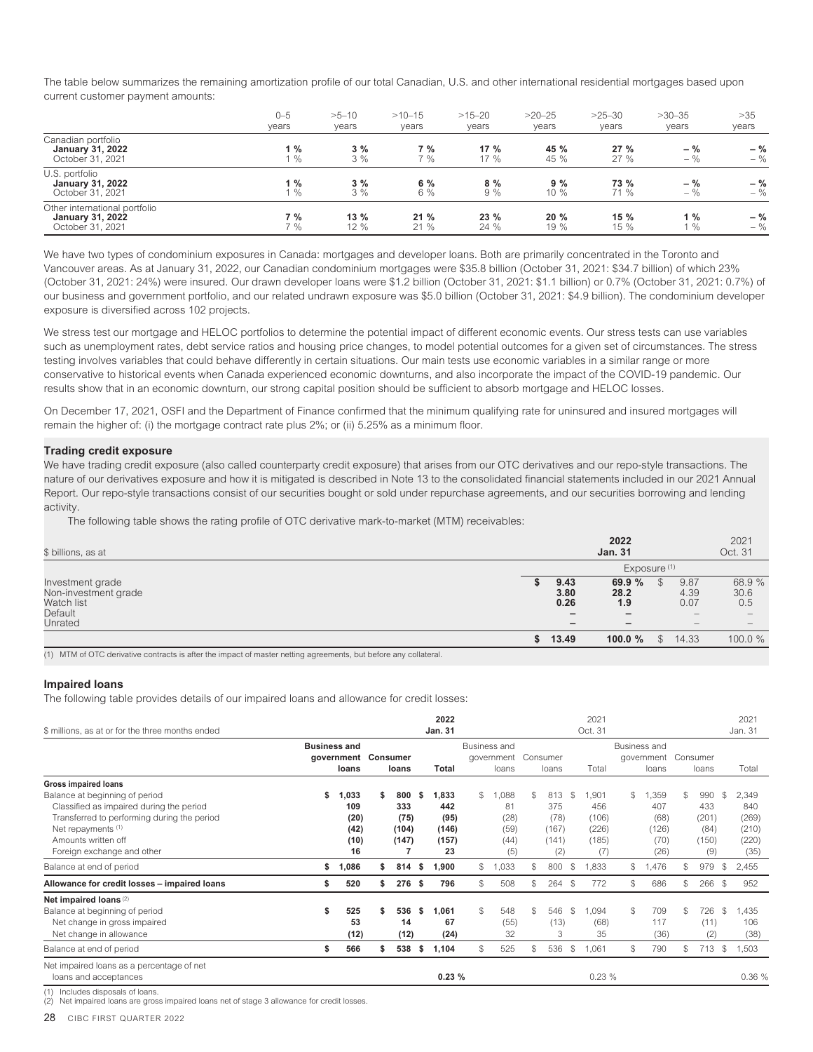The table below summarizes the remaining amortization profile of our total Canadian, U.S. and other international residential mortgages based upon current customer payment amounts:

|                                                                              | $0 - 5$<br>vears | $>5 - 10$<br>years | $>10 - 15$<br>years | $>15 - 20$<br>years | $>20-25$<br>years | $>25-30$<br>years | $>30-35$<br>years | >35<br>years   |
|------------------------------------------------------------------------------|------------------|--------------------|---------------------|---------------------|-------------------|-------------------|-------------------|----------------|
| Canadian portfolio<br><b>January 31, 2022</b><br>October 31, 2021            | 1%<br>$1\%$      | 3%<br>3%           | 7%<br>7 %           | $17\%$<br>$17\%$    | 45 %<br>45 %      | 27%<br>27%        | $-$ %<br>$-$ %    | $-$ %<br>$-$ % |
| U.S. portfolio<br><b>January 31, 2022</b><br>October 31, 2021                | $1\%$<br>$\%$    | 3%<br>3%           | 6 %<br>$6\%$        | 8%<br>9%            | 9%<br>$10\%$      | 73 %<br>71 %      | $-$ %<br>$-$ %    | $-$ %<br>$-$ % |
| Other international portfolio<br><b>January 31, 2022</b><br>October 31, 2021 | 7 %<br>$7\%$     | 13%<br>12%         | 21%<br>21%          | 23%<br>24%          | 20%<br>19 %       | 15 %<br>15 %      | 1%<br>$\%$        | $-$ %<br>$-$ % |

We have two types of condominium exposures in Canada: mortgages and developer loans. Both are primarily concentrated in the Toronto and Vancouver areas. As at January 31, 2022, our Canadian condominium mortgages were \$35.8 billion (October 31, 2021: \$34.7 billion) of which 23% (October 31, 2021: 24%) were insured. Our drawn developer loans were \$1.2 billion (October 31, 2021: \$1.1 billion) or 0.7% (October 31, 2021: 0.7%) of our business and government portfolio, and our related undrawn exposure was \$5.0 billion (October 31, 2021: \$4.9 billion). The condominium developer exposure is diversified across 102 projects.

We stress test our mortgage and HELOC portfolios to determine the potential impact of different economic events. Our stress tests can use variables such as unemployment rates, debt service ratios and housing price changes, to model potential outcomes for a given set of circumstances. The stress testing involves variables that could behave differently in certain situations. Our main tests use economic variables in a similar range or more conservative to historical events when Canada experienced economic downturns, and also incorporate the impact of the COVID-19 pandemic. Our results show that in an economic downturn, our strong capital position should be sufficient to absorb mortgage and HELOC losses.

On December 17, 2021, OSFI and the Department of Finance confirmed that the minimum qualifying rate for uninsured and insured mortgages will remain the higher of: (i) the mortgage contract rate plus 2%; or (ii) 5.25% as a minimum floor.

### **Trading credit exposure**

We have trading credit exposure (also called counterparty credit exposure) that arises from our OTC derivatives and our repo-style transactions. The nature of our derivatives exposure and how it is mitigated is described in Note 13 to the consolidated financial statements included in our 2021 Annual Report. Our repo-style transactions consist of our securities bought or sold under repurchase agreements, and our securities borrowing and lending activity.

The following table shows the rating profile of OTC derivative mark-to-market (MTM) receivables:

| \$ billions, as at                                                           |                                                                                  | 2022<br><b>Jan. 31</b>                           |                                                         | 2021<br>Oct. 31                                             |
|------------------------------------------------------------------------------|----------------------------------------------------------------------------------|--------------------------------------------------|---------------------------------------------------------|-------------------------------------------------------------|
|                                                                              |                                                                                  | Exposure <sup>(1)</sup>                          |                                                         |                                                             |
| Investment grade<br>Non-investment grade<br>Watch list<br>Default<br>Unrated | 9.43<br>3.80<br>0.26<br>$\qquad \qquad \blacksquare$<br>$\overline{\phantom{m}}$ | 69.9%<br>28.2<br>1.9<br>$\overline{\phantom{m}}$ | 9.87<br>4.39<br>0.07<br>$\overline{\phantom{a}}$<br>$-$ | 68.9 %<br>30.6<br>0.5<br>$\overline{\phantom{a}}$<br>$\sim$ |
|                                                                              | \$<br>13.49                                                                      | 100.0 $%$                                        | \$<br>14.33                                             | 100.0 %                                                     |

(1) MTM of OTC derivative contracts is after the impact of master netting agreements, but before any collateral.

### **Impaired loans**

The following table provides details of our impaired loans and allowance for credit losses:

|                                                                                                                                                                                                      |                     |                                            |    |                                      |    | 2022                                         |    |                                            |               |                                             |               | 2021                                          |               |                                              |     |                                             |              | 2021                                            |
|------------------------------------------------------------------------------------------------------------------------------------------------------------------------------------------------------|---------------------|--------------------------------------------|----|--------------------------------------|----|----------------------------------------------|----|--------------------------------------------|---------------|---------------------------------------------|---------------|-----------------------------------------------|---------------|----------------------------------------------|-----|---------------------------------------------|--------------|-------------------------------------------------|
| \$ millions, as at or for the three months ended                                                                                                                                                     |                     |                                            |    |                                      |    | <b>Jan. 31</b>                               |    |                                            |               |                                             |               | Oct. 31                                       |               |                                              |     |                                             |              | Jan. 31                                         |
|                                                                                                                                                                                                      | <b>Business and</b> | government Consumer<br>loans               |    | loans                                |    | <b>Total</b>                                 |    | Business and<br>government<br>loans        |               | Consumer<br>loans                           |               | Total                                         |               | Business and<br>government<br>loans          |     | Consumer<br>loans                           |              | Total                                           |
| <b>Gross impaired loans</b>                                                                                                                                                                          |                     |                                            |    |                                      |    |                                              |    |                                            |               |                                             |               |                                               |               |                                              |     |                                             |              |                                                 |
| Balance at beginning of period<br>Classified as impaired during the period<br>Transferred to performing during the period<br>Net repayments (1)<br>Amounts written off<br>Foreign exchange and other | \$                  | 1,033<br>109<br>(20)<br>(42)<br>(10)<br>16 | \$ | 800<br>333<br>(75)<br>(104)<br>(147) | s  | 1,833<br>442<br>(95)<br>(146)<br>(157)<br>23 | \$ | 1,088<br>81<br>(28)<br>(59)<br>(44)<br>(5) | $\mathcal{S}$ | 813<br>375<br>(78)<br>(167)<br>(141)<br>(2) | \$            | ,901<br>456<br>(106)<br>(226)<br>(185)<br>(7) | $\mathcal{S}$ | ,359<br>407<br>(68)<br>(126)<br>(70)<br>(26) | \$  | 990<br>433<br>(201)<br>(84)<br>(150)<br>(9) | S.           | 2,349<br>840<br>(269)<br>(210)<br>(220)<br>(35) |
| Balance at end of period                                                                                                                                                                             | \$                  | 1,086                                      | S. | 814                                  | s. | 1,900                                        | \$ | 1,033                                      | \$            | 800                                         | \$            | .833                                          | $\mathbb{S}$  | ,476                                         | \$  | 979                                         | S            | 2,455                                           |
| Allowance for credit losses - impaired loans                                                                                                                                                         | S                   | 520                                        | S. | 276                                  | -S | 796                                          | S. | 508                                        | \$            | 264                                         | - \$          | 772                                           | $\mathcal{L}$ | 686                                          | S   | 266                                         | $\mathbb{S}$ | 952                                             |
| Net impaired loans (2)<br>Balance at beginning of period<br>Net change in gross impaired<br>Net change in allowance                                                                                  | \$                  | 525<br>53<br>(12)                          | \$ | 536<br>14<br>(12)                    | \$ | 1,061<br>67<br>(24)                          | \$ | 548<br>(55)<br>32                          | \$            | 546<br>(13)<br>3                            | $\mathcal{S}$ | .094<br>(68)<br>35                            | $\mathcal{S}$ | 709<br>117<br>(36)                           | \$. | 726<br>(11)<br>(2)                          | S            | 1.435<br>106<br>(38)                            |
| Balance at end of period                                                                                                                                                                             | \$                  | 566                                        | \$ | 538                                  | \$ | 1,104                                        | \$ | 525                                        | \$            | 536                                         | \$            | 1,061                                         | \$            | 790                                          | \$  | 713                                         | \$           | 1,503                                           |
| Net impaired loans as a percentage of net<br>loans and acceptances                                                                                                                                   |                     |                                            |    |                                      |    | 0.23%                                        |    |                                            |               |                                             |               | 0.23%                                         |               |                                              |     |                                             |              | 0.36%                                           |
| Includes disposals of loans.<br>(1)                                                                                                                                                                  |                     |                                            |    |                                      |    |                                              |    |                                            |               |                                             |               |                                               |               |                                              |     |                                             |              |                                                 |

(2) Net impaired loans are gross impaired loans net of stage 3 allowance for credit losses.

28 CIBC FIRST QUARTER 2022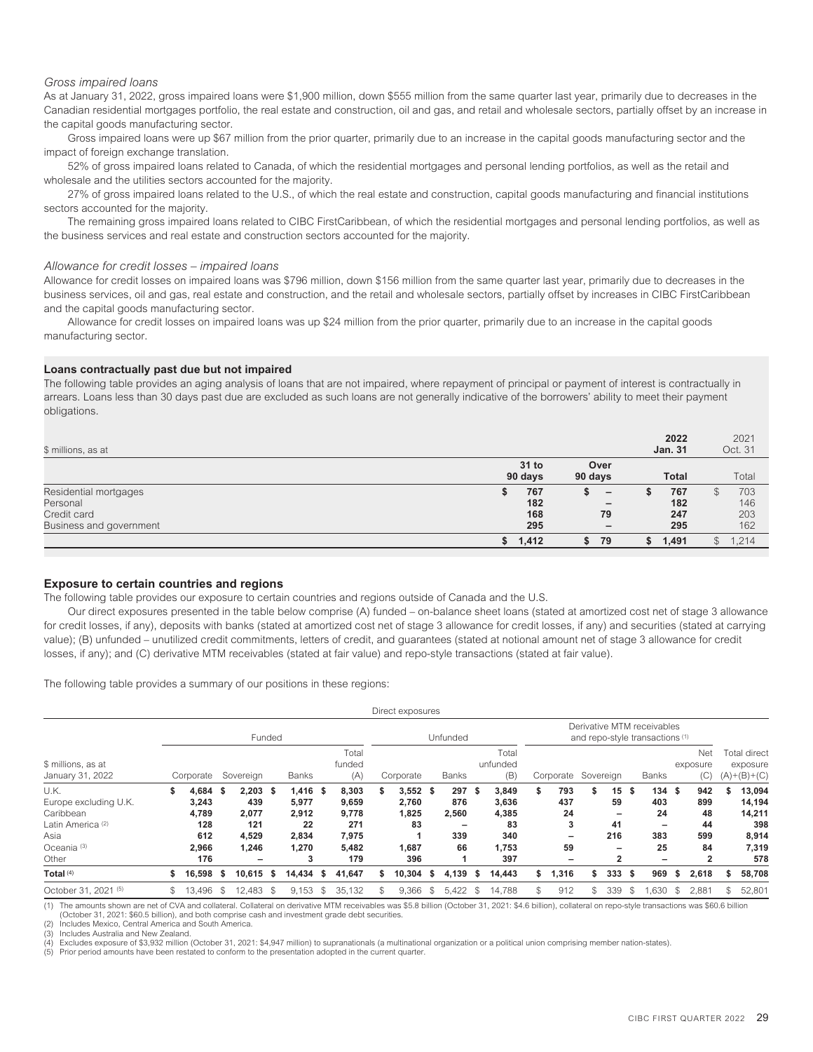### *Gross impaired loans*

As at January 31, 2022, gross impaired loans were \$1,900 million, down \$555 million from the same quarter last year, primarily due to decreases in the Canadian residential mortgages portfolio, the real estate and construction, oil and gas, and retail and wholesale sectors, partially offset by an increase in the capital goods manufacturing sector.

Gross impaired loans were up \$67 million from the prior quarter, primarily due to an increase in the capital goods manufacturing sector and the impact of foreign exchange translation.

52% of gross impaired loans related to Canada, of which the residential mortgages and personal lending portfolios, as well as the retail and wholesale and the utilities sectors accounted for the majority.

27% of gross impaired loans related to the U.S., of which the real estate and construction, capital goods manufacturing and financial institutions sectors accounted for the majority.

The remaining gross impaired loans related to CIBC FirstCaribbean, of which the residential mortgages and personal lending portfolios, as well as the business services and real estate and construction sectors accounted for the majority.

### *Allowance for credit losses – impaired loans*

Allowance for credit losses on impaired loans was \$796 million, down \$156 million from the same quarter last year, primarily due to decreases in the business services, oil and gas, real estate and construction, and the retail and wholesale sectors, partially offset by increases in CIBC FirstCaribbean and the capital goods manufacturing sector.

Allowance for credit losses on impaired loans was up \$24 million from the prior quarter, primarily due to an increase in the capital goods manufacturing sector.

#### **Loans contractually past due but not impaired**

The following table provides an aging analysis of loans that are not impaired, where repayment of principal or payment of interest is contractually in arrears. Loans less than 30 days past due are excluded as such loans are not generally indicative of the borrowers' ability to meet their payment obligations.

| \$ millions, as at      |         |         |                          |    | 2022<br><b>Jan. 31</b> |    | 2021<br>Oct. 31 |
|-------------------------|---------|---------|--------------------------|----|------------------------|----|-----------------|
|                         | 31 to   |         | Over                     |    |                        |    |                 |
|                         | 90 days | 90 days |                          |    | <b>Total</b>           |    | Total           |
| Residential mortgages   | 767     |         | $\overline{\phantom{m}}$ | Ð  | 767                    | D  | 703             |
| Personal                | 182     |         | $\overline{\phantom{m}}$ |    | 182                    |    | 146             |
| Credit card             | 168     |         | 79                       |    | 247                    |    | 203             |
| Business and government | 295     |         | $\overline{\phantom{0}}$ |    | 295                    |    | 162             |
|                         | \$1,412 |         | 79                       | \$ | 1,491                  | \$ | 1,214           |

# **Exposure to certain countries and regions**

The following table provides our exposure to certain countries and regions outside of Canada and the U.S.

Our direct exposures presented in the table below comprise (A) funded – on-balance sheet loans (stated at amortized cost net of stage 3 allowance for credit losses, if any), deposits with banks (stated at amortized cost net of stage 3 allowance for credit losses, if any) and securities (stated at carrying value); (B) unfunded – unutilized credit commitments, letters of credit, and guarantees (stated at notional amount net of stage 3 allowance for credit losses, if any); and (C) derivative MTM receivables (stated at fair value) and repo-style transactions (stated at fair value).

The following table provides a summary of our positions in these regions:

|                                                                                                                       |    |                                                       |     |                                                      |        |                                                           |    |                                                         |    | Direct exposures                                   |      |                                  |      |                                                      |    |                                  |           |                                                             |      |                                                                                       |    |                                                       |     |                                                            |
|-----------------------------------------------------------------------------------------------------------------------|----|-------------------------------------------------------|-----|------------------------------------------------------|--------|-----------------------------------------------------------|----|---------------------------------------------------------|----|----------------------------------------------------|------|----------------------------------|------|------------------------------------------------------|----|----------------------------------|-----------|-------------------------------------------------------------|------|---------------------------------------------------------------------------------------|----|-------------------------------------------------------|-----|------------------------------------------------------------|
|                                                                                                                       |    |                                                       |     |                                                      | Funded |                                                           |    |                                                         |    |                                                    |      | Unfunded                         |      |                                                      |    |                                  |           |                                                             |      | Derivative MTM receivables<br>and repo-style transactions (1)                         |    |                                                       |     |                                                            |
| \$ millions, as at<br>January 31, 2022                                                                                |    | Corporate                                             |     | Sovereign                                            |        | Banks                                                     |    | Total<br>funded<br>(A)                                  |    | Corporate                                          |      | <b>Banks</b>                     |      | Total<br>unfunded<br>(B)                             |    | Corporate                        | Sovereign |                                                             |      | <b>Banks</b>                                                                          |    | <b>Net</b><br>exposure<br>(C)                         |     | Total direct<br>exposure<br>$(A)+(B)+(C)$                  |
| U.K.<br>Europe excluding U.K.<br>Caribbean<br>Latin America <sup>(2)</sup><br>Asia<br>Oceania <sup>(3)</sup><br>Other | \$ | 4.684<br>3,243<br>4,789<br>128<br>612<br>2,966<br>176 | -\$ | 2.203S<br>439<br>2,077<br>121<br>4,529<br>1,246<br>- |        | $1,416$ \$<br>5,977<br>2,912<br>22<br>2,834<br>1,270<br>3 |    | 8,303<br>9,659<br>9,778<br>271<br>7,975<br>5,482<br>179 |    | $3,552$ \$<br>2,760<br>1,825<br>83<br>1,687<br>396 |      | 297<br>876<br>2,560<br>339<br>66 | - \$ | 3,849<br>3,636<br>4,385<br>83<br>340<br>1,753<br>397 |    | 793<br>437<br>24<br>3<br>59<br>- | S         | 15<br>59<br>$\overline{\phantom{0}}$<br>41<br>216<br>-<br>2 | - \$ | 134<br>403<br>24<br>$\overline{\phantom{0}}$<br>383<br>25<br>$\overline{\phantom{0}}$ | Ŝ. | 942<br>899<br>48<br>44<br>599<br>84<br>$\overline{2}$ |     | 13,094<br>14,194<br>14,211<br>398<br>8,914<br>7,319<br>578 |
| Total $(4)$                                                                                                           | s. | 16.598 \$                                             |     | $10.615$ \$                                          |        | $14,434$ \$                                               |    | 41,647                                                  | s. | 10,304                                             | - \$ | 4,139 \$                         |      | 14,443                                               | \$ | 1,316                            | S.        | 333                                                         | - \$ | 969                                                                                   | \$ | 2,618                                                 | S   | 58,708                                                     |
| October 31, 2021 <sup>(5)</sup>                                                                                       | \$ | 13.496                                                | -S  | $12.483$ \$                                          |        | 9.153                                                     | -S | 35,132                                                  | S. | 9,366                                              | S.   | 5,422                            | -S   | 14.788                                               | S  | 912                              | £.        | 339                                                         | \$.  | .630                                                                                  | S  | 2,881                                                 | \$. | 52,801                                                     |

(1) The amounts shown are net of CVA and collateral. Collateral on derivative MTM receivables was \$5.8 billion (October 31, 2021: \$4.6 billion), collateral on repo-style transactions was \$60.6 billion (October 31, 2021: \$60.5 billion), and both comprise cash and investment grade debt securities.

Includes Mexico, Central America and South America.

Includes Australia and New Zealand.

(4) Excludes exposure of \$3,932 million (October 31, 2021: \$4,947 million) to supranationals (a multinational organization or a political union comprising member nation-states).<br>(5) Prior period amounts have been restated

Prior period amounts have been restated to conform to the presentation adopted in the current quarter.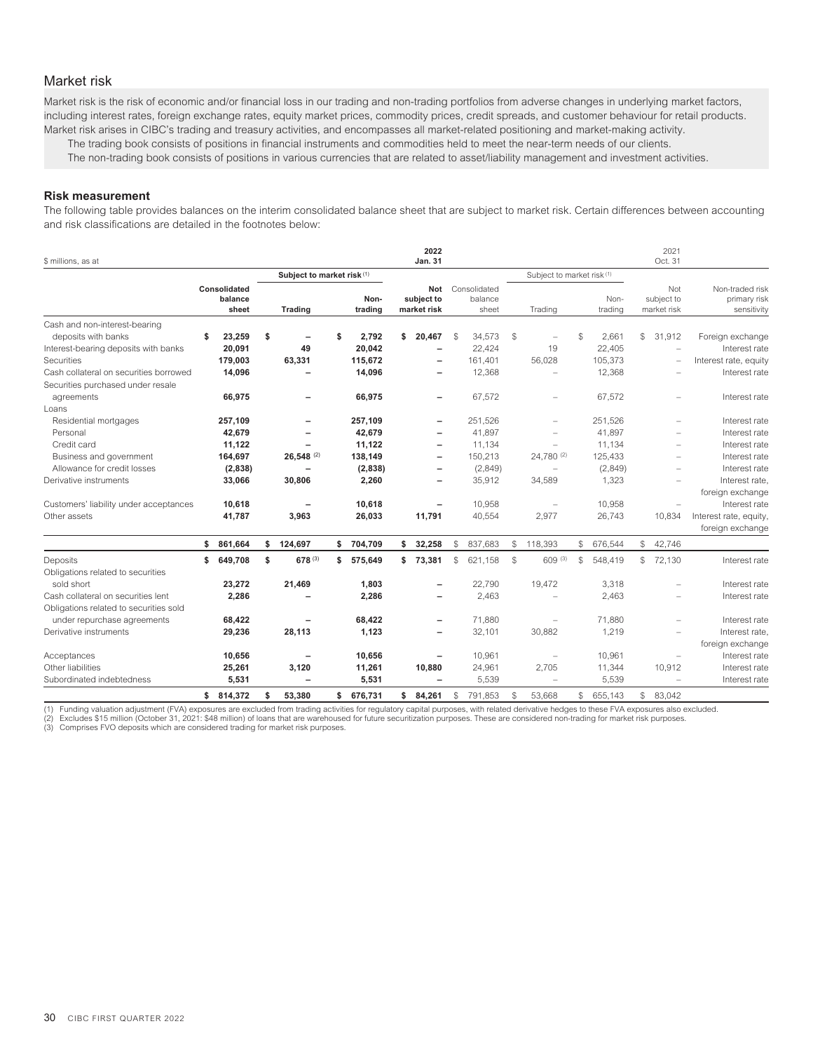# <span id="page-32-0"></span>Market risk

Market risk is the risk of economic and/or financial loss in our trading and non-trading portfolios from adverse changes in underlying market factors, including interest rates, foreign exchange rates, equity market prices, commodity prices, credit spreads, and customer behaviour for retail products. Market risk arises in CIBC's trading and treasury activities, and encompasses all market-related positioning and market-making activity.

The trading book consists of positions in financial instruments and commodities held to meet the near-term needs of our clients.

The non-trading book consists of positions in various currencies that are related to asset/liability management and investment activities.

### **Risk measurement**

The following table provides balances on the interim consolidated balance sheet that are subject to market risk. Certain differences between accounting and risk classifications are detailed in the footnotes below:

| \$ millions, as at                     |                                  |                            |                 |    | 2022<br><b>Jan. 31</b>           |              |                                  |               |                            |    |                 |              | 2021<br>Oct. 31                  |                                                |
|----------------------------------------|----------------------------------|----------------------------|-----------------|----|----------------------------------|--------------|----------------------------------|---------------|----------------------------|----|-----------------|--------------|----------------------------------|------------------------------------------------|
|                                        |                                  | Subject to market risk (1) |                 |    |                                  |              |                                  |               | Subject to market risk (1) |    |                 |              |                                  |                                                |
|                                        | Consolidated<br>balance<br>sheet | Trading                    | Non-<br>trading |    | Not<br>subject to<br>market risk |              | Consolidated<br>balance<br>sheet |               | Trading                    |    | Non-<br>trading |              | Not<br>subject to<br>market risk | Non-traded risk<br>primary risk<br>sensitivity |
| Cash and non-interest-bearing          |                                  |                            |                 |    |                                  |              |                                  |               |                            |    |                 |              |                                  |                                                |
| deposits with banks                    | \$<br>23,259                     | \$                         | \$<br>2.792     | \$ | 20.467                           | -S           | 34,573                           | -S            | $\equiv$                   | \$ | 2.661           | $\mathbb{S}$ | 31.912                           | Foreign exchange                               |
| Interest-bearing deposits with banks   | 20,091                           | 49                         | 20,042          |    |                                  |              | 22,424                           |               | 19                         |    | 22.405          |              | $\overline{\phantom{m}}$         | Interest rate                                  |
| Securities                             | 179,003                          | 63,331                     | 115,672         |    | $\overline{\phantom{0}}$         |              | 161,401                          |               | 56,028                     |    | 105,373         |              | ÷                                | Interest rate, equity                          |
| Cash collateral on securities borrowed | 14,096                           |                            | 14,096          |    | -                                |              | 12,368                           |               | $\equiv$                   |    | 12,368          |              | $\overline{\phantom{m}}$         | Interest rate                                  |
| Securities purchased under resale      |                                  |                            |                 |    |                                  |              |                                  |               |                            |    |                 |              |                                  |                                                |
| agreements                             | 66,975                           | $\qquad \qquad -$          | 66,975          |    | $\qquad \qquad -$                |              | 67,572                           |               |                            |    | 67,572          |              | $\overline{\phantom{m}}$         | Interest rate                                  |
| Loans                                  |                                  |                            |                 |    |                                  |              |                                  |               |                            |    |                 |              |                                  |                                                |
| Residential mortgages                  | 257,109                          | $\overline{\phantom{0}}$   | 257,109         |    | $\overline{\phantom{0}}$         |              | 251,526                          |               |                            |    | 251,526         |              | $\equiv$                         | Interest rate                                  |
| Personal                               | 42,679                           |                            | 42,679          |    |                                  |              | 41,897                           |               |                            |    | 41,897          |              |                                  | Interest rate                                  |
| Credit card                            | 11,122                           |                            | 11,122          |    |                                  |              | 11,134                           |               |                            |    | 11,134          |              |                                  | Interest rate                                  |
| Business and government                | 164,697                          | $26,548$ <sup>(2)</sup>    | 138,149         |    | $\overline{\phantom{0}}$         |              | 150,213                          |               | 24.780 (2)                 |    | 125,433         |              |                                  | Interest rate                                  |
| Allowance for credit losses            | (2,838)                          |                            | (2,838)         |    |                                  |              | (2,849)                          |               |                            |    | (2,849)         |              |                                  | Interest rate                                  |
| Derivative instruments                 | 33,066                           | 30,806                     | 2,260           |    |                                  |              | 35,912                           |               | 34,589                     |    | 1,323           |              |                                  | Interest rate,                                 |
|                                        |                                  |                            |                 |    |                                  |              |                                  |               |                            |    |                 |              |                                  | foreign exchange                               |
| Customers' liability under acceptances | 10,618                           |                            | 10,618          |    |                                  |              | 10,958                           |               |                            |    | 10,958          |              |                                  | Interest rate                                  |
| Other assets                           | 41,787                           | 3,963                      | 26,033          |    | 11,791                           |              | 40,554                           |               | 2,977                      |    | 26,743          |              | 10,834                           | Interest rate, equity,                         |
|                                        |                                  |                            |                 |    |                                  |              |                                  |               |                            |    |                 |              |                                  | foreign exchange                               |
|                                        | \$<br>861,664                    | \$<br>124,697              | \$704,709       | s. | 32,258                           | $\mathbb{S}$ | 837,683                          | \$            | 118,393                    | \$ | 676,544         | S.           | 42,746                           |                                                |
| Deposits                               | \$<br>649,708                    | \$<br>678 (3)              | \$<br>575,649   | \$ | 73,381                           | $\mathbb{S}$ | 621,158                          | $\mathcal{L}$ | 609 (3)                    | S  | 548,419         | \$           | 72,130                           | Interest rate                                  |
| Obligations related to securities      |                                  |                            |                 |    |                                  |              |                                  |               |                            |    |                 |              |                                  |                                                |
| sold short                             | 23,272                           | 21,469                     | 1,803           |    |                                  |              | 22,790                           |               | 19,472                     |    | 3,318           |              |                                  | Interest rate                                  |
| Cash collateral on securities lent     | 2,286                            |                            | 2,286           |    |                                  |              | 2,463                            |               |                            |    | 2,463           |              |                                  | Interest rate                                  |
| Obligations related to securities sold |                                  |                            |                 |    |                                  |              |                                  |               |                            |    |                 |              |                                  |                                                |
| under repurchase agreements            | 68,422                           |                            | 68,422          |    |                                  |              | 71,880                           |               | $\overline{\phantom{a}}$   |    | 71,880          |              |                                  | Interest rate                                  |
| Derivative instruments                 | 29,236                           | 28,113                     | 1,123           |    | $\overline{\phantom{0}}$         |              | 32,101                           |               | 30,882                     |    | 1,219           |              | $\overline{\phantom{m}}$         | Interest rate,                                 |
|                                        |                                  |                            |                 |    |                                  |              |                                  |               |                            |    |                 |              |                                  | foreign exchange                               |
| Acceptances                            | 10,656                           | $\overline{\phantom{0}}$   | 10,656          |    |                                  |              | 10,961                           |               |                            |    | 10,961          |              | $\overline{\phantom{m}}$         | Interest rate                                  |
| Other liabilities                      | 25,261                           | 3,120                      | 11,261          |    | 10,880                           |              | 24,961                           |               | 2,705                      |    | 11,344          |              | 10,912                           | Interest rate                                  |
| Subordinated indebtedness              | 5,531                            | $\overline{\phantom{0}}$   | 5,531           |    |                                  |              | 5,539                            |               | $\equiv$                   |    | 5,539           |              | $\overline{\phantom{m}}$         | Interest rate                                  |
|                                        | \$814.372                        | \$<br>53.380               | \$ 676,731      | \$ | 84.261                           | S            | 791.853                          | \$            | 53.668                     | \$ | 655.143         | $\mathbb{S}$ | 83.042                           |                                                |

(1) Funding valuation adjustment (FVA) exposures are excluded from trading activities for regulatory capital purposes, with related derivative hedges to these FVA exposures also excluded.<br>(2) Excludes \$15 milion (October 3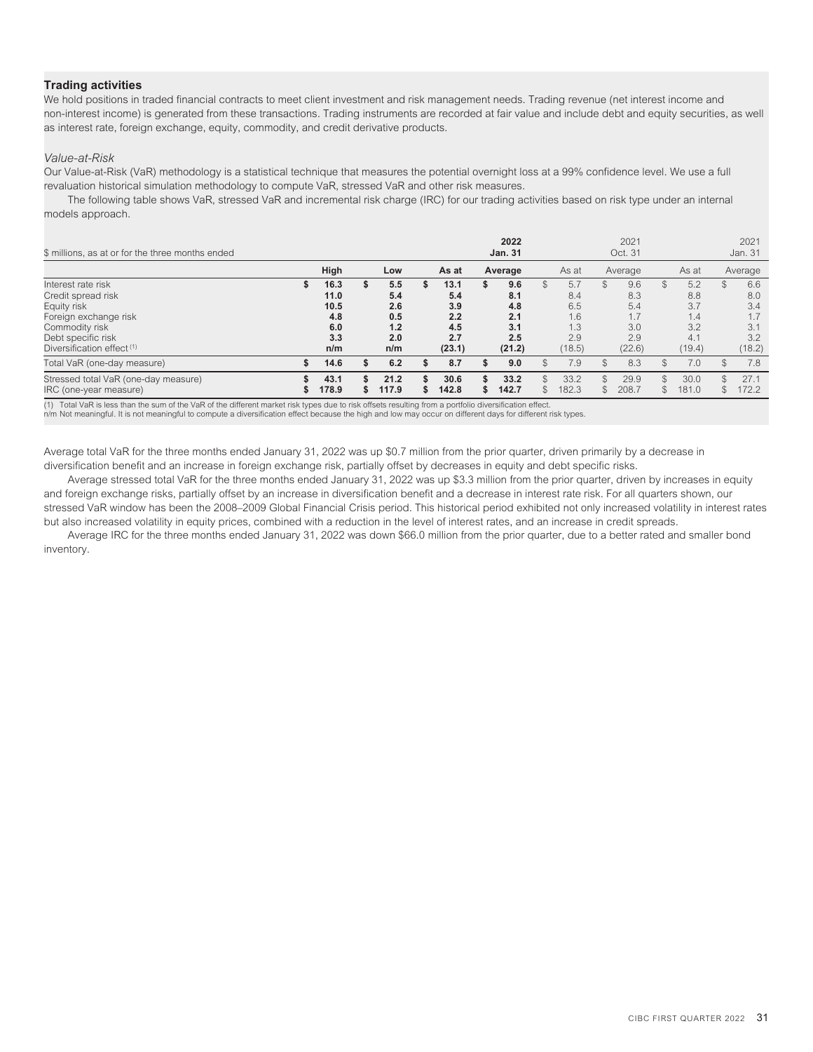# **Trading activities**

We hold positions in traded financial contracts to meet client investment and risk management needs. Trading revenue (net interest income and non-interest income) is generated from these transactions. Trading instruments are recorded at fair value and include debt and equity securities, as well as interest rate, foreign exchange, equity, commodity, and credit derivative products.

### *Value-at-Risk*

Our Value-at-Risk (VaR) methodology is a statistical technique that measures the potential overnight loss at a 99% confidence level. We use a full revaluation historical simulation methodology to compute VaR, stressed VaR and other risk measures.

The following table shows VaR, stressed VaR and incremental risk charge (IRC) for our trading activities based on risk type under an internal models approach.

| \$ millions, as at or for the three months ended                                                                                                                  |                                                  |                                               |   |                                                   |   | 2022<br><b>Jan. 31</b>                           |     |                                                  |     | 2021<br>Oct. 31                                  |                      |                                                  |                     | 2021<br>Jan. 31                                  |
|-------------------------------------------------------------------------------------------------------------------------------------------------------------------|--------------------------------------------------|-----------------------------------------------|---|---------------------------------------------------|---|--------------------------------------------------|-----|--------------------------------------------------|-----|--------------------------------------------------|----------------------|--------------------------------------------------|---------------------|--------------------------------------------------|
|                                                                                                                                                                   | High                                             | Low                                           |   | As at                                             |   | Average                                          |     | As at                                            |     | Average                                          |                      | As at                                            |                     | Average                                          |
| Interest rate risk<br>Credit spread risk<br>Equity risk<br>Foreign exchange risk<br>Commodity risk<br>Debt specific risk<br>Diversification effect <sup>(1)</sup> | 16.3<br>11.0<br>10.5<br>4.8<br>6.0<br>3.3<br>n/m | 5.5<br>5.4<br>2.6<br>0.5<br>1.2<br>2.0<br>n/m | S | 13.1<br>5.4<br>3.9<br>2.2<br>4.5<br>2.7<br>(23.1) | S | 9.6<br>8.1<br>4.8<br>2.1<br>3.1<br>2.5<br>(21.2) | \$. | 5.7<br>8.4<br>6.5<br>1.6<br>1.3<br>2.9<br>(18.5) | \$. | 9.6<br>8.3<br>5.4<br>1.7<br>3.0<br>2.9<br>(22.6) | $\mathbb{S}$         | 5.2<br>8.8<br>3.7<br>1.4<br>3.2<br>4.1<br>(19.4) | $\mathcal{L}$       | 6.6<br>8.0<br>3.4<br>1.7<br>3.1<br>3.2<br>(18.2) |
| Total VaR (one-day measure)                                                                                                                                       | 14.6                                             | 6.2                                           |   | 8.7                                               |   | 9.0                                              |     | 7.9                                              |     | 8.3                                              | \$                   | 7.0                                              | \$                  | 7.8                                              |
| Stressed total VaR (one-day measure)<br>IRC (one-year measure)                                                                                                    | 43.1<br>178.9                                    | 21.2<br>117.9                                 |   | 30.6<br>142.8                                     |   | 33.2<br>142.7                                    |     | 33.2<br>182.3                                    |     | 29.9<br>208.7                                    | $\mathcal{S}$<br>\$. | 30.0<br>181.0                                    | $\mathcal{L}$<br>\$ | 27.1<br>172.2                                    |

(1) Total VaR is less than the sum of the VaR of the different market risk types due to risk offsets resulting from a portfolio diversification effect. n/m Not meaningful. It is not meaningful to compute a diversification effect because the high and low may occur on different days for different risk types.

Average total VaR for the three months ended January 31, 2022 was up \$0.7 million from the prior quarter, driven primarily by a decrease in diversification benefit and an increase in foreign exchange risk, partially offset by decreases in equity and debt specific risks.

Average stressed total VaR for the three months ended January 31, 2022 was up \$3.3 million from the prior quarter, driven by increases in equity and foreign exchange risks, partially offset by an increase in diversification benefit and a decrease in interest rate risk. For all quarters shown, our stressed VaR window has been the 2008–2009 Global Financial Crisis period. This historical period exhibited not only increased volatility in interest rates but also increased volatility in equity prices, combined with a reduction in the level of interest rates, and an increase in credit spreads.

Average IRC for the three months ended January 31, 2022 was down \$66.0 million from the prior quarter, due to a better rated and smaller bond inventory.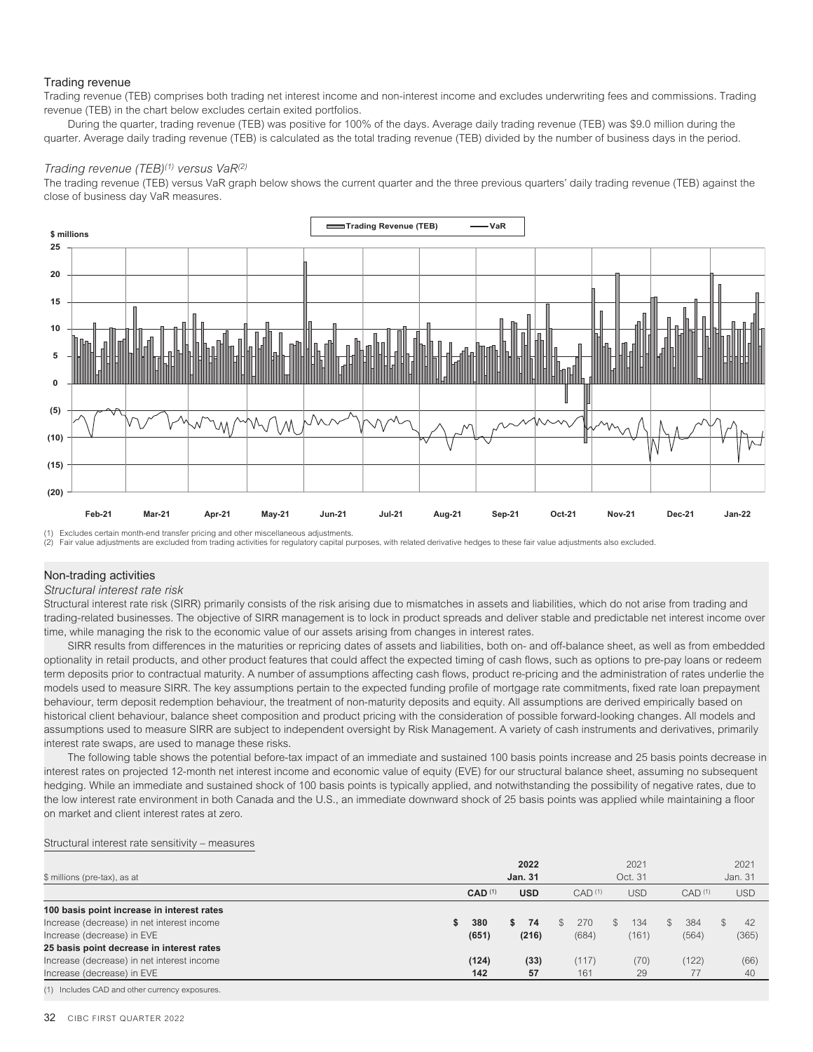### Trading revenue

Trading revenue (TEB) comprises both trading net interest income and non-interest income and excludes underwriting fees and commissions. Trading revenue (TEB) in the chart below excludes certain exited portfolios.

During the quarter, trading revenue (TEB) was positive for 100% of the days. Average daily trading revenue (TEB) was \$9.0 million during the quarter. Average daily trading revenue (TEB) is calculated as the total trading revenue (TEB) divided by the number of business days in the period.

### *Trading revenue (TEB)(1) versus VaR(2)*

The trading revenue (TEB) versus VaR graph below shows the current quarter and the three previous quarters' daily trading revenue (TEB) against the close of business day VaR measures.



(1) Excludes certain month-end transfer pricing and other miscellaneous adjustments.

(2) Fair value adjustments are excluded from trading activities for regulatory capital purposes, with related derivative hedges to these fair value adjustments also excluded.

### Non-trading activities

### *Structural interest rate risk*

Structural interest rate risk (SIRR) primarily consists of the risk arising due to mismatches in assets and liabilities, which do not arise from trading and trading-related businesses. The objective of SIRR management is to lock in product spreads and deliver stable and predictable net interest income over time, while managing the risk to the economic value of our assets arising from changes in interest rates.

SIRR results from differences in the maturities or repricing dates of assets and liabilities, both on- and off-balance sheet, as well as from embedded optionality in retail products, and other product features that could affect the expected timing of cash flows, such as options to pre-pay loans or redeem term deposits prior to contractual maturity. A number of assumptions affecting cash flows, product re-pricing and the administration of rates underlie the models used to measure SIRR. The key assumptions pertain to the expected funding profile of mortgage rate commitments, fixed rate loan prepayment behaviour, term deposit redemption behaviour, the treatment of non-maturity deposits and equity. All assumptions are derived empirically based on historical client behaviour, balance sheet composition and product pricing with the consideration of possible forward-looking changes. All models and assumptions used to measure SIRR are subject to independent oversight by Risk Management. A variety of cash instruments and derivatives, primarily interest rate swaps, are used to manage these risks.

The following table shows the potential before-tax impact of an immediate and sustained 100 basis points increase and 25 basis points decrease in interest rates on projected 12-month net interest income and economic value of equity (EVE) for our structural balance sheet, assuming no subsequent hedging. While an immediate and sustained shock of 100 basis points is typically applied, and notwithstanding the possibility of negative rates, due to the low interest rate environment in both Canada and the U.S., an immediate downward shock of 25 basis points was applied while maintaining a floor on market and client interest rates at zero.

#### Structural interest rate sensitivity – measures

| \$ millions (pre-tax), as at                   |                      | 2022<br><b>Jan. 31</b> |                    | 2021<br>Oct. 31      |                      | 2021<br>Jan. 31     |
|------------------------------------------------|----------------------|------------------------|--------------------|----------------------|----------------------|---------------------|
|                                                | $CAD$ <sup>(1)</sup> | <b>USD</b>             | CAD <sup>(1)</sup> | <b>USD</b>           | CAD <sup>(1)</sup>   | <b>USD</b>          |
| 100 basis point increase in interest rates     |                      |                        |                    |                      |                      |                     |
| Increase (decrease) in net interest income     | 380<br>\$            | 74<br>S                | 270                | 134<br>$\mathcal{S}$ | 384<br>$\mathcal{S}$ | $\mathcal{L}$<br>42 |
| Increase (decrease) in EVE                     | (651)                | (216)                  | (684)              | (161)                | (564)                | (365)               |
| 25 basis point decrease in interest rates      |                      |                        |                    |                      |                      |                     |
| Increase (decrease) in net interest income     | (124)                | (33)                   | (117)              | (70)                 | (122)                | (66)                |
| Increase (decrease) in EVE                     | 142                  | 57                     | 161                | 29                   | 77                   | -40                 |
| (1) Includes CAD and other currency exposures. |                      |                        |                    |                      |                      |                     |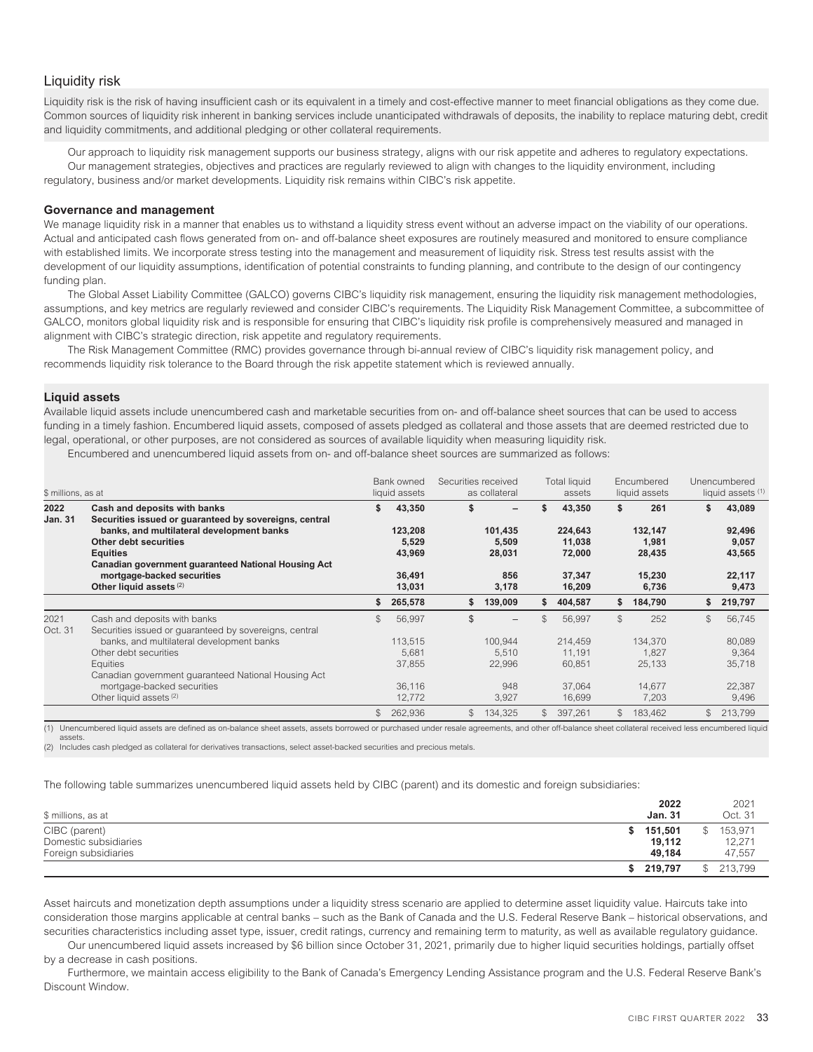# <span id="page-35-0"></span>Liquidity risk

Liquidity risk is the risk of having insufficient cash or its equivalent in a timely and cost-effective manner to meet financial obligations as they come due. Common sources of liquidity risk inherent in banking services include unanticipated withdrawals of deposits, the inability to replace maturing debt, credit and liquidity commitments, and additional pledging or other collateral requirements.

Our approach to liquidity risk management supports our business strategy, aligns with our risk appetite and adheres to regulatory expectations. Our management strategies, objectives and practices are regularly reviewed to align with changes to the liquidity environment, including regulatory, business and/or market developments. Liquidity risk remains within CIBC's risk appetite.

### **Governance and management**

We manage liquidity risk in a manner that enables us to withstand a liquidity stress event without an adverse impact on the viability of our operations. Actual and anticipated cash flows generated from on- and off-balance sheet exposures are routinely measured and monitored to ensure compliance with established limits. We incorporate stress testing into the management and measurement of liquidity risk. Stress test results assist with the development of our liquidity assumptions, identification of potential constraints to funding planning, and contribute to the design of our contingency funding plan.

The Global Asset Liability Committee (GALCO) governs CIBC's liquidity risk management, ensuring the liquidity risk management methodologies, assumptions, and key metrics are regularly reviewed and consider CIBC's requirements. The Liquidity Risk Management Committee, a subcommittee of GALCO, monitors global liquidity risk and is responsible for ensuring that CIBC's liquidity risk profile is comprehensively measured and managed in alignment with CIBC's strategic direction, risk appetite and regulatory requirements.

The Risk Management Committee (RMC) provides governance through bi-annual review of CIBC's liquidity risk management policy, and recommends liquidity risk tolerance to the Board through the risk appetite statement which is reviewed annually.

### **Liquid assets**

Available liquid assets include unencumbered cash and marketable securities from on- and off-balance sheet sources that can be used to access funding in a timely fashion. Encumbered liquid assets, composed of assets pledged as collateral and those assets that are deemed restricted due to legal, operational, or other purposes, are not considered as sources of available liquidity when measuring liquidity risk.

Encumbered and unencumbered liquid assets from on- and off-balance sheet sources are summarized as follows:

| \$ millions, as at     |                                                                                        | Bank owned<br>liquid assets |                  | Securities received<br>as collateral |                 | <b>Total liquid</b><br>assets |                  | Encumbered<br>liquid assets |                 | Unencumbered<br>liquid assets (1) |                 |
|------------------------|----------------------------------------------------------------------------------------|-----------------------------|------------------|--------------------------------------|-----------------|-------------------------------|------------------|-----------------------------|-----------------|-----------------------------------|-----------------|
| 2022<br><b>Jan. 31</b> | Cash and deposits with banks<br>Securities issued or guaranteed by sovereigns, central | \$                          | 43,350           | \$                                   |                 |                               | 43,350           | \$                          | 261             | \$                                | 43,089          |
|                        | banks, and multilateral development banks                                              |                             | 123,208          |                                      | 101,435         |                               | 224,643          |                             | 132,147         |                                   | 92,496          |
|                        | Other debt securities<br><b>Equities</b>                                               |                             | 5,529<br>43,969  |                                      | 5,509<br>28,031 |                               | 11,038<br>72,000 |                             | 1,981<br>28,435 |                                   | 9,057<br>43,565 |
|                        | Canadian government guaranteed National Housing Act                                    |                             |                  |                                      |                 |                               |                  |                             |                 |                                   |                 |
|                        | mortgage-backed securities<br>Other liquid assets (2)                                  |                             | 36,491<br>13,031 |                                      | 856<br>3,178    |                               | 37,347<br>16,209 |                             | 15,230<br>6,736 |                                   | 22,117<br>9,473 |
|                        |                                                                                        | \$                          | 265,578          | S                                    | 139,009         | S                             | 404,587          | \$                          | 184,790         | \$                                | 219,797         |
| 2021<br>Oct. 31        | Cash and deposits with banks<br>Securities issued or quaranteed by sovereigns, central | \$                          | 56,997           | \$                                   |                 |                               | 56,997           | $\mathcal{S}$               | 252             | $\mathcal{L}$                     | 56,745          |
|                        | banks, and multilateral development banks                                              |                             | 113.515          |                                      | 100.944         |                               | 214,459          |                             | 134,370         |                                   | 80,089          |
|                        | Other debt securities                                                                  |                             | 5,681            |                                      | 5,510           |                               | 11,191           |                             | 1,827           |                                   | 9,364           |
|                        | <b>Equities</b>                                                                        |                             | 37,855           |                                      | 22,996          |                               | 60,851           |                             | 25,133          |                                   | 35,718          |
|                        | Canadian government guaranteed National Housing Act                                    |                             |                  |                                      |                 |                               |                  |                             |                 |                                   |                 |
|                        | mortgage-backed securities                                                             |                             | 36,116           |                                      | 948             |                               | 37,064           |                             | 14.677          |                                   | 22,387          |
|                        | Other liquid assets (2)                                                                |                             | 12,772           |                                      | 3,927           |                               | 16,699           |                             | 7,203           |                                   | 9,496           |
|                        |                                                                                        | \$                          | 262,936          | S.                                   | 134,325         | $\mathbb{S}$                  | 397,261          | $\mathbb{S}$                | 183,462         | $\mathbb S$                       | 213,799         |

(1) Unencumbered liquid assets are defined as on-balance sheet assets, assets borrowed or purchased under resale agreements, and other off-balance sheet collateral received less encumbered liquid assets.

(2) Includes cash pledged as collateral for derivatives transactions, select asset-backed securities and precious metals.

The following table summarizes unencumbered liquid assets held by CIBC (parent) and its domestic and foreign subsidiaries:

| \$ millions, as at                                             | 2022<br><b>Jan. 31</b>           | 2021<br>Oct. 31                   |
|----------------------------------------------------------------|----------------------------------|-----------------------------------|
| CIBC (parent)<br>Domestic subsidiaries<br>Foreign subsidiaries | 151.501<br>S<br>19.112<br>49.184 | 153.971<br>\$<br>12,271<br>47.557 |
|                                                                | 219.797                          | $^{\circ}$<br>213.799             |

Asset haircuts and monetization depth assumptions under a liquidity stress scenario are applied to determine asset liquidity value. Haircuts take into consideration those margins applicable at central banks – such as the Bank of Canada and the U.S. Federal Reserve Bank – historical observations, and securities characteristics including asset type, issuer, credit ratings, currency and remaining term to maturity, as well as available regulatory guidance.

Our unencumbered liquid assets increased by \$6 billion since October 31, 2021, primarily due to higher liquid securities holdings, partially offset by a decrease in cash positions.

Furthermore, we maintain access eligibility to the Bank of Canada's Emergency Lending Assistance program and the U.S. Federal Reserve Bank's Discount Window.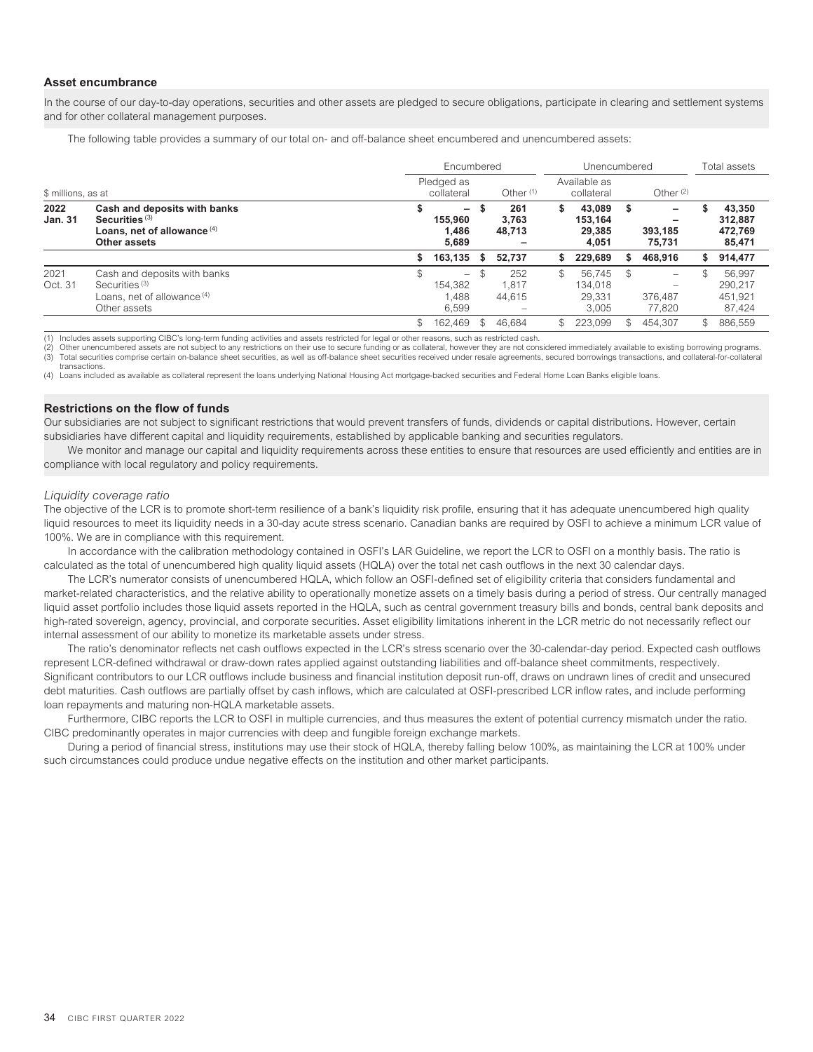## **Asset encumbrance**

In the course of our day-to-day operations, securities and other assets are pledged to secure obligations, participate in clearing and settlement systems and for other collateral management purposes.

The following table provides a summary of our total on- and off-balance sheet encumbered and unencumbered assets:

|                        |                                                                                                                     |    | Encumbered                                            |             |                        |                            | Unencumbered                         |    | Total assets                                   |     |                                        |
|------------------------|---------------------------------------------------------------------------------------------------------------------|----|-------------------------------------------------------|-------------|------------------------|----------------------------|--------------------------------------|----|------------------------------------------------|-----|----------------------------------------|
| \$ millions, as at     |                                                                                                                     |    | Pledged as<br>collateral                              | Other $(1)$ |                        | Available as<br>collateral |                                      |    | Other $(2)$                                    |     |                                        |
| 2022<br><b>Jan. 31</b> | Cash and deposits with banks<br>Securities <sup>(3)</sup><br>Loans, net of allowance (4)<br>Other assets            |    | -<br>155.960<br>1.486<br>5.689                        |             | 261<br>3,763<br>48.713 | S                          | 43.089<br>153.164<br>29,385<br>4.051 | S  | $\overline{\phantom{0}}$<br>393,185<br>75.731  |     | 43,350<br>312,887<br>472,769<br>85,471 |
|                        |                                                                                                                     | S. | 163,135                                               | \$          | 52.737                 | \$                         | 229,689                              | S  | 468.916                                        | S.  | 914,477                                |
| 2021<br>Oct. 31        | Cash and deposits with banks<br>Securities <sup>(3)</sup><br>Loans, net of allowance <sup>(4)</sup><br>Other assets |    | $\overline{\phantom{a}}$<br>154.382<br>1,488<br>6.599 | -S          | 252<br>1.817<br>44.615 | \$.                        | 56.745<br>134.018<br>29.331<br>3.005 | -S | $\qquad \qquad$<br>$\sim$<br>376.487<br>77.820 | \$  | 56,997<br>290.217<br>451,921<br>87,424 |
|                        |                                                                                                                     |    | 162,469                                               | \$          | 46.684                 | \$                         | 223,099                              | S. | 454.307                                        | \$. | 886.559                                |

(1) Includes assets supporting CIBC's long-term funding activities and assets restricted for legal or other reasons, such as restricted cash.<br>(2) Other unencumbered assets are not subject to any restrictions on their use t (3) Total securities comprise certain on-balance sheet securities, as well as off-balance sheet securities received under resale agreements, secured borrowings transactions, and collateral-for-collateral transactions.

(4) Loans included as available as collateral represent the loans underlying National Housing Act mortgage-backed securities and Federal Home Loan Banks eligible loans.

# **Restrictions on the flow of funds**

Our subsidiaries are not subject to significant restrictions that would prevent transfers of funds, dividends or capital distributions. However, certain subsidiaries have different capital and liquidity requirements, established by applicable banking and securities regulators.

We monitor and manage our capital and liquidity requirements across these entities to ensure that resources are used efficiently and entities are in compliance with local regulatory and policy requirements.

#### *Liquidity coverage ratio*

The objective of the LCR is to promote short-term resilience of a bank's liquidity risk profile, ensuring that it has adequate unencumbered high quality liquid resources to meet its liquidity needs in a 30-day acute stress scenario. Canadian banks are required by OSFI to achieve a minimum LCR value of 100%. We are in compliance with this requirement.

In accordance with the calibration methodology contained in OSFI's LAR Guideline, we report the LCR to OSFI on a monthly basis. The ratio is calculated as the total of unencumbered high quality liquid assets (HQLA) over the total net cash outflows in the next 30 calendar days.

The LCR's numerator consists of unencumbered HQLA, which follow an OSFI-defined set of eligibility criteria that considers fundamental and market-related characteristics, and the relative ability to operationally monetize assets on a timely basis during a period of stress. Our centrally managed liquid asset portfolio includes those liquid assets reported in the HQLA, such as central government treasury bills and bonds, central bank deposits and high-rated sovereign, agency, provincial, and corporate securities. Asset eligibility limitations inherent in the LCR metric do not necessarily reflect our internal assessment of our ability to monetize its marketable assets under stress.

The ratio's denominator reflects net cash outflows expected in the LCR's stress scenario over the 30-calendar-day period. Expected cash outflows represent LCR-defined withdrawal or draw-down rates applied against outstanding liabilities and off-balance sheet commitments, respectively. Significant contributors to our LCR outflows include business and financial institution deposit run-off, draws on undrawn lines of credit and unsecured debt maturities. Cash outflows are partially offset by cash inflows, which are calculated at OSFI-prescribed LCR inflow rates, and include performing loan repayments and maturing non-HQLA marketable assets.

Furthermore, CIBC reports the LCR to OSFI in multiple currencies, and thus measures the extent of potential currency mismatch under the ratio. CIBC predominantly operates in major currencies with deep and fungible foreign exchange markets.

During a period of financial stress, institutions may use their stock of HQLA, thereby falling below 100%, as maintaining the LCR at 100% under such circumstances could produce undue negative effects on the institution and other market participants.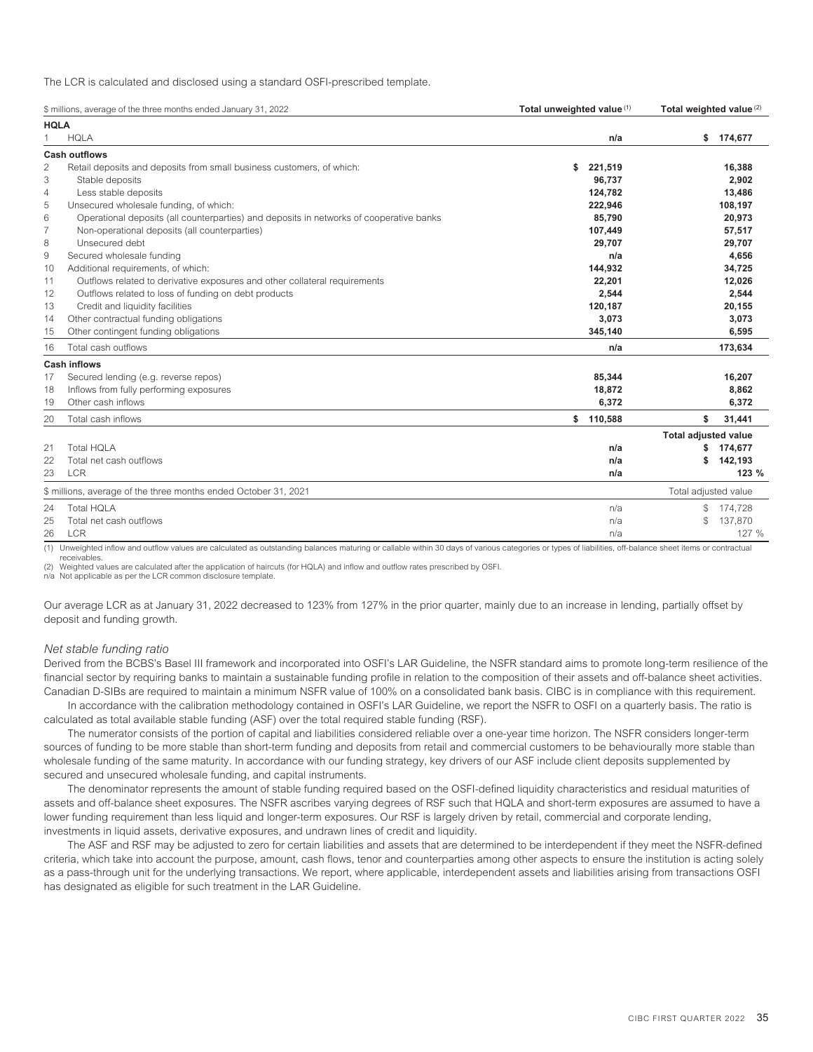The LCR is calculated and disclosed using a standard OSFI-prescribed template.

| <b>HQLA</b><br><b>HQLA</b><br>\$<br>174,677<br>n/a<br><b>Cash outflows</b><br>2<br>Retail deposits and deposits from small business customers, of which:<br>\$<br>221,519<br>16,388<br>3<br>96,737<br>Stable deposits<br>2,902<br>124,782<br>4<br>Less stable deposits<br>13,486<br>5<br>Unsecured wholesale funding, of which:<br>222,946<br>108,197<br>6<br>Operational deposits (all counterparties) and deposits in networks of cooperative banks<br>20,973<br>85.790<br>$\overline{7}$<br>Non-operational deposits (all counterparties)<br>107,449<br>57,517<br>Unsecured debt<br>8<br>29.707<br>29,707<br>Secured wholesale funding<br>4,656<br>9<br>n/a<br>Additional requirements, of which:<br>144,932<br>34,725<br>10<br>Outflows related to derivative exposures and other collateral requirements<br>22,201<br>12,026<br>11<br>2,544<br>Outflows related to loss of funding on debt products<br>2,544<br>12<br>13<br>Credit and liquidity facilities<br>120,187<br>20,155<br>Other contractual funding obligations<br>3,073<br>3,073<br>14<br>Other contingent funding obligations<br>345,140<br>6,595<br>15 |       |
|--------------------------------------------------------------------------------------------------------------------------------------------------------------------------------------------------------------------------------------------------------------------------------------------------------------------------------------------------------------------------------------------------------------------------------------------------------------------------------------------------------------------------------------------------------------------------------------------------------------------------------------------------------------------------------------------------------------------------------------------------------------------------------------------------------------------------------------------------------------------------------------------------------------------------------------------------------------------------------------------------------------------------------------------------------------------------------------------------------------------------|-------|
|                                                                                                                                                                                                                                                                                                                                                                                                                                                                                                                                                                                                                                                                                                                                                                                                                                                                                                                                                                                                                                                                                                                          |       |
|                                                                                                                                                                                                                                                                                                                                                                                                                                                                                                                                                                                                                                                                                                                                                                                                                                                                                                                                                                                                                                                                                                                          |       |
|                                                                                                                                                                                                                                                                                                                                                                                                                                                                                                                                                                                                                                                                                                                                                                                                                                                                                                                                                                                                                                                                                                                          |       |
|                                                                                                                                                                                                                                                                                                                                                                                                                                                                                                                                                                                                                                                                                                                                                                                                                                                                                                                                                                                                                                                                                                                          |       |
|                                                                                                                                                                                                                                                                                                                                                                                                                                                                                                                                                                                                                                                                                                                                                                                                                                                                                                                                                                                                                                                                                                                          |       |
|                                                                                                                                                                                                                                                                                                                                                                                                                                                                                                                                                                                                                                                                                                                                                                                                                                                                                                                                                                                                                                                                                                                          |       |
|                                                                                                                                                                                                                                                                                                                                                                                                                                                                                                                                                                                                                                                                                                                                                                                                                                                                                                                                                                                                                                                                                                                          |       |
|                                                                                                                                                                                                                                                                                                                                                                                                                                                                                                                                                                                                                                                                                                                                                                                                                                                                                                                                                                                                                                                                                                                          |       |
|                                                                                                                                                                                                                                                                                                                                                                                                                                                                                                                                                                                                                                                                                                                                                                                                                                                                                                                                                                                                                                                                                                                          |       |
|                                                                                                                                                                                                                                                                                                                                                                                                                                                                                                                                                                                                                                                                                                                                                                                                                                                                                                                                                                                                                                                                                                                          |       |
|                                                                                                                                                                                                                                                                                                                                                                                                                                                                                                                                                                                                                                                                                                                                                                                                                                                                                                                                                                                                                                                                                                                          |       |
|                                                                                                                                                                                                                                                                                                                                                                                                                                                                                                                                                                                                                                                                                                                                                                                                                                                                                                                                                                                                                                                                                                                          |       |
|                                                                                                                                                                                                                                                                                                                                                                                                                                                                                                                                                                                                                                                                                                                                                                                                                                                                                                                                                                                                                                                                                                                          |       |
|                                                                                                                                                                                                                                                                                                                                                                                                                                                                                                                                                                                                                                                                                                                                                                                                                                                                                                                                                                                                                                                                                                                          |       |
|                                                                                                                                                                                                                                                                                                                                                                                                                                                                                                                                                                                                                                                                                                                                                                                                                                                                                                                                                                                                                                                                                                                          |       |
|                                                                                                                                                                                                                                                                                                                                                                                                                                                                                                                                                                                                                                                                                                                                                                                                                                                                                                                                                                                                                                                                                                                          |       |
|                                                                                                                                                                                                                                                                                                                                                                                                                                                                                                                                                                                                                                                                                                                                                                                                                                                                                                                                                                                                                                                                                                                          |       |
| Total cash outflows<br>173,634<br>16<br>n/a                                                                                                                                                                                                                                                                                                                                                                                                                                                                                                                                                                                                                                                                                                                                                                                                                                                                                                                                                                                                                                                                              |       |
| <b>Cash inflows</b>                                                                                                                                                                                                                                                                                                                                                                                                                                                                                                                                                                                                                                                                                                                                                                                                                                                                                                                                                                                                                                                                                                      |       |
| Secured lending (e.g. reverse repos)<br>85,344<br>16,207<br>17                                                                                                                                                                                                                                                                                                                                                                                                                                                                                                                                                                                                                                                                                                                                                                                                                                                                                                                                                                                                                                                           |       |
| Inflows from fully performing exposures<br>18,872<br>8,862<br>18                                                                                                                                                                                                                                                                                                                                                                                                                                                                                                                                                                                                                                                                                                                                                                                                                                                                                                                                                                                                                                                         |       |
| Other cash inflows<br>6,372<br>6,372<br>19                                                                                                                                                                                                                                                                                                                                                                                                                                                                                                                                                                                                                                                                                                                                                                                                                                                                                                                                                                                                                                                                               |       |
| 110,588<br>20<br>Total cash inflows<br>\$<br>\$<br>31,441                                                                                                                                                                                                                                                                                                                                                                                                                                                                                                                                                                                                                                                                                                                                                                                                                                                                                                                                                                                                                                                                |       |
| <b>Total adjusted value</b>                                                                                                                                                                                                                                                                                                                                                                                                                                                                                                                                                                                                                                                                                                                                                                                                                                                                                                                                                                                                                                                                                              |       |
| <b>Total HOLA</b><br>21<br>174,677<br>n/a<br>s.                                                                                                                                                                                                                                                                                                                                                                                                                                                                                                                                                                                                                                                                                                                                                                                                                                                                                                                                                                                                                                                                          |       |
| Total net cash outflows<br>142,193<br>22<br>\$<br>n/a                                                                                                                                                                                                                                                                                                                                                                                                                                                                                                                                                                                                                                                                                                                                                                                                                                                                                                                                                                                                                                                                    |       |
| LCR<br>23<br>n/a                                                                                                                                                                                                                                                                                                                                                                                                                                                                                                                                                                                                                                                                                                                                                                                                                                                                                                                                                                                                                                                                                                         | 123%  |
| \$ millions, average of the three months ended October 31, 2021<br>Total adjusted value                                                                                                                                                                                                                                                                                                                                                                                                                                                                                                                                                                                                                                                                                                                                                                                                                                                                                                                                                                                                                                  |       |
| <b>Total HOLA</b><br>24<br>\$<br>174,728<br>n/a                                                                                                                                                                                                                                                                                                                                                                                                                                                                                                                                                                                                                                                                                                                                                                                                                                                                                                                                                                                                                                                                          |       |
| $\mathcal{L}$<br>137,870<br>Total net cash outflows<br>25<br>n/a                                                                                                                                                                                                                                                                                                                                                                                                                                                                                                                                                                                                                                                                                                                                                                                                                                                                                                                                                                                                                                                         |       |
| <b>LCR</b><br>26<br>n/a                                                                                                                                                                                                                                                                                                                                                                                                                                                                                                                                                                                                                                                                                                                                                                                                                                                                                                                                                                                                                                                                                                  | 127 % |

(1) Unweighted inflow and outflow values are calculated as outstanding balances maturing or callable within 30 days of various categories or types of liabilities, off-balance sheet items or contractual receivables.

(2) Weighted values are calculated after the application of haircuts (for HQLA) and inflow and outflow rates prescribed by OSFI.

n/a Not applicable as per the LCR common disclosure template.

Our average LCR as at January 31, 2022 decreased to 123% from 127% in the prior quarter, mainly due to an increase in lending, partially offset by deposit and funding growth.

### *Net stable funding ratio*

Derived from the BCBS's Basel III framework and incorporated into OSFI's LAR Guideline, the NSFR standard aims to promote long-term resilience of the financial sector by requiring banks to maintain a sustainable funding profile in relation to the composition of their assets and off-balance sheet activities. Canadian D-SIBs are required to maintain a minimum NSFR value of 100% on a consolidated bank basis. CIBC is in compliance with this requirement.

In accordance with the calibration methodology contained in OSFI's LAR Guideline, we report the NSFR to OSFI on a quarterly basis. The ratio is calculated as total available stable funding (ASF) over the total required stable funding (RSF).

The numerator consists of the portion of capital and liabilities considered reliable over a one-year time horizon. The NSFR considers longer-term sources of funding to be more stable than short-term funding and deposits from retail and commercial customers to be behaviourally more stable than wholesale funding of the same maturity. In accordance with our funding strategy, key drivers of our ASF include client deposits supplemented by secured and unsecured wholesale funding, and capital instruments.

The denominator represents the amount of stable funding required based on the OSFI-defined liquidity characteristics and residual maturities of assets and off-balance sheet exposures. The NSFR ascribes varying degrees of RSF such that HQLA and short-term exposures are assumed to have a lower funding requirement than less liquid and longer-term exposures. Our RSF is largely driven by retail, commercial and corporate lending, investments in liquid assets, derivative exposures, and undrawn lines of credit and liquidity.

The ASF and RSF may be adjusted to zero for certain liabilities and assets that are determined to be interdependent if they meet the NSFR-defined criteria, which take into account the purpose, amount, cash flows, tenor and counterparties among other aspects to ensure the institution is acting solely as a pass-through unit for the underlying transactions. We report, where applicable, interdependent assets and liabilities arising from transactions OSFI has designated as eligible for such treatment in the LAR Guideline.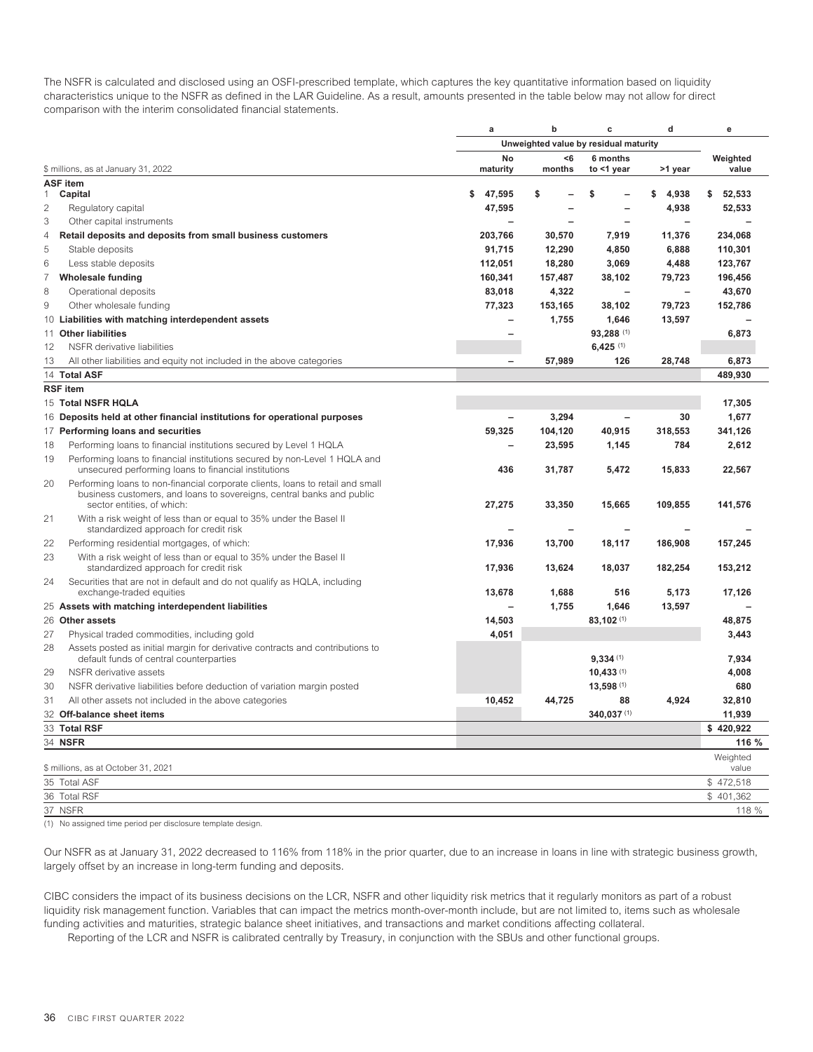The NSFR is calculated and disclosed using an OSFI-prescribed template, which captures the key quantitative information based on liquidity characteristics unique to the NSFR as defined in the LAR Guideline. As a result, amounts presented in the table below may not allow for direct comparison with the interim consolidated financial statements.

|                |                                                                                                                          | $\mathbf a$              | $\mathbf b$   | c                                     | d              | e                 |
|----------------|--------------------------------------------------------------------------------------------------------------------------|--------------------------|---------------|---------------------------------------|----------------|-------------------|
|                |                                                                                                                          |                          |               | Unweighted value by residual maturity |                |                   |
|                | \$ millions, as at January 31, 2022                                                                                      | No<br>maturity           | $6$<br>months | 6 months<br>to <1 year                | >1 year        | Weighted<br>value |
|                | <b>ASF item</b>                                                                                                          |                          |               |                                       |                |                   |
| 1              | Capital                                                                                                                  | \$<br>47,595             | \$            | \$                                    | 4,938<br>\$    | 52,533<br>\$      |
| $\overline{c}$ | Regulatory capital                                                                                                       | 47,595                   |               |                                       | 4,938          | 52,533            |
| 3              | Other capital instruments                                                                                                |                          |               |                                       |                |                   |
| $\overline{4}$ | Retail deposits and deposits from small business customers                                                               | 203,766                  | 30,570        | 7,919                                 | 11,376         | 234,068           |
| 5              | Stable deposits                                                                                                          | 91,715                   | 12,290        | 4,850                                 | 6,888          | 110,301           |
| $6\,$          | Less stable deposits                                                                                                     | 112,051                  | 18,280        | 3,069                                 | 4,488          | 123,767           |
| $\overline{7}$ | <b>Wholesale funding</b>                                                                                                 | 160,341                  | 157,487       | 38,102                                | 79,723         | 196,456           |
| 8              | Operational deposits                                                                                                     | 83,018                   | 4,322         | $\sim$                                | $\overline{a}$ | 43,670            |
| 9              | Other wholesale funding                                                                                                  | 77,323                   | 153,165       | 38,102                                | 79,723         | 152,786           |
|                | 10 Liabilities with matching interdependent assets                                                                       |                          | 1,755         | 1,646                                 | 13,597         |                   |
|                | 11 Other liabilities                                                                                                     |                          |               | 93,288 (1)                            |                | 6,873             |
| 12             | NSFR derivative liabilities                                                                                              |                          |               | $6,425$ (1)                           |                |                   |
| 13             | All other liabilities and equity not included in the above categories                                                    | $\overline{\phantom{0}}$ | 57,989        | 126                                   | 28,748         | 6,873             |
|                | 14 Total ASF                                                                                                             |                          |               |                                       |                | 489,930           |
|                | <b>RSF</b> item                                                                                                          |                          |               |                                       |                |                   |
|                | 15 Total NSFR HQLA                                                                                                       |                          |               |                                       |                | 17,305            |
|                | 16 Deposits held at other financial institutions for operational purposes                                                |                          | 3,294         |                                       | 30             | 1,677             |
|                | 17 Performing loans and securities                                                                                       | 59,325                   | 104,120       | 40,915                                | 318,553        | 341,126           |
| 18             | Performing loans to financial institutions secured by Level 1 HQLA                                                       |                          | 23,595        | 1,145                                 | 784            | 2,612             |
| 19             | Performing loans to financial institutions secured by non-Level 1 HQLA and                                               |                          |               |                                       |                |                   |
|                | unsecured performing loans to financial institutions                                                                     | 436                      | 31,787        | 5,472                                 | 15,833         | 22,567            |
| 20             | Performing loans to non-financial corporate clients, loans to retail and small                                           |                          |               |                                       |                |                   |
|                | business customers, and loans to sovereigns, central banks and public                                                    |                          |               |                                       |                |                   |
|                | sector entities, of which:                                                                                               | 27,275                   | 33,350        | 15,665                                | 109,855        | 141,576           |
| 21             | With a risk weight of less than or equal to 35% under the Basel II<br>standardized approach for credit risk              |                          |               |                                       |                |                   |
| 22             | Performing residential mortgages, of which:                                                                              | 17,936                   | 13,700        | 18,117                                | 186,908        | 157,245           |
| 23             | With a risk weight of less than or equal to 35% under the Basel II                                                       |                          |               |                                       |                |                   |
|                | standardized approach for credit risk                                                                                    | 17,936                   | 13,624        | 18,037                                | 182,254        | 153,212           |
| 24             | Securities that are not in default and do not qualify as HQLA, including                                                 |                          |               |                                       |                |                   |
|                | exchange-traded equities                                                                                                 | 13,678                   | 1,688         | 516                                   | 5,173          | 17,126            |
|                | 25 Assets with matching interdependent liabilities                                                                       |                          | 1,755         | 1,646                                 | 13,597         |                   |
|                | 26 Other assets                                                                                                          | 14,503                   |               | 83,102 (1)                            |                | 48,875            |
| 27             | Physical traded commodities, including gold                                                                              | 4,051                    |               |                                       |                | 3,443             |
| 28             | Assets posted as initial margin for derivative contracts and contributions to<br>default funds of central counterparties |                          |               | 9.334(1)                              |                | 7.934             |
| 29             | NSFR derivative assets                                                                                                   |                          |               | 10,433(1)                             |                | 4,008             |
| 30             | NSFR derivative liabilities before deduction of variation margin posted                                                  |                          |               | 13,598 (1)                            |                | 680               |
| 31             | All other assets not included in the above categories                                                                    | 10,452                   | 44,725        | 88                                    | 4,924          | 32,810            |
|                | 32 Off-balance sheet items                                                                                               |                          |               | 340,037 (1)                           |                | 11,939            |
|                | 33 Total RSF                                                                                                             |                          |               |                                       |                | \$420,922         |
|                | 34 NSFR                                                                                                                  |                          |               |                                       |                | 116 %             |
|                |                                                                                                                          |                          |               |                                       |                | Weighted          |
|                | \$ millions, as at October 31, 2021                                                                                      |                          |               |                                       |                | value             |
|                | 35 Total ASF                                                                                                             |                          |               |                                       |                | \$472,518         |
|                | 36 Total RSF                                                                                                             |                          |               |                                       |                | \$401,362         |
|                | 37 NSFR                                                                                                                  |                          |               |                                       |                | 118 %             |

(1) No assigned time period per disclosure template design.

Our NSFR as at January 31, 2022 decreased to 116% from 118% in the prior quarter, due to an increase in loans in line with strategic business growth, largely offset by an increase in long-term funding and deposits.

CIBC considers the impact of its business decisions on the LCR, NSFR and other liquidity risk metrics that it regularly monitors as part of a robust liquidity risk management function. Variables that can impact the metrics month-over-month include, but are not limited to, items such as wholesale funding activities and maturities, strategic balance sheet initiatives, and transactions and market conditions affecting collateral.

Reporting of the LCR and NSFR is calibrated centrally by Treasury, in conjunction with the SBUs and other functional groups.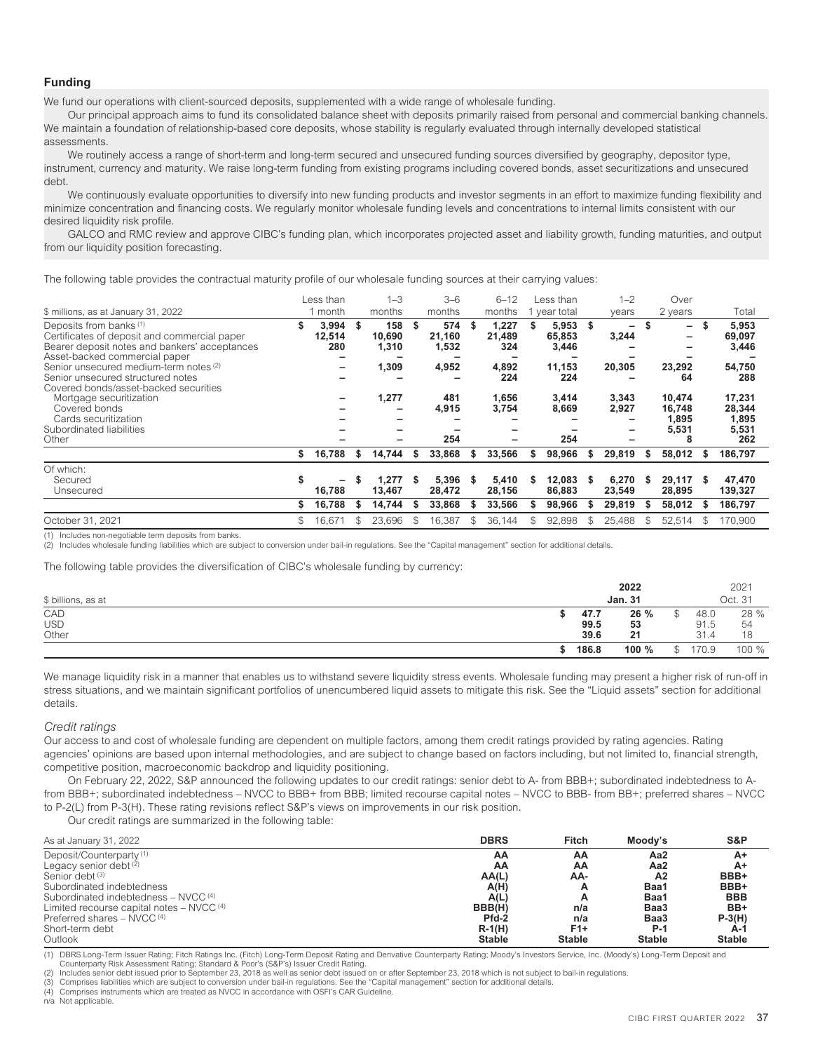#### **Funding**

We fund our operations with client-sourced deposits, supplemented with a wide range of wholesale funding.

Our principal approach aims to fund its consolidated balance sheet with deposits primarily raised from personal and commercial banking channels. We maintain a foundation of relationship-based core deposits, whose stability is regularly evaluated through internally developed statistical assessments.

We routinely access a range of short-term and long-term secured and unsecured funding sources diversified by geography, depositor type, instrument, currency and maturity. We raise long-term funding from existing programs including covered bonds, asset securitizations and unsecured debt.

We continuously evaluate opportunities to diversify into new funding products and investor segments in an effort to maximize funding flexibility and minimize concentration and financing costs. We regularly monitor wholesale funding levels and concentrations to internal limits consistent with our desired liquidity risk profile.

GALCO and RMC review and approve CIBC's funding plan, which incorporates projected asset and liability growth, funding maturities, and output from our liquidity position forecasting.

The following table provides the contractual maturity profile of our wholesale funding sources at their carrying values:

| \$ millions, as at January 31, 2022                                                                                                                                  | Less than<br>month           |    | $1 - 3$<br>months      |     | $3-6$<br>months        |    | $6 - 12$<br>months     | Less than<br>year total  |     | $1 - 2$<br>years                  |     | Over<br>2 years           |               | Total                     |
|----------------------------------------------------------------------------------------------------------------------------------------------------------------------|------------------------------|----|------------------------|-----|------------------------|----|------------------------|--------------------------|-----|-----------------------------------|-----|---------------------------|---------------|---------------------------|
| Deposits from banks <sup>(1)</sup><br>Certificates of deposit and commercial paper<br>Bearer deposit notes and bankers' acceptances<br>Asset-backed commercial paper | \$<br>3,994<br>12,514<br>280 | \$ | 158<br>10,690<br>1,310 | \$  | 574<br>21,160<br>1,532 | S  | 1,227<br>21,489<br>324 | 5,953<br>65,853<br>3,446 | -\$ | $\overline{\phantom{0}}$<br>3,244 |     | $-$<br>-                  | -S            | 5,953<br>69,097<br>3,446  |
| Senior unsecured medium-term notes (2)<br>Senior unsecured structured notes<br>Covered bonds/asset-backed securities                                                 |                              |    | 1,309                  |     | 4,952                  |    | 4,892<br>224           | 11,153<br>224            |     | 20,305                            |     | 23,292<br>64              |               | 54,750<br>288             |
| Mortgage securitization<br>Covered bonds<br>Cards securitization                                                                                                     |                              |    | 1,277                  |     | 481<br>4,915           |    | 1,656<br>3,754         | 3,414<br>8,669           |     | 3,343<br>2,927                    |     | 10.474<br>16,748<br>1,895 |               | 17,231<br>28,344<br>1,895 |
| Subordinated liabilities<br>Other                                                                                                                                    |                              |    |                        |     | 254                    |    | -                      | 254                      |     | -                                 |     | 5,531<br>8                |               | 5,531<br>262              |
|                                                                                                                                                                      | \$<br>16,788                 | s. | 14,744                 | S   | 33,868                 | S  | 33,566                 | \$<br>98,966             | \$  | 29,819                            | S   | 58,012                    | -S            | 186,797                   |
| Of which:<br>Secured<br>Unsecured                                                                                                                                    | \$<br>16,788                 |    | 1,277<br>13,467        |     | 5.396<br>28,472        |    | 5,410<br>28,156        | 12.083<br>86,883         | S   | 6,270<br>23,549                   |     | 29.117<br>28,895          | S             | 47,470<br>139,327         |
|                                                                                                                                                                      | \$<br>16,788                 | \$ | 14,744                 | -S  | 33,868                 | S  | 33,566                 | \$<br>98,966             | \$. | 29.819                            | s.  | 58,012                    |               | 186,797                   |
| October 31, 2021                                                                                                                                                     | \$<br>16,671                 |    | 23,696                 | \$. | 16,387                 | S. | 36,144                 | 92,898                   | \$  | 25,488                            | \$. | 52,514                    | $\mathcal{R}$ | 170.900                   |

Includes non-negotiable term deposits from banks.

Includes wholesale funding liabilities which are subject to conversion under bail-in regulations. See the "Capital management" section for additional details

The following table provides the diversification of CIBC's wholesale funding by currency:

| \$ billions, as at         |                      | 2022<br><b>Jan. 31</b> |                      | 2021<br>Oct. 31  |
|----------------------------|----------------------|------------------------|----------------------|------------------|
| CAD<br><b>USD</b><br>Other | 47.7<br>99.5<br>39.6 | 26 %<br>53<br>21       | 48.0<br>91.5<br>31.4 | 28 %<br>54<br>18 |
|                            | 186.8                | 100 %                  | \$<br>170.9          | 100 %            |

We manage liquidity risk in a manner that enables us to withstand severe liquidity stress events. Wholesale funding may present a higher risk of run-off in stress situations, and we maintain significant portfolios of unencumbered liquid assets to mitigate this risk. See the "Liquid assets" section for additional details.

*Credit ratings*

Our access to and cost of wholesale funding are dependent on multiple factors, among them credit ratings provided by rating agencies. Rating agencies' opinions are based upon internal methodologies, and are subject to change based on factors including, but not limited to, financial strength, competitive position, macroeconomic backdrop and liquidity positioning.

On February 22, 2022, S&P announced the following updates to our credit ratings: senior debt to A- from BBB+; subordinated indebtedness to Afrom BBB+; subordinated indebtedness – NVCC to BBB+ from BBB; limited recourse capital notes – NVCC to BBB- from BB+; preferred shares – NVCC to P-2(L) from P-3(H). These rating revisions reflect S&P's views on improvements in our risk position.

Our credit ratings are summarized in the following table:

| As at January 31, 2022                               | <b>DBRS</b>   | Fitch         | Moody's       | S&P           |
|------------------------------------------------------|---------------|---------------|---------------|---------------|
| Deposit/Counterparty <sup>(1)</sup>                  | AΑ            | AA            | Aa2           | A+            |
| Legacy senior debt (2)                               | AΑ            | AA            | Aa2           | A+            |
| Senior debt <sup>(3)</sup>                           | AA(L)         | AA-           | Α2            | BBB+          |
| Subordinated indebtedness                            | A(H)          | A             | Baa1          | BBB+          |
| Subordinated indebtedness - NVCC (4)                 | A(L)          | A             | Baa1          | <b>BBB</b>    |
| Limited recourse capital notes - NVCC <sup>(4)</sup> | BBB(H)        | n/a           | Baa3          | BB+           |
| Preferred shares $-$ NVCC <sup>(4)</sup>             | Pfd-2         | n/a           | Baa3          | $P-3(H)$      |
| Short-term debt                                      | $R-1(H)$      | F1+           | P-1           | A-1           |
| Outlook                                              | <b>Stable</b> | <b>Stable</b> | <b>Stable</b> | <b>Stable</b> |

(1) DBRS Long-Term Issuer Rating; Fitch Ratings Inc. (Fitch) Long-Term Deposit Rating and Derivative Counterparty Rating; Moody's Investors Service, Inc. (Moody's) Long-Term Deposit and Counterparty Risk Assessment Rating; Standard & Poor's (S&P's) Issuer Credit Rating.

Includes senior debt issued prior to September 23, 2018 as well as senior debt issued on or after September 23, 2018 which is not subject to bail-in regulations.

(3) Comprises liabilities which are subject to conversion under bail-in regulations. See the "Capital management" section for additional details<br>(4) Comprises instruments which are treated as NVCC in accordance with OSFI's

Comprises instruments which are treated as NVCC in accordance with OSFI's CAR Guideline.

n/a Not applicable.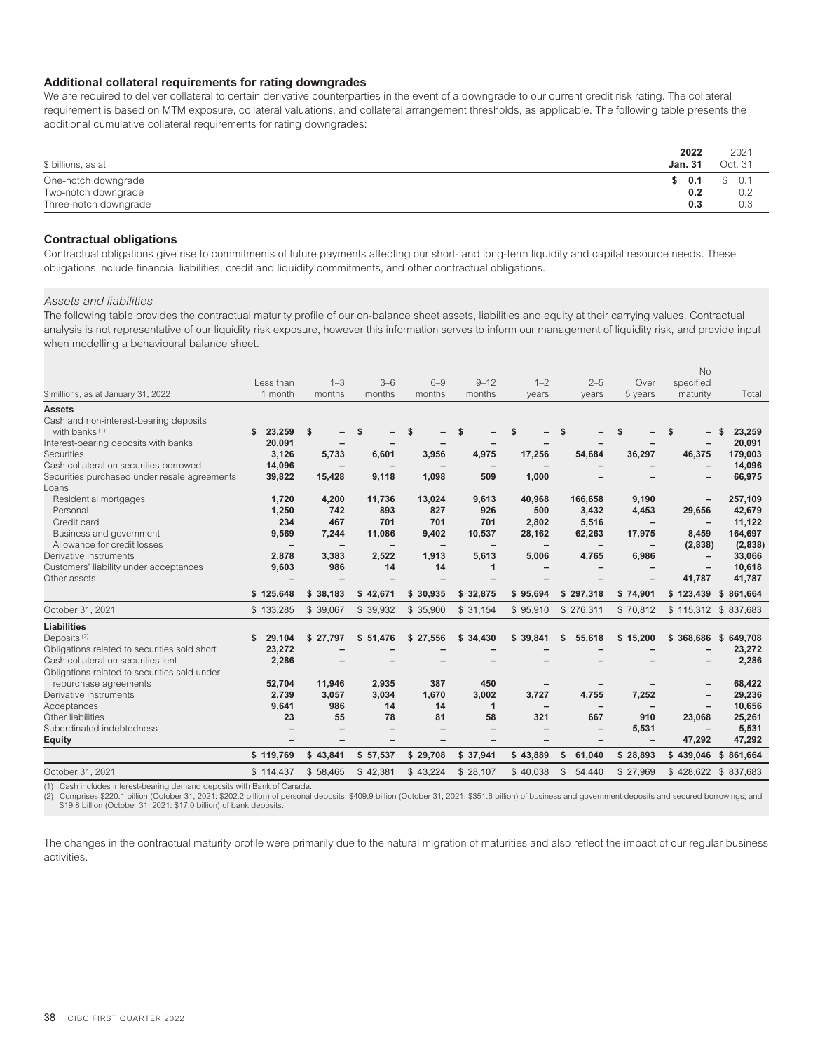#### **Additional collateral requirements for rating downgrades**

We are required to deliver collateral to certain derivative counterparties in the event of a downgrade to our current credit risk rating. The collateral requirement is based on MTM exposure, collateral valuations, and collateral arrangement thresholds, as applicable. The following table presents the additional cumulative collateral requirements for rating downgrades:

| \$ billions, as at    | 2022<br><b>Jan. 31</b> | 2021<br>Oct. 31 |
|-----------------------|------------------------|-----------------|
| One-notch downgrade   | \$0.1                  | \$0.1           |
| Two-notch downgrade   | 0.2                    | 0.2             |
| Three-notch downgrade | 0.3                    | 0.3             |

#### **Contractual obligations**

Contractual obligations give rise to commitments of future payments affecting our short- and long-term liquidity and capital resource needs. These obligations include financial liabilities, credit and liquidity commitments, and other contractual obligations.

#### *Assets and liabilities*

The following table provides the contractual maturity profile of our on-balance sheet assets, liabilities and equity at their carrying values. Contractual analysis is not representative of our liquidity risk exposure, however this information serves to inform our management of liquidity risk, and provide input when modelling a behavioural balance sheet.

|                                              |              |              |           |           |                          |              |          |     |                          |           | <b>No</b>           |               |
|----------------------------------------------|--------------|--------------|-----------|-----------|--------------------------|--------------|----------|-----|--------------------------|-----------|---------------------|---------------|
|                                              | Less than    |              | $1 - 3$   | $3 - 6$   | $6 - 9$                  | $9 - 12$     | $1 - 2$  |     | $2 - 5$                  | Over      | specified           |               |
| \$ millions, as at January 31, 2022          | 1 month      |              | months    | months    | months                   | months       | years    |     | years                    | 5 years   | maturity            | Total         |
| <b>Assets</b>                                |              |              |           |           |                          |              |          |     |                          |           |                     |               |
| Cash and non-interest-bearing deposits       |              |              |           |           |                          |              |          |     |                          |           |                     |               |
| with banks <sup>(1)</sup>                    | \$<br>23,259 | $\mathsf{s}$ |           | S         |                          | \$           | \$       |     |                          | \$        | \$                  | 23,259        |
| Interest-bearing deposits with banks         | 20,091       |              |           |           |                          |              |          |     |                          |           |                     | 20,091        |
| <b>Securities</b>                            | 3,126        |              | 5,733     | 6,601     | 3,956                    | 4,975        | 17,256   |     | 54,684                   | 36,297    | 46,375              | 179,003       |
| Cash collateral on securities borrowed       | 14,096       |              |           |           |                          |              |          |     |                          |           |                     | 14,096        |
| Securities purchased under resale agreements | 39,822       |              | 15,428    | 9,118     | 1,098                    | 509          | 1,000    |     |                          |           |                     | 66,975        |
| Loans                                        |              |              |           |           |                          |              |          |     |                          |           |                     |               |
| Residential mortgages                        | 1,720        |              | 4,200     | 11,736    | 13,024                   | 9,613        | 40,968   |     | 166,658                  | 9,190     |                     | 257,109       |
| Personal                                     | 1,250        |              | 742       | 893       | 827                      | 926          | 500      |     | 3,432                    | 4,453     | 29,656              | 42,679        |
| Credit card                                  | 234          |              | 467       | 701       | 701                      | 701          | 2,802    |     | 5,516                    |           |                     | 11,122        |
| Business and government                      | 9,569        |              | 7,244     | 11,086    | 9,402                    | 10,537       | 28,162   |     | 62,263                   | 17,975    | 8,459               | 164,697       |
| Allowance for credit losses                  | -            |              | -         | -         | $\overline{\phantom{m}}$ |              | -        |     | $\overline{\phantom{m}}$ |           | (2,838)             | (2,838)       |
| Derivative instruments                       | 2,878        |              | 3,383     | 2,522     | 1,913                    | 5,613        | 5,006    |     | 4,765                    | 6,986     |                     | 33,066        |
| Customers' liability under acceptances       | 9,603        |              | 986       | 14        | 14                       | $\mathbf 1$  |          |     |                          |           |                     | 10,618        |
| Other assets                                 |              |              |           |           |                          |              |          |     |                          |           | 41,787              | 41,787        |
|                                              | \$125,648    |              | \$38,183  | \$42,671  | \$30,935                 | \$32,875     | \$95,694 |     | \$297,318                | \$74,901  | \$123,439           | \$<br>861,664 |
| October 31, 2021                             | \$133,285    |              | \$ 39,067 | \$ 39,932 | \$ 35,900                | \$31,154     | \$95,910 |     | \$276,311                | \$70,812  | \$115,312           | \$837.683     |
| <b>Liabilities</b>                           |              |              |           |           |                          |              |          |     |                          |           |                     |               |
| Deposits <sup>(2)</sup>                      | \$<br>29,104 |              | \$27,797  | \$51,476  | \$27,556                 | \$<br>34,430 | \$39,841 | \$. | 55,618                   | \$15,200  | \$ 368,686          | \$<br>649,708 |
| Obligations related to securities sold short | 23,272       |              |           |           |                          |              |          |     |                          |           |                     | 23,272        |
| Cash collateral on securities lent           | 2,286        |              |           |           |                          |              |          |     |                          |           |                     | 2,286         |
| Obligations related to securities sold under |              |              |           |           |                          |              |          |     |                          |           |                     |               |
| repurchase agreements                        | 52,704       |              | 11,946    | 2,935     | 387                      | 450          |          |     |                          |           |                     | 68,422        |
| Derivative instruments                       | 2,739        |              | 3,057     | 3,034     | 1,670                    | 3,002        | 3,727    |     | 4,755                    | 7,252     |                     | 29,236        |
| Acceptances                                  | 9,641        |              | 986       | 14        | 14                       | $\mathbf 1$  |          |     |                          |           |                     | 10,656        |
| Other liabilities                            | 23           |              | 55        | 78        | 81                       | 58           | 321      |     | 667                      | 910       | 23,068              | 25,261        |
| Subordinated indebtedness                    |              |              |           |           |                          |              |          |     |                          | 5,531     |                     | 5,531         |
| <b>Equity</b>                                |              |              |           |           |                          |              |          |     |                          |           | 47,292              | 47,292        |
|                                              | \$119,769    |              | \$43,841  | \$57,537  | \$29,708                 | \$37,941     | \$43,889 | \$  | 61,040                   | \$28,893  | \$439,046           | \$<br>861,664 |
| October 31, 2021                             | \$114,437    |              | \$58.465  | \$42,381  | \$43,224                 | \$28,107     | \$40,038 | \$  | 54,440                   | \$ 27,969 | \$428,622 \$837,683 |               |
|                                              |              |              |           |           |                          |              |          |     |                          |           |                     |               |

(1) Cash includes interest-bearing demand deposits with Bank of Canada.<br>(2) Comprises \$220.1 billion (October 31, 2021: \$202.2 billion) of personal deposits; \$409.9 billion (October 31, 2021: \$351.6 billion) of business an

The changes in the contractual maturity profile were primarily due to the natural migration of maturities and also reflect the impact of our regular business activities.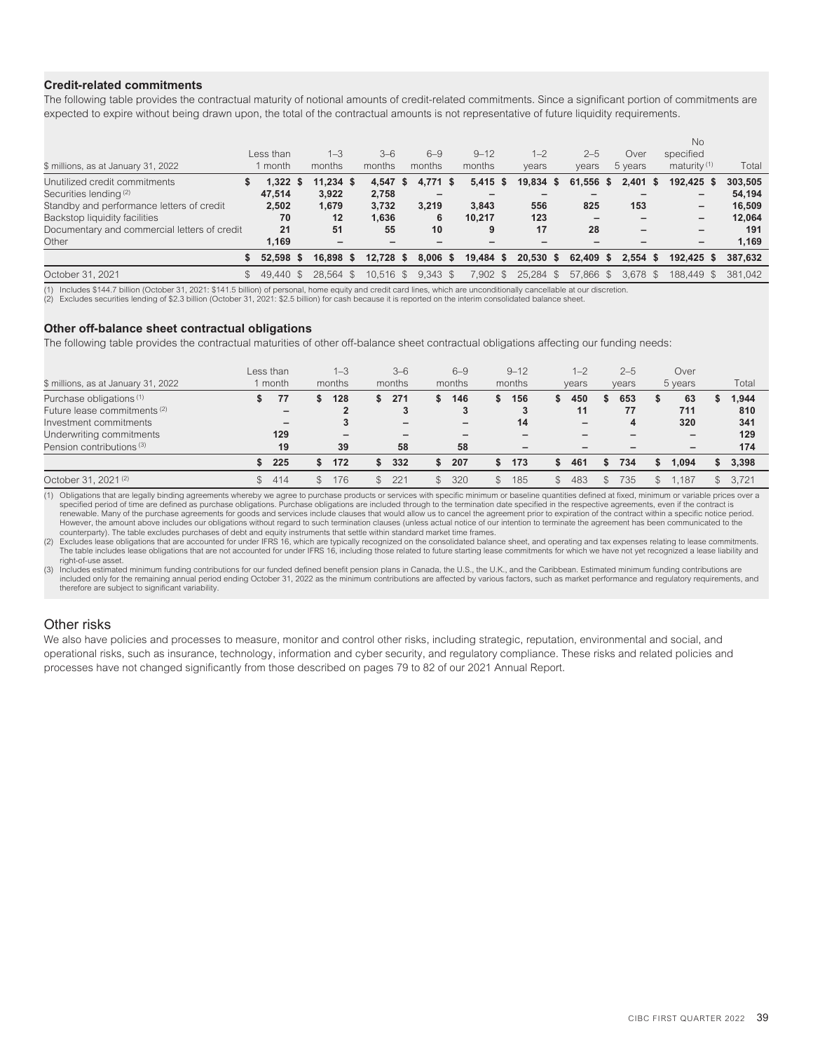## **Credit-related commitments**

The following table provides the contractual maturity of notional amounts of credit-related commitments. Since a significant portion of commitments are expected to expire without being drawn upon, the total of the contractual amounts is not representative of future liquidity requirements.

|                                              |             |             |             |    |            |            |           |           |    |            | No             |         |
|----------------------------------------------|-------------|-------------|-------------|----|------------|------------|-----------|-----------|----|------------|----------------|---------|
|                                              | Less than   | $1 - 3$     | $3 - 6$     |    | $6 - 9$    | $9 - 12$   | $1 - 2$   | $2 - 5$   |    | Over       | specified      |         |
| \$ millions, as at January 31, 2022          | month       | months      | months      |    | months     | months     | years     | years     |    | 5 years    | maturity $(1)$ | Total   |
| Unutilized credit commitments                | 1.322       | $11.234$ \$ | 4.547       | -S | 4.771 \$   | $5,415$ \$ | 19,834 \$ | 61,556    | -S | $2,401$ \$ | 192,425 \$     | 303,505 |
| Securities lending <sup>(2)</sup>            | 47.514      | 3.922       | 2.758       |    |            |            |           |           |    |            | -              | 54.194  |
| Standby and performance letters of credit    | 2,502       | 1,679       | 3,732       |    | 3.219      | 3.843      | 556       | 825       |    | 153        | -              | 16.509  |
| Backstop liquidity facilities                | 70          | 12          | 1,636       |    | 6          | 10.217     | 123       |           |    |            | -              | 12.064  |
| Documentary and commercial letters of credit | 21          | 51          | 55          |    | 10         |            | 17        | 28        |    |            |                | 191     |
| Other                                        | 1.169       | -           |             |    |            |            |           |           |    |            | -              | 1.169   |
|                                              | $52.598$ \$ | 16.898 \$   | $12.728$ \$ |    | $8.006$ \$ | 19.484 \$  | 20.530 S  | 62.409 \$ |    | $2.554$ \$ | 192.425 \$     | 387.632 |
| October 31, 2021                             | 49.440 \$   | 28.564 \$   | $10.516$ \$ |    | $9.343$ \$ | 7.902 \$   | 25.284 \$ | 57.866 \$ |    | 3.678 \$   | 188.449 \$     | 381.042 |

(1) Includes \$144.7 billion (October 31, 2021: \$141.5 billion) of personal, home equity and credit card lines, which are unconditionally cancellable at our discretion.<br>(2) Excludes securities lending of \$2.3 billion (Octob

#### **Other off-balance sheet contractual obligations**

The following table provides the contractual maturities of other off-balance sheet contractual obligations affecting our funding needs:

| \$ millions, as at January 31, 2022                                                                                                  |     | Less than<br>month |               | $1 - 3$<br>months |    | $3-6$<br>months                           |              | $6 - 9$<br>months                    | $9 - 12$<br>months |               | $1 - 2$<br>years | $2 - 5$<br>years |    | Over<br>5 years  | Total                      |
|--------------------------------------------------------------------------------------------------------------------------------------|-----|--------------------|---------------|-------------------|----|-------------------------------------------|--------------|--------------------------------------|--------------------|---------------|------------------|------------------|----|------------------|----------------------------|
| Purchase obligations <sup>(1)</sup><br>Future lease commitments <sup>(2)</sup><br>Investment commitments<br>Underwriting commitments |     | 77<br>-<br>129     |               | 128               | S. | 271<br>3<br>$\overline{\phantom{m}}$<br>- |              | 146<br>3<br>$\overline{\phantom{0}}$ | 156<br>3<br>14     | Эħ.           | 450<br>11<br>-   | 653<br>77        | J. | 63<br>711<br>320 | 1,944<br>810<br>341<br>129 |
| Pension contributions (3)                                                                                                            |     | 19                 |               | 39                |    | 58                                        |              | 58                                   |                    |               |                  |                  |    |                  | 174                        |
|                                                                                                                                      |     | 225                |               | 172               | S  | 332                                       |              | 207                                  | 173                | \$.           | 461              | 734              | S  | 1.094            | 3,398                      |
| October 31, 2021 <sup>(2)</sup>                                                                                                      | \$. | 414                | $\mathcal{S}$ | 176               |    | 221                                       | $\mathbb{S}$ | 320                                  | 185                | $\mathcal{L}$ | 483              | 735              | \$ | .187             | 3.721                      |

(1) Obligations that are legally binding agreements whereby we agree to purchase products or services with specific minimum or baseline quantities defined at fixed, minimum or variable prices over a specified period of time are defined as purchase obligations. Purchase obligations are included through to the termination date specified in the respective agreements, even if the contract is renewable. Many of the purchase agreements for goods and services include clauses that would allow us to cancel the agreement prior to expiration of the contract within a specific notice period.<br>However, the amount above i counterparty). The table excludes purchases of debt and equity instruments that settle within standard market time frames.

(2) Excludes lease obligations that are accounted for under IFRS 16, which are typically recognized on the consolidated balance sheet, and operating and tax expenses relating to lease commitments.<br>The table includes lease right-of-use asset.

3) Includes estimated minimum funding contributions for our funded defined benefit pension plans in Canada, the U.S., the U.K., and the Caribbean. Estimated minimum funding contributions are affected by various factors, su therefore are subject to significant variability.

# Other risks

We also have policies and processes to measure, monitor and control other risks, including strategic, reputation, environmental and social, and operational risks, such as insurance, technology, information and cyber security, and regulatory compliance. These risks and related policies and processes have not changed significantly from those described on pages 79 to 82 of our 2021 Annual Report.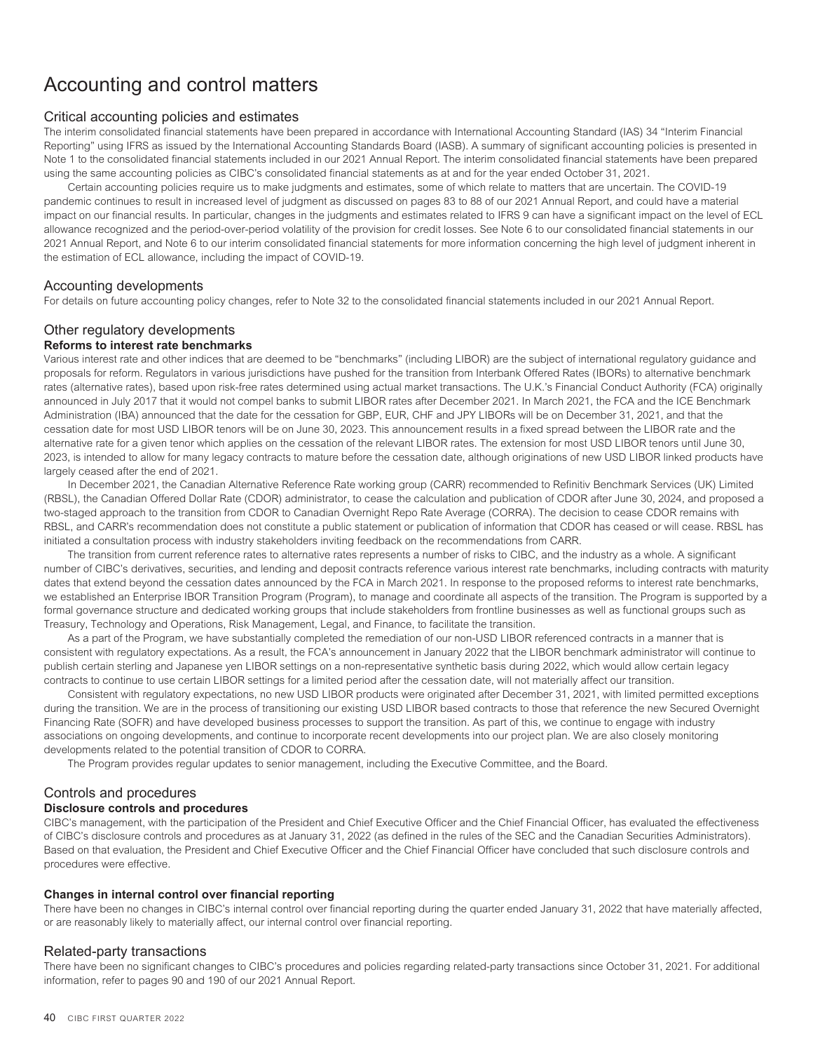# Accounting and control matters

# Critical accounting policies and estimates

The interim consolidated financial statements have been prepared in accordance with International Accounting Standard (IAS) 34 "Interim Financial Reporting" using IFRS as issued by the International Accounting Standards Board (IASB). A summary of significant accounting policies is presented in Note 1 to the consolidated financial statements included in our 2021 Annual Report. The interim consolidated financial statements have been prepared using the same accounting policies as CIBC's consolidated financial statements as at and for the year ended October 31, 2021.

Certain accounting policies require us to make judgments and estimates, some of which relate to matters that are uncertain. The COVID-19 pandemic continues to result in increased level of judgment as discussed on pages 83 to 88 of our 2021 Annual Report, and could have a material impact on our financial results. In particular, changes in the judgments and estimates related to IFRS 9 can have a significant impact on the level of ECL allowance recognized and the period-over-period volatility of the provision for credit losses. See Note 6 to our consolidated financial statements in our 2021 Annual Report, and Note 6 to our interim consolidated financial statements for more information concerning the high level of judgment inherent in the estimation of ECL allowance, including the impact of COVID-19.

### Accounting developments

For details on future accounting policy changes, refer to Note 32 to the consolidated financial statements included in our 2021 Annual Report.

# Other regulatory developments

# **Reforms to interest rate benchmarks**

Various interest rate and other indices that are deemed to be "benchmarks" (including LIBOR) are the subject of international regulatory guidance and proposals for reform. Regulators in various jurisdictions have pushed for the transition from Interbank Offered Rates (IBORs) to alternative benchmark rates (alternative rates), based upon risk-free rates determined using actual market transactions. The U.K.'s Financial Conduct Authority (FCA) originally announced in July 2017 that it would not compel banks to submit LIBOR rates after December 2021. In March 2021, the FCA and the ICE Benchmark Administration (IBA) announced that the date for the cessation for GBP, EUR, CHF and JPY LIBORs will be on December 31, 2021, and that the cessation date for most USD LIBOR tenors will be on June 30, 2023. This announcement results in a fixed spread between the LIBOR rate and the alternative rate for a given tenor which applies on the cessation of the relevant LIBOR rates. The extension for most USD LIBOR tenors until June 30, 2023, is intended to allow for many legacy contracts to mature before the cessation date, although originations of new USD LIBOR linked products have largely ceased after the end of 2021.

In December 2021, the Canadian Alternative Reference Rate working group (CARR) recommended to Refinitiv Benchmark Services (UK) Limited (RBSL), the Canadian Offered Dollar Rate (CDOR) administrator, to cease the calculation and publication of CDOR after June 30, 2024, and proposed a two-staged approach to the transition from CDOR to Canadian Overnight Repo Rate Average (CORRA). The decision to cease CDOR remains with RBSL, and CARR's recommendation does not constitute a public statement or publication of information that CDOR has ceased or will cease. RBSL has initiated a consultation process with industry stakeholders inviting feedback on the recommendations from CARR.

The transition from current reference rates to alternative rates represents a number of risks to CIBC, and the industry as a whole. A significant number of CIBC's derivatives, securities, and lending and deposit contracts reference various interest rate benchmarks, including contracts with maturity dates that extend beyond the cessation dates announced by the FCA in March 2021. In response to the proposed reforms to interest rate benchmarks, we established an Enterprise IBOR Transition Program (Program), to manage and coordinate all aspects of the transition. The Program is supported by a formal governance structure and dedicated working groups that include stakeholders from frontline businesses as well as functional groups such as Treasury, Technology and Operations, Risk Management, Legal, and Finance, to facilitate the transition.

As a part of the Program, we have substantially completed the remediation of our non-USD LIBOR referenced contracts in a manner that is consistent with regulatory expectations. As a result, the FCA's announcement in January 2022 that the LIBOR benchmark administrator will continue to publish certain sterling and Japanese yen LIBOR settings on a non-representative synthetic basis during 2022, which would allow certain legacy contracts to continue to use certain LIBOR settings for a limited period after the cessation date, will not materially affect our transition.

Consistent with regulatory expectations, no new USD LIBOR products were originated after December 31, 2021, with limited permitted exceptions during the transition. We are in the process of transitioning our existing USD LIBOR based contracts to those that reference the new Secured Overnight Financing Rate (SOFR) and have developed business processes to support the transition. As part of this, we continue to engage with industry associations on ongoing developments, and continue to incorporate recent developments into our project plan. We are also closely monitoring developments related to the potential transition of CDOR to CORRA.

The Program provides regular updates to senior management, including the Executive Committee, and the Board.

# Controls and procedures **Disclosure controls and procedures**

CIBC's management, with the participation of the President and Chief Executive Officer and the Chief Financial Officer, has evaluated the effectiveness of CIBC's disclosure controls and procedures as at January 31, 2022 (as defined in the rules of the SEC and the Canadian Securities Administrators). Based on that evaluation, the President and Chief Executive Officer and the Chief Financial Officer have concluded that such disclosure controls and procedures were effective.

#### **Changes in internal control over financial reporting**

There have been no changes in CIBC's internal control over financial reporting during the quarter ended January 31, 2022 that have materially affected, or are reasonably likely to materially affect, our internal control over financial reporting.

# Related-party transactions

There have been no significant changes to CIBC's procedures and policies regarding related-party transactions since October 31, 2021. For additional information, refer to pages 90 and 190 of our 2021 Annual Report.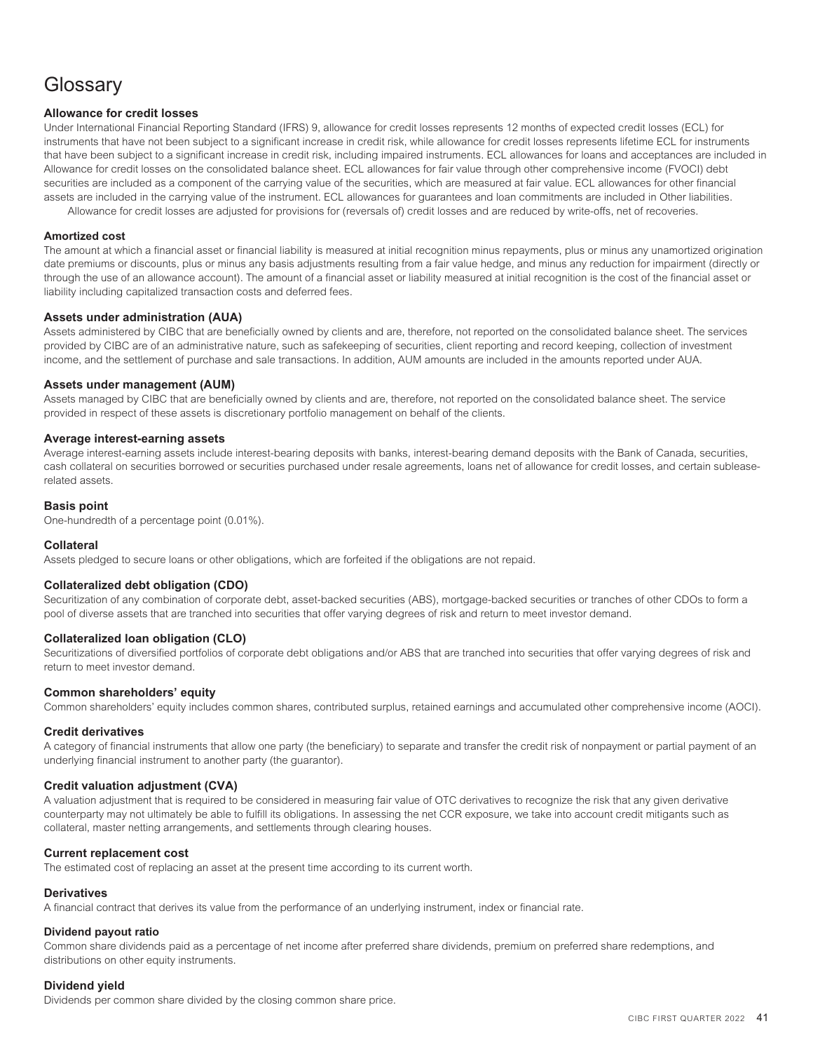# **Glossary**

## **Allowance for credit losses**

Under International Financial Reporting Standard (IFRS) 9, allowance for credit losses represents 12 months of expected credit losses (ECL) for instruments that have not been subject to a significant increase in credit risk, while allowance for credit losses represents lifetime ECL for instruments that have been subject to a significant increase in credit risk, including impaired instruments. ECL allowances for loans and acceptances are included in Allowance for credit losses on the consolidated balance sheet. ECL allowances for fair value through other comprehensive income (FVOCI) debt securities are included as a component of the carrying value of the securities, which are measured at fair value. ECL allowances for other financial assets are included in the carrying value of the instrument. ECL allowances for guarantees and loan commitments are included in Other liabilities. Allowance for credit losses are adjusted for provisions for (reversals of) credit losses and are reduced by write-offs, net of recoveries.

#### **Amortized cost**

The amount at which a financial asset or financial liability is measured at initial recognition minus repayments, plus or minus any unamortized origination date premiums or discounts, plus or minus any basis adjustments resulting from a fair value hedge, and minus any reduction for impairment (directly or through the use of an allowance account). The amount of a financial asset or liability measured at initial recognition is the cost of the financial asset or liability including capitalized transaction costs and deferred fees.

#### **Assets under administration (AUA)**

Assets administered by CIBC that are beneficially owned by clients and are, therefore, not reported on the consolidated balance sheet. The services provided by CIBC are of an administrative nature, such as safekeeping of securities, client reporting and record keeping, collection of investment income, and the settlement of purchase and sale transactions. In addition, AUM amounts are included in the amounts reported under AUA.

### **Assets under management (AUM)**

Assets managed by CIBC that are beneficially owned by clients and are, therefore, not reported on the consolidated balance sheet. The service provided in respect of these assets is discretionary portfolio management on behalf of the clients.

## **Average interest-earning assets**

Average interest-earning assets include interest-bearing deposits with banks, interest-bearing demand deposits with the Bank of Canada, securities, cash collateral on securities borrowed or securities purchased under resale agreements, loans net of allowance for credit losses, and certain subleaserelated assets.

### **Basis point**

One-hundredth of a percentage point (0.01%).

#### **Collateral**

Assets pledged to secure loans or other obligations, which are forfeited if the obligations are not repaid.

# **Collateralized debt obligation (CDO)**

Securitization of any combination of corporate debt, asset-backed securities (ABS), mortgage-backed securities or tranches of other CDOs to form a pool of diverse assets that are tranched into securities that offer varying degrees of risk and return to meet investor demand.

#### **Collateralized loan obligation (CLO)**

Securitizations of diversified portfolios of corporate debt obligations and/or ABS that are tranched into securities that offer varying degrees of risk and return to meet investor demand.

#### **Common shareholders' equity**

Common shareholders' equity includes common shares, contributed surplus, retained earnings and accumulated other comprehensive income (AOCI).

#### **Credit derivatives**

A category of financial instruments that allow one party (the beneficiary) to separate and transfer the credit risk of nonpayment or partial payment of an underlying financial instrument to another party (the guarantor).

#### **Credit valuation adjustment (CVA)**

A valuation adjustment that is required to be considered in measuring fair value of OTC derivatives to recognize the risk that any given derivative counterparty may not ultimately be able to fulfill its obligations. In assessing the net CCR exposure, we take into account credit mitigants such as collateral, master netting arrangements, and settlements through clearing houses.

#### **Current replacement cost**

The estimated cost of replacing an asset at the present time according to its current worth.

#### **Derivatives**

A financial contract that derives its value from the performance of an underlying instrument, index or financial rate.

#### **Dividend payout ratio**

Common share dividends paid as a percentage of net income after preferred share dividends, premium on preferred share redemptions, and distributions on other equity instruments.

#### **Dividend yield**

Dividends per common share divided by the closing common share price.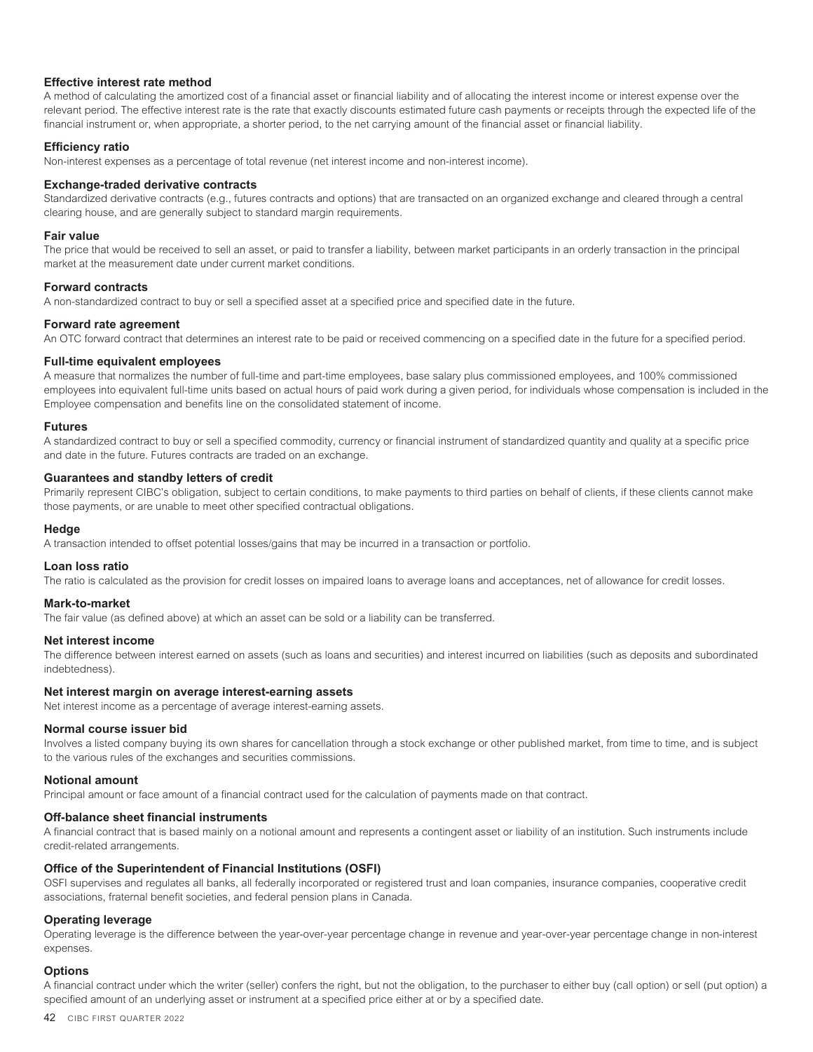#### **Effective interest rate method**

A method of calculating the amortized cost of a financial asset or financial liability and of allocating the interest income or interest expense over the relevant period. The effective interest rate is the rate that exactly discounts estimated future cash payments or receipts through the expected life of the financial instrument or, when appropriate, a shorter period, to the net carrying amount of the financial asset or financial liability.

#### **Efficiency ratio**

Non-interest expenses as a percentage of total revenue (net interest income and non-interest income).

#### **Exchange-traded derivative contracts**

Standardized derivative contracts (e.g., futures contracts and options) that are transacted on an organized exchange and cleared through a central clearing house, and are generally subject to standard margin requirements.

#### **Fair value**

The price that would be received to sell an asset, or paid to transfer a liability, between market participants in an orderly transaction in the principal market at the measurement date under current market conditions.

#### **Forward contracts**

A non-standardized contract to buy or sell a specified asset at a specified price and specified date in the future.

#### **Forward rate agreement**

An OTC forward contract that determines an interest rate to be paid or received commencing on a specified date in the future for a specified period.

#### **Full-time equivalent employees**

A measure that normalizes the number of full-time and part-time employees, base salary plus commissioned employees, and 100% commissioned employees into equivalent full-time units based on actual hours of paid work during a given period, for individuals whose compensation is included in the Employee compensation and benefits line on the consolidated statement of income.

#### **Futures**

A standardized contract to buy or sell a specified commodity, currency or financial instrument of standardized quantity and quality at a specific price and date in the future. Futures contracts are traded on an exchange.

#### **Guarantees and standby letters of credit**

Primarily represent CIBC's obligation, subject to certain conditions, to make payments to third parties on behalf of clients, if these clients cannot make those payments, or are unable to meet other specified contractual obligations.

#### **Hedge**

A transaction intended to offset potential losses/gains that may be incurred in a transaction or portfolio.

### **Loan loss ratio**

The ratio is calculated as the provision for credit losses on impaired loans to average loans and acceptances, net of allowance for credit losses.

#### **Mark-to-market**

The fair value (as defined above) at which an asset can be sold or a liability can be transferred.

#### **Net interest income**

The difference between interest earned on assets (such as loans and securities) and interest incurred on liabilities (such as deposits and subordinated indebtedness).

#### **Net interest margin on average interest-earning assets**

Net interest income as a percentage of average interest-earning assets.

#### **Normal course issuer bid**

Involves a listed company buying its own shares for cancellation through a stock exchange or other published market, from time to time, and is subject to the various rules of the exchanges and securities commissions.

#### **Notional amount**

Principal amount or face amount of a financial contract used for the calculation of payments made on that contract.

## **Off-balance sheet financial instruments**

A financial contract that is based mainly on a notional amount and represents a contingent asset or liability of an institution. Such instruments include credit-related arrangements.

#### **Office of the Superintendent of Financial Institutions (OSFI)**

OSFI supervises and regulates all banks, all federally incorporated or registered trust and loan companies, insurance companies, cooperative credit associations, fraternal benefit societies, and federal pension plans in Canada.

#### **Operating leverage**

Operating leverage is the difference between the year-over-year percentage change in revenue and year-over-year percentage change in non-interest expenses.

#### **Options**

A financial contract under which the writer (seller) confers the right, but not the obligation, to the purchaser to either buy (call option) or sell (put option) a specified amount of an underlying asset or instrument at a specified price either at or by a specified date.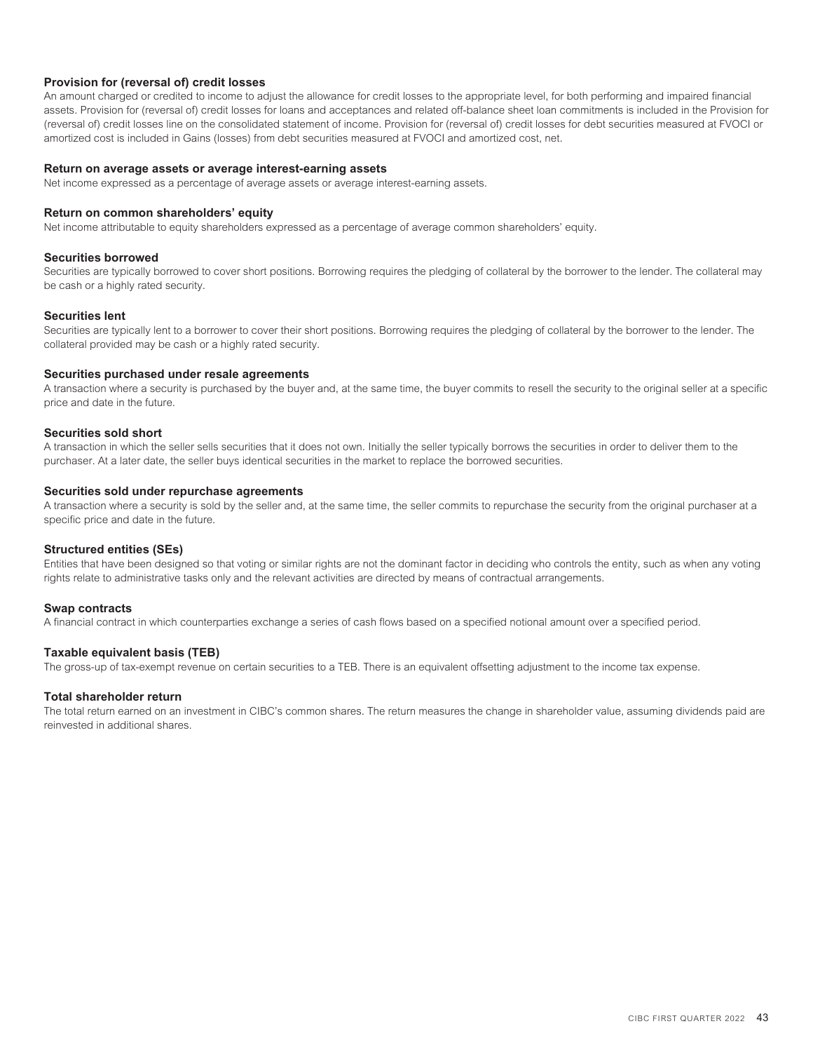## **Provision for (reversal of) credit losses**

An amount charged or credited to income to adjust the allowance for credit losses to the appropriate level, for both performing and impaired financial assets. Provision for (reversal of) credit losses for loans and acceptances and related off-balance sheet loan commitments is included in the Provision for (reversal of) credit losses line on the consolidated statement of income. Provision for (reversal of) credit losses for debt securities measured at FVOCI or amortized cost is included in Gains (losses) from debt securities measured at FVOCI and amortized cost, net.

## **Return on average assets or average interest-earning assets**

Net income expressed as a percentage of average assets or average interest-earning assets.

#### **Return on common shareholders' equity**

Net income attributable to equity shareholders expressed as a percentage of average common shareholders' equity.

#### **Securities borrowed**

Securities are typically borrowed to cover short positions. Borrowing requires the pledging of collateral by the borrower to the lender. The collateral may be cash or a highly rated security.

#### **Securities lent**

Securities are typically lent to a borrower to cover their short positions. Borrowing requires the pledging of collateral by the borrower to the lender. The collateral provided may be cash or a highly rated security.

#### **Securities purchased under resale agreements**

A transaction where a security is purchased by the buyer and, at the same time, the buyer commits to resell the security to the original seller at a specific price and date in the future.

# **Securities sold short**

A transaction in which the seller sells securities that it does not own. Initially the seller typically borrows the securities in order to deliver them to the purchaser. At a later date, the seller buys identical securities in the market to replace the borrowed securities.

#### **Securities sold under repurchase agreements**

A transaction where a security is sold by the seller and, at the same time, the seller commits to repurchase the security from the original purchaser at a specific price and date in the future.

#### **Structured entities (SEs)**

Entities that have been designed so that voting or similar rights are not the dominant factor in deciding who controls the entity, such as when any voting rights relate to administrative tasks only and the relevant activities are directed by means of contractual arrangements.

#### **Swap contracts**

A financial contract in which counterparties exchange a series of cash flows based on a specified notional amount over a specified period.

#### **Taxable equivalent basis (TEB)**

The gross-up of tax-exempt revenue on certain securities to a TEB. There is an equivalent offsetting adjustment to the income tax expense.

#### **Total shareholder return**

The total return earned on an investment in CIBC's common shares. The return measures the change in shareholder value, assuming dividends paid are reinvested in additional shares.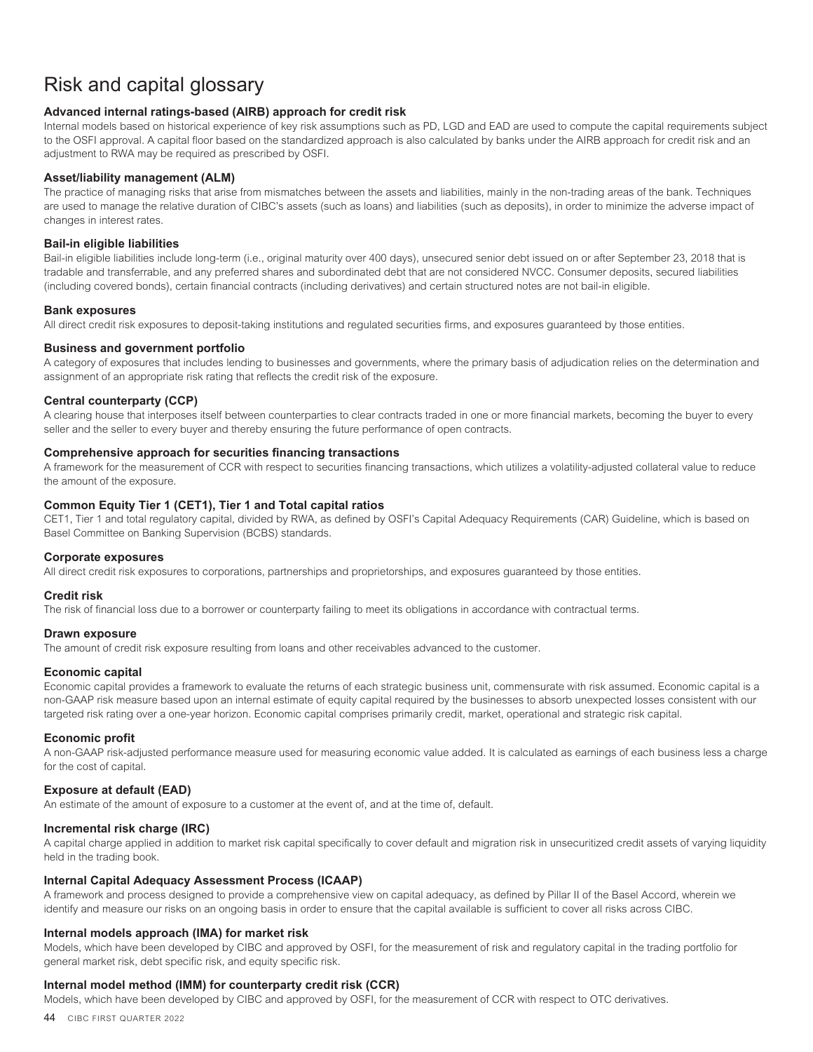# Risk and capital glossary

# **Advanced internal ratings-based (AIRB) approach for credit risk**

Internal models based on historical experience of key risk assumptions such as PD, LGD and EAD are used to compute the capital requirements subject to the OSFI approval. A capital floor based on the standardized approach is also calculated by banks under the AIRB approach for credit risk and an adjustment to RWA may be required as prescribed by OSFI.

### **Asset/liability management (ALM)**

The practice of managing risks that arise from mismatches between the assets and liabilities, mainly in the non-trading areas of the bank. Techniques are used to manage the relative duration of CIBC's assets (such as loans) and liabilities (such as deposits), in order to minimize the adverse impact of changes in interest rates.

## **Bail-in eligible liabilities**

Bail-in eligible liabilities include long-term (i.e., original maturity over 400 days), unsecured senior debt issued on or after September 23, 2018 that is tradable and transferrable, and any preferred shares and subordinated debt that are not considered NVCC. Consumer deposits, secured liabilities (including covered bonds), certain financial contracts (including derivatives) and certain structured notes are not bail-in eligible.

### **Bank exposures**

All direct credit risk exposures to deposit-taking institutions and regulated securities firms, and exposures guaranteed by those entities.

# **Business and government portfolio**

A category of exposures that includes lending to businesses and governments, where the primary basis of adjudication relies on the determination and assignment of an appropriate risk rating that reflects the credit risk of the exposure.

### **Central counterparty (CCP)**

A clearing house that interposes itself between counterparties to clear contracts traded in one or more financial markets, becoming the buyer to every seller and the seller to every buyer and thereby ensuring the future performance of open contracts.

### **Comprehensive approach for securities financing transactions**

A framework for the measurement of CCR with respect to securities financing transactions, which utilizes a volatility-adjusted collateral value to reduce the amount of the exposure.

### **Common Equity Tier 1 (CET1), Tier 1 and Total capital ratios**

CET1, Tier 1 and total regulatory capital, divided by RWA, as defined by OSFI's Capital Adequacy Requirements (CAR) Guideline, which is based on Basel Committee on Banking Supervision (BCBS) standards.

#### **Corporate exposures**

All direct credit risk exposures to corporations, partnerships and proprietorships, and exposures guaranteed by those entities.

#### **Credit risk**

The risk of financial loss due to a borrower or counterparty failing to meet its obligations in accordance with contractual terms.

#### **Drawn exposure**

The amount of credit risk exposure resulting from loans and other receivables advanced to the customer.

#### **Economic capital**

Economic capital provides a framework to evaluate the returns of each strategic business unit, commensurate with risk assumed. Economic capital is a non-GAAP risk measure based upon an internal estimate of equity capital required by the businesses to absorb unexpected losses consistent with our targeted risk rating over a one-year horizon. Economic capital comprises primarily credit, market, operational and strategic risk capital.

# **Economic profit**

A non-GAAP risk-adjusted performance measure used for measuring economic value added. It is calculated as earnings of each business less a charge for the cost of capital.

# **Exposure at default (EAD)**

An estimate of the amount of exposure to a customer at the event of, and at the time of, default.

#### **Incremental risk charge (IRC)**

A capital charge applied in addition to market risk capital specifically to cover default and migration risk in unsecuritized credit assets of varying liquidity held in the trading book.

# **Internal Capital Adequacy Assessment Process (ICAAP)**

A framework and process designed to provide a comprehensive view on capital adequacy, as defined by Pillar II of the Basel Accord, wherein we identify and measure our risks on an ongoing basis in order to ensure that the capital available is sufficient to cover all risks across CIBC.

# **Internal models approach (IMA) for market risk**

Models, which have been developed by CIBC and approved by OSFI, for the measurement of risk and regulatory capital in the trading portfolio for general market risk, debt specific risk, and equity specific risk.

#### **Internal model method (IMM) for counterparty credit risk (CCR)**

Models, which have been developed by CIBC and approved by OSFI, for the measurement of CCR with respect to OTC derivatives.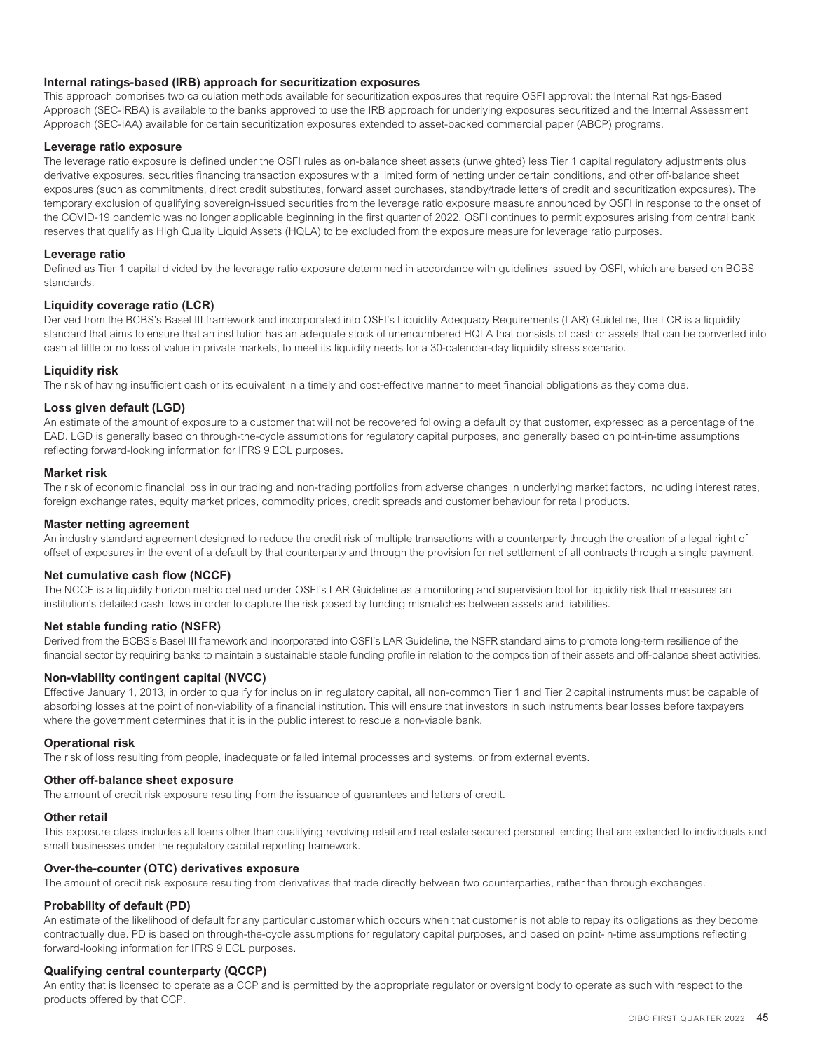## **Internal ratings-based (IRB) approach for securitization exposures**

This approach comprises two calculation methods available for securitization exposures that require OSFI approval: the Internal Ratings-Based Approach (SEC-IRBA) is available to the banks approved to use the IRB approach for underlying exposures securitized and the Internal Assessment Approach (SEC-IAA) available for certain securitization exposures extended to asset-backed commercial paper (ABCP) programs.

#### **Leverage ratio exposure**

The leverage ratio exposure is defined under the OSFI rules as on-balance sheet assets (unweighted) less Tier 1 capital regulatory adjustments plus derivative exposures, securities financing transaction exposures with a limited form of netting under certain conditions, and other off-balance sheet exposures (such as commitments, direct credit substitutes, forward asset purchases, standby/trade letters of credit and securitization exposures). The temporary exclusion of qualifying sovereign-issued securities from the leverage ratio exposure measure announced by OSFI in response to the onset of the COVID-19 pandemic was no longer applicable beginning in the first quarter of 2022. OSFI continues to permit exposures arising from central bank reserves that qualify as High Quality Liquid Assets (HQLA) to be excluded from the exposure measure for leverage ratio purposes.

#### **Leverage ratio**

Defined as Tier 1 capital divided by the leverage ratio exposure determined in accordance with guidelines issued by OSFI, which are based on BCBS standards.

#### **Liquidity coverage ratio (LCR)**

Derived from the BCBS's Basel III framework and incorporated into OSFI's Liquidity Adequacy Requirements (LAR) Guideline, the LCR is a liquidity standard that aims to ensure that an institution has an adequate stock of unencumbered HQLA that consists of cash or assets that can be converted into cash at little or no loss of value in private markets, to meet its liquidity needs for a 30-calendar-day liquidity stress scenario.

#### **Liquidity risk**

The risk of having insufficient cash or its equivalent in a timely and cost-effective manner to meet financial obligations as they come due.

## **Loss given default (LGD)**

An estimate of the amount of exposure to a customer that will not be recovered following a default by that customer, expressed as a percentage of the EAD. LGD is generally based on through-the-cycle assumptions for regulatory capital purposes, and generally based on point-in-time assumptions reflecting forward-looking information for IFRS 9 ECL purposes.

#### **Market risk**

The risk of economic financial loss in our trading and non-trading portfolios from adverse changes in underlying market factors, including interest rates, foreign exchange rates, equity market prices, commodity prices, credit spreads and customer behaviour for retail products.

#### **Master netting agreement**

An industry standard agreement designed to reduce the credit risk of multiple transactions with a counterparty through the creation of a legal right of offset of exposures in the event of a default by that counterparty and through the provision for net settlement of all contracts through a single payment.

#### **Net cumulative cash flow (NCCF)**

The NCCF is a liquidity horizon metric defined under OSFI's LAR Guideline as a monitoring and supervision tool for liquidity risk that measures an institution's detailed cash flows in order to capture the risk posed by funding mismatches between assets and liabilities.

## **Net stable funding ratio (NSFR)**

Derived from the BCBS's Basel III framework and incorporated into OSFI's LAR Guideline, the NSFR standard aims to promote long-term resilience of the financial sector by requiring banks to maintain a sustainable stable funding profile in relation to the composition of their assets and off-balance sheet activities.

#### **Non-viability contingent capital (NVCC)**

Effective January 1, 2013, in order to qualify for inclusion in regulatory capital, all non-common Tier 1 and Tier 2 capital instruments must be capable of absorbing losses at the point of non-viability of a financial institution. This will ensure that investors in such instruments bear losses before taxpayers where the government determines that it is in the public interest to rescue a non-viable bank.

#### **Operational risk**

The risk of loss resulting from people, inadequate or failed internal processes and systems, or from external events.

### **Other off-balance sheet exposure**

The amount of credit risk exposure resulting from the issuance of guarantees and letters of credit.

#### **Other retail**

This exposure class includes all loans other than qualifying revolving retail and real estate secured personal lending that are extended to individuals and small businesses under the regulatory capital reporting framework.

#### **Over-the-counter (OTC) derivatives exposure**

The amount of credit risk exposure resulting from derivatives that trade directly between two counterparties, rather than through exchanges.

#### **Probability of default (PD)**

An estimate of the likelihood of default for any particular customer which occurs when that customer is not able to repay its obligations as they become contractually due. PD is based on through-the-cycle assumptions for regulatory capital purposes, and based on point-in-time assumptions reflecting forward-looking information for IFRS 9 ECL purposes.

#### **Qualifying central counterparty (QCCP)**

An entity that is licensed to operate as a CCP and is permitted by the appropriate regulator or oversight body to operate as such with respect to the products offered by that CCP.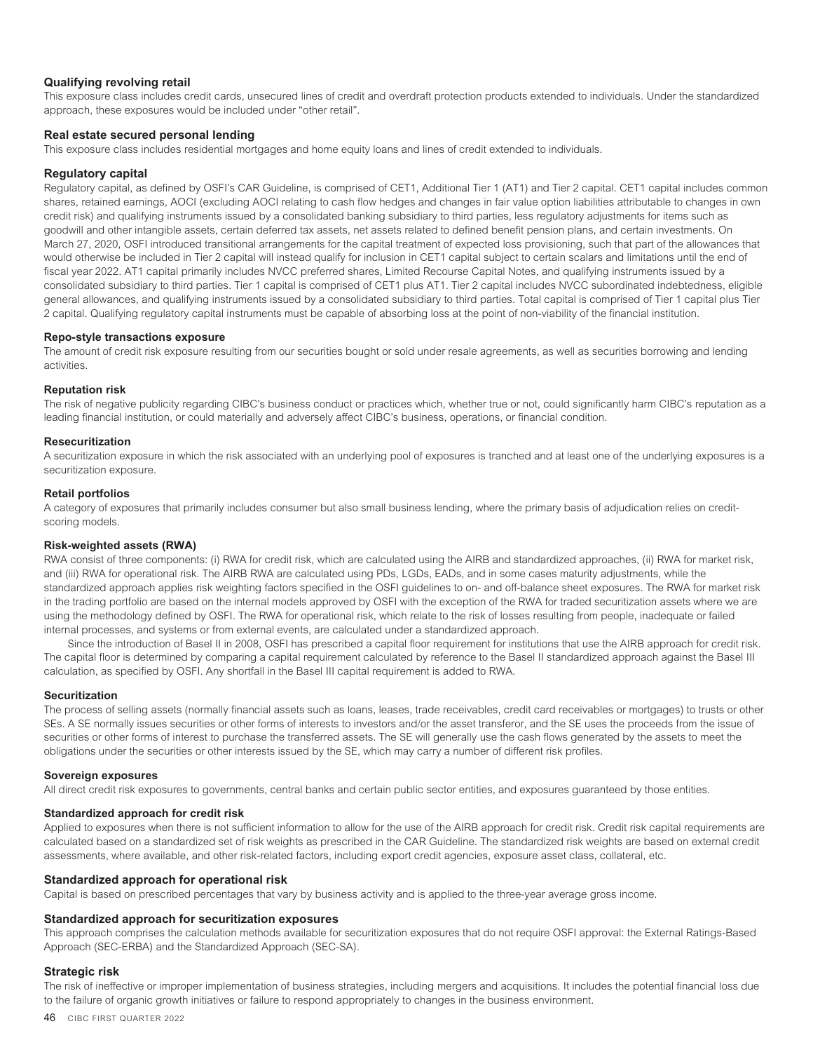### **Qualifying revolving retail**

This exposure class includes credit cards, unsecured lines of credit and overdraft protection products extended to individuals. Under the standardized approach, these exposures would be included under "other retail".

#### **Real estate secured personal lending**

This exposure class includes residential mortgages and home equity loans and lines of credit extended to individuals.

#### **Regulatory capital**

Regulatory capital, as defined by OSFI's CAR Guideline, is comprised of CET1, Additional Tier 1 (AT1) and Tier 2 capital. CET1 capital includes common shares, retained earnings, AOCI (excluding AOCI relating to cash flow hedges and changes in fair value option liabilities attributable to changes in own credit risk) and qualifying instruments issued by a consolidated banking subsidiary to third parties, less regulatory adjustments for items such as goodwill and other intangible assets, certain deferred tax assets, net assets related to defined benefit pension plans, and certain investments. On March 27, 2020, OSFI introduced transitional arrangements for the capital treatment of expected loss provisioning, such that part of the allowances that would otherwise be included in Tier 2 capital will instead qualify for inclusion in CET1 capital subject to certain scalars and limitations until the end of fiscal year 2022. AT1 capital primarily includes NVCC preferred shares, Limited Recourse Capital Notes, and qualifying instruments issued by a consolidated subsidiary to third parties. Tier 1 capital is comprised of CET1 plus AT1. Tier 2 capital includes NVCC subordinated indebtedness, eligible general allowances, and qualifying instruments issued by a consolidated subsidiary to third parties. Total capital is comprised of Tier 1 capital plus Tier 2 capital. Qualifying regulatory capital instruments must be capable of absorbing loss at the point of non-viability of the financial institution.

#### **Repo-style transactions exposure**

The amount of credit risk exposure resulting from our securities bought or sold under resale agreements, as well as securities borrowing and lending activities.

#### **Reputation risk**

The risk of negative publicity regarding CIBC's business conduct or practices which, whether true or not, could significantly harm CIBC's reputation as a leading financial institution, or could materially and adversely affect CIBC's business, operations, or financial condition.

#### **Resecuritization**

A securitization exposure in which the risk associated with an underlying pool of exposures is tranched and at least one of the underlying exposures is a securitization exposure.

#### **Retail portfolios**

A category of exposures that primarily includes consumer but also small business lending, where the primary basis of adjudication relies on creditscoring models.

#### **Risk-weighted assets (RWA)**

RWA consist of three components: (i) RWA for credit risk, which are calculated using the AIRB and standardized approaches, (ii) RWA for market risk, and (iii) RWA for operational risk. The AIRB RWA are calculated using PDs, LGDs, EADs, and in some cases maturity adjustments, while the standardized approach applies risk weighting factors specified in the OSFI guidelines to on- and off-balance sheet exposures. The RWA for market risk in the trading portfolio are based on the internal models approved by OSFI with the exception of the RWA for traded securitization assets where we are using the methodology defined by OSFI. The RWA for operational risk, which relate to the risk of losses resulting from people, inadequate or failed internal processes, and systems or from external events, are calculated under a standardized approach.

Since the introduction of Basel II in 2008, OSFI has prescribed a capital floor requirement for institutions that use the AIRB approach for credit risk. The capital floor is determined by comparing a capital requirement calculated by reference to the Basel II standardized approach against the Basel III calculation, as specified by OSFI. Any shortfall in the Basel III capital requirement is added to RWA.

#### **Securitization**

The process of selling assets (normally financial assets such as loans, leases, trade receivables, credit card receivables or mortgages) to trusts or other SEs. A SE normally issues securities or other forms of interests to investors and/or the asset transferor, and the SE uses the proceeds from the issue of securities or other forms of interest to purchase the transferred assets. The SE will generally use the cash flows generated by the assets to meet the obligations under the securities or other interests issued by the SE, which may carry a number of different risk profiles.

#### **Sovereign exposures**

All direct credit risk exposures to governments, central banks and certain public sector entities, and exposures guaranteed by those entities.

#### **Standardized approach for credit risk**

Applied to exposures when there is not sufficient information to allow for the use of the AIRB approach for credit risk. Credit risk capital requirements are calculated based on a standardized set of risk weights as prescribed in the CAR Guideline. The standardized risk weights are based on external credit assessments, where available, and other risk-related factors, including export credit agencies, exposure asset class, collateral, etc.

#### **Standardized approach for operational risk**

Capital is based on prescribed percentages that vary by business activity and is applied to the three-year average gross income.

#### **Standardized approach for securitization exposures**

This approach comprises the calculation methods available for securitization exposures that do not require OSFI approval: the External Ratings-Based Approach (SEC-ERBA) and the Standardized Approach (SEC-SA).

#### **Strategic risk**

The risk of ineffective or improper implementation of business strategies, including mergers and acquisitions. It includes the potential financial loss due to the failure of organic growth initiatives or failure to respond appropriately to changes in the business environment.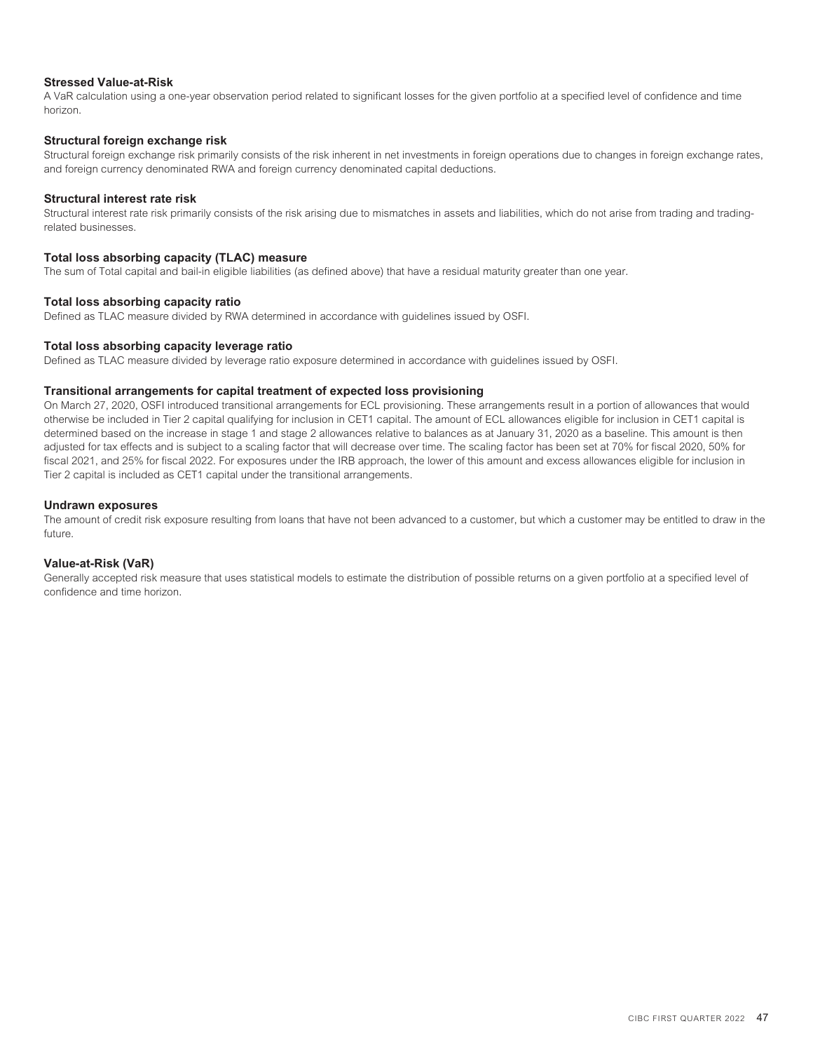## **Stressed Value-at-Risk**

A VaR calculation using a one-year observation period related to significant losses for the given portfolio at a specified level of confidence and time horizon.

### **Structural foreign exchange risk**

Structural foreign exchange risk primarily consists of the risk inherent in net investments in foreign operations due to changes in foreign exchange rates, and foreign currency denominated RWA and foreign currency denominated capital deductions.

#### **Structural interest rate risk**

Structural interest rate risk primarily consists of the risk arising due to mismatches in assets and liabilities, which do not arise from trading and tradingrelated businesses.

#### **Total loss absorbing capacity (TLAC) measure**

The sum of Total capital and bail-in eligible liabilities (as defined above) that have a residual maturity greater than one year.

#### **Total loss absorbing capacity ratio**

Defined as TLAC measure divided by RWA determined in accordance with guidelines issued by OSFI.

#### **Total loss absorbing capacity leverage ratio**

Defined as TLAC measure divided by leverage ratio exposure determined in accordance with guidelines issued by OSFI.

#### **Transitional arrangements for capital treatment of expected loss provisioning**

On March 27, 2020, OSFI introduced transitional arrangements for ECL provisioning. These arrangements result in a portion of allowances that would otherwise be included in Tier 2 capital qualifying for inclusion in CET1 capital. The amount of ECL allowances eligible for inclusion in CET1 capital is determined based on the increase in stage 1 and stage 2 allowances relative to balances as at January 31, 2020 as a baseline. This amount is then adjusted for tax effects and is subject to a scaling factor that will decrease over time. The scaling factor has been set at 70% for fiscal 2020, 50% for fiscal 2021, and 25% for fiscal 2022. For exposures under the IRB approach, the lower of this amount and excess allowances eligible for inclusion in Tier 2 capital is included as CET1 capital under the transitional arrangements.

#### **Undrawn exposures**

The amount of credit risk exposure resulting from loans that have not been advanced to a customer, but which a customer may be entitled to draw in the future.

### **Value-at-Risk (VaR)**

Generally accepted risk measure that uses statistical models to estimate the distribution of possible returns on a given portfolio at a specified level of confidence and time horizon.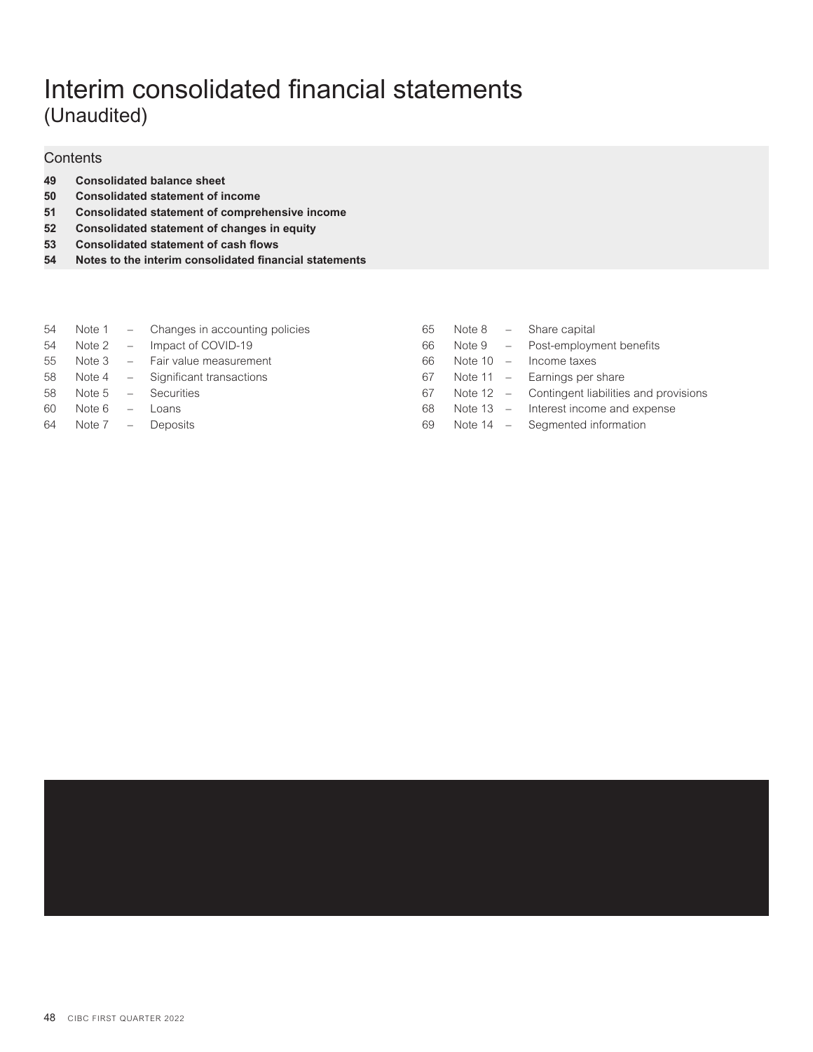# Interim consolidated financial statements (Unaudited)

# **Contents**

- **49 [Consolidated balance sheet](#page-51-0)**
- **50 [Consolidated statement of income](#page-52-0)**
- **51 [Consolidated statement of comprehensive income](#page-53-0)**
- **52 [Consolidated statement of changes in equity](#page-54-0)**
- **53 [Consolidated statement of cash flows](#page-55-0)**
- **54 [Notes to the interim consolidated financial statements](#page-56-0)**

|    |                  | 54 Note 1 – Changes in accounting policies | 65 |         | Note $8 -$ Share capital                        |
|----|------------------|--------------------------------------------|----|---------|-------------------------------------------------|
|    |                  | 54 Note 2 - Impact of COVID-19             | 66 |         | Note $9 -$ Post-employment benefits             |
|    |                  | 55 Note 3 - Fair value measurement         | 66 | Note 10 | - Income taxes                                  |
|    |                  | 58 Note 4 – Significant transactions       | 67 |         | Note $11 -$ Earnings per share                  |
| 58 |                  | Note $5 -$ Securities                      | 67 |         | Note 12 – Contingent liabilities and provisions |
| 60 | Note $6 -$ Loans |                                            | 68 |         | Note $13 -$ Interest income and expense         |
| 64 |                  | Note 7 – Deposits                          | 69 |         | Note $14 -$ Segmented information               |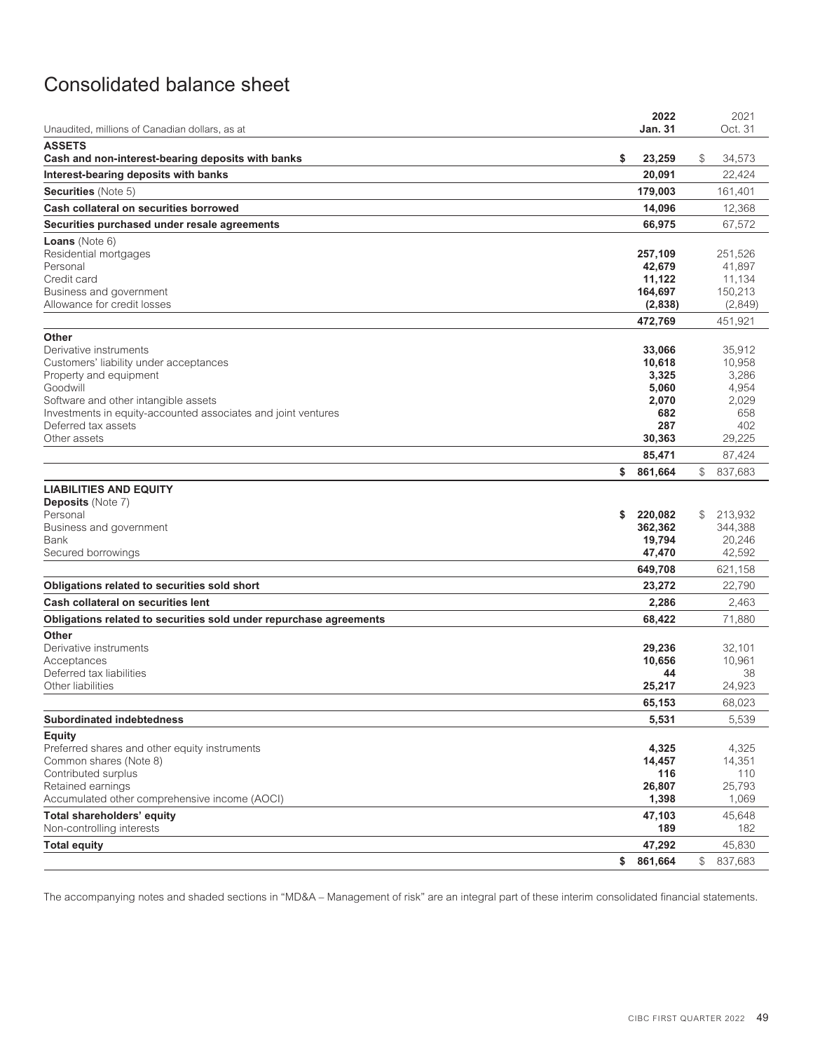# <span id="page-51-0"></span>Consolidated balance sheet

| Unaudited, millions of Canadian dollars, as at                          | 2022<br><b>Jan. 31</b> | 2021<br>Oct. 31           |
|-------------------------------------------------------------------------|------------------------|---------------------------|
| <b>ASSETS</b>                                                           |                        |                           |
| Cash and non-interest-bearing deposits with banks                       | \$<br>23,259           | \$<br>34,573              |
| Interest-bearing deposits with banks                                    | 20,091                 | 22,424                    |
| Securities (Note 5)                                                     | 179,003                | 161,401                   |
| Cash collateral on securities borrowed                                  | 14,096                 | 12,368                    |
| Securities purchased under resale agreements                            | 66,975                 | 67,572                    |
| <b>Loans</b> (Note $6$ )                                                |                        |                           |
| Residential mortgages                                                   | 257,109                | 251,526                   |
| Personal                                                                | 42,679                 | 41,897                    |
| Credit card<br>Business and government                                  | 11,122<br>164,697      | 11,134<br>150,213         |
| Allowance for credit losses                                             | (2,838)                | (2,849)                   |
|                                                                         | 472,769                | 451,921                   |
| Other                                                                   |                        |                           |
| Derivative instruments                                                  | 33,066                 | 35,912                    |
| Customers' liability under acceptances                                  | 10,618                 | 10,958                    |
| Property and equipment<br>Goodwill                                      | 3,325<br>5,060         | 3,286<br>4,954            |
| Software and other intangible assets                                    | 2,070                  | 2,029                     |
| Investments in equity-accounted associates and joint ventures           | 682                    | 658                       |
| Deferred tax assets                                                     | 287                    | 402                       |
| Other assets                                                            | 30,363                 | 29,225                    |
|                                                                         | 85,471                 | 87,424                    |
|                                                                         | \$<br>861,664          | $\mathbb{S}^-$<br>837,683 |
| <b>LIABILITIES AND EQUITY</b><br><b>Deposits (Note 7)</b>               |                        |                           |
| Personal                                                                | \$<br>220,082          | \$<br>213,932             |
| Business and government                                                 | 362,362                | 344,388                   |
| Bank                                                                    | 19,794                 | 20,246                    |
| Secured borrowings                                                      | 47,470                 | 42,592                    |
|                                                                         | 649,708                | 621,158                   |
| Obligations related to securities sold short                            | 23,272                 | 22,790                    |
| Cash collateral on securities lent                                      | 2,286                  | 2,463                     |
| Obligations related to securities sold under repurchase agreements      | 68,422                 | 71,880                    |
| Other<br>Derivative instruments                                         | 29,236                 | 32,101                    |
| Acceptances                                                             | 10,656                 | 10,961                    |
| Deferred tax liabilities                                                | 44                     | 38                        |
| Other liabilities                                                       | 25,217                 | 24,923                    |
|                                                                         | 65,153                 | 68,023                    |
| <b>Subordinated indebtedness</b>                                        | 5,531                  | 5,539                     |
| <b>Equity</b>                                                           |                        |                           |
| Preferred shares and other equity instruments<br>Common shares (Note 8) | 4,325<br>14,457        | 4,325<br>14,351           |
| Contributed surplus                                                     | 116                    | 110                       |
| Retained earnings                                                       | 26,807                 | 25,793                    |
| Accumulated other comprehensive income (AOCI)                           | 1,398                  | 1,069                     |
| Total shareholders' equity                                              | 47,103                 | 45,648                    |
| Non-controlling interests                                               | 189                    | 182                       |
| <b>Total equity</b>                                                     | 47,292                 | 45,830                    |
|                                                                         | \$<br>861,664          | $\mathbb S$<br>837,683    |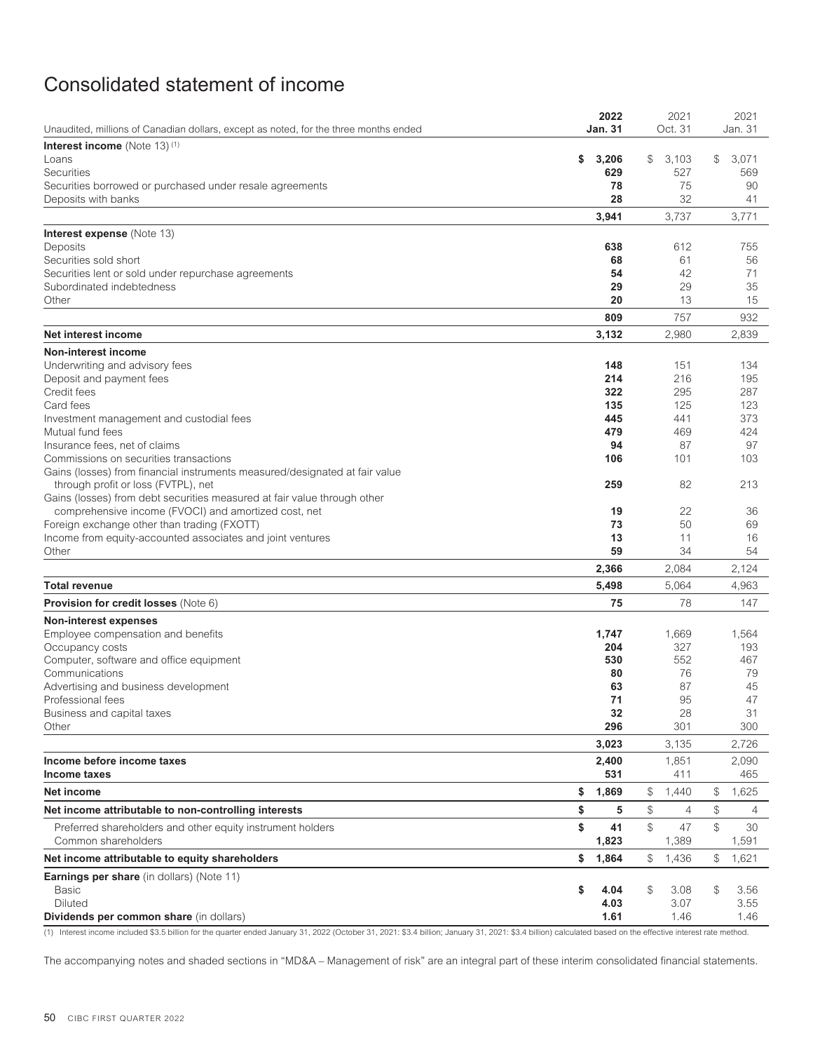# <span id="page-52-0"></span>Consolidated statement of income

|                                                                                                     | 2022               | 2021                                                            | 2021                 |
|-----------------------------------------------------------------------------------------------------|--------------------|-----------------------------------------------------------------|----------------------|
| Unaudited, millions of Canadian dollars, except as noted, for the three months ended                | <b>Jan. 31</b>     | Oct. 31                                                         | Jan. 31              |
| Interest income (Note 13) <sup>(1)</sup>                                                            |                    |                                                                 |                      |
| Loans<br><b>Securities</b>                                                                          | \$<br>3,206<br>629 | \$<br>3,103<br>527                                              | \$<br>3,071<br>569   |
| Securities borrowed or purchased under resale agreements                                            | 78                 | 75                                                              | 90                   |
| Deposits with banks                                                                                 | 28                 | 32                                                              | 41                   |
|                                                                                                     | 3,941              | 3,737                                                           | 3,771                |
|                                                                                                     |                    |                                                                 |                      |
| <b>Interest expense</b> (Note 13)<br>Deposits                                                       | 638                | 612                                                             | 755                  |
| Securities sold short                                                                               | 68                 | 61                                                              | 56                   |
| Securities lent or sold under repurchase agreements                                                 | 54                 | 42                                                              | 71                   |
| Subordinated indebtedness                                                                           | 29                 | 29                                                              | 35                   |
| Other                                                                                               | 20                 | 13                                                              | 15                   |
|                                                                                                     | 809                | 757                                                             | 932                  |
| Net interest income                                                                                 | 3,132              | 2,980                                                           | 2,839                |
| <b>Non-interest income</b>                                                                          |                    |                                                                 |                      |
| Underwriting and advisory fees                                                                      | 148                | 151                                                             | 134                  |
| Deposit and payment fees                                                                            | 214                | 216                                                             | 195                  |
| Credit fees                                                                                         | 322                | 295                                                             | 287                  |
| Card fees                                                                                           | 135                | 125                                                             | 123                  |
| Investment management and custodial fees                                                            | 445                | 441                                                             | 373                  |
| Mutual fund fees                                                                                    | 479                | 469                                                             | 424                  |
| Insurance fees, net of claims                                                                       | 94                 | 87                                                              | 97                   |
| Commissions on securities transactions                                                              | 106                | 101                                                             | 103                  |
| Gains (losses) from financial instruments measured/designated at fair value                         |                    |                                                                 |                      |
| through profit or loss (FVTPL), net                                                                 | 259                | 82                                                              | 213                  |
| Gains (losses) from debt securities measured at fair value through other                            |                    |                                                                 |                      |
| comprehensive income (FVOCI) and amortized cost, net<br>Foreign exchange other than trading (FXOTT) | 19<br>73           | 22<br>50                                                        | 36<br>69             |
| Income from equity-accounted associates and joint ventures                                          | 13                 | 11                                                              | 16                   |
| Other                                                                                               | 59                 | 34                                                              | 54                   |
|                                                                                                     | 2,366              | 2,084                                                           | 2,124                |
| Total revenue                                                                                       | 5,498              | 5,064                                                           | 4,963                |
| <b>Provision for credit losses (Note 6)</b>                                                         | 75                 | 78                                                              | 147                  |
| <b>Non-interest expenses</b>                                                                        |                    |                                                                 |                      |
| Employee compensation and benefits                                                                  | 1,747              | 1,669                                                           | 1,564                |
| Occupancy costs                                                                                     | 204                | 327                                                             | 193                  |
| Computer, software and office equipment                                                             | 530                | 552                                                             | 467                  |
| Communications                                                                                      | 80                 | 76                                                              | 79                   |
| Advertising and business development                                                                | 63                 | 87                                                              | 45                   |
| Professional fees                                                                                   | 71                 | 95                                                              | 47                   |
| Business and capital taxes                                                                          | 32                 | 28                                                              | 31                   |
| Other                                                                                               | 296                | 301                                                             | 300                  |
|                                                                                                     | 3,023              | 3,135                                                           | 2,726                |
| Income before income taxes                                                                          | 2,400              | 1,851                                                           | 2,090                |
| Income taxes                                                                                        | 531                | 411                                                             | 465                  |
| Net income                                                                                          | \$<br>1,869        | \$<br>1,440                                                     | 1,625<br>\$          |
| Net income attributable to non-controlling interests                                                | \$<br>5            | $\, \, \raisebox{12pt}{$\scriptstyle \circ$}$<br>$\overline{4}$ | \$<br>$\overline{4}$ |
| Preferred shareholders and other equity instrument holders                                          | \$<br>41           | \$<br>47                                                        | \$<br>30             |
| Common shareholders                                                                                 | 1,823              | 1,389                                                           | 1,591                |
| Net income attributable to equity shareholders                                                      | \$<br>1,864        | \$<br>1,436                                                     | \$<br>1,621          |
| <b>Earnings per share</b> (in dollars) (Note 11)                                                    |                    |                                                                 |                      |
| <b>Basic</b>                                                                                        | \$<br>4.04         | \$<br>3.08                                                      | \$<br>3.56           |
| <b>Diluted</b>                                                                                      | 4.03               | 3.07                                                            | 3.55                 |
| Dividends per common share (in dollars)                                                             | 1.61               | 1.46                                                            | 1.46                 |

(1) Interest income included \$3.5 billion for the quarter ended January 31, 2022 (October 31, 2021: \$3.4 billion; January 31, 2021: \$3.4 billion) calculated based on the effective interest rate method.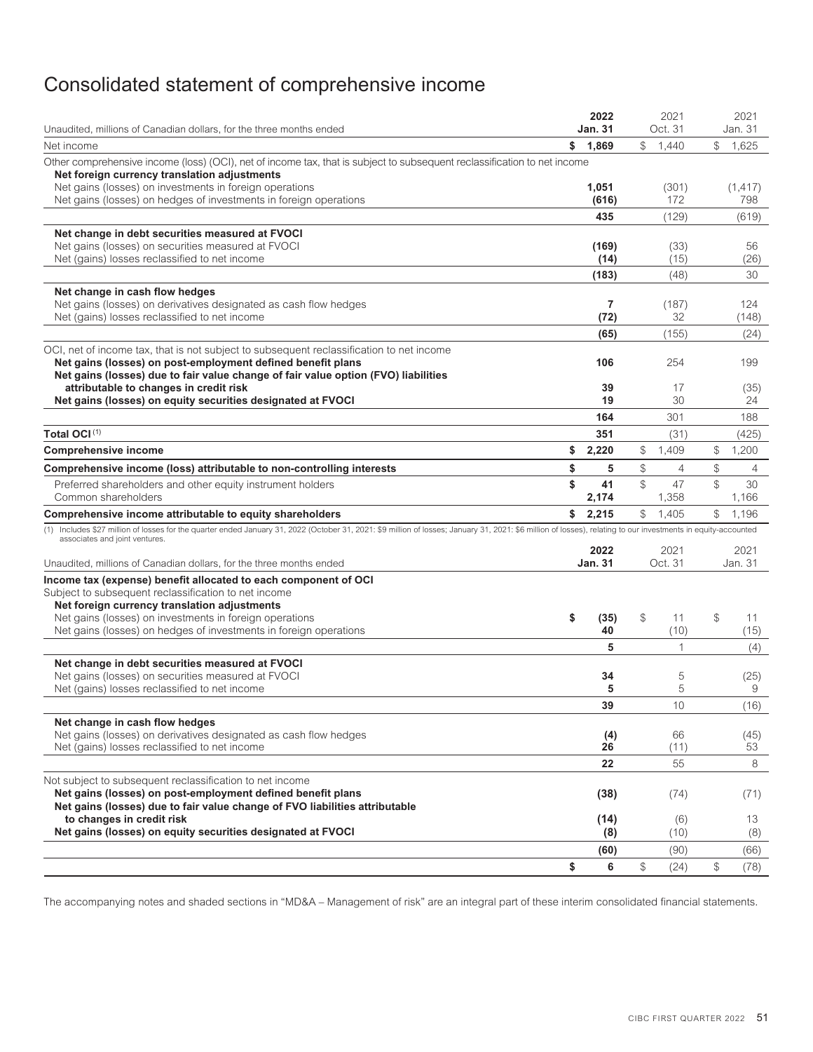# <span id="page-53-0"></span>Consolidated statement of comprehensive income

| Unaudited, millions of Canadian dollars, for the three months ended                                                                                                                                                                           | 2022<br><b>Jan. 31</b> | 2021<br>Oct. 31   |               | 2021<br>Jan. 31 |
|-----------------------------------------------------------------------------------------------------------------------------------------------------------------------------------------------------------------------------------------------|------------------------|-------------------|---------------|-----------------|
| Net income                                                                                                                                                                                                                                    | \$<br>1,869            | \$<br>1,440       | $\mathbb{S}$  | 1,625           |
| Other comprehensive income (loss) (OCI), net of income tax, that is subject to subsequent reclassification to net income<br>Net foreign currency translation adjustments                                                                      |                        |                   |               |                 |
| Net gains (losses) on investments in foreign operations<br>Net gains (losses) on hedges of investments in foreign operations                                                                                                                  | 1,051<br>(616)         | (301)<br>172      |               | (1, 417)<br>798 |
|                                                                                                                                                                                                                                               | 435                    | (129)             |               | (619)           |
| Net change in debt securities measured at FVOCI<br>Net gains (losses) on securities measured at FVOCI                                                                                                                                         | (169)                  | (33)              |               | 56              |
| Net (gains) losses reclassified to net income                                                                                                                                                                                                 | (14)                   | (15)              |               | (26)            |
|                                                                                                                                                                                                                                               | (183)                  | (48)              |               | 30              |
| Net change in cash flow hedges<br>Net gains (losses) on derivatives designated as cash flow hedges<br>Net (gains) losses reclassified to net income                                                                                           | $\overline{7}$<br>(72) | (187)<br>32       |               | 124<br>(148)    |
|                                                                                                                                                                                                                                               | (65)                   | (155)             |               | (24)            |
| OCI, net of income tax, that is not subject to subsequent reclassification to net income<br>Net gains (losses) on post-employment defined benefit plans<br>Net gains (losses) due to fair value change of fair value option (FVO) liabilities | 106                    | 254               |               | 199             |
| attributable to changes in credit risk                                                                                                                                                                                                        | 39                     | 17                |               | (35)            |
| Net gains (losses) on equity securities designated at FVOCI                                                                                                                                                                                   | 19                     | 30                |               | 24              |
|                                                                                                                                                                                                                                               | 164                    | 301               |               | 188             |
| Total OCI(1)                                                                                                                                                                                                                                  | 351                    | (31)              |               | (425)           |
| <b>Comprehensive income</b>                                                                                                                                                                                                                   | \$<br>2,220            | \$<br>1,409       | \$            | 1,200           |
| Comprehensive income (loss) attributable to non-controlling interests                                                                                                                                                                         | \$<br>5                | \$<br>4           | \$            | $\overline{4}$  |
| Preferred shareholders and other equity instrument holders<br>Common shareholders                                                                                                                                                             | \$<br>41<br>2,174      | \$<br>47<br>1,358 | $\mathcal{L}$ | 30<br>1,166     |
| Comprehensive income attributable to equity shareholders                                                                                                                                                                                      | \$<br>2,215            | \$<br>1,405       | \$            | 1,196           |
| (1) Includes \$27 million of losses for the quarter ended January 31, 2022 (October 31, 2021: \$9 million of losses; January 31, 2021: \$6 million of losses), relating to our investments in equity-accounted                                |                        |                   |               |                 |
| associates and joint ventures.                                                                                                                                                                                                                | 2022                   | 2021              |               | 2021            |
| Unaudited, millions of Canadian dollars, for the three months ended                                                                                                                                                                           | <b>Jan. 31</b>         | Oct. 31           |               | Jan. 31         |
| Income tax (expense) benefit allocated to each component of OCI<br>Subject to subsequent reclassification to net income<br>Net foreign currency translation adjustments<br>Net gains (losses) on investments in foreign operations            | \$<br>(35)             | \$<br>11          | $\mathcal{L}$ | 11              |
| Net gains (losses) on hedges of investments in foreign operations                                                                                                                                                                             | 40                     | (10)              |               | (15)            |
|                                                                                                                                                                                                                                               | 5                      | $\mathbf{1}$      |               | (4)             |
| Net change in debt securities measured at FVOCI<br>Net gains (losses) on securities measured at FVOCI<br>Net (gains) losses reclassified to net income                                                                                        | 34<br>5                | 5<br>5            |               | (25)<br>9       |
|                                                                                                                                                                                                                                               | 39                     | 10                |               | (16)            |
| Net change in cash flow hedges<br>Net gains (losses) on derivatives designated as cash flow hedges<br>Net (gains) losses reclassified to net income                                                                                           | (4)<br>26              | 66<br>(11)        |               | (45)<br>53      |
|                                                                                                                                                                                                                                               | 22                     | 55                |               | 8               |
| Not subject to subsequent reclassification to net income<br>Net gains (losses) on post-employment defined benefit plans<br>Net gains (losses) due to fair value change of FVO liabilities attributable                                        | (38)                   | (74)              |               | (71)            |
| to changes in credit risk<br>Net gains (losses) on equity securities designated at FVOCI                                                                                                                                                      | (14)<br>(8)            | (6)<br>(10)       |               | 13<br>(8)       |
|                                                                                                                                                                                                                                               | (60)                   | (90)              |               | (66)            |
|                                                                                                                                                                                                                                               | \$<br>6                | \$<br>(24)        | \$            | (78)            |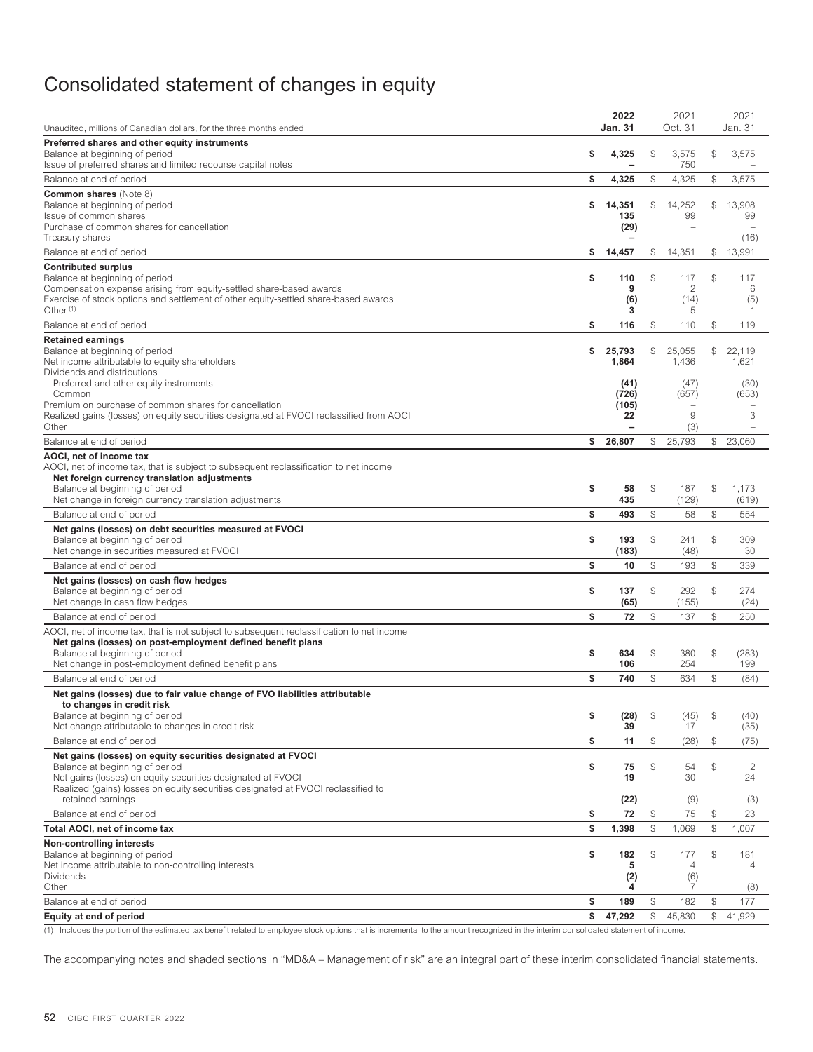# <span id="page-54-0"></span>Consolidated statement of changes in equity

| Unaudited, millions of Canadian dollars, for the three months ended                                                                   | 2022<br><b>Jan. 31</b>   |               | 2021<br>Oct. 31       |                         | 2021<br>Jan. 31       |
|---------------------------------------------------------------------------------------------------------------------------------------|--------------------------|---------------|-----------------------|-------------------------|-----------------------|
| Preferred shares and other equity instruments                                                                                         |                          |               |                       |                         |                       |
| Balance at beginning of period                                                                                                        | \$<br>4,325              | \$            | 3,575                 | \$                      | 3,575                 |
| Issue of preferred shares and limited recourse capital notes                                                                          |                          |               | 750                   |                         |                       |
| Balance at end of period                                                                                                              | \$<br>4,325              | \$            | 4,325                 | \$                      | 3,575                 |
| <b>Common shares (Note 8)</b><br>Balance at beginning of period                                                                       | \$<br>14,351             | \$            | 14,252                | \$                      | 13,908                |
| Issue of common shares                                                                                                                | 135                      |               | 99                    |                         | 99                    |
| Purchase of common shares for cancellation                                                                                            | (29)                     |               | $\overline{a}$        |                         |                       |
| Treasury shares                                                                                                                       | $\overline{\phantom{a}}$ |               | -                     |                         | (16)                  |
| Balance at end of period                                                                                                              | \$<br>14,457             | \$            | 14,351                | \$                      | 13,991                |
| <b>Contributed surplus</b><br>Balance at beginning of period                                                                          | \$<br>110                | \$            | 117                   | \$                      | 117                   |
| Compensation expense arising from equity-settled share-based awards                                                                   | 9                        |               | 2                     |                         | 6                     |
| Exercise of stock options and settlement of other equity-settled share-based awards                                                   | (6)                      |               | (14)                  |                         | (5)                   |
| Other $(1)$                                                                                                                           | 3                        |               | 5                     |                         | -1                    |
| Balance at end of period                                                                                                              | \$<br>116                | \$            | 110                   | \$                      | 119                   |
| <b>Retained earnings</b>                                                                                                              |                          |               |                       |                         |                       |
| Balance at beginning of period<br>Net income attributable to equity shareholders                                                      | \$<br>25,793<br>1,864    | \$            | 25,055<br>1,436       | \$                      | 22,119<br>1,621       |
| Dividends and distributions                                                                                                           |                          |               |                       |                         |                       |
| Preferred and other equity instruments                                                                                                | (41)                     |               | (47)                  |                         | (30)                  |
| Common<br>Premium on purchase of common shares for cancellation                                                                       | (726)<br>(105)           |               | (657)                 |                         | (653)                 |
| Realized gains (losses) on equity securities designated at FVOCI reclassified from AOCI                                               | 22                       |               | 9                     |                         | 3                     |
| Other                                                                                                                                 |                          |               | (3)                   |                         |                       |
| Balance at end of period                                                                                                              | \$<br>26,807             | \$            | 25,793                | $$\tilde{\phantom{a}}$$ | 23,060                |
| AOCI, net of income tax                                                                                                               |                          |               |                       |                         |                       |
| AOCI, net of income tax, that is subject to subsequent reclassification to net income<br>Net foreign currency translation adjustments |                          |               |                       |                         |                       |
| Balance at beginning of period                                                                                                        | \$<br>58                 | \$            | 187                   | \$                      | 1,173                 |
| Net change in foreign currency translation adjustments                                                                                | 435                      |               | (129)                 |                         | (619)                 |
| Balance at end of period                                                                                                              | \$<br>493                | \$            | 58                    | \$                      | 554                   |
| Net gains (losses) on debt securities measured at FVOCI                                                                               |                          |               |                       |                         |                       |
| Balance at beginning of period                                                                                                        | \$<br>193                | \$            | 241                   | \$                      | 309<br>30             |
| Net change in securities measured at FVOCI                                                                                            | \$<br>(183)<br>10        | \$            | (48)<br>193           | $$\mathbb{S}$$          | 339                   |
| Balance at end of period                                                                                                              |                          |               |                       |                         |                       |
| Net gains (losses) on cash flow hedges<br>Balance at beginning of period                                                              | \$<br>137                | \$            | 292                   | $\mathbb{S}$            | 274                   |
| Net change in cash flow hedges                                                                                                        | (65)                     |               | (155)                 |                         | (24)                  |
| Balance at end of period                                                                                                              | \$<br>72                 | $\mathbb{S}$  | 137                   | $\mathbb{S}$            | 250                   |
| AOCI, net of income tax, that is not subject to subsequent reclassification to net income                                             |                          |               |                       |                         |                       |
| Net gains (losses) on post-employment defined benefit plans                                                                           |                          |               |                       |                         |                       |
| Balance at beginning of period<br>Net change in post-employment defined benefit plans                                                 | \$<br>634<br>106         | \$            | 380<br>254            | \$                      | (283)<br>199          |
| Balance at end of period                                                                                                              | \$<br>740                | \$            | 634                   | $$\mathbb{S}$$          | (84)                  |
| Net gains (losses) due to fair value change of FVO liabilities attributable                                                           |                          |               |                       |                         |                       |
| to changes in credit risk                                                                                                             |                          |               |                       |                         |                       |
| Balance at beginning of period                                                                                                        | \$<br>(28)               | $\mathcal{S}$ | (45)                  | $\mathbb{S}$            | (40)                  |
| Net change attributable to changes in credit risk                                                                                     | 39                       |               | 17                    |                         | (35)                  |
| Balance at end of period                                                                                                              | \$<br>11                 | \$            | (28)                  | \$                      | (75)                  |
| Net gains (losses) on equity securities designated at FVOCI<br>Balance at beginning of period                                         | \$<br>75                 | \$            | 54                    | \$                      | 2                     |
| Net gains (losses) on equity securities designated at FVOCI                                                                           | 19                       |               | 30                    |                         | 24                    |
| Realized (gains) losses on equity securities designated at FVOCI reclassified to                                                      |                          |               |                       |                         |                       |
| retained earnings                                                                                                                     | (22)                     |               | (9)                   |                         | (3)                   |
| Balance at end of period                                                                                                              | \$<br>72                 | \$            | 75                    | \$                      | 23                    |
| Total AOCI, net of income tax                                                                                                         | \$<br>1,398              | \$            | 1,069                 | \$                      | 1,007                 |
| <b>Non-controlling interests</b>                                                                                                      |                          |               |                       |                         |                       |
| Balance at beginning of period<br>Net income attributable to non-controlling interests                                                | \$<br>182<br>5           | \$            | 177<br>$\overline{4}$ | \$                      | 181<br>$\overline{4}$ |
| <b>Dividends</b>                                                                                                                      | (2)                      |               | (6)                   |                         |                       |
| Other                                                                                                                                 | 4                        |               | 7                     |                         | (8)                   |
| Balance at end of period                                                                                                              | \$<br>189                | \$            | 182                   | \$                      | 177                   |
| Equity at end of period                                                                                                               | \$<br>47,292             | \$            | 45,830                | \$                      | 41,929                |

(1) Includes the portion of the estimated tax benefit related to employee stock options that is incremental to the amount recognized in the interim consolidated statement of income.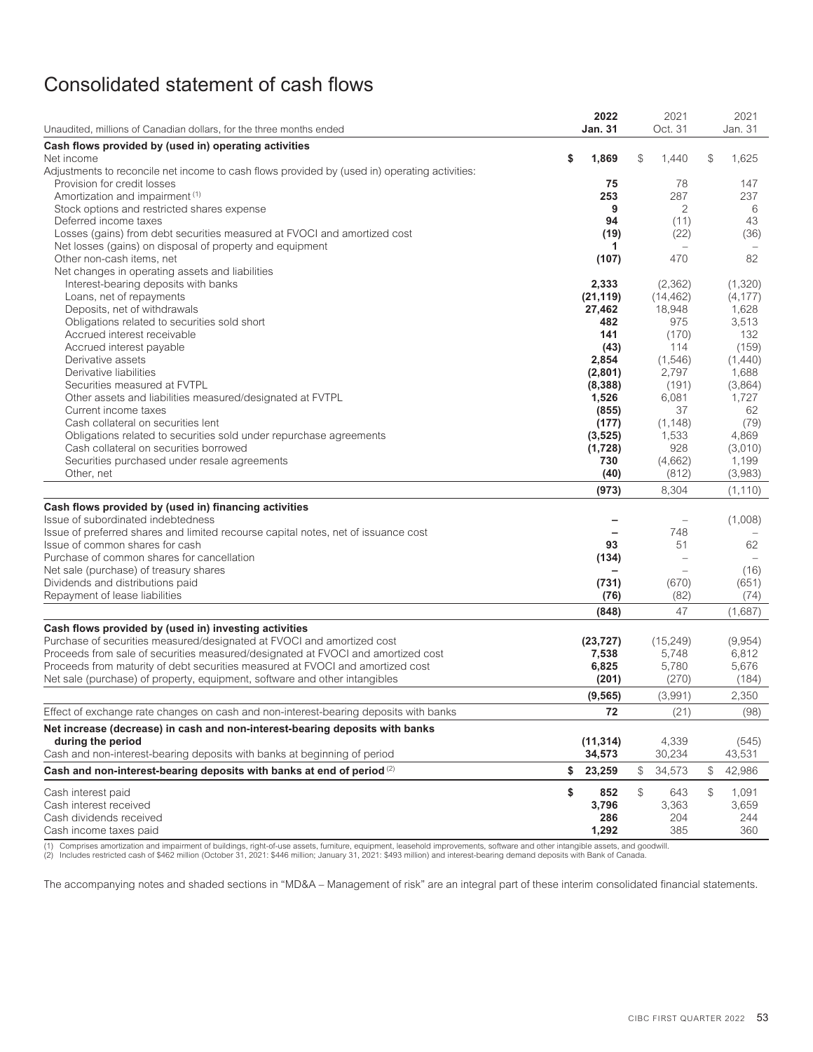# <span id="page-55-0"></span>Consolidated statement of cash flows

|                                                                                                                                                                    | 2022           | 2021                     | 2021             |
|--------------------------------------------------------------------------------------------------------------------------------------------------------------------|----------------|--------------------------|------------------|
| Unaudited, millions of Canadian dollars, for the three months ended                                                                                                | Jan. 31        | Oct. 31                  | Jan. 31          |
| Cash flows provided by (used in) operating activities                                                                                                              |                |                          |                  |
| Net income                                                                                                                                                         | \$<br>1,869    | \$<br>1,440              | \$<br>1,625      |
| Adjustments to reconcile net income to cash flows provided by (used in) operating activities:                                                                      |                |                          |                  |
| Provision for credit losses                                                                                                                                        | 75             | 78                       | 147              |
| Amortization and impairment (1)                                                                                                                                    | 253            | 287                      | 237              |
| Stock options and restricted shares expense                                                                                                                        | 9              | 2                        | 6                |
| Deferred income taxes<br>Losses (gains) from debt securities measured at FVOCI and amortized cost                                                                  | 94             | (11)<br>(22)             | 43<br>(36)       |
| Net losses (gains) on disposal of property and equipment                                                                                                           | (19)<br>1      |                          |                  |
| Other non-cash items, net                                                                                                                                          | (107)          | 470                      | 82               |
| Net changes in operating assets and liabilities                                                                                                                    |                |                          |                  |
| Interest-bearing deposits with banks                                                                                                                               | 2,333          | (2, 362)                 | (1,320)          |
| Loans, net of repayments                                                                                                                                           | (21, 119)      | (14, 462)                | (4, 177)         |
| Deposits, net of withdrawals                                                                                                                                       | 27,462         | 18,948                   | 1,628            |
| Obligations related to securities sold short                                                                                                                       | 482            | 975                      | 3,513            |
| Accrued interest receivable                                                                                                                                        | 141            | (170)                    | 132              |
| Accrued interest payable                                                                                                                                           | (43)           | 114                      | (159)            |
| Derivative assets                                                                                                                                                  | 2,854          | (1, 546)                 | (1,440)          |
| Derivative liabilities                                                                                                                                             | (2,801)        | 2,797                    | 1,688            |
| Securities measured at FVTPL                                                                                                                                       | (8, 388)       | (191)                    | (3,864)          |
| Other assets and liabilities measured/designated at FVTPL                                                                                                          | 1,526          | 6,081                    | 1,727            |
| Current income taxes                                                                                                                                               | (855)          | 37                       | 62               |
| Cash collateral on securities lent                                                                                                                                 | (177)          | (1, 148)                 | (79)             |
| Obligations related to securities sold under repurchase agreements                                                                                                 | (3, 525)       | 1,533                    | 4,869            |
| Cash collateral on securities borrowed<br>Securities purchased under resale agreements                                                                             | (1,728)<br>730 | 928<br>(4,662)           | (3,010)<br>1,199 |
| Other, net                                                                                                                                                         | (40)           | (812)                    | (3,983)          |
|                                                                                                                                                                    |                |                          |                  |
|                                                                                                                                                                    | (973)          | 8,304                    | (1, 110)         |
| Cash flows provided by (used in) financing activities                                                                                                              |                |                          |                  |
| Issue of subordinated indebtedness                                                                                                                                 |                |                          | (1,008)          |
| Issue of preferred shares and limited recourse capital notes, net of issuance cost                                                                                 |                | 748                      |                  |
| Issue of common shares for cash                                                                                                                                    | 93             | 51                       | 62               |
| Purchase of common shares for cancellation                                                                                                                         | (134)          | $\overline{\phantom{0}}$ | (16)             |
| Net sale (purchase) of treasury shares<br>Dividends and distributions paid                                                                                         | (731)          | (670)                    | (651)            |
| Repayment of lease liabilities                                                                                                                                     | (76)           | (82)                     | (74)             |
|                                                                                                                                                                    |                | 47                       |                  |
|                                                                                                                                                                    | (848)          |                          | (1,687)          |
| Cash flows provided by (used in) investing activities                                                                                                              |                |                          |                  |
| Purchase of securities measured/designated at FVOCI and amortized cost                                                                                             | (23, 727)      | (15, 249)                | (9,954)          |
| Proceeds from sale of securities measured/designated at FVOCI and amortized cost<br>Proceeds from maturity of debt securities measured at FVOCI and amortized cost | 7,538<br>6,825 | 5,748<br>5,780           | 6,812<br>5,676   |
| Net sale (purchase) of property, equipment, software and other intangibles                                                                                         | (201)          | (270)                    | (184)            |
|                                                                                                                                                                    |                |                          |                  |
|                                                                                                                                                                    | (9, 565)       | (3,991)                  | 2,350            |
| Effect of exchange rate changes on cash and non-interest-bearing deposits with banks                                                                               | 72             | (21)                     | (98)             |
| Net increase (decrease) in cash and non-interest-bearing deposits with banks                                                                                       |                |                          |                  |
| during the period                                                                                                                                                  | (11, 314)      | 4,339                    | (545)            |
| Cash and non-interest-bearing deposits with banks at beginning of period                                                                                           | 34,573         | 30,234                   | 43,531           |
| Cash and non-interest-bearing deposits with banks at end of period (2)                                                                                             | \$<br>23,259   | \$<br>34,573             | \$<br>42,986     |
| Cash interest paid                                                                                                                                                 | \$<br>852      | \$<br>643                | \$<br>1,091      |
| Cash interest received                                                                                                                                             | 3,796          | 3,363                    | 3,659            |
| Cash dividends received                                                                                                                                            | 286            | 204                      | 244              |
| Cash income taxes paid                                                                                                                                             | 1,292          | 385                      | 360              |

(1) Comprises amortization and impairment of buildings, right-of-use assets, furniture, equipment, leasehold improvements, software and other intangible assets, and goodwill.<br>(2) Includes restricted cash of \$462 million (O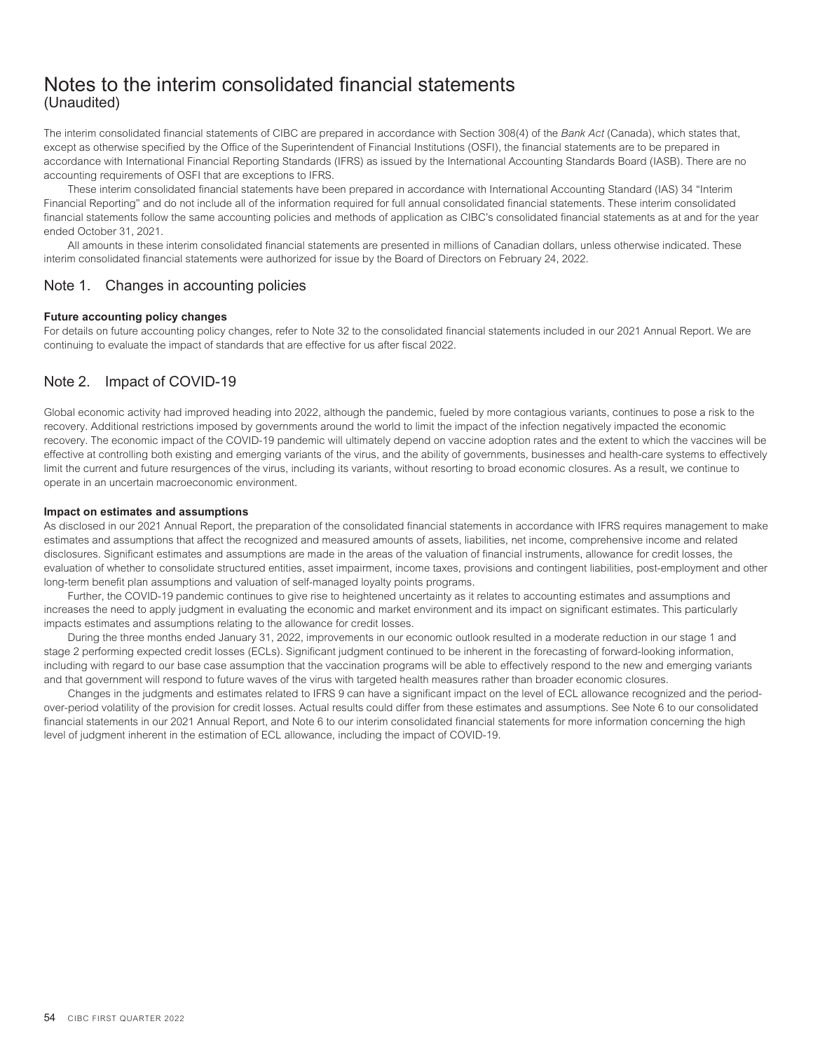# <span id="page-56-0"></span>Notes to the interim consolidated financial statements (Unaudited)

The interim consolidated financial statements of CIBC are prepared in accordance with Section 308(4) of the *Bank Act* (Canada), which states that, except as otherwise specified by the Office of the Superintendent of Financial Institutions (OSFI), the financial statements are to be prepared in accordance with International Financial Reporting Standards (IFRS) as issued by the International Accounting Standards Board (IASB). There are no accounting requirements of OSFI that are exceptions to IFRS.

These interim consolidated financial statements have been prepared in accordance with International Accounting Standard (IAS) 34 "Interim Financial Reporting" and do not include all of the information required for full annual consolidated financial statements. These interim consolidated financial statements follow the same accounting policies and methods of application as CIBC's consolidated financial statements as at and for the year ended October 31, 2021.

<span id="page-56-1"></span>All amounts in these interim consolidated financial statements are presented in millions of Canadian dollars, unless otherwise indicated. These interim consolidated financial statements were authorized for issue by the Board of Directors on February 24, 2022.

# Note 1. Changes in accounting policies

### **Future accounting policy changes**

<span id="page-56-2"></span>For details on future accounting policy changes, refer to Note 32 to the consolidated financial statements included in our 2021 Annual Report. We are continuing to evaluate the impact of standards that are effective for us after fiscal 2022.

# Note 2. Impact of COVID-19

Global economic activity had improved heading into 2022, although the pandemic, fueled by more contagious variants, continues to pose a risk to the recovery. Additional restrictions imposed by governments around the world to limit the impact of the infection negatively impacted the economic recovery. The economic impact of the COVID-19 pandemic will ultimately depend on vaccine adoption rates and the extent to which the vaccines will be effective at controlling both existing and emerging variants of the virus, and the ability of governments, businesses and health-care systems to effectively limit the current and future resurgences of the virus, including its variants, without resorting to broad economic closures. As a result, we continue to operate in an uncertain macroeconomic environment.

### **Impact on estimates and assumptions**

As disclosed in our 2021 Annual Report, the preparation of the consolidated financial statements in accordance with IFRS requires management to make estimates and assumptions that affect the recognized and measured amounts of assets, liabilities, net income, comprehensive income and related disclosures. Significant estimates and assumptions are made in the areas of the valuation of financial instruments, allowance for credit losses, the evaluation of whether to consolidate structured entities, asset impairment, income taxes, provisions and contingent liabilities, post-employment and other long-term benefit plan assumptions and valuation of self-managed loyalty points programs.

Further, the COVID-19 pandemic continues to give rise to heightened uncertainty as it relates to accounting estimates and assumptions and increases the need to apply judgment in evaluating the economic and market environment and its impact on significant estimates. This particularly impacts estimates and assumptions relating to the allowance for credit losses.

During the three months ended January 31, 2022, improvements in our economic outlook resulted in a moderate reduction in our stage 1 and stage 2 performing expected credit losses (ECLs). Significant judgment continued to be inherent in the forecasting of forward-looking information, including with regard to our base case assumption that the vaccination programs will be able to effectively respond to the new and emerging variants and that government will respond to future waves of the virus with targeted health measures rather than broader economic closures.

Changes in the judgments and estimates related to IFRS 9 can have a significant impact on the level of ECL allowance recognized and the periodover-period volatility of the provision for credit losses. Actual results could differ from these estimates and assumptions. See Note 6 to our consolidated financial statements in our 2021 Annual Report, and Note 6 to our interim consolidated financial statements for more information concerning the high level of judgment inherent in the estimation of ECL allowance, including the impact of COVID-19.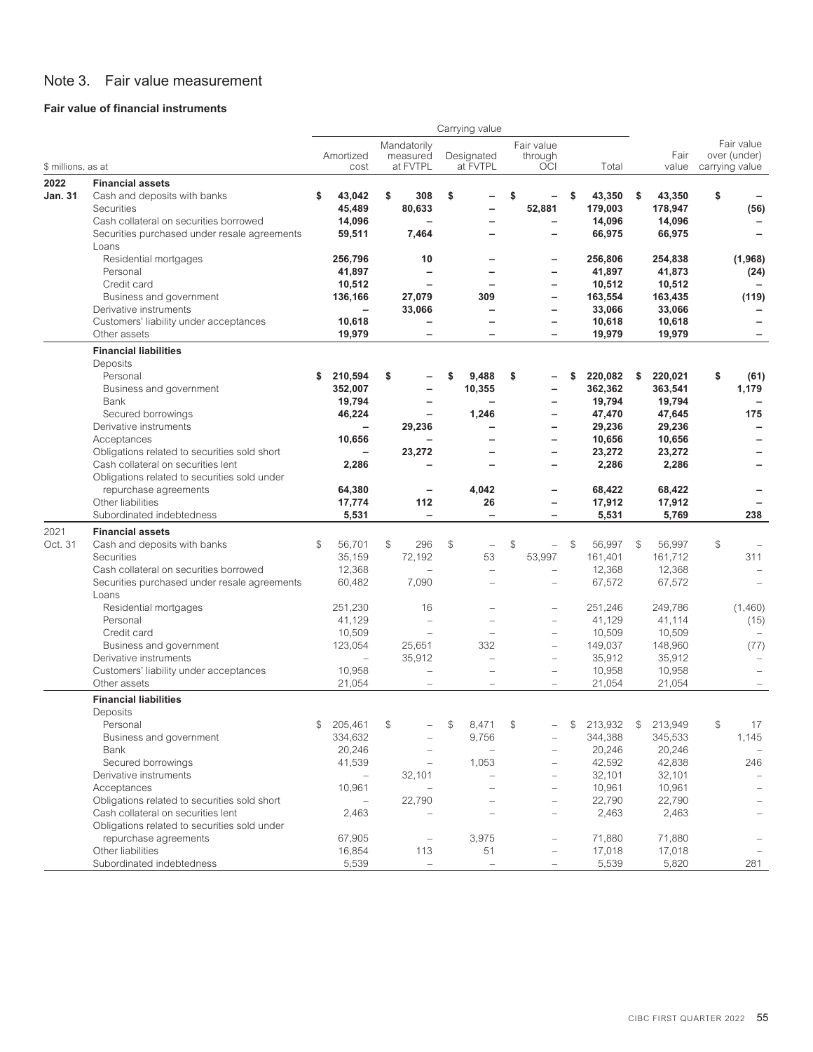# <span id="page-57-0"></span>Note 3. Fair value measurement

# **Fair value of financial instruments**

|                        |                                                                                                                                                                 |                                                  |              |                                                             | Carrying value                                   |                                                                                       |              |                                       |               |                                       |                                              |
|------------------------|-----------------------------------------------------------------------------------------------------------------------------------------------------------------|--------------------------------------------------|--------------|-------------------------------------------------------------|--------------------------------------------------|---------------------------------------------------------------------------------------|--------------|---------------------------------------|---------------|---------------------------------------|----------------------------------------------|
| \$ millions, as at     |                                                                                                                                                                 | Amortized<br>cost                                |              | Mandatorily<br>measured<br>at FVTPL                         | Designated<br>at FVTPL                           | Fair value<br>through<br><b>OCI</b>                                                   |              | Total                                 |               | Fair<br>value                         | Fair value<br>over (under)<br>carrying value |
|                        |                                                                                                                                                                 |                                                  |              |                                                             |                                                  |                                                                                       |              |                                       |               |                                       |                                              |
| 2022<br><b>Jan. 31</b> | <b>Financial assets</b><br>Cash and deposits with banks<br>Securities<br>Cash collateral on securities borrowed<br>Securities purchased under resale agreements | \$<br>43,042<br>45,489<br>14,096<br>59,511       | \$           | 308<br>80,633<br>7,464                                      | \$<br>$\overline{\phantom{0}}$<br>$\equiv$       | \$<br>52,881<br>$\overline{\phantom{0}}$                                              | \$           | 43,350<br>179,003<br>14.096<br>66,975 | \$            | 43,350<br>178,947<br>14,096<br>66,975 | \$<br>(56)<br>$\overline{\phantom{0}}$       |
|                        | Loans<br>Residential mortgages<br>Personal<br>Credit card                                                                                                       | 256.796<br>41,897<br>10,512                      |              | 10<br>$\overline{\phantom{0}}$                              |                                                  | $\overline{\phantom{0}}$<br>—<br>—                                                    |              | 256,806<br>41,897<br>10,512           |               | 254,838<br>41,873<br>10,512           | (1,968)<br>(24)                              |
|                        | Business and government<br>Derivative instruments<br>Customers' liability under acceptances<br>Other assets                                                     | 136,166<br>$\qquad \qquad -$<br>10,618<br>19,979 |              | 27,079<br>33,066<br>$\overline{\phantom{0}}$                | 309<br>$\overline{\phantom{0}}$                  | $\overline{\phantom{0}}$<br>—<br>$\overline{\phantom{0}}$<br>$\overline{\phantom{0}}$ |              | 163,554<br>33,066<br>10,618<br>19,979 |               | 163,435<br>33,066<br>10,618<br>19,979 | (119)                                        |
|                        | <b>Financial liabilities</b><br>Deposits<br>Personal                                                                                                            | \$<br>210,594                                    | \$           |                                                             | \$<br>9,488                                      | \$                                                                                    | \$           | 220,082                               | \$            | 220,021                               | \$<br>(61)                                   |
|                        | Business and government<br>Bank                                                                                                                                 | 352,007<br>19,794                                |              |                                                             | 10,355                                           | $\overline{\phantom{0}}$                                                              |              | 362,362<br>19,794                     |               | 363,541<br>19,794                     | 1,179                                        |
|                        | Secured borrowings<br>Derivative instruments<br>Acceptances                                                                                                     | 46,224<br>$\overline{\phantom{0}}$<br>10,656     |              | 29,236                                                      | 1,246                                            | -<br>—<br>-                                                                           |              | 47,470<br>29,236<br>10,656            |               | 47,645<br>29,236<br>10,656            | 175                                          |
|                        | Obligations related to securities sold short<br>Cash collateral on securities lent<br>Obligations related to securities sold under                              | 2,286                                            |              | 23,272                                                      |                                                  | $\overline{\phantom{0}}$<br>—                                                         |              | 23,272<br>2,286                       |               | 23,272<br>2,286                       |                                              |
|                        | repurchase agreements<br>Other liabilities<br>Subordinated indebtedness                                                                                         | 64,380<br>17,774<br>5,531                        |              | $\overline{\phantom{0}}$<br>112<br>$\overline{\phantom{0}}$ | 4,042<br>26<br>$\overline{\phantom{0}}$          | -                                                                                     |              | 68,422<br>17,912<br>5,531             |               | 68,422<br>17,912<br>5,769             | 238                                          |
| 2021                   | <b>Financial assets</b>                                                                                                                                         |                                                  |              |                                                             |                                                  |                                                                                       |              |                                       |               |                                       |                                              |
| Oct. 31                | Cash and deposits with banks<br>Securities<br>Cash collateral on securities borrowed<br>Securities purchased under resale agreements                            | \$<br>56,701<br>35,159<br>12,368<br>60,482       | $\mathbb{S}$ | 296<br>72,192<br>L.<br>7,090                                | \$<br>$\overline{\phantom{a}}$<br>53<br>$\equiv$ | \$<br>53,997<br>L.                                                                    | $\mathbb{S}$ | 56,997<br>161,401<br>12,368<br>67,572 | $\mathcal{F}$ | 56,997<br>161,712<br>12,368<br>67,572 | \$<br>311                                    |
|                        | Loans<br>Residential mortgages<br>Personal                                                                                                                      | 251,230<br>41,129                                |              | 16<br>$\overline{\phantom{a}}$                              | $\overline{\phantom{a}}$                         | $\overline{\phantom{0}}$<br>$\overline{\phantom{0}}$                                  |              | 251,246<br>41,129                     |               | 249,786<br>41,114                     | (1,460)<br>(15)                              |
|                        | Credit card<br>Business and government<br>Derivative instruments                                                                                                | 10,509<br>123,054                                |              | $\overline{\phantom{a}}$<br>25,651<br>35,912                | 332<br>$\qquad \qquad -$                         | L.<br>$\equiv$                                                                        |              | 10,509<br>149,037<br>35,912           |               | 10,509<br>148,960<br>35,912           | (77)                                         |
|                        | Customers' liability under acceptances<br>Other assets<br><b>Financial liabilities</b>                                                                          | 10,958<br>21,054                                 |              | $\overline{\phantom{0}}$<br>$\equiv$                        | $\sim$                                           | $\qquad \qquad -$<br>$\overline{\phantom{a}}$                                         |              | 10,958<br>21,054                      |               | 10,958<br>21,054                      |                                              |
|                        | Deposits                                                                                                                                                        |                                                  |              |                                                             |                                                  |                                                                                       |              |                                       |               |                                       |                                              |
|                        | Personal<br>Business and government<br>Bank                                                                                                                     | \$<br>205,461<br>334,632<br>20,246               | \$           |                                                             | \$<br>8,471<br>9,756                             | \$                                                                                    | \$           | 213,932<br>344,388<br>20,246          | \$            | 213,949<br>345,533<br>20,246          | \$<br>17<br>1,145                            |
|                        | Secured borrowings<br>Derivative instruments<br>Acceptances                                                                                                     | 41,539<br>$\overline{\phantom{m}}$<br>10,961     |              | 32,101                                                      | 1,053                                            |                                                                                       |              | 42,592<br>32,101<br>10,961            |               | 42,838<br>32,101<br>10,961            | 246                                          |
|                        | Obligations related to securities sold short<br>Cash collateral on securities lent<br>Obligations related to securities sold under                              | 2,463                                            |              | 22,790                                                      |                                                  | $\qquad \qquad -$                                                                     |              | 22,790<br>2,463                       |               | 22,790<br>2,463                       |                                              |
|                        | repurchase agreements<br>Other liabilities<br>Subordinated indebtedness                                                                                         | 67,905<br>16,854<br>5,539                        |              | $\overline{\phantom{a}}$<br>113<br>$\equiv$                 | 3,975<br>51<br>$\overline{\phantom{0}}$          |                                                                                       |              | 71,880<br>17,018<br>5,539             |               | 71,880<br>17,018<br>5,820             | 281                                          |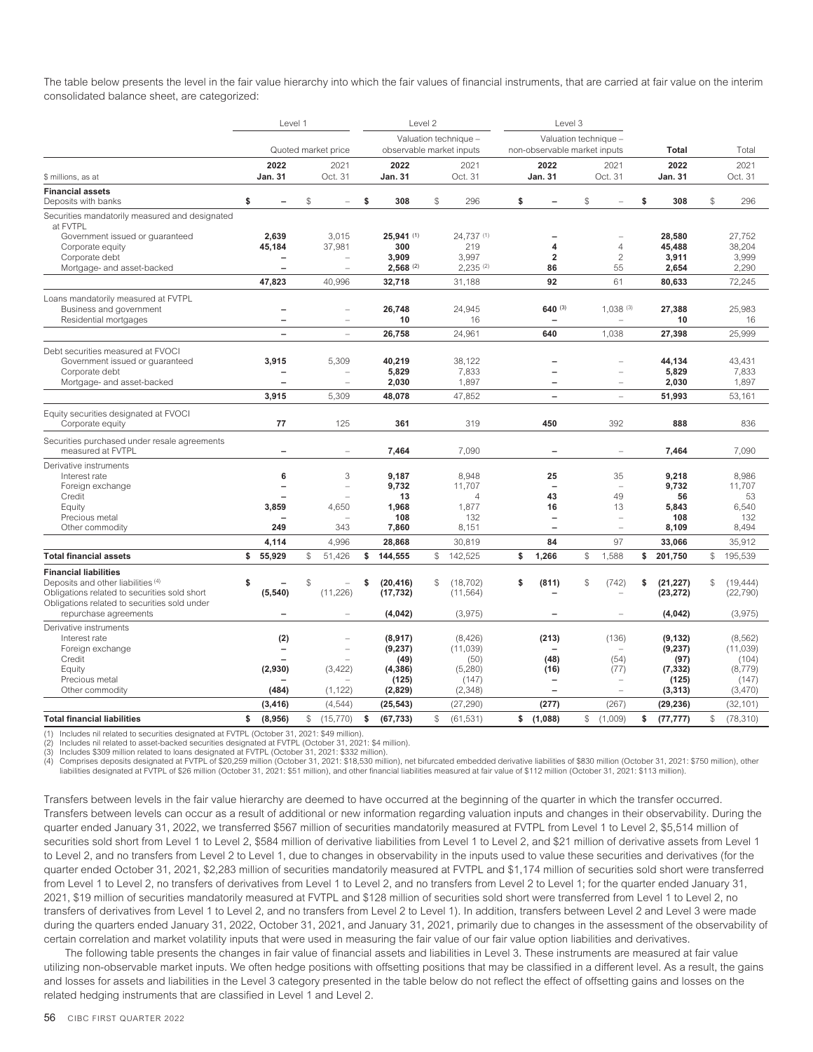The table below presents the level in the fair value hierarchy into which the fair values of financial instruments, that are carried at fair value on the interim consolidated balance sheet, are categorized:

|                                                                                              |                                                          | Level 1                  |                |                          |    | Level 2                  |    |                        | Level 3                                              |    |                          |                 |                 |  |
|----------------------------------------------------------------------------------------------|----------------------------------------------------------|--------------------------|----------------|--------------------------|----|--------------------------|----|------------------------|------------------------------------------------------|----|--------------------------|-----------------|-----------------|--|
|                                                                                              |                                                          |                          |                |                          |    |                          |    | Valuation technique -  | Valuation technique -                                |    |                          |                 |                 |  |
|                                                                                              |                                                          |                          |                | Quoted market price      |    | observable market inputs |    |                        | non-observable market inputs                         |    |                          | Total           | Total           |  |
|                                                                                              |                                                          | 2022                     |                | 2021                     |    | 2022                     |    | 2021                   | 2022                                                 |    | 2021                     | 2022            | 2021            |  |
| \$ millions, as at                                                                           |                                                          | <b>Jan. 31</b>           |                | Oct. 31                  |    | Jan. 31                  |    | Oct. 31                | Jan. 31                                              |    | Oct. 31                  | Jan. 31         | Oct. 31         |  |
| <b>Financial assets</b>                                                                      |                                                          |                          |                |                          |    |                          |    |                        |                                                      |    |                          |                 |                 |  |
| Deposits with banks                                                                          | \$                                                       | $\overline{\phantom{0}}$ | $$\mathbb{S}$$ |                          | \$ | 308                      | \$ | 296                    | \$                                                   | \$ |                          | \$<br>308       | \$<br>296       |  |
| Securities mandatorily measured and designated<br>at FVTPL                                   |                                                          |                          |                |                          |    |                          |    |                        |                                                      |    |                          |                 |                 |  |
| Government issued or guaranteed                                                              |                                                          | 2,639                    |                | 3,015                    |    | $25,941$ (1)             |    | 24,737 (1)             |                                                      |    |                          | 28,580          | 27,752          |  |
| Corporate equity                                                                             |                                                          | 45,184                   |                | 37,981                   |    | 300                      |    | 219                    | 4                                                    |    | $\overline{4}$           | 45,488          | 38,204          |  |
| Corporate debt                                                                               |                                                          |                          |                |                          |    | 3,909                    |    | 3,997                  | 2                                                    |    | $\overline{c}$           | 3,911           | 3,999           |  |
| Mortgage- and asset-backed                                                                   |                                                          |                          |                | $\overline{\phantom{a}}$ |    | $2,568$ <sup>(2)</sup>   |    | $2,235$ <sup>(2)</sup> | 86                                                   |    | 55                       | 2,654           | 2,290           |  |
|                                                                                              |                                                          | 47,823                   |                | 40,996                   |    | 32,718                   |    | 31,188                 | 92                                                   |    | 61                       | 80,633          | 72,245          |  |
| Loans mandatorily measured at FVTPL                                                          |                                                          |                          |                |                          |    |                          |    |                        |                                                      |    |                          |                 |                 |  |
| Business and government                                                                      |                                                          | $\overline{\phantom{0}}$ |                | $\equiv$                 |    | 26.748                   |    | 24,945                 | $640^{(3)}$                                          |    | 1,038(3)                 | 27,388          | 25,983          |  |
| Residential mortgages                                                                        |                                                          | $\overline{\phantom{0}}$ |                |                          |    | 10                       |    | 16                     |                                                      |    |                          | 10              | 16              |  |
|                                                                                              |                                                          | $\overline{\phantom{a}}$ |                | L.                       |    | 26,758                   |    | 24,961                 | 640                                                  |    | 1,038                    | 27,398          | 25,999          |  |
| Debt securities measured at FVOCI                                                            |                                                          |                          |                |                          |    |                          |    |                        |                                                      |    |                          |                 |                 |  |
| Government issued or guaranteed                                                              |                                                          | 3,915                    |                | 5,309                    |    | 40,219                   |    | 38,122                 |                                                      |    |                          | 44,134          | 43,431          |  |
| Corporate debt                                                                               | 5,829<br>5,829<br>7,833<br>÷<br>$\overline{\phantom{0}}$ |                          |                |                          |    |                          |    |                        | 7,833                                                |    |                          |                 |                 |  |
| Mortgage- and asset-backed                                                                   |                                                          |                          |                | $\equiv$                 |    | 2,030                    |    | 1,897                  |                                                      |    | $\overline{\phantom{a}}$ | 2,030           | 1,897           |  |
|                                                                                              |                                                          | 3,915                    |                | 5,309                    |    | 48,078                   |    | 47,852                 | $\overline{\phantom{0}}$                             |    | $\overline{\phantom{a}}$ | 51,993          | 53,161          |  |
| Equity securities designated at FVOCI                                                        |                                                          |                          |                |                          |    |                          |    |                        |                                                      |    |                          |                 |                 |  |
| Corporate equity                                                                             |                                                          | 77                       |                | 125                      |    | 361                      |    | 319                    | 450                                                  |    | 392                      | 888             | 836             |  |
| Securities purchased under resale agreements                                                 |                                                          |                          |                |                          |    |                          |    |                        |                                                      |    |                          |                 |                 |  |
| measured at FVTPL                                                                            |                                                          |                          |                | $\equiv$                 |    | 7,464                    |    | 7,090                  |                                                      |    |                          | 7,464           | 7,090           |  |
| Derivative instruments                                                                       |                                                          |                          |                |                          |    |                          |    |                        |                                                      |    |                          |                 |                 |  |
| Interest rate                                                                                |                                                          | 6                        |                | 3                        |    | 9,187                    |    | 8,948                  | 25                                                   |    | 35                       | 9,218           | 8,986           |  |
| Foreign exchange                                                                             |                                                          |                          |                | i.                       |    | 9,732                    |    | 11,707                 |                                                      |    | $\overline{\phantom{a}}$ | 9,732           | 11,707          |  |
| Credit                                                                                       |                                                          |                          |                |                          |    | 13                       |    | $\overline{4}$         | 43                                                   |    | 49                       | 56              | 53              |  |
| Equity                                                                                       |                                                          | 3,859                    |                | 4,650                    |    | 1,968                    |    | 1,877                  | 16                                                   |    | 13                       | 5,843           | 6,540           |  |
| Precious metal                                                                               |                                                          | 249                      |                | 343                      |    | 108                      |    | 132                    | $\overline{\phantom{0}}$<br>$\overline{\phantom{0}}$ |    | ÷<br>$\overline{a}$      | 108             | 132             |  |
| Other commodity                                                                              |                                                          |                          |                |                          |    | 7,860                    |    | 8,151                  |                                                      |    |                          | 8,109           | 8,494           |  |
|                                                                                              |                                                          | 4,114                    |                | 4,996                    |    | 28,868                   |    | 30,819                 | 84                                                   |    | 97                       | 33,066          | 35,912          |  |
| <b>Total financial assets</b>                                                                | \$                                                       | 55,929                   | $$\mathbb{S}$$ | 51,426                   | \$ | 144,555                  | \$ | 142,525                | \$<br>1,266                                          | \$ | 1,588                    | \$<br>201,750   | \$<br>195,539   |  |
| <b>Financial liabilities</b>                                                                 |                                                          |                          |                |                          |    |                          |    |                        |                                                      |    |                          |                 |                 |  |
| Deposits and other liabilities (4)                                                           | \$                                                       |                          | \$             | $\equiv$                 | \$ | (20, 416)                | \$ | (18, 702)              | \$<br>(811)                                          | \$ | (742)                    | \$<br>(21, 227) | \$<br>(19.444)  |  |
| Obligations related to securities sold short<br>Obligations related to securities sold under |                                                          | (5, 540)                 |                | (11, 226)                |    | (17, 732)                |    | (11, 564)              |                                                      |    |                          | (23, 272)       | (22, 790)       |  |
| repurchase agreements                                                                        |                                                          |                          |                | $\overline{\phantom{a}}$ |    | (4, 042)                 |    | (3,975)                |                                                      |    |                          | (4,042)         | (3,975)         |  |
| Derivative instruments                                                                       |                                                          |                          |                |                          |    |                          |    |                        |                                                      |    |                          |                 |                 |  |
| Interest rate                                                                                |                                                          | (2)                      |                |                          |    | (8, 917)                 |    | (8, 426)               | (213)                                                |    | (136)                    | (9, 132)        | (8, 562)        |  |
| Foreign exchange                                                                             |                                                          |                          |                |                          |    | (9, 237)                 |    | (11, 039)              |                                                      |    |                          | (9,237)         | (11, 039)       |  |
| Credit                                                                                       |                                                          |                          |                |                          |    | (49)                     |    | (50)                   | (48)                                                 |    | (54)                     | (97)            | (104)           |  |
| Equity                                                                                       |                                                          | (2,930)                  |                | (3, 422)                 |    | (4, 386)                 |    | (5,280)                | (16)                                                 |    | (77)                     | (7, 332)        | (8,779)         |  |
| Precious metal                                                                               |                                                          |                          |                |                          |    | (125)                    |    | (147)                  | $\overline{\phantom{0}}$                             |    |                          | (125)           | (147)           |  |
| Other commodity                                                                              |                                                          | (484)                    |                | (1, 122)                 |    | (2,829)                  |    | (2, 348)               |                                                      |    |                          | (3, 313)        | (3,470)         |  |
|                                                                                              |                                                          | (3, 416)                 |                | (4, 544)                 |    | (25, 543)                |    | (27, 290)              | (277)                                                |    | (267)                    | (29, 236)       | (32, 101)       |  |
| <b>Total financial liabilities</b>                                                           | \$                                                       | (8,956)                  | S.             | (15, 770)                | \$ | (67, 733)                | \$ | (61, 531)              | \$<br>(1,088)                                        | S. | (1,009)                  | \$<br>(77, 777) | \$<br>(78, 310) |  |

(1) Includes nil related to securities designated at FVTPL (October 31, 2021: \$49 million).

Includes nil related to asset-backed securities designated at FVTPL (October 31, 2021: \$4 million).

(3) Includes \$309 million related to loans designated at FVTPL (October 31, 2021: \$332 million).<br>(4) Comprises deposits designated at FVTPL of \$20,259 million (October 31, 2021: \$18,530 million), net bifurcated embedded de liabilities designated at FVTPL of \$26 million (October 31, 2021: \$51 million), and other financial liabilities measured at fair value of \$112 million (October 31, 2021: \$113 million).

Transfers between levels in the fair value hierarchy are deemed to have occurred at the beginning of the quarter in which the transfer occurred. Transfers between levels can occur as a result of additional or new information regarding valuation inputs and changes in their observability. During the quarter ended January 31, 2022, we transferred \$567 million of securities mandatorily measured at FVTPL from Level 1 to Level 2, \$5,514 million of securities sold short from Level 1 to Level 2, \$584 million of derivative liabilities from Level 1 to Level 2, and \$21 million of derivative assets from Level 1 to Level 2, and no transfers from Level 2 to Level 1, due to changes in observability in the inputs used to value these securities and derivatives (for the quarter ended October 31, 2021, \$2,283 million of securities mandatorily measured at FVTPL and \$1,174 million of securities sold short were transferred from Level 1 to Level 2, no transfers of derivatives from Level 1 to Level 2, and no transfers from Level 2 to Level 1; for the quarter ended January 31, 2021, \$19 million of securities mandatorily measured at FVTPL and \$128 million of securities sold short were transferred from Level 1 to Level 2, no transfers of derivatives from Level 1 to Level 2, and no transfers from Level 2 to Level 1). In addition, transfers between Level 2 and Level 3 were made during the quarters ended January 31, 2022, October 31, 2021, and January 31, 2021, primarily due to changes in the assessment of the observability of certain correlation and market volatility inputs that were used in measuring the fair value of our fair value option liabilities and derivatives.

The following table presents the changes in fair value of financial assets and liabilities in Level 3. These instruments are measured at fair value utilizing non-observable market inputs. We often hedge positions with offsetting positions that may be classified in a different level. As a result, the gains and losses for assets and liabilities in the Level 3 category presented in the table below do not reflect the effect of offsetting gains and losses on the related hedging instruments that are classified in Level 1 and Level 2.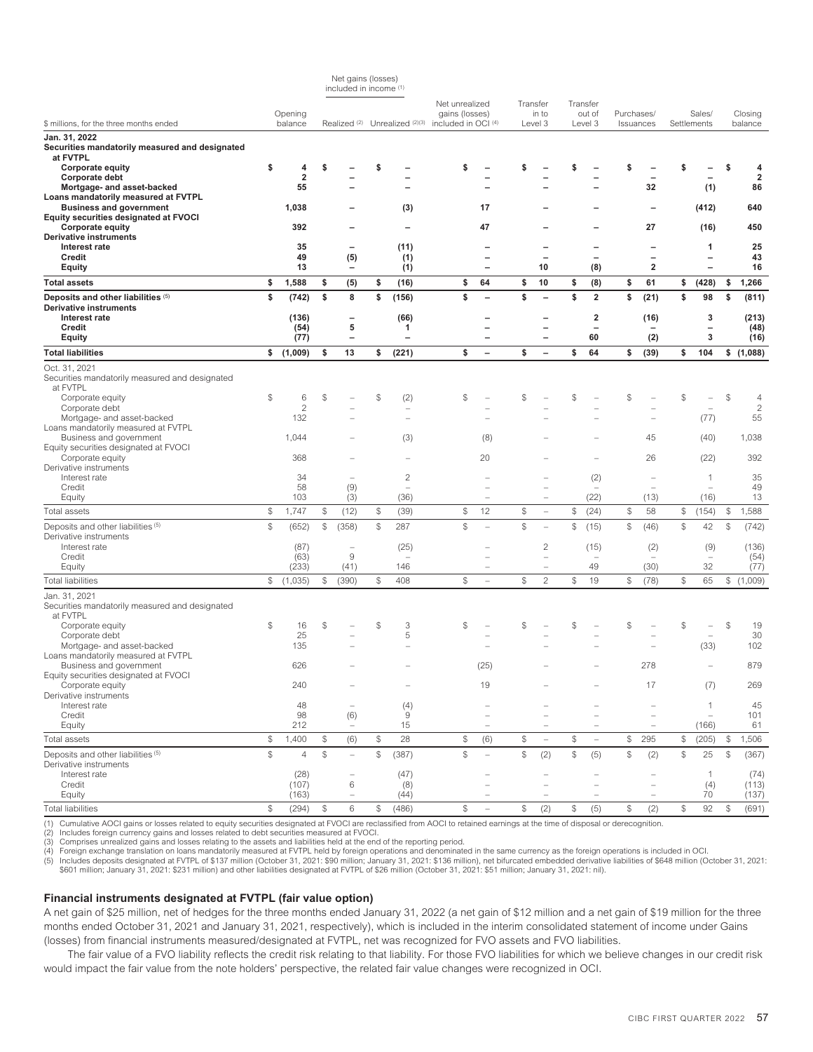|                                                                                |                |                         |               | included in income (1)          |               |                                          |                                  |                          |              |                          |                |                                |                |                                      |                |                               |                |                         |
|--------------------------------------------------------------------------------|----------------|-------------------------|---------------|---------------------------------|---------------|------------------------------------------|----------------------------------|--------------------------|--------------|--------------------------|----------------|--------------------------------|----------------|--------------------------------------|----------------|-------------------------------|----------------|-------------------------|
|                                                                                |                | Opening                 |               |                                 |               |                                          | Net unrealized<br>gains (losses) |                          | Transfer     | in to                    |                | Transfer<br>out of             |                | Purchases/                           |                | Sales/                        |                | Closing                 |
| \$ millions, for the three months ended                                        |                | balance                 |               | Realized <sup>(2)</sup>         |               | Unrealized (2)(3)                        | included in OCI (4)              |                          |              | Level 3                  |                | Level 3                        |                | Issuances                            |                | Settlements                   |                | balance                 |
| Jan. 31, 2022<br>Securities mandatorily measured and designated<br>at FVTPL    |                |                         |               |                                 |               |                                          |                                  |                          |              |                          |                |                                |                |                                      |                |                               |                |                         |
| <b>Corporate equity</b>                                                        | \$             | 4                       | S             |                                 | S             |                                          | \$                               |                          |              |                          |                |                                |                |                                      |                |                               |                | 4                       |
| Corporate debt                                                                 |                | $\overline{\mathbf{2}}$ |               |                                 |               |                                          |                                  |                          |              |                          |                |                                |                |                                      |                |                               |                | $\overline{\mathbf{2}}$ |
| Mortgage- and asset-backed                                                     |                | 55                      |               |                                 |               |                                          |                                  |                          |              |                          |                |                                |                | 32                                   |                | (1)                           |                | 86                      |
| Loans mandatorily measured at FVTPL                                            |                | 1,038                   |               |                                 |               |                                          |                                  | 17                       |              |                          |                |                                |                |                                      |                |                               |                | 640                     |
| <b>Business and government</b><br><b>Equity securities designated at FVOCI</b> |                |                         |               |                                 |               | (3)                                      |                                  |                          |              |                          |                |                                |                |                                      |                | (412)                         |                |                         |
| <b>Corporate equity</b>                                                        |                | 392                     |               |                                 |               |                                          |                                  | 47                       |              |                          |                |                                |                | 27                                   |                | (16)                          |                | 450                     |
| <b>Derivative instruments</b>                                                  |                |                         |               |                                 |               |                                          |                                  |                          |              |                          |                |                                |                |                                      |                |                               |                |                         |
| Interest rate                                                                  |                | 35                      |               | $\overline{\phantom{0}}$        |               | (11)                                     |                                  |                          |              |                          |                |                                |                |                                      |                | 1                             |                | 25                      |
| Credit                                                                         |                | 49                      |               | (5)                             |               | (1)                                      |                                  |                          |              |                          |                | $\overline{\phantom{0}}$       |                | $\overline{\phantom{0}}$             |                | $\overline{\phantom{0}}$      |                | 43                      |
| <b>Equity</b>                                                                  |                | 13                      |               |                                 |               | (1)                                      |                                  | $\overline{\phantom{0}}$ |              | 10                       |                | (8)                            |                | 2                                    |                |                               |                | 16                      |
| <b>Total assets</b>                                                            | \$<br>\$       | 1,588                   | \$<br>\$      | (5)<br>8                        | \$<br>\$      | (16)                                     | \$<br>\$                         | 64                       | \$<br>\$     | 10                       | \$<br>\$       | (8)<br>$\overline{\mathbf{2}}$ | \$<br>\$       | 61                                   | \$<br>\$       | (428)                         | \$             | 1,266                   |
| Deposits and other liabilities (5)<br>Derivative instruments                   |                | (742)                   |               |                                 |               | (156)                                    |                                  |                          |              |                          |                |                                |                | (21)                                 |                | 98                            | \$             | (811)                   |
| Interest rate                                                                  |                | (136)                   |               | $\overline{\phantom{0}}$        |               | (66)                                     |                                  |                          |              |                          |                | 2                              |                | (16)                                 |                | 3                             |                | (213)                   |
| Credit                                                                         |                | (54)                    |               | 5                               |               | 1                                        |                                  |                          |              | -                        |                | $\overline{\phantom{0}}$       |                |                                      |                | $\overline{\phantom{0}}$      |                | (48)                    |
| <b>Equity</b>                                                                  |                | (77)                    |               | $\overline{a}$                  |               | $\overline{\phantom{0}}$                 |                                  |                          |              | $\overline{\phantom{0}}$ |                | 60                             |                | (2)                                  |                | 3                             |                | (16)                    |
| <b>Total liabilities</b>                                                       |                | \$(1,009)               | \$            | 13                              | \$            | (221)                                    | \$                               | $\overline{\phantom{0}}$ | \$           | $\overline{\phantom{0}}$ | \$             | 64                             | \$             | (39)                                 | \$             | 104                           |                | \$(1,088)               |
| Oct. 31, 2021<br>Securities mandatorily measured and designated<br>at FVTPL    |                |                         |               |                                 |               |                                          |                                  |                          |              |                          |                |                                |                |                                      |                |                               |                |                         |
| Corporate equity                                                               | \$             | 6                       | \$            |                                 | \$            | (2)                                      | \$                               |                          | S            |                          | \$             |                                | \$             |                                      | S.             |                               | $\mathcal{L}$  | 4                       |
| Corporate debt                                                                 |                | $\overline{c}$          |               |                                 |               |                                          |                                  |                          |              |                          |                |                                |                |                                      |                |                               |                | $\sqrt{2}$              |
| Mortgage- and asset-backed                                                     |                | 132                     |               |                                 |               | Ē.                                       |                                  |                          |              |                          |                |                                |                | $\overline{\phantom{0}}$             |                | (77)                          |                | 55                      |
| Loans mandatorily measured at FVTPL<br>Business and government                 |                | 1,044                   |               |                                 |               | (3)                                      |                                  | (8)                      |              |                          |                |                                |                | 45                                   |                | (40)                          |                | 1,038                   |
| Equity securities designated at FVOCI                                          |                |                         |               |                                 |               |                                          |                                  |                          |              |                          |                |                                |                |                                      |                |                               |                |                         |
| Corporate equity                                                               |                | 368                     |               |                                 |               |                                          |                                  | 20                       |              |                          |                |                                |                | 26                                   |                | (22)                          |                | 392                     |
| Derivative instruments                                                         |                |                         |               |                                 |               |                                          |                                  |                          |              |                          |                |                                |                |                                      |                |                               |                |                         |
| Interest rate<br>Credit                                                        |                | 34<br>58                |               | (9)                             |               | $\mathbf{2}$<br>$\overline{\phantom{a}}$ |                                  |                          |              |                          |                | (2)<br>$\sim$                  |                | $\overline{\phantom{0}}$<br>$\equiv$ |                | 1<br>$\overline{\phantom{a}}$ |                | 35<br>49                |
| Equity                                                                         |                | 103                     |               | (3)                             |               | (36)                                     |                                  | $\equiv$                 |              | $\equiv$                 |                | (22)                           |                | (13)                                 |                | (16)                          |                | 13                      |
| Total assets                                                                   | $$\mathbb{S}$$ | 1,747                   | \$            | (12)                            | \$            | (39)                                     | \$                               | 12                       | \$           | $\overline{\phantom{a}}$ | \$             | (24)                           | \$             | 58                                   | \$             | (154)                         | $\mathcal{L}$  | 1,588                   |
| Deposits and other liabilities (5)                                             | $\mathbb S$    | (652)                   | \$            | (358)                           | \$            | 287                                      | \$                               |                          | $\mathbb{S}$ | $\overline{a}$           | \$             | (15)                           | $$\mathbb{S}$$ | (46)                                 | $\mathbb{S}$   | 42                            | $\mathbb{S}$   | (742)                   |
| Derivative instruments                                                         |                |                         |               |                                 |               |                                          |                                  |                          |              |                          |                |                                |                |                                      |                |                               |                |                         |
| Interest rate                                                                  |                | (87)                    |               | ÷                               |               | (25)                                     |                                  |                          |              | $\overline{c}$           |                | (15)                           |                | (2)                                  |                | (9)                           |                | (136)                   |
| Credit                                                                         |                | (63)                    |               | 9                               |               | $\overline{\phantom{a}}$                 |                                  |                          |              |                          |                | $\sim$                         |                |                                      |                | $\overline{\phantom{a}}$      |                | (54)                    |
| Equity                                                                         |                | (233)                   |               | (41)                            |               | 146                                      |                                  | $\overline{\phantom{0}}$ |              | -                        |                | 49                             |                | (30)                                 |                | 32                            |                | (77)                    |
| <b>Total liabilities</b>                                                       | \$             | (1,035)                 | \$            | (390)                           | \$            | 408                                      | \$                               |                          | \$           | $\overline{c}$           | \$             | 19                             | \$             | (78)                                 | \$             | 65                            |                | \$(1,009)               |
| Jan. 31, 2021<br>Securities mandatorily measured and designated<br>at FVTPL    |                |                         |               |                                 |               |                                          |                                  |                          |              |                          |                |                                |                |                                      |                |                               |                |                         |
| Corporate equity                                                               | \$             | 16                      | \$            |                                 | \$            | 3                                        | \$                               |                          | \$           |                          | \$             |                                | $\mathcal{S}$  |                                      | $\mathcal{S}$  |                               | \$             | 19                      |
| Corporate debt                                                                 |                | 25                      |               |                                 |               | 5                                        |                                  |                          |              |                          |                |                                |                |                                      |                |                               |                | 30                      |
| Mortgage- and asset-backed                                                     |                | 135                     |               |                                 |               |                                          |                                  |                          |              |                          |                |                                |                |                                      |                | (33)                          |                | 102                     |
| Loans mandatorily measured at FVTPL<br>Business and government                 |                | 626                     |               |                                 |               |                                          |                                  | (25)                     |              |                          |                |                                |                | 278                                  |                |                               |                | 879                     |
| Equity securities designated at FVOCI                                          |                |                         |               |                                 |               |                                          |                                  |                          |              |                          |                |                                |                |                                      |                |                               |                |                         |
| Corporate equity                                                               |                | 240                     |               |                                 |               | $\qquad \qquad -$                        |                                  | 19                       |              |                          |                |                                |                | 17                                   |                | (7)                           |                | 269                     |
| Derivative instruments                                                         |                |                         |               |                                 |               |                                          |                                  |                          |              |                          |                |                                |                |                                      |                |                               |                |                         |
| Interest rate                                                                  |                | 48                      |               | $\equiv$                        |               | (4)                                      |                                  |                          |              |                          |                |                                |                |                                      |                | 1                             |                | 45                      |
| Credit<br>Equity                                                               |                | 98<br>212               |               | (6)<br>$\overline{\phantom{m}}$ |               | $\hbox{9}$<br>15                         |                                  | $\equiv$                 |              | $\overline{\phantom{a}}$ |                | $\qquad \qquad -$              |                | $\equiv$<br>$\qquad \qquad -$        |                | ÷<br>(166)                    |                | 101<br>61               |
| Total assets                                                                   | \$             | 1,400                   | \$            | (6)                             | \$            | 28                                       | \$                               | (6)                      | \$           | $\overline{\phantom{m}}$ | $$\mathbb{S}$$ | $\overline{\phantom{m}}$       | \$             | 295                                  | \$             | (205)                         | $\mathcal{L}$  | 1,506                   |
| Deposits and other liabilities (5)                                             | $\mathbb{S}$   | $\overline{4}$          | ${\mathbb S}$ | $\equiv$                        | $\mathcal{L}$ | (387)                                    | \$                               |                          | $\mathbb{S}$ | (2)                      | $$\mathbb{S}$$ | (5)                            | $$\mathbb{S}$$ | (2)                                  | $$\mathbb{S}$$ | 25                            | $\mathcal{L}$  | (367)                   |
| Derivative instruments                                                         |                |                         |               |                                 |               |                                          |                                  |                          |              |                          |                |                                |                |                                      |                |                               |                |                         |
| Interest rate                                                                  |                | (28)                    |               | $\overline{\phantom{0}}$        |               | (47)                                     |                                  |                          |              |                          |                |                                |                |                                      |                | -1                            |                | (74)                    |
| Credit                                                                         |                | (107)                   |               | 6                               |               | (8)                                      |                                  | $\equiv$                 |              | ÷                        |                | $\sim$                         |                | $\overline{\phantom{0}}$             |                | (4)                           |                | (113)                   |
| Equity                                                                         |                | (163)                   |               | $\equiv$                        |               | (44)                                     |                                  | $\overline{\phantom{0}}$ |              | $\overline{\phantom{0}}$ |                | $\overline{\phantom{m}}$       |                | $\overline{\phantom{0}}$             |                | 70                            |                | (137)                   |
| <b>Total liabilities</b>                                                       | $$\mathbb{S}$$ | (294)                   | \$            | 6                               | \$            | (486)                                    | \$                               | $\overline{\phantom{a}}$ | \$           | (2)                      | \$             | (5)                            | $$\mathbb{S}$$ | (2)                                  | $\$$           | 92                            | $$\mathbb{S}$$ | (691)                   |

Net gains (losses)

(1) Cumulative AOCI gains or losses related to equity securities designated at FVOCI are reclassified from AOCI to retained earnings at the time of disposal or derecognition.<br>(2) Includes foreign currency gains and losses

(2) Includes foreign currency gains and losses related to debt securities measured at FVOCI. (3) Comprises unrealized gains and losses relating to the assets and liabilities held at the end of the reporting period.

(4) Foreign exchange translation on loans mandatorily measured at FVTPL held by foreign operations and denominated in the same currency as the foreign operations is included in OCI.<br>(5) Includes deposits designated at FVTP

#### **Financial instruments designated at FVTPL (fair value option)**

A net gain of \$25 million, net of hedges for the three months ended January 31, 2022 (a net gain of \$12 million and a net gain of \$19 million for the three months ended October 31, 2021 and January 31, 2021, respectively), which is included in the interim consolidated statement of income under Gains (losses) from financial instruments measured/designated at FVTPL, net was recognized for FVO assets and FVO liabilities.

The fair value of a FVO liability reflects the credit risk relating to that liability. For those FVO liabilities for which we believe changes in our credit risk would impact the fair value from the note holders' perspective, the related fair value changes were recognized in OCI.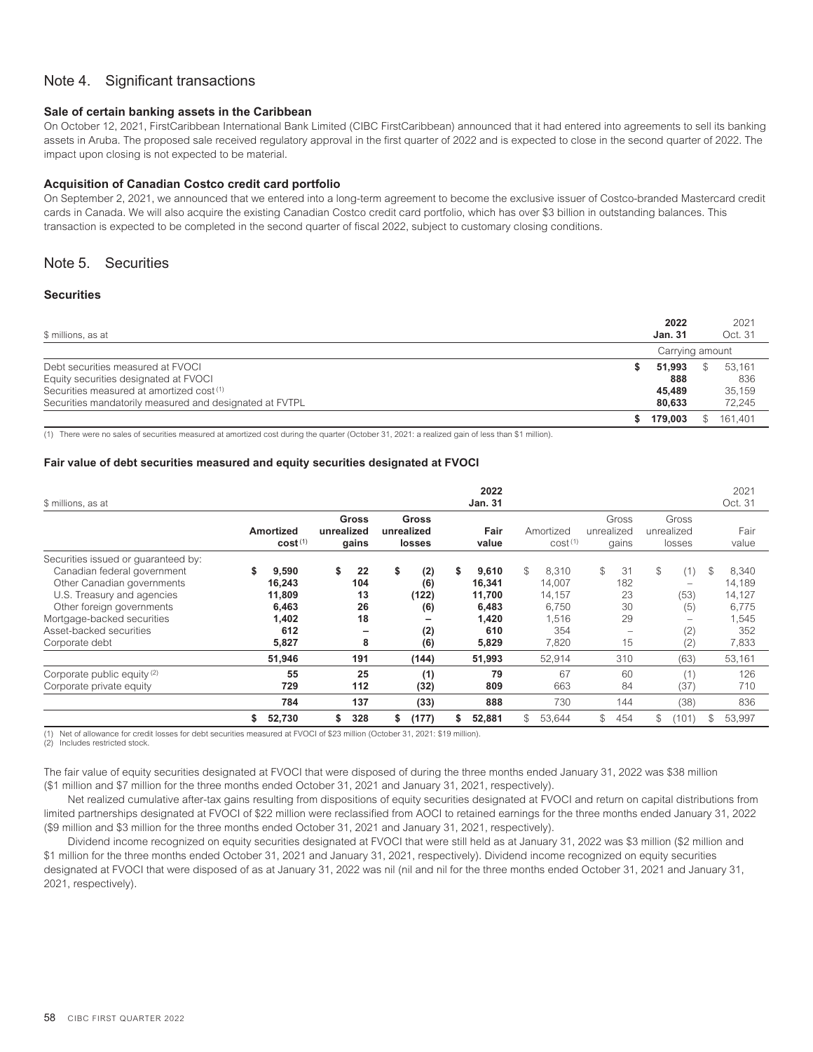# <span id="page-60-0"></span>Note 4. Significant transactions

#### **Sale of certain banking assets in the Caribbean**

On October 12, 2021, FirstCaribbean International Bank Limited (CIBC FirstCaribbean) announced that it had entered into agreements to sell its banking assets in Aruba. The proposed sale received regulatory approval in the first quarter of 2022 and is expected to close in the second quarter of 2022. The impact upon closing is not expected to be material.

## **Acquisition of Canadian Costco credit card portfolio**

On September 2, 2021, we announced that we entered into a long-term agreement to become the exclusive issuer of Costco-branded Mastercard credit cards in Canada. We will also acquire the existing Canadian Costco credit card portfolio, which has over \$3 billion in outstanding balances. This transaction is expected to be completed in the second quarter of fiscal 2022, subject to customary closing conditions.

# <span id="page-60-1"></span>Note 5. Securities

### **Securities**

| \$ millions, as at                                      | 2022<br><b>Jan. 31</b> | 2021<br>Oct. 31 |
|---------------------------------------------------------|------------------------|-----------------|
|                                                         |                        | Carrying amount |
| Debt securities measured at FVOCI                       | 51.993<br>S            | \$<br>53.161    |
| Equity securities designated at FVOCI                   | 888                    | 836             |
| Securities measured at amortized cost (1)               | 45.489                 | 35.159          |
| Securities mandatorily measured and designated at FVTPL | 80.633                 | 72,245          |
|                                                         | 179.003                | 161.401<br>\$   |

(1) There were no sales of securities measured at amortized cost during the quarter (October 31, 2021: a realized gain of less than \$1 million).

#### **Fair value of debt securities measured and equity securities designated at FVOCI**

| \$ millions, as at                                                                                                                                                                                                                     |                                                             |            |                                  |                                                |   | 2022<br><b>Jan. 31</b>                                      |                                                                   |            |                                   |            |                                                                                  |    | 2021<br>Oct. 31                                             |
|----------------------------------------------------------------------------------------------------------------------------------------------------------------------------------------------------------------------------------------|-------------------------------------------------------------|------------|----------------------------------|------------------------------------------------|---|-------------------------------------------------------------|-------------------------------------------------------------------|------------|-----------------------------------|------------|----------------------------------------------------------------------------------|----|-------------------------------------------------------------|
|                                                                                                                                                                                                                                        | <b>Amortized</b><br>cost <sup>(1)</sup>                     | unrealized | Gross<br>gains                   | <b>Gross</b><br>unrealized<br>losses           |   | Fair<br>value                                               | Amortized<br>cost <sup>(1)</sup>                                  | unrealized | Gross<br>qains                    | unrealized | Gross<br>losses                                                                  |    | Fair<br>value                                               |
| Securities issued or guaranteed by:<br>Canadian federal government<br>Other Canadian governments<br>U.S. Treasury and agencies<br>Other foreign governments<br>Mortgage-backed securities<br>Asset-backed securities<br>Corporate debt | 9.590<br>16,243<br>11,809<br>6,463<br>1,402<br>612<br>5,827 | \$         | 22<br>104<br>13<br>26<br>18<br>8 | \$<br>(2)<br>(6)<br>(122)<br>(6)<br>(2)<br>(6) | S | 9.610<br>16,341<br>11,700<br>6,483<br>1,420<br>610<br>5,829 | \$<br>8.310<br>14.007<br>14,157<br>6,750<br>1,516<br>354<br>7,820 | \$         | 31<br>182<br>23<br>30<br>29<br>15 | \$         | (1<br>$\overline{\phantom{a}}$<br>(53)<br>(5)<br>$\hspace{0.05cm}$<br>(2)<br>(2) | \$ | 8.340<br>14.189<br>14,127<br>6.775<br>1,545<br>352<br>7,833 |
|                                                                                                                                                                                                                                        | 51,946                                                      |            | 191                              | (144)                                          |   | 51,993                                                      | 52,914                                                            |            | 310                               |            | (63)                                                                             |    | 53,161                                                      |
| Corporate public equity <sup>(2)</sup><br>Corporate private equity                                                                                                                                                                     | 55<br>729                                                   |            | 25<br>112                        | (1)<br>(32)                                    |   | 79<br>809                                                   | 67<br>663                                                         |            | 60<br>84                          |            | (1)<br>(37)                                                                      |    | 126<br>710                                                  |
|                                                                                                                                                                                                                                        | 784                                                         |            | 137                              | (33)                                           |   | 888                                                         | 730                                                               |            | 144                               |            | (38)                                                                             |    | 836                                                         |
|                                                                                                                                                                                                                                        | \$<br>52,730                                                | \$         | 328                              | \$<br>(177)                                    | S | 52,881                                                      | \$<br>53,644                                                      | \$         | 454                               | \$         | '101'                                                                            | S. | 53,997                                                      |

(1) Net of allowance for credit losses for debt securities measured at FVOCI of \$23 million (October 31, 2021: \$19 million).

(2) Includes restricted stock.

The fair value of equity securities designated at FVOCI that were disposed of during the three months ended January 31, 2022 was \$38 million (\$1 million and \$7 million for the three months ended October 31, 2021 and January 31, 2021, respectively).

Net realized cumulative after-tax gains resulting from dispositions of equity securities designated at FVOCI and return on capital distributions from limited partnerships designated at FVOCI of \$22 million were reclassified from AOCI to retained earnings for the three months ended January 31, 2022 (\$9 million and \$3 million for the three months ended October 31, 2021 and January 31, 2021, respectively).

Dividend income recognized on equity securities designated at FVOCI that were still held as at January 31, 2022 was \$3 million (\$2 million and \$1 million for the three months ended October 31, 2021 and January 31, 2021, respectively). Dividend income recognized on equity securities designated at FVOCI that were disposed of as at January 31, 2022 was nil (nil and nil for the three months ended October 31, 2021 and January 31, 2021, respectively).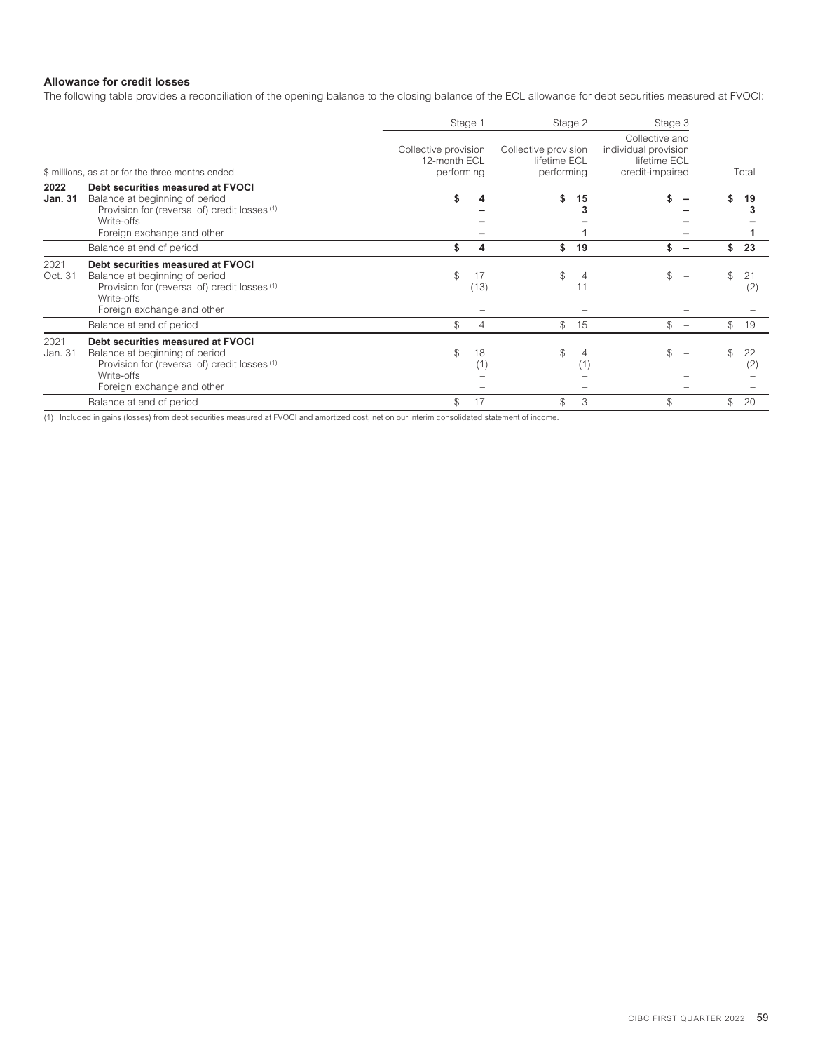# **Allowance for credit losses**

The following table provides a reconciliation of the opening balance to the closing balance of the ECL allowance for debt securities measured at FVOCI:

|                        |                                                                                                                                                                  |                                                    | Stage 1        | Stage 2                                            |    | Stage 3                                                                   |            |           |
|------------------------|------------------------------------------------------------------------------------------------------------------------------------------------------------------|----------------------------------------------------|----------------|----------------------------------------------------|----|---------------------------------------------------------------------------|------------|-----------|
|                        | \$ millions, as at or for the three months ended                                                                                                                 | Collective provision<br>12-month ECL<br>performing |                | Collective provision<br>lifetime ECL<br>performing |    | Collective and<br>individual provision<br>lifetime ECL<br>credit-impaired |            | Total     |
| 2022<br><b>Jan. 31</b> | Debt securities measured at FVOCI<br>Balance at beginning of period<br>Provision for (reversal of) credit losses (1)<br>Write-offs<br>Foreign exchange and other | \$                                                 |                | \$                                                 | 15 |                                                                           |            | 19        |
|                        | Balance at end of period                                                                                                                                         | \$                                                 | 4              | \$                                                 | 19 | \$                                                                        | \$         | 23        |
| 2021<br>Oct. 31        | Debt securities measured at FVOCI<br>Balance at beginning of period<br>Provision for (reversal of) credit losses (1)<br>Write-offs<br>Foreign exchange and other | \$                                                 | 17<br>(13)     | \$                                                 |    |                                                                           | \$         | 21<br>(2) |
|                        | Balance at end of period                                                                                                                                         | \$                                                 | $\overline{4}$ | \$                                                 | 15 | \$<br>$\overline{\phantom{a}}$                                            | $^{\circ}$ | 19        |
| 2021<br>Jan. 31        | Debt securities measured at FVOCI<br>Balance at beginning of period<br>Provision for (reversal of) credit losses (1)<br>Write-offs<br>Foreign exchange and other | \$                                                 | 18<br>(1)      | \$                                                 | .  |                                                                           |            | 22<br>(2) |
|                        | Balance at end of period                                                                                                                                         | \$                                                 | 17             | \$                                                 | 3  | \$<br>$\overline{\phantom{a}}$                                            | \$         | 20        |

(1) Included in gains (losses) from debt securities measured at FVOCI and amortized cost, net on our interim consolidated statement of income.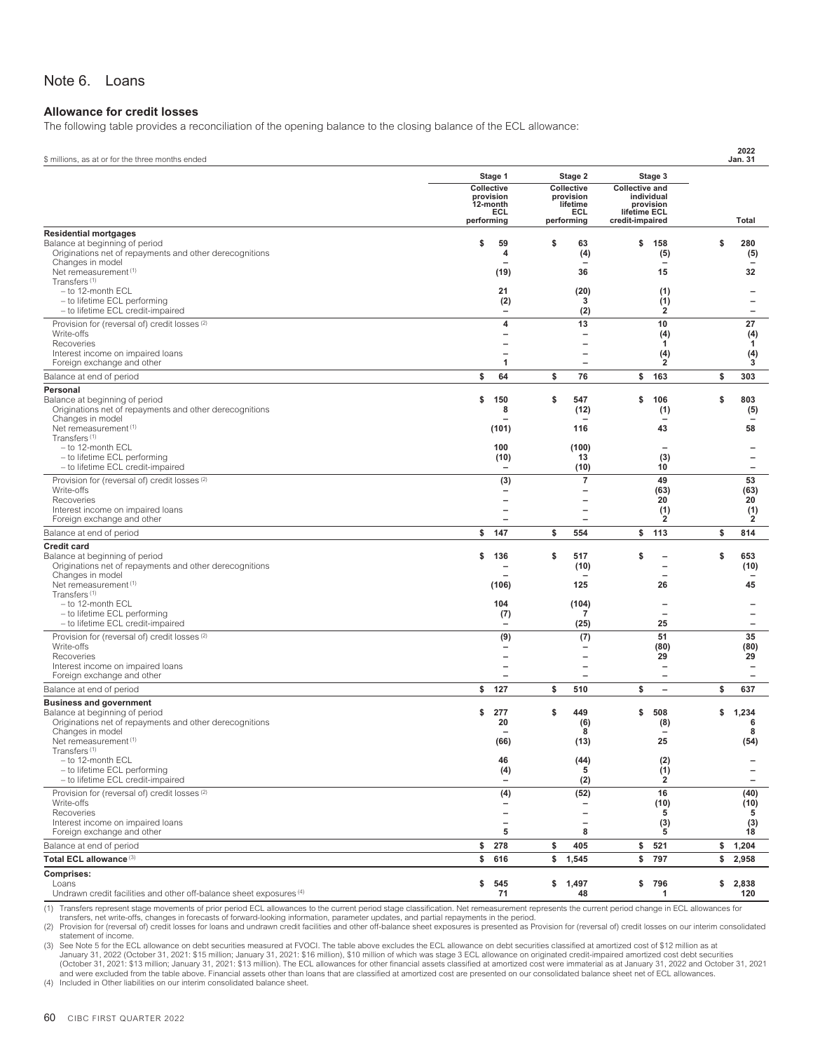# <span id="page-62-0"></span>Note 6. Loans

#### **Allowance for credit losses**

The following table provides a reconciliation of the opening balance to the closing balance of the ECL allowance:

| \$ millions, as at or for the three months ended                                              |                         |                                                      |                                                      |                                     |                          | <b>Jan. 31</b> | 2022                                                 |
|-----------------------------------------------------------------------------------------------|-------------------------|------------------------------------------------------|------------------------------------------------------|-------------------------------------|--------------------------|----------------|------------------------------------------------------|
|                                                                                               | Stage 1                 |                                                      | Stage 2                                              |                                     | Stage 3                  |                |                                                      |
|                                                                                               | Collective<br>provision |                                                      | Collective<br>provision                              | <b>Collective and</b><br>individual |                          |                |                                                      |
|                                                                                               | 12-month                |                                                      | lifetime                                             | provision                           |                          |                |                                                      |
|                                                                                               | performing              | ECL                                                  | ECL<br>performing                                    | lifetime ECL<br>credit-impaired     |                          |                | Total                                                |
| <b>Residential mortgages</b>                                                                  |                         |                                                      |                                                      |                                     |                          |                |                                                      |
| Balance at beginning of period<br>Originations net of repayments and other derecognitions     | S                       | 59<br>4                                              | \$<br>63<br>(4)                                      | \$                                  | 158<br>(5)               | \$             | 280<br>(5)                                           |
| Changes in model                                                                              |                         |                                                      |                                                      |                                     |                          |                |                                                      |
| Net remeasurement <sup>(1)</sup><br>Transfers <sup>(1)</sup>                                  |                         | (19)                                                 | 36                                                   |                                     | 15                       |                | 32                                                   |
| - to 12-month ECL                                                                             |                         | 21                                                   | (20)                                                 |                                     | (1)                      |                |                                                      |
| - to lifetime ECL performing<br>- to lifetime ECL credit-impaired                             |                         | (2)                                                  | 3<br>(2)                                             |                                     | (1)<br>$\overline{2}$    |                | -<br>-                                               |
| Provision for (reversal of) credit losses <sup>(2)</sup>                                      |                         | 4                                                    | 13                                                   |                                     | 10                       |                | 27                                                   |
| Write-offs                                                                                    |                         | $\overline{\phantom{0}}$                             | $\overline{\phantom{0}}$                             |                                     | (4)                      |                | (4)                                                  |
| Recoveries                                                                                    |                         |                                                      | $\overline{\phantom{0}}$<br>$\overline{\phantom{0}}$ |                                     | 1                        |                | -1                                                   |
| Interest income on impaired loans<br>Foreign exchange and other                               |                         | 1                                                    | $\qquad \qquad -$                                    |                                     | (4)<br>$\overline{2}$    |                | (4)<br>3                                             |
| Balance at end of period                                                                      | \$                      | 64                                                   | \$<br>76                                             |                                     | \$ 163                   | \$             | 303                                                  |
| Personal                                                                                      |                         |                                                      |                                                      |                                     |                          |                |                                                      |
| Balance at beginning of period<br>Originations net of repayments and other derecognitions     | \$                      | 150<br>8                                             | \$<br>547<br>(12)                                    | \$                                  | 106                      | \$             | 803                                                  |
| Changes in model                                                                              |                         |                                                      |                                                      |                                     | (1)                      |                | (5)                                                  |
| Net remeasurement <sup>(1)</sup><br>Transfers <sup>(1)</sup>                                  |                         | (101)                                                | 116                                                  |                                     | 43                       |                | 58                                                   |
| - to 12-month ECL                                                                             |                         | 100                                                  | (100)                                                |                                     |                          |                |                                                      |
| - to lifetime ECL performing                                                                  |                         | (10)                                                 | 13                                                   |                                     | (3)                      |                | $\overline{\phantom{0}}$                             |
| - to lifetime ECL credit-impaired                                                             |                         | $\overline{\phantom{0}}$                             | (10)<br>$\overline{7}$                               |                                     | 10<br>49                 |                | $\qquad \qquad -$<br>53                              |
| Provision for (reversal of) credit losses <sup>(2)</sup><br>Write-offs                        |                         | (3)<br>-                                             | —                                                    |                                     | (63)                     |                | (63)                                                 |
| Recoveries                                                                                    |                         |                                                      |                                                      |                                     | 20                       |                | 20                                                   |
| Interest income on impaired loans<br>Foreign exchange and other                               |                         | $\overline{\phantom{0}}$                             | $\overline{\phantom{0}}$<br>$\overline{\phantom{0}}$ |                                     | (1)<br>$\overline{2}$    |                | (1)<br>2                                             |
| Balance at end of period                                                                      | \$                      | 147                                                  | \$<br>554                                            | \$                                  | 113                      | \$             | 814                                                  |
| <b>Credit card</b>                                                                            |                         |                                                      |                                                      |                                     |                          |                |                                                      |
| Balance at beginning of period<br>Originations net of repayments and other derecognitions     | \$                      | 136                                                  | \$<br>517                                            | \$                                  |                          | \$             | 653                                                  |
| Changes in model                                                                              |                         |                                                      | (10)                                                 |                                     |                          |                | (10)                                                 |
| Net remeasurement <sup>(1)</sup><br>Transfers <sup>(1)</sup>                                  |                         | (106)                                                | 125                                                  |                                     | 26                       |                | 45                                                   |
| - to 12-month ECL                                                                             |                         | 104                                                  | (104)                                                |                                     |                          |                |                                                      |
| - to lifetime ECL performing                                                                  |                         | (7)                                                  | 7                                                    |                                     |                          |                | -                                                    |
| - to lifetime ECL credit-impaired<br>Provision for (reversal of) credit losses <sup>(2)</sup> |                         | $\overline{\phantom{0}}$                             | (25)                                                 |                                     | 25<br>51                 |                | $\qquad \qquad -$<br>35                              |
| Write-offs                                                                                    |                         | (9)                                                  | (7)<br>$\overline{\phantom{0}}$                      |                                     | (80)                     |                | (80)                                                 |
| Recoveries                                                                                    |                         |                                                      | $\overline{\phantom{0}}$                             |                                     | 29                       |                | 29                                                   |
| Interest income on impaired loans<br>Foreign exchange and other                               |                         | —                                                    | $\overline{\phantom{0}}$<br>—                        |                                     | $\overline{\phantom{0}}$ |                | $\overline{\phantom{0}}$<br>$\overline{\phantom{0}}$ |
| Balance at end of period                                                                      | \$                      | 127                                                  | \$<br>510                                            | \$                                  | $\overline{\phantom{a}}$ | \$             | 637                                                  |
| <b>Business and government</b>                                                                |                         |                                                      |                                                      |                                     |                          |                |                                                      |
| Balance at beginning of period<br>Originations net of repayments and other derecognitions     | \$                      | 277<br>20                                            | \$<br>449<br>(6)                                     | \$                                  | 508<br>(8)               | \$             | 1,234<br>6                                           |
| Changes in model                                                                              |                         |                                                      | 8                                                    |                                     |                          |                | 8                                                    |
| Net remeasurement <sup>(1)</sup><br>Transfers <sup>(1)</sup>                                  |                         | (66)                                                 | (13)                                                 |                                     | 25                       |                | (54)                                                 |
| - to 12-month ECL                                                                             |                         | 46                                                   | (44)                                                 |                                     | (2)                      |                |                                                      |
| - to lifetime ECL performing<br>- to lifetime ECL credit-impaired                             |                         | (4)                                                  | 5                                                    |                                     | (1)<br>2                 |                | -<br>$\overline{\phantom{0}}$                        |
| Provision for (reversal of) credit losses <sup>(2)</sup>                                      |                         | (4)                                                  | (2)<br>(52)                                          |                                     | 16                       |                | (40)                                                 |
| Write-offs                                                                                    |                         |                                                      | -                                                    |                                     | (10)                     |                | (10)                                                 |
| Recoveries<br>Interest income on impaired loans                                               |                         | $\overline{\phantom{0}}$<br>$\overline{\phantom{0}}$ | $\overline{\phantom{0}}$<br>$\overline{\phantom{0}}$ |                                     | 5                        |                | 5                                                    |
| Foreign exchange and other                                                                    |                         | 5                                                    | 8                                                    |                                     | (3)<br>5                 |                | (3)<br>18                                            |
| Balance at end of period                                                                      | \$                      | 278                                                  | \$<br>405                                            | \$                                  | 521                      | \$             | 1,204                                                |
| Total ECL allowance (3)                                                                       | \$                      | 616                                                  | \$ 1,545                                             | \$                                  | 797                      | \$             | 2,958                                                |
| Comprises:                                                                                    |                         |                                                      |                                                      |                                     |                          |                |                                                      |
| Loans<br>Undrawn credit facilities and other off-balance sheet exposures (4)                  | \$                      | 545<br>71                                            | \$1,497<br>48                                        |                                     | \$796<br>1               | \$2,838        | 120                                                  |
|                                                                                               |                         |                                                      |                                                      |                                     |                          |                |                                                      |

(1) Transfers represent stage movements of prior period ECL allowances to the current period stage classification. Net remeasurement represents the current period change in ECL allowances for

transfers, net write-offs, changes in forecasts of forward-looking information, parameter updates, and partial repayments in the period.<br>(2) Provision for (reversal of) credit losses for loans and undrawn credit facilities

statement of income.

3) See Note 5 for the ECL allowance on debt securities measured at FVOCI. The table above excludes the ECL allowance on debt securities classified at amortized cost of \$12 million as at<br>January 31, 2022 (October 31, 2021: (October 31, 2021: \$13 million; January 31, 2021: \$13 million). The ECL allowances for other financial assets classified at amortized cost were immaterial as at January 31, 2022 and October 31, 2021 and were excluded from the table above. Financial assets other than loans that are classified at amortized cost are presented on our consolidated balance sheet net of ECL allowances.<br>(4) Included in Other liabilities on ou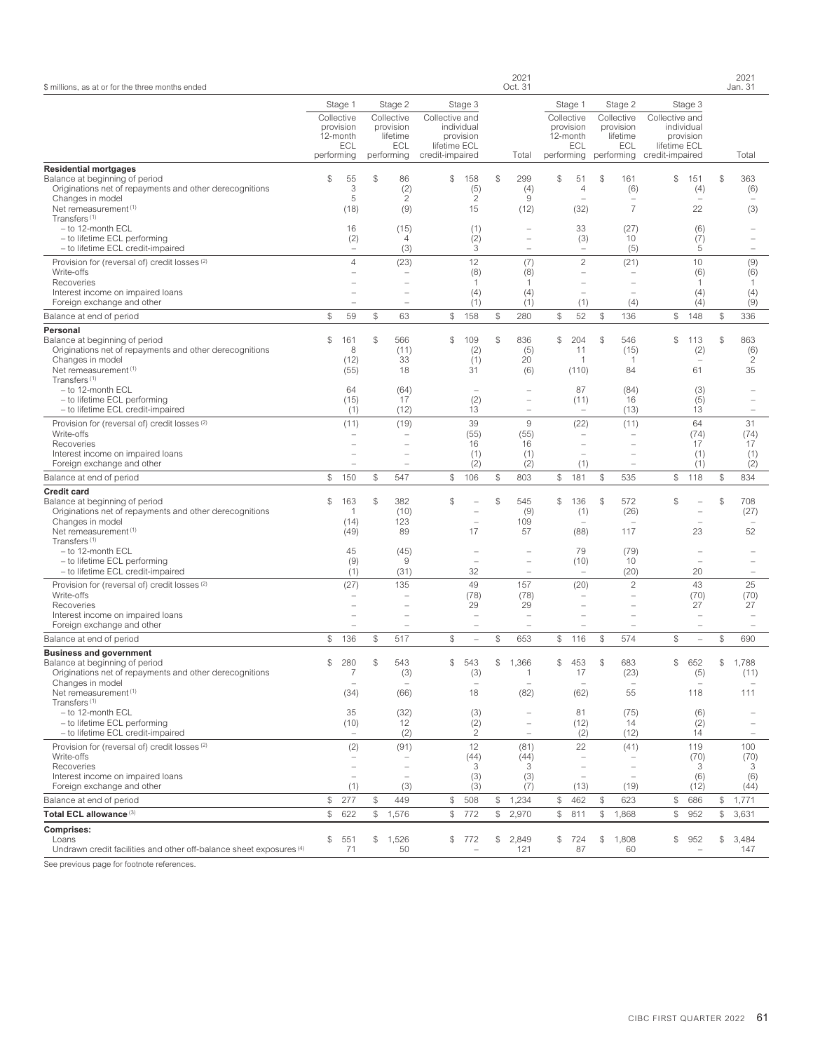| \$ millions, as at or for the three months ended                                                                                                                                         |                                                          |                                               |                                                                 |                                                   |                                              |              | 2021<br>Oct. 31                                                                  |                |                                                                        |                |                                                                 |                                                   |                                              |                | 2021<br>Jan. 31                    |
|------------------------------------------------------------------------------------------------------------------------------------------------------------------------------------------|----------------------------------------------------------|-----------------------------------------------|-----------------------------------------------------------------|---------------------------------------------------|----------------------------------------------|--------------|----------------------------------------------------------------------------------|----------------|------------------------------------------------------------------------|----------------|-----------------------------------------------------------------|---------------------------------------------------|----------------------------------------------|----------------|------------------------------------|
|                                                                                                                                                                                          | Stage 1                                                  |                                               | Stage 2                                                         |                                                   | Stage 3                                      |              |                                                                                  |                | Stage 1                                                                |                | Stage 2                                                         |                                                   | Stage 3                                      |                |                                    |
|                                                                                                                                                                                          | Collective<br>provision<br>12-month<br>ECL<br>performing |                                               | Collective<br>provision<br>lifetime<br><b>ECL</b><br>performing | Collective and<br>lifetime ECL<br>credit-impaired | individual<br>provision                      |              | Total                                                                            |                | Collective<br>provision<br>12-month<br>ECL<br>performing               |                | Collective<br>provision<br>lifetime<br><b>ECL</b><br>performing | Collective and<br>lifetime ECL<br>credit-impaired | individual<br>provision                      |                | Total                              |
| <b>Residential mortgages</b><br>Balance at beginning of period<br>Originations net of repayments and other derecognitions<br>Changes in model                                            | \$                                                       | 55<br>3<br>5                                  | \$<br>86<br>(2)<br>$\overline{c}$                               | \$                                                | 158<br>(5)<br>$\overline{c}$                 | $\mathbb{S}$ | 299<br>(4)<br>9                                                                  | $$\mathbb{S}$$ | 51<br>$\overline{4}$                                                   | $$\mathbb{S}$$ | 161<br>(6)                                                      | \$                                                | 151<br>(4)                                   | $$\mathbb{S}$$ | 363<br>(6)                         |
| Net remeasurement <sup>(1)</sup><br>Transfers <sup>(1)</sup><br>- to 12-month ECL<br>- to lifetime ECL performing<br>- to lifetime ECL credit-impaired                                   |                                                          | (18)<br>16<br>(2)<br>$\overline{\phantom{0}}$ | (9)<br>(15)<br>$\overline{4}$<br>(3)                            |                                                   | 15<br>(1)<br>(2)<br>3                        |              | (12)<br>$\overline{\phantom{0}}$<br>$\overline{\phantom{0}}$                     |                | (32)<br>33<br>(3)<br>$\overline{\phantom{a}}$                          |                | $\overline{7}$<br>(27)<br>10<br>(5)                             |                                                   | 22<br>(6)<br>(7)<br>5                        |                | (3)<br>$\overline{\phantom{m}}$    |
| Provision for (reversal of) credit losses <sup>(2)</sup><br>Write-offs<br>Recoveries<br>Interest income on impaired loans                                                                |                                                          | $\overline{4}$                                | (23)                                                            |                                                   | 12<br>(8)<br>-1<br>(4)                       |              | (7)<br>(8)<br>1<br>(4)                                                           |                | $\overline{c}$<br>$\overline{\phantom{a}}$<br>$\overline{\phantom{a}}$ |                | (21)<br>$\overline{\phantom{a}}$                                |                                                   | 10<br>(6)<br>1<br>(4)                        |                | (9)<br>(6)<br>1<br>(4)             |
| Foreign exchange and other<br>Balance at end of period                                                                                                                                   | \$                                                       | 59                                            | \$<br>$\overline{\phantom{0}}$<br>63                            | $$\mathbb{S}$$                                    | (1)<br>158                                   | $\$$         | (1)<br>280                                                                       | \$             | (1)<br>52                                                              | $\mathcal{L}$  | (4)<br>136                                                      | \$                                                | (4)<br>148                                   | $$\mathbb{S}$$ | (9)<br>336                         |
| Personal                                                                                                                                                                                 |                                                          |                                               |                                                                 |                                                   |                                              |              |                                                                                  |                |                                                                        |                |                                                                 |                                                   |                                              |                |                                    |
| Balance at beginning of period<br>Originations net of repayments and other derecognitions<br>Changes in model<br>Net remeasurement <sup>(1)</sup><br>Transfers <sup>(1)</sup>            | \$                                                       | 161<br>8<br>(12)<br>(55)                      | \$<br>566<br>(11)<br>33<br>18                                   | $\mathbb{S}$                                      | 109<br>(2)<br>(1)<br>31                      | $\mathbb{S}$ | 836<br>(5)<br>20<br>(6)                                                          | \$             | 204<br>11<br>$\mathbf{1}$<br>(110)                                     | $\mathcal{L}$  | 546<br>(15)<br>-1<br>84                                         | \$                                                | 113<br>(2)<br>61                             | $$\mathbb{S}$$ | 863<br>(6)<br>$\overline{c}$<br>35 |
| - to 12-month ECL<br>- to lifetime ECL performing<br>- to lifetime ECL credit-impaired                                                                                                   |                                                          | 64<br>(15)<br>(1)                             | (64)<br>17<br>(12)                                              |                                                   | (2)<br>13                                    |              | $\overline{\phantom{0}}$<br>$\overline{\phantom{0}}$                             |                | 87<br>(11)                                                             |                | (84)<br>16<br>(13)                                              |                                                   | (3)<br>(5)<br>13                             |                |                                    |
| Provision for (reversal of) credit losses <sup>(2)</sup><br>Write-offs<br>Recoveries<br>Interest income on impaired loans<br>Foreign exchange and other                                  |                                                          | (11)<br>$\overline{\phantom{a}}$              | (19)<br>$\overline{\phantom{0}}$                                |                                                   | 39<br>(55)<br>16<br>(1)<br>(2)               |              | 9<br>(55)<br>16<br>(1)<br>(2)                                                    |                | (22)<br>÷,<br>(1)                                                      |                | (11)<br>$\sim$                                                  |                                                   | 64<br>(74)<br>17<br>(1)<br>(1)               |                | 31<br>(74)<br>17<br>(1)<br>(2)     |
| Balance at end of period                                                                                                                                                                 | $$\mathbb{S}$$                                           | 150                                           | \$<br>547                                                       | $$\mathbb{S}$$                                    | 106                                          | $\$$         | 803                                                                              | \$             | 181                                                                    | $\mathcal{L}$  | 535                                                             | \$                                                | 118                                          | $$\mathbb{S}$$ | 834                                |
| <b>Credit card</b><br>Balance at beginning of period<br>Originations net of repayments and other derecognitions<br>Changes in model<br>Net remeasurement (1)<br>Transfers <sup>(1)</sup> | $\mathcal{S}$                                            | 163<br>-1<br>(14)<br>(49)                     | \$<br>382<br>(10)<br>123<br>89                                  | $\mathcal{S}$                                     | ÷<br>17                                      | \$           | 545<br>(9)<br>109<br>57                                                          | \$             | 136<br>(1)<br>(88)                                                     | $\mathcal{L}$  | 572<br>(26)<br>117                                              | \$                                                | $\overline{\phantom{0}}$<br>23               | \$             | 708<br>(27)<br>52                  |
| - to 12-month ECL<br>- to lifetime ECL performing<br>- to lifetime ECL credit-impaired                                                                                                   |                                                          | 45<br>(9)<br>(1)                              | (45)<br>$\hbox{9}$<br>(31)                                      |                                                   | $\overline{\phantom{a}}$<br>÷,<br>32         |              | $\overline{\phantom{0}}$<br>$\overline{\phantom{0}}$<br>$\overline{\phantom{0}}$ |                | 79<br>(10)<br>$\overline{\phantom{a}}$                                 |                | (79)<br>10<br>(20)                                              |                                                   | $\overline{\phantom{0}}$<br>20               |                |                                    |
| Provision for (reversal of) credit losses <sup>(2)</sup><br>Write-offs<br>Recoveries<br>Interest income on impaired loans<br>Foreign exchange and other                                  |                                                          | (27)                                          | 135<br>$\overline{\phantom{0}}$                                 |                                                   | 49<br>(78)<br>29<br>$\overline{\phantom{a}}$ |              | 157<br>(78)<br>29<br>$\overline{\phantom{0}}$                                    |                | (20)<br>L.                                                             |                | $\mathbf{2}$                                                    |                                                   | 43<br>(70)<br>27<br>$\overline{\phantom{0}}$ |                | 25<br>(70)<br>27<br>$\equiv$       |
| Balance at end of period                                                                                                                                                                 | \$                                                       | 136                                           | \$<br>517                                                       | $$\mathbb{S}$$                                    | ÷                                            | \$           | 653                                                                              | \$             | 116                                                                    | \$             | 574                                                             | \$                                                | $\overline{\phantom{0}}$                     | \$             | 690                                |
| <b>Business and government</b><br>Balance at beginning of period<br>Originations net of repayments and other derecognitions<br>Changes in model<br>Net remeasurement <sup>(1)</sup>      | \$                                                       | 280<br>$\overline{7}$<br>÷,<br>(34)           | \$<br>543<br>(3)<br>(66)                                        | \$                                                | 543<br>(3)<br>$\overline{\phantom{a}}$<br>18 | S            | 1.366<br>$\mathbf{1}$<br>$\overline{\phantom{0}}$<br>(82)                        | \$             | 453<br>17<br>$\overline{\phantom{a}}$<br>(62)                          | \$             | 683<br>(23)<br>55                                               | \$                                                | 652<br>(5)<br>118                            | S.             | 1.788<br>(11)<br>111               |
| Transfers <sup>(1)</sup><br>- to 12-month ECL<br>- to lifetime ECL performing<br>- to lifetime ECL credit-impaired                                                                       |                                                          | 35<br>(10)                                    | (32)<br>12<br>(2)                                               |                                                   | (3)<br>(2)<br>$\overline{c}$                 |              | $\overline{\phantom{0}}$                                                         |                | 81<br>(12)<br>(2)                                                      |                | (75)<br>14<br>(12)                                              |                                                   | (6)<br>(2)<br>14                             |                |                                    |
| Provision for (reversal of) credit losses <sup>(2)</sup><br>Write-offs<br>Recoveries<br>Interest income on impaired loans<br>Foreign exchange and other                                  |                                                          | (2)<br>÷,<br>$\overline{\phantom{a}}$<br>(1)  | (91)<br>÷<br>(3)                                                |                                                   | 12<br>(44)<br>3<br>(3)<br>(3)                |              | (81)<br>(44)<br>3<br>(3)<br>(7)                                                  |                | 22<br>(13)                                                             |                | (41)<br>(19)                                                    |                                                   | 119<br>(70)<br>3<br>(6)<br>(12)              |                | 100<br>(70)<br>3<br>(6)<br>(44)    |
| Balance at end of period                                                                                                                                                                 | \$                                                       | 277                                           | \$<br>449                                                       | \$                                                | 508                                          | \$           | 1,234                                                                            | \$             | 462                                                                    | \$             | 623                                                             | \$                                                | 686                                          | \$             | 1,771                              |
| Total ECL allowance (3)                                                                                                                                                                  | $$\mathbb{S}$$                                           | 622                                           | \$<br>1,576                                                     |                                                   | \$772                                        | $\mathbb{S}$ | 2,970                                                                            | \$             | 811                                                                    | \$             | 1,868                                                           | \$                                                | 952                                          | $$\tilde$$     | 3,631                              |
| <b>Comprises:</b><br>Loans<br>Undrawn credit facilities and other off-balance sheet exposures (4)                                                                                        | \$                                                       | 551<br>71                                     | \$<br>1,526<br>50                                               | \$                                                | 772<br>$\overline{\phantom{a}}$              | \$           | 2,849<br>121                                                                     | \$             | 724<br>87                                                              | \$             | 1,808<br>60                                                     | \$                                                | 952<br>$\overline{\phantom{0}}$              | \$             | 3,484<br>147                       |
|                                                                                                                                                                                          |                                                          |                                               |                                                                 |                                                   |                                              |              |                                                                                  |                |                                                                        |                |                                                                 |                                                   |                                              |                |                                    |

See previous page for footnote references.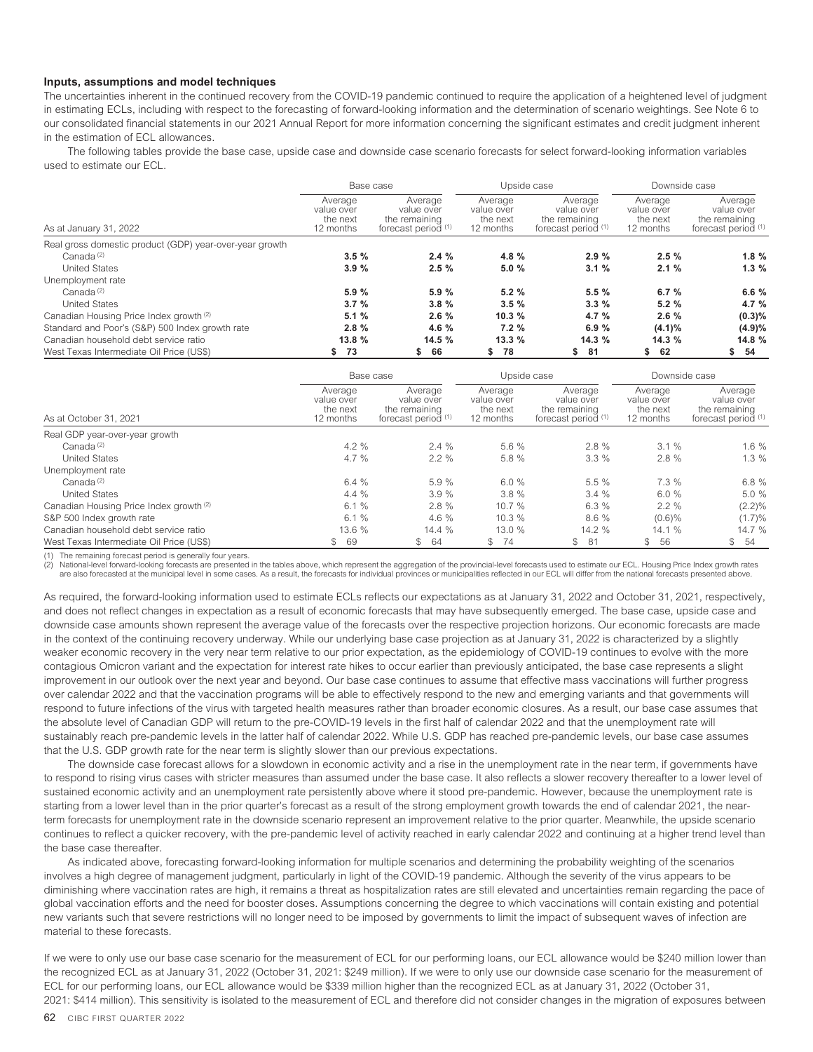#### **Inputs, assumptions and model techniques**

The uncertainties inherent in the continued recovery from the COVID-19 pandemic continued to require the application of a heightened level of judgment in estimating ECLs, including with respect to the forecasting of forward-looking information and the determination of scenario weightings. See Note 6 to our consolidated financial statements in our 2021 Annual Report for more information concerning the significant estimates and credit judgment inherent in the estimation of FCL allowances.

The following tables provide the base case, upside case and downside case scenario forecasts for select forward-looking information variables used to estimate our ECL.

|                                                         | Base case                                      |                                                               | Upside case                                    |                                                               | Downside case                                  |                                                               |  |  |
|---------------------------------------------------------|------------------------------------------------|---------------------------------------------------------------|------------------------------------------------|---------------------------------------------------------------|------------------------------------------------|---------------------------------------------------------------|--|--|
| As at January 31, 2022                                  | Average<br>value over<br>the next<br>12 months | Average<br>value over<br>the remaining<br>forecast period (1) | Average<br>value over<br>the next<br>12 months | Average<br>value over<br>the remaining<br>forecast period (1) | Average<br>value over<br>the next<br>12 months | Average<br>value over<br>the remaining<br>forecast period (1) |  |  |
| Real gross domestic product (GDP) year-over-year growth |                                                |                                                               |                                                |                                                               |                                                |                                                               |  |  |
| Canada <sup>(2)</sup>                                   | 3.5%                                           | 2.4%                                                          | 4.8 $%$                                        | 2.9%                                                          | 2.5%                                           | 1.8%                                                          |  |  |
| <b>United States</b>                                    | 3.9%                                           | 2.5%                                                          | 5.0%                                           | 3.1%                                                          | 2.1%                                           | 1.3%                                                          |  |  |
| Unemployment rate                                       |                                                |                                                               |                                                |                                                               |                                                |                                                               |  |  |
| Canada <sup>(2)</sup>                                   | 5.9%                                           | 5.9%                                                          | 5.2%                                           | 5.5%                                                          | 6.7%                                           | 6.6%                                                          |  |  |
| <b>United States</b>                                    | 3.7%                                           | 3.8%                                                          | $3.5 \%$                                       | 3.3%                                                          | 5.2%                                           | 4.7 %                                                         |  |  |
| Canadian Housing Price Index growth (2)                 | 5.1%                                           | 2.6%                                                          | 10.3%                                          | 4.7 %                                                         | 2.6%                                           | (0.3)%                                                        |  |  |
| Standard and Poor's (S&P) 500 Index growth rate         | 2.8%                                           | 4.6 %                                                         | 7.2%                                           | 6.9%                                                          | $(4.1)\%$                                      | (4.9)%                                                        |  |  |
| Canadian household debt service ratio                   | 13.8 %                                         | 14.5 %                                                        | 13.3%                                          | 14.3%                                                         | 14.3%                                          | 14.8 %                                                        |  |  |
| West Texas Intermediate Oil Price (US\$)                | 73                                             | 66<br>s.                                                      | 78<br>s.                                       | 81<br>S.                                                      | 62<br>S.                                       | 54<br>S.                                                      |  |  |

|                                          | Base case                                      |                                                               | Upside case                                    |                                                               | Downside case                                  |                                                               |  |  |
|------------------------------------------|------------------------------------------------|---------------------------------------------------------------|------------------------------------------------|---------------------------------------------------------------|------------------------------------------------|---------------------------------------------------------------|--|--|
| As at October 31, 2021                   | Average<br>value over<br>the next<br>12 months | Average<br>value over<br>the remaining<br>forecast period (1) | Average<br>value over<br>the next<br>12 months | Average<br>value over<br>the remaining<br>forecast period (1) | Average<br>value over<br>the next<br>12 months | Average<br>value over<br>the remaining<br>forecast period (1) |  |  |
| Real GDP year-over-year growth           |                                                |                                                               |                                                |                                                               |                                                |                                                               |  |  |
| Canada $(2)$                             | 4.2%                                           | 2.4%                                                          | 5.6%                                           | $2.8\%$                                                       | $3.1 \%$                                       | $1.6\%$                                                       |  |  |
| <b>United States</b>                     | $4.7\%$                                        | $2.2\%$                                                       | 5.8 %                                          | $3.3\%$                                                       | 2.8%                                           | $1.3\%$                                                       |  |  |
| Unemployment rate                        |                                                |                                                               |                                                |                                                               |                                                |                                                               |  |  |
| Canada $(2)$                             | 6.4%                                           | 5.9%                                                          | 6.0 $%$                                        | 5.5%                                                          | 7.3%                                           | 6.8%                                                          |  |  |
| <b>United States</b>                     | $4.4\%$                                        | 3.9%                                                          | 3.8%                                           | 3.4%                                                          | 6.0%                                           | 5.0%                                                          |  |  |
| Canadian Housing Price Index growth (2)  | 6.1%                                           | 2.8%                                                          | 10.7%                                          | 6.3%                                                          | $2.2\%$                                        | $(2.2)\%$                                                     |  |  |
| S&P 500 Index growth rate                | 6.1%                                           | 4.6 %                                                         | 10.3%                                          | 8.6%                                                          | $(0.6)\%$                                      | $(1.7)\%$                                                     |  |  |
| Canadian household debt service ratio    | 13.6 %                                         | 14.4%                                                         | 13.0 %                                         | 14.2 %                                                        | 14.1%                                          | 14.7 %                                                        |  |  |
| West Texas Intermediate Oil Price (US\$) | \$<br>69                                       | \$64                                                          | \$<br>74                                       | \$<br>-81                                                     | \$<br>56                                       | \$<br>54                                                      |  |  |

The remaining forecast period is generally four years.

National-level forward-looking forecasts are presented in the tables above, which represent the aggregation of the provincial-level forecasts used to estimate our ECL. Housing Price Index growth rates are also forecasted at the municipal level in some cases. As a result, the forecasts for individual provinces or municipalities reflected in our ECL will differ from the national forecasts presented above.

As required, the forward-looking information used to estimate ECLs reflects our expectations as at January 31, 2022 and October 31, 2021, respectively, and does not reflect changes in expectation as a result of economic forecasts that may have subsequently emerged. The base case, upside case and downside case amounts shown represent the average value of the forecasts over the respective projection horizons. Our economic forecasts are made in the context of the continuing recovery underway. While our underlying base case projection as at January 31, 2022 is characterized by a slightly weaker economic recovery in the very near term relative to our prior expectation, as the epidemiology of COVID-19 continues to evolve with the more contagious Omicron variant and the expectation for interest rate hikes to occur earlier than previously anticipated, the base case represents a slight improvement in our outlook over the next year and beyond. Our base case continues to assume that effective mass vaccinations will further progress over calendar 2022 and that the vaccination programs will be able to effectively respond to the new and emerging variants and that governments will respond to future infections of the virus with targeted health measures rather than broader economic closures. As a result, our base case assumes that the absolute level of Canadian GDP will return to the pre-COVID-19 levels in the first half of calendar 2022 and that the unemployment rate will sustainably reach pre-pandemic levels in the latter half of calendar 2022. While U.S. GDP has reached pre-pandemic levels, our base case assumes that the U.S. GDP growth rate for the near term is slightly slower than our previous expectations.

The downside case forecast allows for a slowdown in economic activity and a rise in the unemployment rate in the near term, if governments have to respond to rising virus cases with stricter measures than assumed under the base case. It also reflects a slower recovery thereafter to a lower level of sustained economic activity and an unemployment rate persistently above where it stood pre-pandemic. However, because the unemployment rate is starting from a lower level than in the prior quarter's forecast as a result of the strong employment growth towards the end of calendar 2021, the nearterm forecasts for unemployment rate in the downside scenario represent an improvement relative to the prior quarter. Meanwhile, the upside scenario continues to reflect a quicker recovery, with the pre-pandemic level of activity reached in early calendar 2022 and continuing at a higher trend level than the base case thereafter.

As indicated above, forecasting forward-looking information for multiple scenarios and determining the probability weighting of the scenarios involves a high degree of management judgment, particularly in light of the COVID-19 pandemic. Although the severity of the virus appears to be diminishing where vaccination rates are high, it remains a threat as hospitalization rates are still elevated and uncertainties remain regarding the pace of global vaccination efforts and the need for booster doses. Assumptions concerning the degree to which vaccinations will contain existing and potential new variants such that severe restrictions will no longer need to be imposed by governments to limit the impact of subsequent waves of infection are material to these forecasts.

If we were to only use our base case scenario for the measurement of ECL for our performing loans, our ECL allowance would be \$240 million lower than the recognized ECL as at January 31, 2022 (October 31, 2021: \$249 million). If we were to only use our downside case scenario for the measurement of ECL for our performing loans, our ECL allowance would be \$339 million higher than the recognized ECL as at January 31, 2022 (October 31, 2021: \$414 million). This sensitivity is isolated to the measurement of ECL and therefore did not consider changes in the migration of exposures between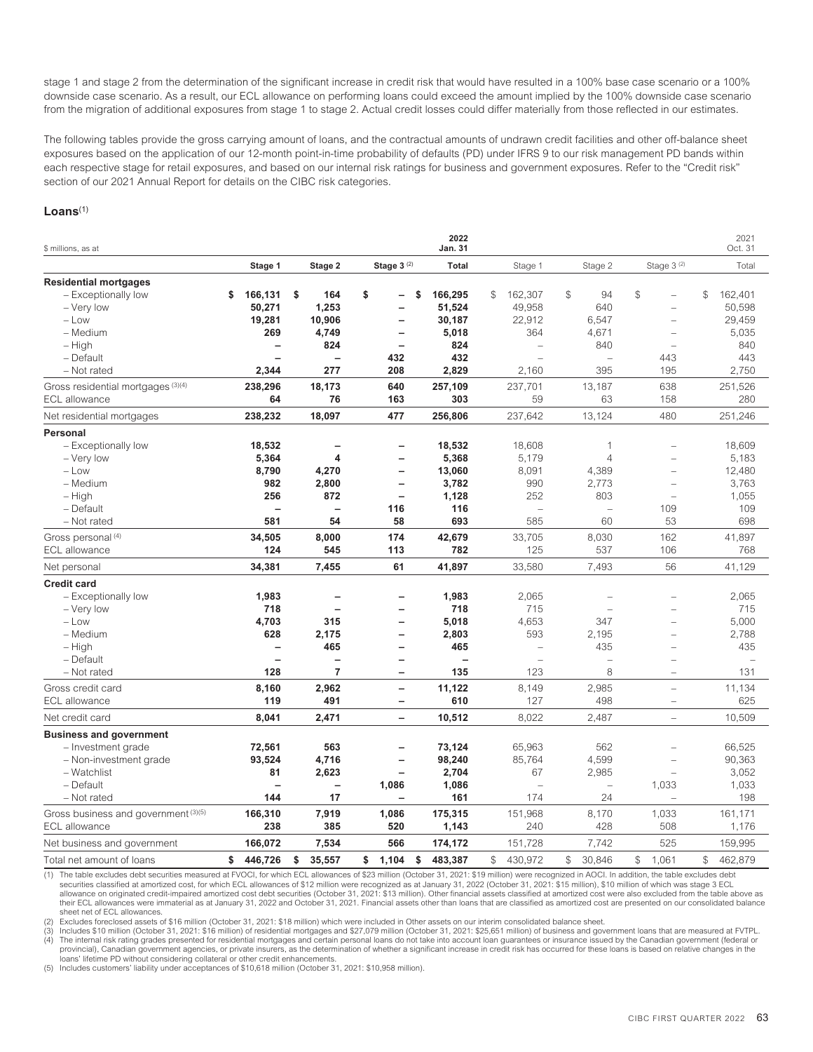stage 1 and stage 2 from the determination of the significant increase in credit risk that would have resulted in a 100% base case scenario or a 100% downside case scenario. As a result, our ECL allowance on performing loans could exceed the amount implied by the 100% downside case scenario from the migration of additional exposures from stage 1 to stage 2. Actual credit losses could differ materially from those reflected in our estimates.

The following tables provide the gross carrying amount of loans, and the contractual amounts of undrawn credit facilities and other off-balance sheet exposures based on the application of our 12-month point-in-time probability of defaults (PD) under IFRS 9 to our risk management PD bands within each respective stage for retail exposures, and based on our internal risk ratings for business and government exposures. Refer to the "Credit risk" section of our 2021 Annual Report for details on the CIBC risk categories.

### **Loans**(1)

| \$ millions, as at                   |                          |                          |                          | 2022<br>Jan. 31          |                          |                          |                        | 2021<br>Oct. 31           |
|--------------------------------------|--------------------------|--------------------------|--------------------------|--------------------------|--------------------------|--------------------------|------------------------|---------------------------|
|                                      | Stage 1                  | Stage 2                  | Stage 3 <sup>(2)</sup>   | Total                    | Stage 1                  | Stage 2                  | Stage 3 <sup>(2)</sup> | Total                     |
| <b>Residential mortgages</b>         |                          |                          |                          |                          |                          |                          |                        |                           |
| - Exceptionally low                  | \$<br>166,131            | \$<br>164                | \$<br>\$                 | 166,295                  | \$<br>162,307            | $\mathcal{L}$<br>94      | \$                     | \$<br>162,401             |
| - Very low                           | 50,271                   | 1,253                    |                          | 51,524                   | 49,958                   | 640                      |                        | 50,598                    |
| $-$ Low                              | 19,281                   | 10,906                   | $\overline{\phantom{0}}$ | 30,187                   | 22,912                   | 6,547                    |                        | 29,459                    |
| - Medium                             | 269                      | 4,749                    | —                        | 5,018                    | 364                      | 4,671                    |                        | 5,035                     |
| $-$ High                             | $\overline{\phantom{0}}$ | 824                      | $\overline{\phantom{0}}$ | 824                      | ÷                        | 840                      | ÷.                     | 840                       |
| - Default                            |                          | $\overline{\phantom{0}}$ | 432                      | 432                      | $\sim$                   | L.                       | 443                    | 443                       |
| - Not rated                          | 2,344                    | 277                      | 208                      | 2,829                    | 2,160                    | 395                      | 195                    | 2,750                     |
| Gross residential mortgages (3)(4)   | 238,296                  | 18,173                   | 640                      | 257,109                  | 237,701                  | 13,187                   | 638                    | 251,526                   |
| <b>ECL</b> allowance                 | 64                       | 76                       | 163                      | 303                      | 59                       | 63                       | 158                    | 280                       |
| Net residential mortgages            | 238,232                  | 18,097                   | 477                      | 256,806                  | 237,642                  | 13,124                   | 480                    | 251,246                   |
| Personal                             |                          |                          |                          |                          |                          |                          |                        |                           |
| - Exceptionally low                  | 18,532                   |                          |                          | 18,532                   | 18,608                   | 1                        |                        | 18,609                    |
| - Very low                           | 5,364                    | 4                        | $\overline{\phantom{0}}$ | 5,368                    | 5,179                    | $\overline{4}$           |                        | 5,183                     |
| $-$ Low                              | 8,790                    | 4,270                    | $\overline{\phantom{0}}$ | 13,060                   | 8,091                    | 4,389                    |                        | 12,480                    |
| - Medium                             | 982                      | 2,800                    | $\overline{\phantom{0}}$ | 3,782                    | 990                      | 2,773                    |                        | 3,763                     |
| – High                               | 256                      | 872                      | $\overline{\phantom{0}}$ | 1,128                    | 252                      | 803                      | ÷                      | 1,055                     |
| - Default                            | $\overline{\phantom{0}}$ | $\overline{\phantom{0}}$ | 116                      | 116                      |                          | $\overline{\phantom{0}}$ | 109                    | 109                       |
| - Not rated                          | 581                      | 54                       | 58                       | 693                      | 585                      | 60                       | 53                     | 698                       |
| Gross personal (4)                   | 34,505                   | 8,000                    | 174                      | 42,679                   | 33,705                   | 8,030                    | 162                    | 41,897                    |
| <b>ECL</b> allowance                 | 124                      | 545                      | 113                      | 782                      | 125                      | 537                      | 106                    | 768                       |
| Net personal                         | 34,381                   | 7,455                    | 61                       | 41,897                   | 33,580                   | 7,493                    | 56                     | 41,129                    |
| <b>Credit card</b>                   |                          |                          |                          |                          |                          |                          |                        |                           |
| - Exceptionally low                  | 1,983                    |                          |                          | 1,983                    | 2,065                    |                          |                        | 2.065                     |
| - Very low                           | 718                      | $\overline{\phantom{0}}$ | —                        | 718                      | 715                      |                          |                        | 715                       |
| $-$ Low                              | 4,703                    | 315                      | $\overline{a}$           | 5,018                    | 4,653                    | 347                      |                        | 5,000                     |
| - Medium                             | 628                      | 2,175                    | $\overline{\phantom{0}}$ | 2,803                    | 593                      | 2,195                    | ÷                      | 2,788                     |
| $-$ High                             | $\overline{\phantom{0}}$ | 465                      | $\overline{\phantom{0}}$ | 465                      | $\equiv$                 | 435                      |                        | 435                       |
| - Default                            | $\overline{\phantom{a}}$ |                          | $\overline{\phantom{0}}$ | $\overline{\phantom{0}}$ | $\overline{\phantom{0}}$ |                          | $\sim$                 | ۳                         |
| - Not rated                          | 128                      | $\overline{7}$           | -                        | 135                      | 123                      | 8                        | $\equiv$               | 131                       |
| Gross credit card                    | 8,160                    | 2,962                    | $\overline{\phantom{0}}$ | 11,122                   | 8,149                    | 2,985                    | $\equiv$               | 11,134                    |
| <b>ECL</b> allowance                 | 119                      | 491                      | $\overline{\phantom{0}}$ | 610                      | 127                      | 498                      | $\equiv$               | 625                       |
| Net credit card                      | 8.041                    | 2.471                    | $\overline{a}$           | 10,512                   | 8,022                    | 2.487                    | ÷                      | 10,509                    |
| <b>Business and government</b>       |                          |                          |                          |                          |                          |                          |                        |                           |
| - Investment grade                   | 72,561                   | 563                      | $\overline{\phantom{0}}$ | 73,124                   | 65,963                   | 562                      |                        | 66,525                    |
| - Non-investment grade               | 93,524                   | 4,716                    |                          | 98,240                   | 85,764                   | 4,599                    |                        | 90,363                    |
| - Watchlist                          | 81                       | 2,623                    |                          | 2,704                    | 67                       | 2,985                    |                        | 3,052                     |
| - Default                            |                          |                          | 1,086                    | 1,086                    | $\overline{\phantom{0}}$ |                          | 1,033                  | 1,033                     |
| - Not rated                          | 144                      | 17                       |                          | 161                      | 174                      | 24                       |                        | 198                       |
| Gross business and government (3)(5) | 166,310                  | 7,919                    | 1,086                    | 175,315                  | 151,968                  | 8,170                    | 1,033                  | 161,171                   |
| <b>ECL</b> allowance                 | 238                      | 385                      | 520                      | 1,143                    | 240                      | 428                      | 508                    | 1,176                     |
| Net business and government          | 166,072                  | 7,534                    | 566                      | 174,172                  | 151,728                  | 7,742                    | 525                    | 159,995                   |
| Total net amount of loans            | \$<br>446,726            | \$<br>35,557             | 1,104<br>\$<br>\$        | 483,387                  | 430,972<br>\$            | $\mathbb{S}$<br>30.846   | $\mathbb{S}$<br>1,061  | $\mathbb{S}^-$<br>462.879 |

(1) The table excludes debt securities measured at FVOCI, for which ECL allowances of \$23 million (October 31, 2021: \$19 million) were recognized in AOCI. In addition, the table excludes debt securities classified at amortized cost, for which ECL allowances of \$12 million were recognized as at January 31, 2022 (October 31, 2021: \$15 million), \$10 million of which was stage 3 ECL<br>allowance on originated credit-i

their ECL allowances were immaterial as at January 31, 2022 and October 31, 2021. Financial assets other than loans that are classified as amortized cost are presented on our consolidated balance sheet net of ECL allowances.

(2) Excludes foreclosed assets of \$16 million (October 31, 2021: \$18 million) which were included in Other assets on our interim consolidated balance sheet.<br>(3) Includes \$10 million (October 31, 2021: \$16 million) of resid

(4) The internal risk rating grades presented for residential mortgages and certain personal loans do not take into account loan guarantees or insurance issued by the Canadian government (federal or provincial), Canadian government agencies, or private insurers, as the determination of whether a significant increase in credit risk has occurred for these loans is based on relative changes in the<br>loans' lifetime PD with

(5) Includes customers' liability under acceptances of \$10,618 million (October 31, 2021: \$10,958 million).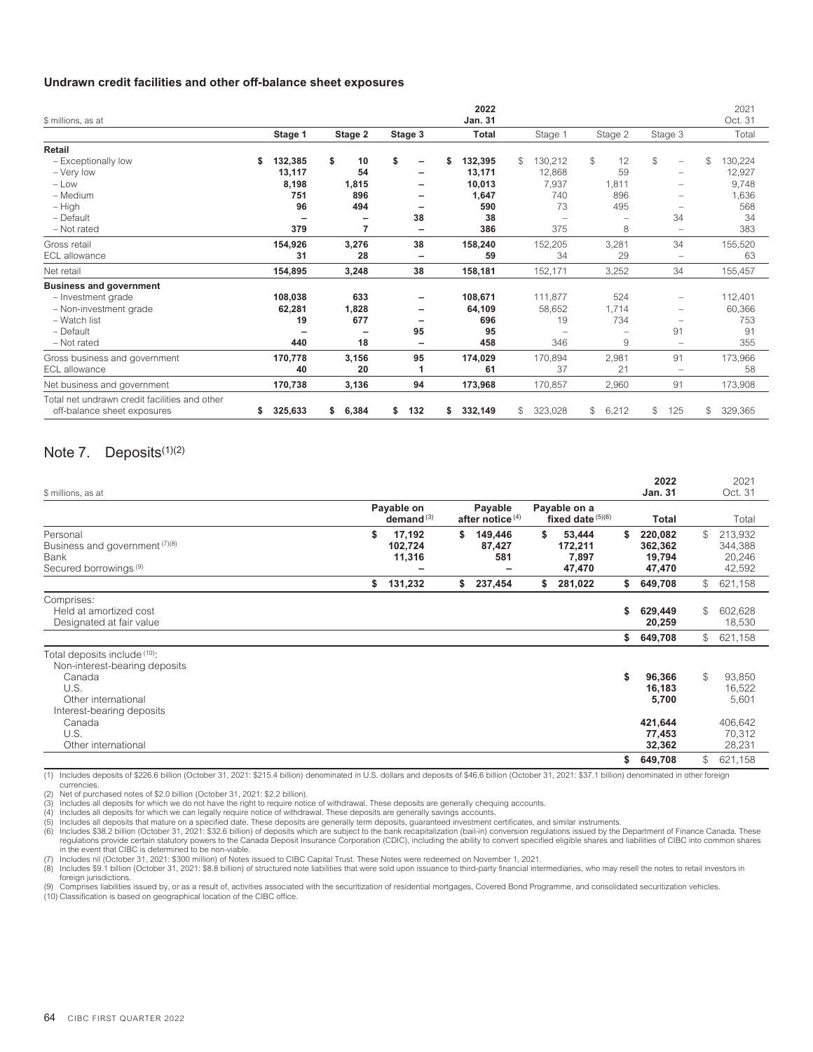#### **Undrawn credit facilities and other off-balance sheet exposures**

| \$ millions, as at                                                           |              |     |             |           | 2022<br>Jan. 31 |                         |                     |                                | 2021<br>Oct. 31 |
|------------------------------------------------------------------------------|--------------|-----|-------------|-----------|-----------------|-------------------------|---------------------|--------------------------------|-----------------|
|                                                                              | Stage 1      |     | Stage 2     | Stage 3   | <b>Total</b>    | Stage 1                 | Stage 2             | Stage 3                        | Total           |
| Retail                                                                       |              |     |             |           |                 |                         |                     |                                |                 |
| - Exceptionally low                                                          | 132,385<br>S |     | \$<br>10    | \$<br>-   | 132,395<br>S    | 130,212<br>\$           | $\mathcal{L}$<br>12 | \$<br>$\overline{\phantom{m}}$ | \$<br>130,224   |
| - Very low                                                                   | 13,117       |     | 54          |           | 13,171          | 12,868                  | 59                  |                                | 12,927          |
| $-$ Low                                                                      | 8,198        |     | 1,815       |           | 10,013          | 7,937                   | 1,811               |                                | 9,748           |
| - Medium                                                                     |              | 751 | 896         |           | 1,647           | 740                     | 896                 |                                | 1,636           |
| $-$ High                                                                     |              | 96  | 494         |           | 590             | 73                      | 495                 |                                | 568             |
| - Default                                                                    |              |     |             | 38        | 38              |                         |                     | 34                             | 34              |
| - Not rated                                                                  |              | 379 | 7           |           | 386             | 375                     | 8                   |                                | 383             |
| Gross retail                                                                 | 154,926      |     | 3,276       | 38        | 158,240         | 152,205                 | 3,281               | 34                             | 155,520         |
| ECL allowance                                                                |              | 31  | 28          | -         | 59              | 34                      | 29                  | $\qquad \qquad -$              | 63              |
| Net retail                                                                   | 154,895      |     | 3,248       | 38        | 158,181         | 152,171                 | 3,252               | 34                             | 155,457         |
| <b>Business and government</b>                                               |              |     |             |           |                 |                         |                     |                                |                 |
| - Investment grade                                                           | 108,038      |     | 633         |           | 108,671         | 111,877                 | 524                 |                                | 112,401         |
| - Non-investment grade                                                       | 62,281       |     | 1,828       |           | 64,109          | 58,652                  | 1,714               |                                | 60,366          |
| - Watch list                                                                 |              | 19  | 677         |           | 696             | 19                      | 734                 |                                | 753             |
| - Default                                                                    |              |     | ۰           | 95        | 95              |                         |                     | 91                             | 91              |
| - Not rated                                                                  |              | 440 | 18          |           | 458             | 346                     | 9                   |                                | 355             |
| Gross business and government                                                | 170,778      |     | 3,156       | 95        | 174,029         | 170,894                 | 2,981               | 91                             | 173,966         |
| <b>ECL</b> allowance                                                         |              | 40  | 20          |           | 61              | 37                      | 21                  |                                | 58              |
| Net business and government                                                  | 170,738      |     | 3,136       | 94        | 173,968         | 170,857                 | 2,960               | 91                             | 173,908         |
| Total net undrawn credit facilities and other<br>off-balance sheet exposures | 325,633<br>S |     | 6,384<br>\$ | 132<br>\$ | 332,149<br>\$   | 323,028<br>$\mathbb{S}$ | $^{\circ}$<br>6,212 | \$<br>125                      | \$<br>329,365   |

# <span id="page-66-0"></span>Note 7. Deposits<sup>(1)(2)</sup>

| \$ millions, as at                                                                      |                                   |                                        |                                            | 2022<br><b>Jan. 31</b>                       |              | 2021<br>Oct. 31                        |
|-----------------------------------------------------------------------------------------|-----------------------------------|----------------------------------------|--------------------------------------------|----------------------------------------------|--------------|----------------------------------------|
|                                                                                         | Payable on<br>demand $(3)$        | Payable<br>after notice <sup>(4)</sup> | Payable on a<br>fixed date $(5)(6)$        | Total                                        |              | Total                                  |
| Personal<br>Business and government (7)(8)<br>Bank<br>Secured borrowings <sup>(9)</sup> | \$<br>17,192<br>102,724<br>11,316 | \$<br>149,446<br>87,427<br>581         | \$<br>53,444<br>172,211<br>7,897<br>47,470 | \$<br>220,082<br>362,362<br>19,794<br>47,470 | \$           | 213,932<br>344,388<br>20,246<br>42,592 |
|                                                                                         | \$<br>131,232                     | \$<br>237,454                          | \$<br>281,022                              | \$<br>649,708                                | $\mathbb{S}$ | 621,158                                |
| Comprises:<br>Held at amortized cost<br>Designated at fair value                        |                                   |                                        |                                            | \$<br>629,449<br>20,259                      | \$           | 602,628<br>18,530                      |
|                                                                                         |                                   |                                        |                                            | \$<br>649,708                                | $\mathbb{S}$ | 621,158                                |
| Total deposits include (10):<br>Non-interest-bearing deposits<br>Canada                 |                                   |                                        |                                            | \$<br>96,366                                 | \$           | 93,850                                 |
| U.S.<br>Other international<br>Interest-bearing deposits                                |                                   |                                        |                                            | 16,183<br>5,700                              |              | 16,522<br>5,601                        |
| Canada<br>U.S.<br>Other international                                                   |                                   |                                        |                                            | 421,644<br>77,453<br>32,362                  |              | 406,642<br>70,312<br>28,231            |
|                                                                                         |                                   |                                        |                                            | \$<br>649,708                                | \$           | 621,158                                |

(1) Includes deposits of \$226.6 billion (October 31, 2021: \$215.4 billion) denominated in U.S. dollars and deposits of \$46.6 billion (October 31, 2021: \$37.1 billion) denominated in other foreign currencies.

(2) Net of purchased notes of \$2.0 billion (October 31, 2021: \$2.2 billion).

(3) Includes all deposits for which we do not have the right to require notice of withdrawal. These deposits are generally chequing accounts.

(4) Includes all deposits for which we can legally require notice of withdrawal. These deposits are generally savings accounts.<br>(5) Includes all deposits that mature on a specified date. These deposits are generally term d regulations provide certain statutory powers to the Canada Deposit Insurance Corporation (CDIC), including the ability to convert specified eligible shares and liabilities of CIBC into common shares in the event that CIBC is determined to be non-viable. (7) Includes nil (October 31, 2021: \$300 million) of Notes issued to CIBC Capital Trust. These Notes were redeemed on November 1, 2021.

(8) Includes \$9.1 billion (October 31, 2021: \$8.8 billion) of structured note liabilities that were sold upon issuance to third-party financial intermediaries, who may resell the notes to retail investors in

foreign jurisdictions. (9) Comprises liabilities issued by, or as a result of, activities associated with the securitization of residential mortgages, Covered Bond Programme, and consolidated securitization vehicles.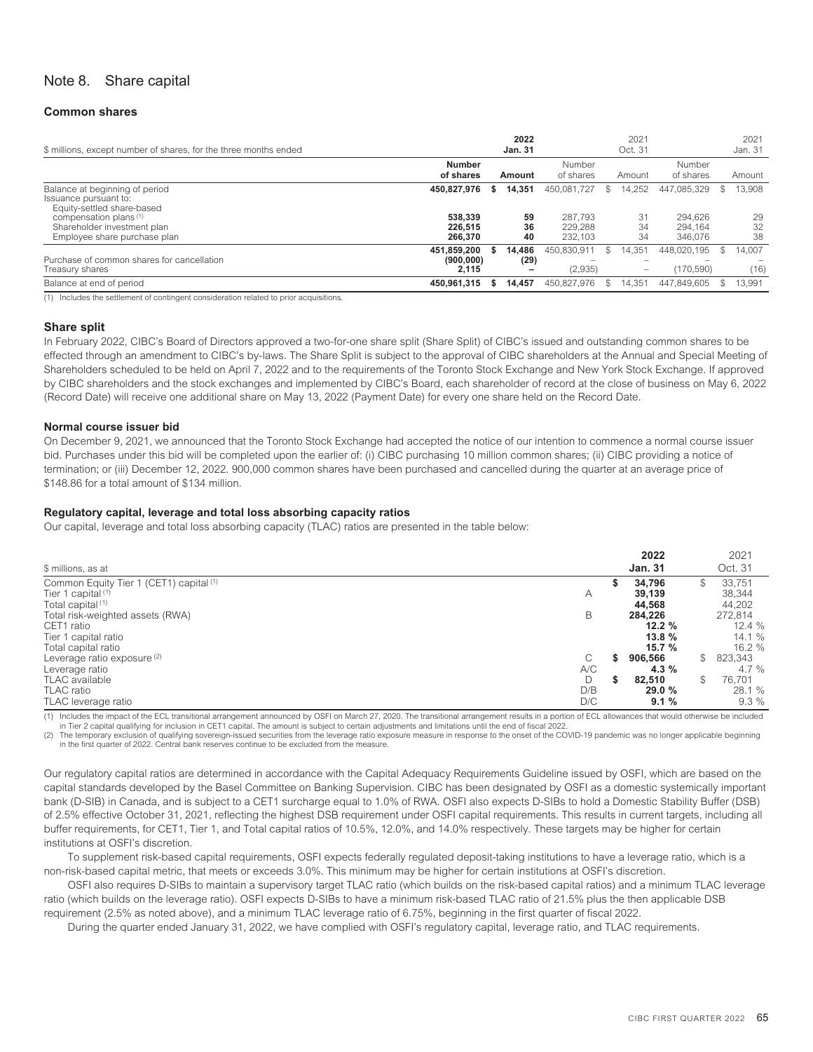# <span id="page-67-0"></span>Note 8. Share capital

#### **Common shares**

| \$ millions, except number of shares, for the three months ended                      |                                   | 2022<br><b>Jan. 31</b> |                               |    | 2021<br>Oct. 31                                                |                               | 2021<br>Jan. 31 |
|---------------------------------------------------------------------------------------|-----------------------------------|------------------------|-------------------------------|----|----------------------------------------------------------------|-------------------------------|-----------------|
|                                                                                       | <b>Number</b><br>of shares        | Amount                 | Number<br>of shares           |    | Amount                                                         | Number<br>of shares           | Amount          |
| Balance at beginning of period<br>Issuance pursuant to:<br>Equity-settled share-based | 450,827,976                       | 14.351                 | 450.081.727                   |    | 14.252                                                         | 447.085.329                   | 13,908          |
| compensation plans (1)<br>Shareholder investment plan<br>Employee share purchase plan | 538.339<br>226.515<br>266.370     | 59<br>36<br>40         | 287.793<br>229,288<br>232.103 |    | 31<br>34<br>34                                                 | 294.626<br>294.164<br>346,076 | 29<br>32<br>38  |
| Purchase of common shares for cancellation<br>Treasury shares                         | 451.859.200<br>(900.000)<br>2.115 | 14.486<br>(29)<br>-    | 450.830.911<br>-<br>(2,935)   | S. | 14.351<br>$\overline{\phantom{0}}$<br>$\overline{\phantom{a}}$ | 448.020.195<br>-<br>(170.590) | 14.007<br>(16)  |
| Balance at end of period                                                              | 450.961.315                       | 14.457                 | 450.827.976                   | \$ | 14.351                                                         | 447.849.605                   | 13.991          |

(1) Includes the settlement of contingent consideration related to prior acquisitions.

#### **Share split**

In February 2022, CIBC's Board of Directors approved a two-for-one share split (Share Split) of CIBC's issued and outstanding common shares to be effected through an amendment to CIBC's by-laws. The Share Split is subject to the approval of CIBC shareholders at the Annual and Special Meeting of Shareholders scheduled to be held on April 7, 2022 and to the requirements of the Toronto Stock Exchange and New York Stock Exchange. If approved by CIBC shareholders and the stock exchanges and implemented by CIBC's Board, each shareholder of record at the close of business on May 6, 2022 (Record Date) will receive one additional share on May 13, 2022 (Payment Date) for every one share held on the Record Date.

#### **Normal course issuer bid**

On December 9, 2021, we announced that the Toronto Stock Exchange had accepted the notice of our intention to commence a normal course issuer bid. Purchases under this bid will be completed upon the earlier of: (i) CIBC purchasing 10 million common shares; (ii) CIBC providing a notice of termination; or (iii) December 12, 2022. 900,000 common shares have been purchased and cancelled during the quarter at an average price of \$148.86 for a total amount of \$134 million.

#### **Regulatory capital, leverage and total loss absorbing capacity ratios**

Our capital, leverage and total loss absorbing capacity (TLAC) ratios are presented in the table below:

|                                                                          |     | 2022             |     | 2021             |
|--------------------------------------------------------------------------|-----|------------------|-----|------------------|
| \$ millions, as at                                                       |     | <b>Jan. 31</b>   |     | Oct. 31          |
| Common Equity Tier 1 (CET1) capital (1)<br>Tier 1 capital <sup>(1)</sup> | A   | 34,796<br>39.139 | \$  | 33.751<br>38,344 |
| Total capital <sup>(1)</sup>                                             |     | 44,568           |     | 44,202           |
| Total risk-weighted assets (RWA)                                         | B   | 284,226          |     | 272,814          |
| CET1 ratio                                                               |     | 12.2%            |     | 12.4%            |
| Tier 1 capital ratio                                                     |     | 13.8%            |     | 14.1%            |
| Total capital ratio                                                      |     | 15.7%            |     | 16.2%            |
| Leverage ratio exposure <sup>(2)</sup>                                   | С   | 906,566          | S.  | 823,343          |
| Leverage ratio                                                           | A/C | 4.3%             |     | 4.7 $%$          |
| <b>TLAC</b> available                                                    | D   | 82.510           | \$. | 76.701           |
| <b>TLAC</b> ratio                                                        | D/B | 29.0 %           |     | 28.1 %           |
| TLAC leverage ratio                                                      | D/C | 9.1%             |     | 9.3%             |

(1) Includes the impact of the ECL transitional arrangement announced by OSFI on March 27, 2020. The transitional arrangement results in a portion of ECL allowances that would otherwise be included

in Tier 2 capital qualifying for inclusion in CET1 capital. The amount is subject to certain adjustments and limitations until the end of fiscal 2022.

(2) The temporary exclusion of qualifying sovereign-issued securities from the leverage ratio exposure measure in response to the onset of the COVID-19 pandemic was no longer applicable beginning in the first quarter of 2022. Central bank reserves continue to be excluded from the measure.

Our regulatory capital ratios are determined in accordance with the Capital Adequacy Requirements Guideline issued by OSFI, which are based on the capital standards developed by the Basel Committee on Banking Supervision. CIBC has been designated by OSFI as a domestic systemically important bank (D-SIB) in Canada, and is subject to a CET1 surcharge equal to 1.0% of RWA. OSFI also expects D-SIBs to hold a Domestic Stability Buffer (DSB) of 2.5% effective October 31, 2021, reflecting the highest DSB requirement under OSFI capital requirements. This results in current targets, including all buffer requirements, for CET1, Tier 1, and Total capital ratios of 10.5%, 12.0%, and 14.0% respectively. These targets may be higher for certain institutions at OSFI's discretion.

To supplement risk-based capital requirements, OSFI expects federally regulated deposit-taking institutions to have a leverage ratio, which is a non-risk-based capital metric, that meets or exceeds 3.0%. This minimum may be higher for certain institutions at OSFI's discretion.

OSFI also requires D-SIBs to maintain a supervisory target TLAC ratio (which builds on the risk-based capital ratios) and a minimum TLAC leverage ratio (which builds on the leverage ratio). OSFI expects D-SIBs to have a minimum risk-based TLAC ratio of 21.5% plus the then applicable DSB requirement (2.5% as noted above), and a minimum TLAC leverage ratio of 6.75%, beginning in the first quarter of fiscal 2022.

During the quarter ended January 31, 2022, we have complied with OSFI's regulatory capital, leverage ratio, and TLAC requirements.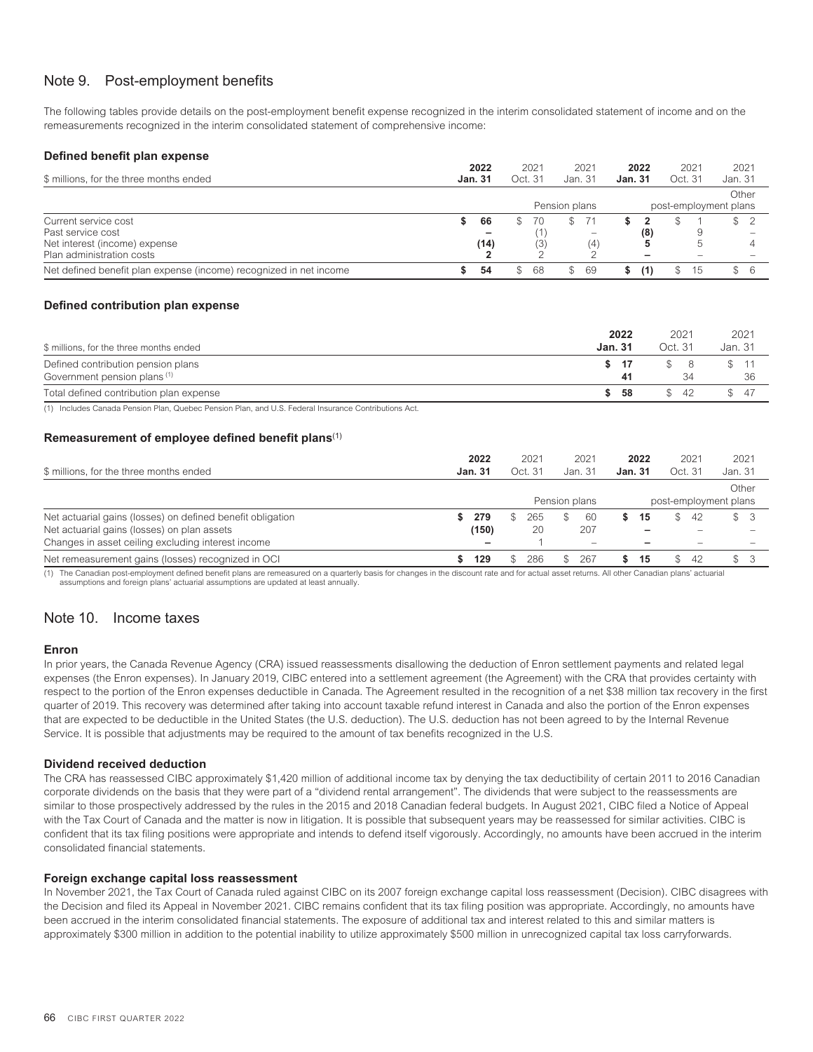# <span id="page-68-0"></span>Note 9. Post-employment benefits

The following tables provide details on the post-employment benefit expense recognized in the interim consolidated statement of income and on the remeasurements recognized in the interim consolidated statement of comprehensive income:

| Defined benefit plan expense                                       |                |    |               |   |                          |                |      |         |      |                       |
|--------------------------------------------------------------------|----------------|----|---------------|---|--------------------------|----------------|------|---------|------|-----------------------|
|                                                                    | 2022           |    | 2021          |   | 2021                     |                | 2022 |         | 2021 | 2021                  |
| \$ millions, for the three months ended                            | <b>Jan. 31</b> |    | Oct. 31       |   | Jan. 31                  | <b>Jan. 31</b> |      | Oct. 31 |      | Jan. 31               |
|                                                                    |                |    |               |   |                          |                |      |         |      | Other                 |
|                                                                    |                |    | Pension plans |   |                          |                |      |         |      | post-employment plans |
| Current service cost                                               | 66             | S. | 70            |   | 71                       |                |      |         |      | $\frac{1}{2}$         |
| Past service cost                                                  |                |    |               |   | $\overline{\phantom{a}}$ |                | (8)  |         |      |                       |
| Net interest (income) expense                                      | (14)           |    | (3)           |   | (4)                      |                |      |         |      |                       |
| Plan administration costs                                          |                |    |               |   |                          |                |      |         |      |                       |
| Net defined benefit plan expense (income) recognized in net income | 54             | S. | 68            | S | 69                       |                | (1)  | S       | 15   | \$6                   |

# **Defined contribution plan expense**

| \$ millions, for the three months ended                            | 2022<br>Jan. 31 | 2021<br>Oct. 31 | 2021<br>Jan. 31 |
|--------------------------------------------------------------------|-----------------|-----------------|-----------------|
| Defined contribution pension plans<br>Government pension plans (1) | 41              | 34              | 36              |
| Total defined contribution plan expense                            | -58             | -42             | \$47            |

(1) Includes Canada Pension Plan, Quebec Pension Plan, and U.S. Federal Insurance Contributions Act.

# **Remeasurement of employee defined benefit plans**(1)

| \$ millions, for the three months ended                    | 2022<br><b>Jan. 31</b> | 2021<br>Oct. 31 |               | 2021<br>Jan. 31          | 2022<br><b>Jan. 31</b> | 2021<br>Oct. 31 | 2021<br>Jan. 31       |
|------------------------------------------------------------|------------------------|-----------------|---------------|--------------------------|------------------------|-----------------|-----------------------|
|                                                            |                        |                 |               |                          |                        |                 | Other                 |
|                                                            |                        |                 | Pension plans |                          |                        |                 | post-employment plans |
| Net actuarial gains (losses) on defined benefit obligation | 279                    | 265             |               | -60                      | 15                     | 42              | \$3                   |
| Net actuarial gains (losses) on plan assets                | (150)                  | 20              |               | 207                      |                        | $\sim$          |                       |
| Changes in asset ceiling excluding interest income         |                        |                 |               | $\overline{\phantom{a}}$ |                        |                 |                       |
| Net remeasurement gains (losses) recognized in OCI         | 129                    | 286             |               | 267                      | 15                     | S<br>42         | $^{\circ}$            |

<span id="page-68-1"></span>(1) The Canadian post-employment defined benefit plans are remeasured on a quarterly basis for changes in the discount rate and for actual asset returns. All other Canadian plans' actuarial assumptions and foreign plans' actuarial assumptions are updated at least annually.

# Note 10. Income taxes

#### **Enron**

In prior years, the Canada Revenue Agency (CRA) issued reassessments disallowing the deduction of Enron settlement payments and related legal expenses (the Enron expenses). In January 2019, CIBC entered into a settlement agreement (the Agreement) with the CRA that provides certainty with respect to the portion of the Enron expenses deductible in Canada. The Agreement resulted in the recognition of a net \$38 million tax recovery in the first quarter of 2019. This recovery was determined after taking into account taxable refund interest in Canada and also the portion of the Enron expenses that are expected to be deductible in the United States (the U.S. deduction). The U.S. deduction has not been agreed to by the Internal Revenue Service. It is possible that adjustments may be required to the amount of tax benefits recognized in the U.S.

#### **Dividend received deduction**

The CRA has reassessed CIBC approximately \$1,420 million of additional income tax by denying the tax deductibility of certain 2011 to 2016 Canadian corporate dividends on the basis that they were part of a "dividend rental arrangement". The dividends that were subject to the reassessments are similar to those prospectively addressed by the rules in the 2015 and 2018 Canadian federal budgets. In August 2021, CIBC filed a Notice of Appeal with the Tax Court of Canada and the matter is now in litigation. It is possible that subsequent years may be reassessed for similar activities. CIBC is confident that its tax filing positions were appropriate and intends to defend itself vigorously. Accordingly, no amounts have been accrued in the interim consolidated financial statements.

#### **Foreign exchange capital loss reassessment**

In November 2021, the Tax Court of Canada ruled against CIBC on its 2007 foreign exchange capital loss reassessment (Decision). CIBC disagrees with the Decision and filed its Appeal in November 2021. CIBC remains confident that its tax filing position was appropriate. Accordingly, no amounts have been accrued in the interim consolidated financial statements. The exposure of additional tax and interest related to this and similar matters is approximately \$300 million in addition to the potential inability to utilize approximately \$500 million in unrecognized capital tax loss carryforwards.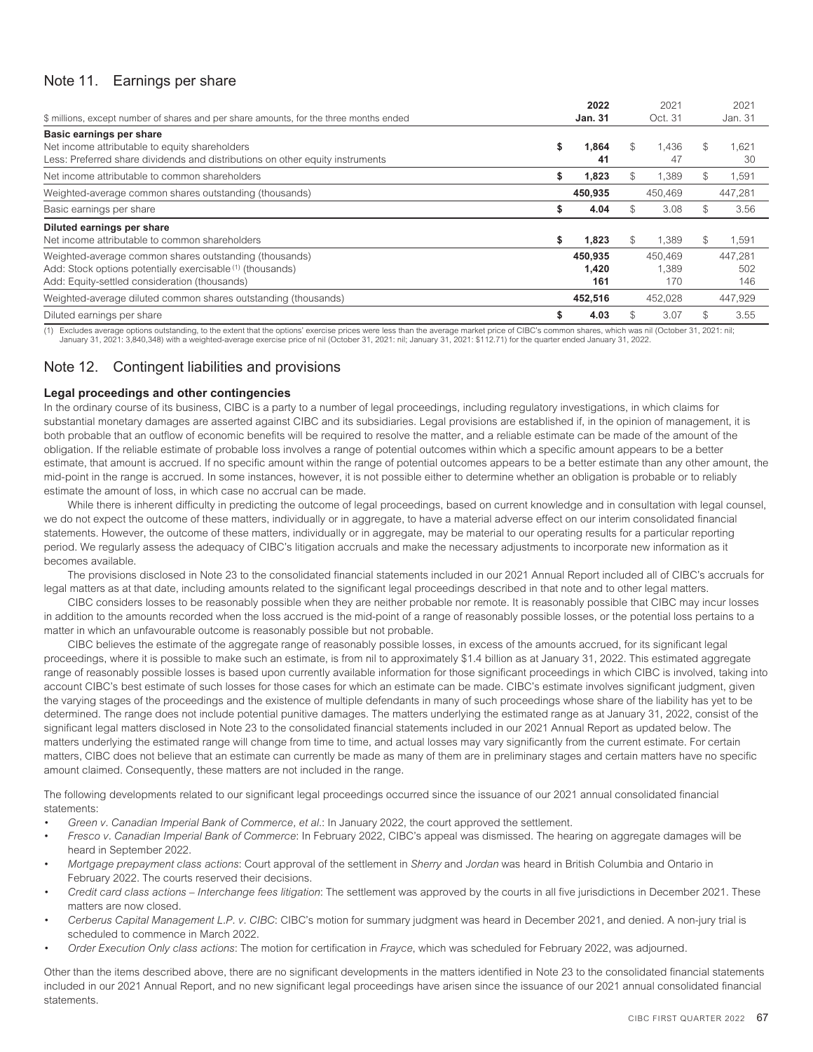# <span id="page-69-0"></span>Note 11. Earnings per share

|                                                                                        |    | 2022           |               | 2021    | 2021        |
|----------------------------------------------------------------------------------------|----|----------------|---------------|---------|-------------|
| \$ millions, except number of shares and per share amounts, for the three months ended |    | <b>Jan. 31</b> |               | Oct. 31 | Jan. 31     |
| Basic earnings per share                                                               |    |                |               |         |             |
| Net income attributable to equity shareholders                                         | S  | 1,864          | S             | 1.436   | \$<br>1.621 |
| Less: Preferred share dividends and distributions on other equity instruments          |    | 41             |               | 47      | -30         |
| Net income attributable to common shareholders                                         | S  | 1.823          | \$.           | 1.389   | \$<br>1,591 |
| Weighted-average common shares outstanding (thousands)                                 |    | 450,935        |               | 450,469 | 447,281     |
| Basic earnings per share                                                               | S  | 4.04           | $\mathcal{S}$ | 3.08    | \$<br>3.56  |
| Diluted earnings per share                                                             |    |                |               |         |             |
| Net income attributable to common shareholders                                         | \$ | 1,823          | $\mathcal{S}$ | 1.389   | \$<br>1,591 |
| Weighted-average common shares outstanding (thousands)                                 |    | 450,935        |               | 450.469 | 447.281     |
| Add: Stock options potentially exercisable (1) (thousands)                             |    | 1.420          |               | 1.389   | 502         |
| Add: Equity-settled consideration (thousands)                                          |    | 161            |               | 170     | 146         |
| Weighted-average diluted common shares outstanding (thousands)                         |    | 452.516        |               | 452.028 | 447,929     |
| Diluted earnings per share                                                             |    | 4.03           | \$.           | 3.07    | \$<br>3.55  |

<span id="page-69-1"></span>(1) Excludes average options outstanding, to the extent that the options' exercise prices were less than the average market price of CIBC's common shares, which was nil (October 31, 2021: nil;<br>January 31, 2021: 3,840,348)

# Note 12. Contingent liabilities and provisions

# **Legal proceedings and other contingencies**

In the ordinary course of its business, CIBC is a party to a number of legal proceedings, including regulatory investigations, in which claims for substantial monetary damages are asserted against CIBC and its subsidiaries. Legal provisions are established if, in the opinion of management, it is both probable that an outflow of economic benefits will be required to resolve the matter, and a reliable estimate can be made of the amount of the obligation. If the reliable estimate of probable loss involves a range of potential outcomes within which a specific amount appears to be a better estimate, that amount is accrued. If no specific amount within the range of potential outcomes appears to be a better estimate than any other amount, the mid-point in the range is accrued. In some instances, however, it is not possible either to determine whether an obligation is probable or to reliably estimate the amount of loss, in which case no accrual can be made.

While there is inherent difficulty in predicting the outcome of legal proceedings, based on current knowledge and in consultation with legal counsel, we do not expect the outcome of these matters, individually or in aggregate, to have a material adverse effect on our interim consolidated financial statements. However, the outcome of these matters, individually or in aggregate, may be material to our operating results for a particular reporting period. We regularly assess the adequacy of CIBC's litigation accruals and make the necessary adjustments to incorporate new information as it becomes available.

The provisions disclosed in Note 23 to the consolidated financial statements included in our 2021 Annual Report included all of CIBC's accruals for legal matters as at that date, including amounts related to the significant legal proceedings described in that note and to other legal matters.

CIBC considers losses to be reasonably possible when they are neither probable nor remote. It is reasonably possible that CIBC may incur losses in addition to the amounts recorded when the loss accrued is the mid-point of a range of reasonably possible losses, or the potential loss pertains to a matter in which an unfavourable outcome is reasonably possible but not probable.

CIBC believes the estimate of the aggregate range of reasonably possible losses, in excess of the amounts accrued, for its significant legal proceedings, where it is possible to make such an estimate, is from nil to approximately \$1.4 billion as at January 31, 2022. This estimated aggregate range of reasonably possible losses is based upon currently available information for those significant proceedings in which CIBC is involved, taking into account CIBC's best estimate of such losses for those cases for which an estimate can be made. CIBC's estimate involves significant judgment, given the varying stages of the proceedings and the existence of multiple defendants in many of such proceedings whose share of the liability has yet to be determined. The range does not include potential punitive damages. The matters underlying the estimated range as at January 31, 2022, consist of the significant legal matters disclosed in Note 23 to the consolidated financial statements included in our 2021 Annual Report as updated below. The matters underlying the estimated range will change from time to time, and actual losses may vary significantly from the current estimate. For certain matters, CIBC does not believe that an estimate can currently be made as many of them are in preliminary stages and certain matters have no specific amount claimed. Consequently, these matters are not included in the range.

The following developments related to our significant legal proceedings occurred since the issuance of our 2021 annual consolidated financial statements:

- *Green v. Canadian Imperial Bank of Commerce, et al.*: In January 2022, the court approved the settlement.
- *Fresco v. Canadian Imperial Bank of Commerce*: In February 2022, CIBC's appeal was dismissed. The hearing on aggregate damages will be heard in September 2022.
- *Mortgage prepayment class actions*: Court approval of the settlement in *Sherry* and *Jordan* was heard in British Columbia and Ontario in February 2022. The courts reserved their decisions.
- *Credit card class actions Interchange fees litigation*: The settlement was approved by the courts in all five jurisdictions in December 2021. These matters are now closed.
- *Cerberus Capital Management L.P. v. CIBC*: CIBC's motion for summary judgment was heard in December 2021, and denied. A non-jury trial is scheduled to commence in March 2022.
- *Order Execution Only class actions*: The motion for certification in *Frayce*, which was scheduled for February 2022, was adjourned.

Other than the items described above, there are no significant developments in the matters identified in Note 23 to the consolidated financial statements included in our 2021 Annual Report, and no new significant legal proceedings have arisen since the issuance of our 2021 annual consolidated financial statements.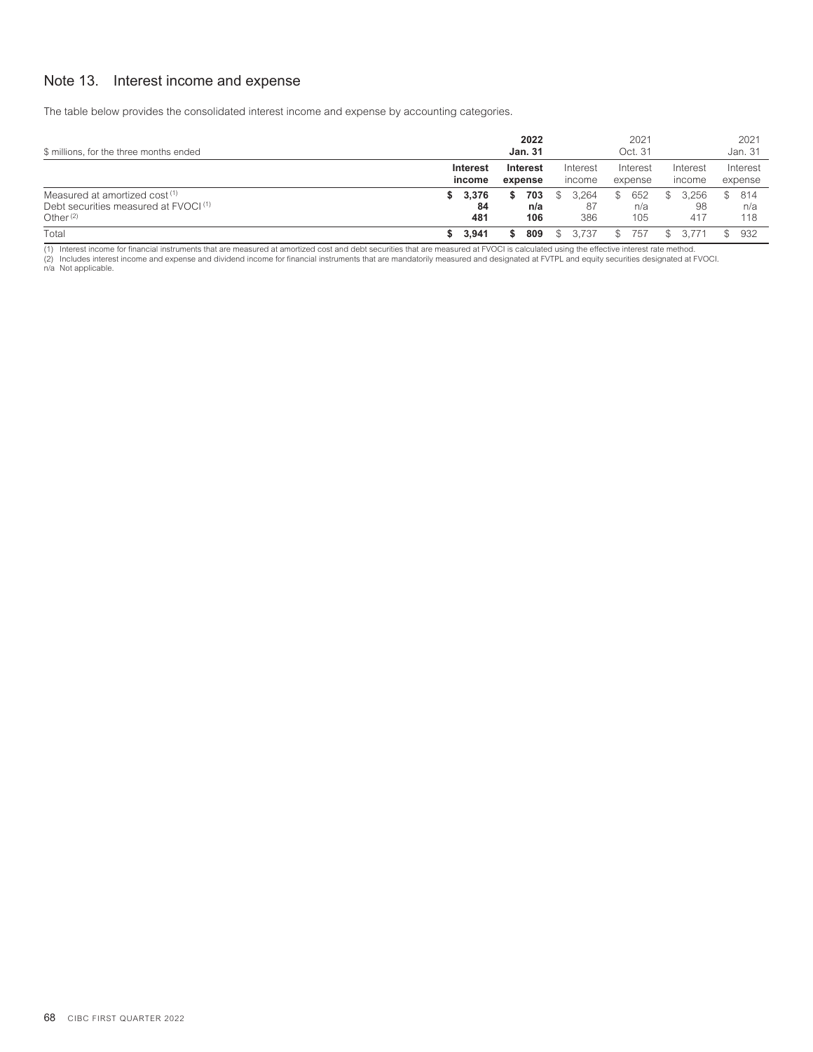# <span id="page-70-0"></span>Note 13. Interest income and expense

The table below provides the consolidated interest income and expense by accounting categories.

| \$ millions, for the three months ended                                                                      |                          | 2022<br><b>Jan. 31</b> |                          | 2021<br>Oct. 31          |                    | 2021<br>Jan. 31          |
|--------------------------------------------------------------------------------------------------------------|--------------------------|------------------------|--------------------------|--------------------------|--------------------|--------------------------|
|                                                                                                              | Interest<br>income       | Interest<br>expense    | Interest<br>income       | Interest<br>expense      | Interest<br>income | Interest<br>expense      |
| Measured at amortized cost <sup>(1)</sup><br>Debt securities measured at FVOCI <sup>(1)</sup><br>Other $(2)$ | 3,376<br>s.<br>84<br>481 | 703<br>S<br>n/a<br>106 | 3.264<br>S<br>-87<br>386 | 652<br>\$.<br>n/a<br>105 | 3.256<br>98<br>417 | 814<br>\$.<br>n/a<br>118 |
| Total                                                                                                        | 3,941                    | 809<br>S               | 3.737                    | 757                      |                    | 932                      |

(1) Interest income for financial instruments that are measured at amortized cost and debt securities that are measured at FVOCI is calculated using the effective interest rate method. (2) Includes interest income and expense and dividend income for financial instruments that are mandatorily measured and designated at FVTPL and equity securities designated at FVOCI. n/a Not applicable.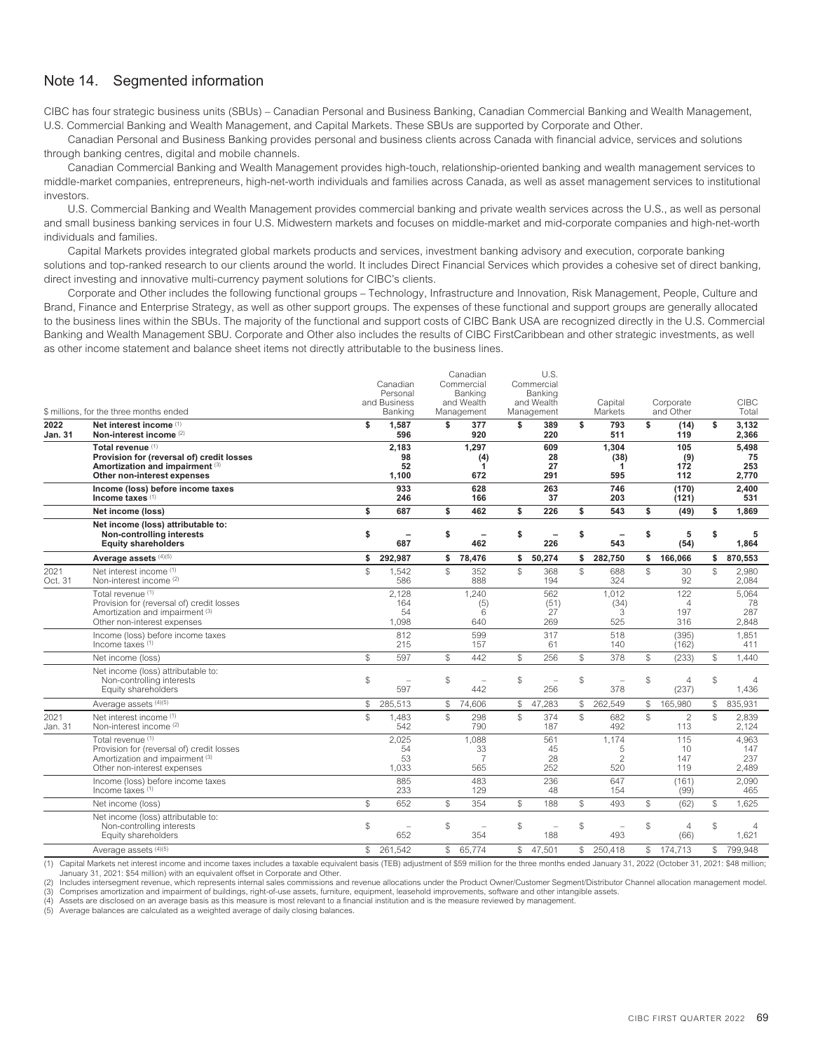# <span id="page-71-0"></span>Note 14. Segmented information

CIBC has four strategic business units (SBUs) – Canadian Personal and Business Banking, Canadian Commercial Banking and Wealth Management, U.S. Commercial Banking and Wealth Management, and Capital Markets. These SBUs are supported by Corporate and Other.

Canadian Personal and Business Banking provides personal and business clients across Canada with financial advice, services and solutions through banking centres, digital and mobile channels.

Canadian Commercial Banking and Wealth Management provides high-touch, relationship-oriented banking and wealth management services to middle-market companies, entrepreneurs, high-net-worth individuals and families across Canada, as well as asset management services to institutional investors.

U.S. Commercial Banking and Wealth Management provides commercial banking and private wealth services across the U.S., as well as personal and small business banking services in four U.S. Midwestern markets and focuses on middle-market and mid-corporate companies and high-net-worth individuals and families.

Capital Markets provides integrated global markets products and services, investment banking advisory and execution, corporate banking solutions and top-ranked research to our clients around the world. It includes Direct Financial Services which provides a cohesive set of direct banking, direct investing and innovative multi-currency payment solutions for CIBC's clients.

Corporate and Other includes the following functional groups – Technology, Infrastructure and Innovation, Risk Management, People, Culture and Brand, Finance and Enterprise Strategy, as well as other support groups. The expenses of these functional and support groups are generally allocated to the business lines within the SBUs. The majority of the functional and support costs of CIBC Bank USA are recognized directly in the U.S. Commercial Banking and Wealth Management SBU. Corporate and Other also includes the results of CIBC FirstCaribbean and other strategic investments, as well as other income statement and balance sheet items not directly attributable to the business lines.

|                        | \$ millions, for the three months ended                                                                                          |               | Canadian<br>Personal<br>and Business<br>Banking |                | Canadian<br>Commercial<br>Banking<br>and Wealth<br>Management |               | U.S.<br>Commercial<br>Banking<br>and Wealth<br>Management |                | Capital<br>Markets                  |                | Corporate<br>and Other              |               | <b>CIBC</b><br>Total         |
|------------------------|----------------------------------------------------------------------------------------------------------------------------------|---------------|-------------------------------------------------|----------------|---------------------------------------------------------------|---------------|-----------------------------------------------------------|----------------|-------------------------------------|----------------|-------------------------------------|---------------|------------------------------|
| 2022<br><b>Jan. 31</b> | Net interest income (1)<br>Non-interest income (2)                                                                               | \$            | 1,587<br>596                                    | \$             | 377<br>920                                                    | \$            | 389<br>220                                                | \$             | 793<br>511                          | \$             | (14)<br>119                         | \$            | 3,132<br>2,366               |
|                        | Total revenue (1)<br>Provision for (reversal of) credit losses<br>Amortization and impairment (3)<br>Other non-interest expenses |               | 2.183<br>98<br>52<br>1,100                      |                | 1.297<br>(4)<br>1<br>672                                      |               | 609<br>28<br>27<br>291                                    |                | 1.304<br>(38)<br>1<br>595           |                | 105<br>(9)<br>172<br>112            |               | 5.498<br>75<br>253<br>2,770  |
|                        | Income (loss) before income taxes<br>Income taxes <sup>(1)</sup>                                                                 |               | 933<br>246                                      |                | 628<br>166                                                    |               | 263<br>37                                                 |                | 746<br>203                          |                | (170)<br>(121)                      |               | 2,400<br>531                 |
|                        | Net income (loss)                                                                                                                | \$            | 687                                             | \$             | 462                                                           | \$            | 226                                                       | \$             | 543                                 | \$             | (49)                                | \$            | 1,869                        |
|                        | Net income (loss) attributable to:<br>Non-controlling interests<br><b>Equity shareholders</b>                                    | \$            | 687                                             | \$             | 462                                                           | \$            | 226                                                       | \$             | 543                                 | \$             | 5<br>(54)                           | \$            | 5<br>1.864                   |
|                        | Average assets (4)(5)                                                                                                            | \$            | 292,987                                         | \$             | 78,476                                                        | \$            | 50,274                                                    | \$             | 282,750                             | \$             | 166,066                             | \$            | 870,553                      |
| 2021<br>Oct. 31        | Net interest income (1)<br>Non-interest income (2)                                                                               | $\mathcal{L}$ | 1,542<br>586                                    | $\$$           | 352<br>888                                                    | $\mathcal{S}$ | 368<br>194                                                | $\mathbb{S}$   | 688<br>324                          | $\mathcal{S}$  | 30<br>92                            | $\mathcal{S}$ | 2,980<br>2,084               |
|                        | Total revenue (1)<br>Provision for (reversal of) credit losses<br>Amortization and impairment (3)<br>Other non-interest expenses |               | 2.128<br>164<br>54<br>1,098                     |                | 1.240<br>(5)<br>6<br>640                                      |               | 562<br>(51)<br>27<br>269                                  |                | 1.012<br>(34)<br>3<br>525           |                | 122<br>$\overline{4}$<br>197<br>316 |               | 5.064<br>78<br>287<br>2,848  |
|                        | Income (loss) before income taxes<br>Income taxes (1)                                                                            |               | 812<br>215                                      |                | 599<br>157                                                    |               | 317<br>61                                                 |                | 518<br>140                          |                | (395)<br>(162)                      |               | 1,851<br>411                 |
|                        | Net income (loss)                                                                                                                | $\mathbb{S}$  | 597                                             | $\mathbb{S}$   | 442                                                           | \$            | 256                                                       | $\mathbb{S}$   | 378                                 | $$\mathbb{S}$$ | (233)                               | S             | 1,440                        |
|                        | Net income (loss) attributable to:<br>Non-controlling interests<br>Equity shareholders                                           | $\$$          | $\overline{\phantom{a}}$<br>597                 | $\$$           | ÷,<br>442                                                     | \$            | $\equiv$<br>256                                           | $$\mathbb{S}$$ | $\overline{\phantom{a}}$<br>378     | $$\mathbb{S}$$ | $\overline{4}$<br>(237)             | ${\mathbb S}$ | 4<br>1.436                   |
|                        | Average assets (4)(5)                                                                                                            | $\mathbb{S}$  | 285,513                                         | \$             | 74,606                                                        | \$            | 47,283                                                    | \$             | 262.549                             | $\mathbb{S}$   | 165,980                             | \$            | 835,931                      |
| 2021<br>Jan. 31        | Net interest income (1)<br>Non-interest income (2)                                                                               | $\mathcal{S}$ | 1,483<br>542                                    | $\mathcal{S}$  | 298<br>790                                                    | $\mathbb{S}$  | 374<br>187                                                | $\mathcal{L}$  | 682<br>492                          | ${\mathbb S}$  | $\overline{2}$<br>113               | $\mathcal{S}$ | 2,839<br>2,124               |
|                        | Total revenue (1)<br>Provision for (reversal of) credit losses<br>Amortization and impairment (3)<br>Other non-interest expenses |               | 2,025<br>54<br>53<br>1,033                      |                | 1,088<br>33<br>$\overline{7}$<br>565                          |               | 561<br>45<br>28<br>252                                    |                | 1,174<br>5<br>$\overline{2}$<br>520 |                | 115<br>10<br>147<br>119             |               | 4,963<br>147<br>237<br>2,489 |
|                        | Income (loss) before income taxes<br>Income faxes <sup>(1)</sup>                                                                 |               | 885<br>233                                      |                | 483<br>129                                                    |               | 236<br>48                                                 |                | 647<br>154                          |                | (161)<br>(99)                       |               | 2.090<br>465                 |
|                        | Net income (loss)                                                                                                                | $\mathbb{S}$  | 652                                             | $\mathbb{S}$   | 354                                                           | \$            | 188                                                       | $\mathbb{S}$   | 493                                 | ${\mathbb S}$  | (62)                                | $\mathbb{S}$  | 1,625                        |
|                        | Net income (loss) attributable to:<br>Non-controlling interests<br>Equity shareholders                                           | $\$$          | 652                                             | $$\mathbb{S}$$ | 354                                                           | \$            | Ē.<br>188                                                 | $$\mathbb{S}$$ | 493                                 | $$\mathbb{S}$$ | $\overline{4}$<br>(66)              | $\mathbb{S}$  | 4<br>1,621                   |
|                        | Average assets (4)(5)                                                                                                            | $\mathbb{S}$  | 261.542                                         | $$\tilde{}}$   | 65,774                                                        | $\mathbb{S}$  | 47.501                                                    | \$             | 250,418                             | $\mathbb{S}$   | 174,713                             | $\mathbb{S}$  | 799,948                      |

(1) Capital Markets net interest income and income taxes includes a taxable equivalent basis (TEB) adjustment of \$59 million for the three months ended January 31, 2022 (October 31, 2021: \$48 million; January 31, 2021: \$54 million) with an equivalent offset in Corporate and Other.

Includes intersegment revenue, which represents internal sales commissions and revenue allocations under the Product Owner/Customer Segment/Distributor Channel allocation management model. (3) Comprises amortization and impairment of buildings, right-of-use assets, furniture, equipment, leasehold improvements, software and other intangible assets.

Assets are disclosed on an average basis as this measure is most relevant to a financial institution and is the measure reviewed by management

(5) Average balances are calculated as a weighted average of daily closing balances.